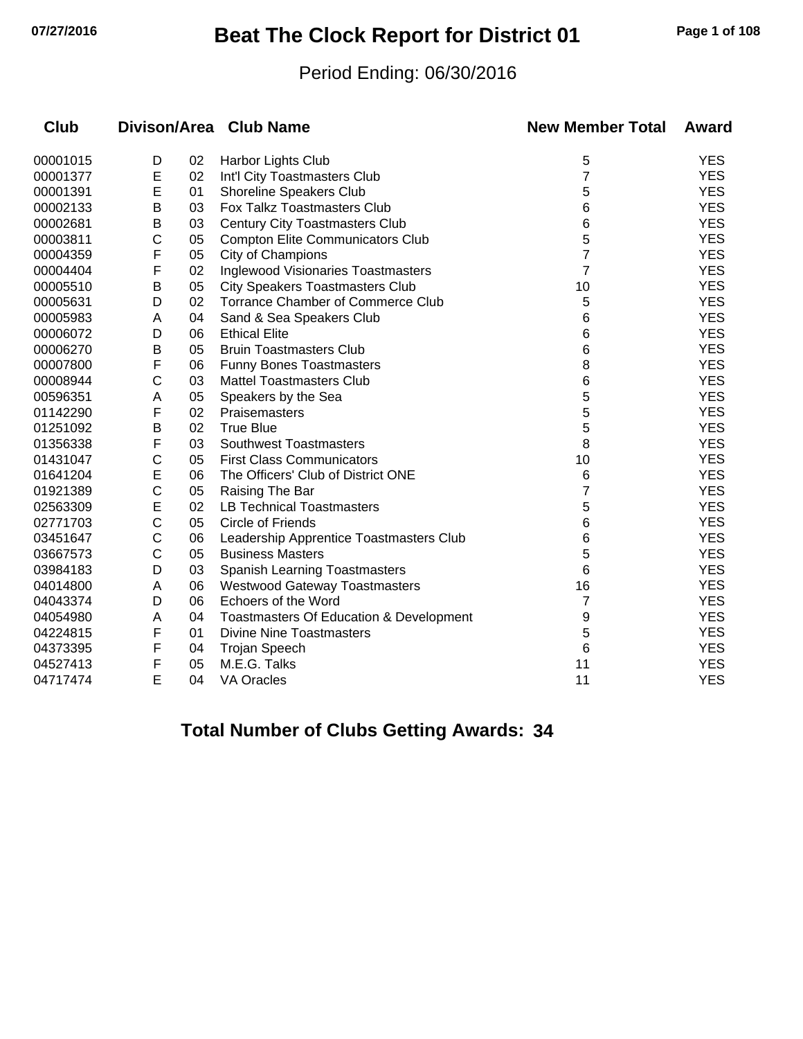## **07/27/2016 Beat The Clock Report for District 01 Page 1 of 108**

#### Period Ending: 06/30/2016

| <b>Club</b> |              |    | Divison/Area Club Name                  | <b>New Member Total</b> | Award      |
|-------------|--------------|----|-----------------------------------------|-------------------------|------------|
| 00001015    | D            | 02 | Harbor Lights Club                      | 5                       | <b>YES</b> |
| 00001377    | E            | 02 | Int'l City Toastmasters Club            | 7                       | <b>YES</b> |
| 00001391    | E            | 01 | Shoreline Speakers Club                 | 5                       | <b>YES</b> |
| 00002133    | В            | 03 | Fox Talkz Toastmasters Club             | 6                       | <b>YES</b> |
| 00002681    | В            | 03 | <b>Century City Toastmasters Club</b>   | 6                       | <b>YES</b> |
| 00003811    | $\mathsf{C}$ | 05 | <b>Compton Elite Communicators Club</b> | 5                       | <b>YES</b> |
| 00004359    | F            | 05 | City of Champions                       | 7                       | <b>YES</b> |
| 00004404    | F            | 02 | Inglewood Visionaries Toastmasters      | $\overline{7}$          | <b>YES</b> |
| 00005510    | B            | 05 | <b>City Speakers Toastmasters Club</b>  | 10                      | <b>YES</b> |
| 00005631    | D            | 02 | Torrance Chamber of Commerce Club       | 5                       | <b>YES</b> |
| 00005983    | A            | 04 | Sand & Sea Speakers Club                | 6                       | <b>YES</b> |
| 00006072    | D            | 06 | <b>Ethical Elite</b>                    | 6                       | <b>YES</b> |
| 00006270    | Β            | 05 | <b>Bruin Toastmasters Club</b>          | 6                       | <b>YES</b> |
| 00007800    | F            | 06 | <b>Funny Bones Toastmasters</b>         | 8                       | <b>YES</b> |
| 00008944    | C            | 03 | <b>Mattel Toastmasters Club</b>         | 6                       | <b>YES</b> |
| 00596351    | Α            | 05 | Speakers by the Sea                     | 5                       | <b>YES</b> |
| 01142290    | F            | 02 | Praisemasters                           | 5                       | <b>YES</b> |
| 01251092    | В            | 02 | <b>True Blue</b>                        | 5                       | <b>YES</b> |
| 01356338    | F            | 03 | <b>Southwest Toastmasters</b>           | 8                       | <b>YES</b> |
| 01431047    | C            | 05 | <b>First Class Communicators</b>        | 10                      | <b>YES</b> |
| 01641204    | E            | 06 | The Officers' Club of District ONE      | 6                       | <b>YES</b> |
| 01921389    | $\mathsf{C}$ | 05 | Raising The Bar                         | 7                       | <b>YES</b> |
| 02563309    | E            | 02 | <b>LB Technical Toastmasters</b>        | 5                       | <b>YES</b> |
| 02771703    | $\mathsf{C}$ | 05 | Circle of Friends                       | 6                       | <b>YES</b> |
| 03451647    | $\mathsf C$  | 06 | Leadership Apprentice Toastmasters Club | 6                       | <b>YES</b> |
| 03667573    | $\mathsf{C}$ | 05 | <b>Business Masters</b>                 | 5                       | <b>YES</b> |
| 03984183    | D            | 03 | Spanish Learning Toastmasters           | 6                       | <b>YES</b> |
| 04014800    | A            | 06 | <b>Westwood Gateway Toastmasters</b>    | 16                      | <b>YES</b> |
| 04043374    | D            | 06 | Echoers of the Word                     | 7                       | <b>YES</b> |
| 04054980    | A            | 04 | Toastmasters Of Education & Development | 9                       | <b>YES</b> |
| 04224815    | F            | 01 | <b>Divine Nine Toastmasters</b>         | 5                       | <b>YES</b> |
| 04373395    | F            | 04 | <b>Trojan Speech</b>                    | 6                       | <b>YES</b> |
| 04527413    | F            | 05 | M.E.G. Talks                            | 11                      | <b>YES</b> |
| 04717474    | E            | 04 | <b>VA Oracles</b>                       | 11                      | <b>YES</b> |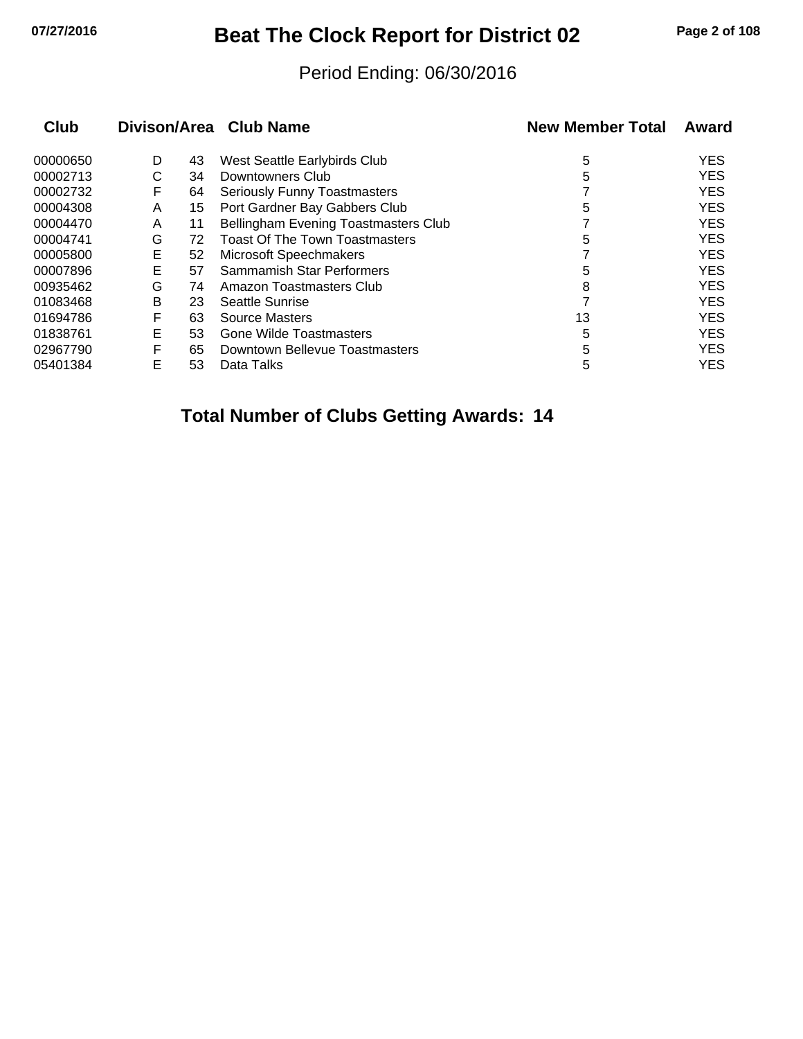# **07/27/2016 Beat The Clock Report for District 02 Page 2 of 108**

#### Period Ending: 06/30/2016

|   |    |                                       | <b>New Member Total</b> | Award      |
|---|----|---------------------------------------|-------------------------|------------|
| D | 43 | West Seattle Earlybirds Club          | 5                       | <b>YES</b> |
| С | 34 | Downtowners Club                      | 5                       | <b>YES</b> |
| F | 64 | <b>Seriously Funny Toastmasters</b>   |                         | <b>YES</b> |
| A | 15 | Port Gardner Bay Gabbers Club         | 5                       | <b>YES</b> |
| A | 11 | Bellingham Evening Toastmasters Club  |                         | <b>YES</b> |
| G | 72 | <b>Toast Of The Town Toastmasters</b> | 5                       | <b>YES</b> |
| Е | 52 | Microsoft Speechmakers                |                         | <b>YES</b> |
| E | 57 | Sammamish Star Performers             | 5                       | <b>YES</b> |
| G | 74 | Amazon Toastmasters Club              | 8                       | <b>YES</b> |
| B | 23 | Seattle Sunrise                       |                         | <b>YES</b> |
| F | 63 | <b>Source Masters</b>                 | 13                      | <b>YES</b> |
| E | 53 | Gone Wilde Toastmasters               | 5                       | <b>YES</b> |
| F | 65 | Downtown Bellevue Toastmasters        | 5                       | <b>YES</b> |
| E | 53 | Data Talks                            | 5                       | <b>YES</b> |
|   |    |                                       | Divison/Area Club Name  |            |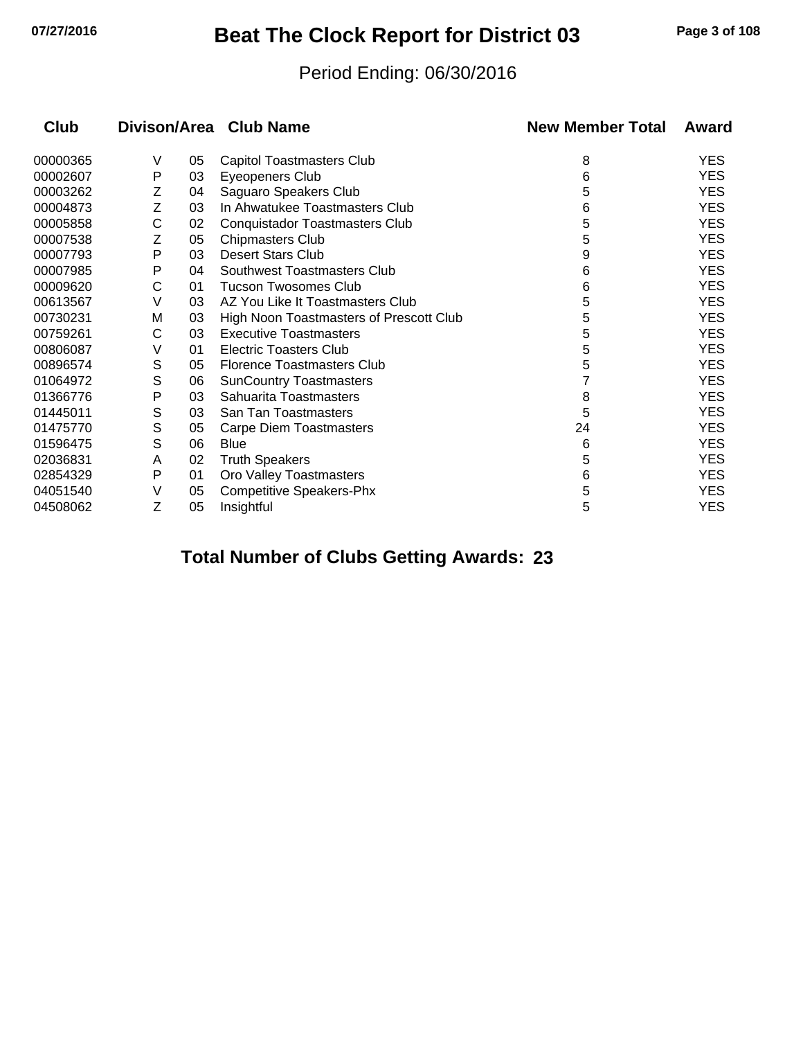# **07/27/2016 Beat The Clock Report for District 03 Page 3 of 108**

#### Period Ending: 06/30/2016

| Club     |   |    | Divison/Area Club Name                  | <b>New Member Total</b> | Award      |
|----------|---|----|-----------------------------------------|-------------------------|------------|
| 00000365 | V | 05 | <b>Capitol Toastmasters Club</b>        | 8                       | <b>YES</b> |
| 00002607 | P | 03 | Eyeopeners Club                         | 6                       | <b>YES</b> |
| 00003262 | Ζ | 04 | Saguaro Speakers Club                   | 5                       | <b>YES</b> |
| 00004873 | Ζ | 03 | In Ahwatukee Toastmasters Club          | 6                       | <b>YES</b> |
| 00005858 | C | 02 | <b>Conquistador Toastmasters Club</b>   | 5                       | <b>YES</b> |
| 00007538 | Z | 05 | <b>Chipmasters Club</b>                 | 5                       | <b>YES</b> |
| 00007793 | Ρ | 03 | <b>Desert Stars Club</b>                | 9                       | <b>YES</b> |
| 00007985 | P | 04 | Southwest Toastmasters Club             | 6                       | <b>YES</b> |
| 00009620 | C | 01 | <b>Tucson Twosomes Club</b>             | 6                       | <b>YES</b> |
| 00613567 | V | 03 | AZ You Like It Toastmasters Club        | 5                       | <b>YES</b> |
| 00730231 | M | 03 | High Noon Toastmasters of Prescott Club | 5                       | <b>YES</b> |
| 00759261 | С | 03 | <b>Executive Toastmasters</b>           | 5                       | <b>YES</b> |
| 00806087 | V | 01 | <b>Electric Toasters Club</b>           | 5                       | <b>YES</b> |
| 00896574 | S | 05 | <b>Florence Toastmasters Club</b>       | 5                       | <b>YES</b> |
| 01064972 | S | 06 | <b>SunCountry Toastmasters</b>          | 7                       | <b>YES</b> |
| 01366776 | Ρ | 03 | Sahuarita Toastmasters                  | 8                       | <b>YES</b> |
| 01445011 | S | 03 | San Tan Toastmasters                    | 5                       | <b>YES</b> |
| 01475770 | S | 05 | Carpe Diem Toastmasters                 | 24                      | <b>YES</b> |
| 01596475 | S | 06 | <b>Blue</b>                             | 6                       | <b>YES</b> |
| 02036831 | A | 02 | <b>Truth Speakers</b>                   | 5                       | <b>YES</b> |
| 02854329 | P | 01 | Oro Valley Toastmasters                 | 6                       | <b>YES</b> |
| 04051540 | V | 05 | <b>Competitive Speakers-Phx</b>         | 5                       | YES        |
| 04508062 | Z | 05 | Insightful                              | 5                       | YES        |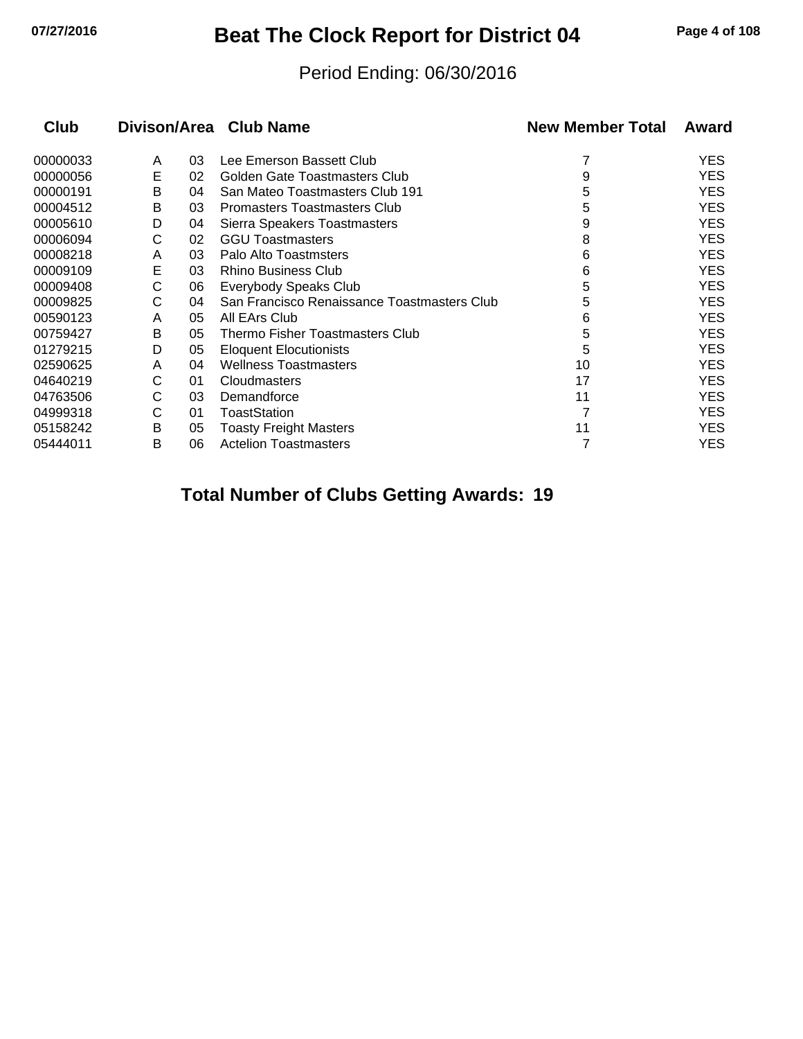## **07/27/2016 Beat The Clock Report for District 04 Page 4 of 108**

#### Period Ending: 06/30/2016

| <b>Club</b> |   |    | Divison/Area Club Name                      | <b>New Member Total</b> | Award      |
|-------------|---|----|---------------------------------------------|-------------------------|------------|
| 00000033    | A | 03 | Lee Emerson Bassett Club                    |                         | <b>YES</b> |
| 00000056    | Е | 02 | Golden Gate Toastmasters Club               | 9                       | <b>YES</b> |
| 00000191    | B | 04 | San Mateo Toastmasters Club 191             | 5                       | <b>YES</b> |
| 00004512    | В | 03 | <b>Promasters Toastmasters Club</b>         | 5                       | <b>YES</b> |
| 00005610    | D | 04 | Sierra Speakers Toastmasters                | 9                       | <b>YES</b> |
| 00006094    | С | 02 | <b>GGU Toastmasters</b>                     | 8                       | <b>YES</b> |
| 00008218    | A | 03 | Palo Alto Toastmsters                       | 6                       | <b>YES</b> |
| 00009109    | Е | 03 | <b>Rhino Business Club</b>                  | 6                       | <b>YES</b> |
| 00009408    | С | 06 | Everybody Speaks Club                       | 5                       | <b>YES</b> |
| 00009825    | С | 04 | San Francisco Renaissance Toastmasters Club | 5                       | <b>YES</b> |
| 00590123    | A | 05 | All EArs Club                               | 6                       | <b>YES</b> |
| 00759427    | В | 05 | Thermo Fisher Toastmasters Club             | 5                       | <b>YES</b> |
| 01279215    | D | 05 | <b>Eloquent Elocutionists</b>               | 5                       | <b>YES</b> |
| 02590625    | A | 04 | <b>Wellness Toastmasters</b>                | 10                      | <b>YES</b> |
| 04640219    | С | 01 | Cloudmasters                                | 17                      | <b>YES</b> |
| 04763506    | С | 03 | Demandforce                                 | 11                      | <b>YES</b> |
| 04999318    | С | 01 | <b>ToastStation</b>                         |                         | <b>YES</b> |
| 05158242    | В | 05 | <b>Toasty Freight Masters</b>               | 11                      | <b>YES</b> |
| 05444011    | B | 06 | <b>Actelion Toastmasters</b>                |                         | <b>YES</b> |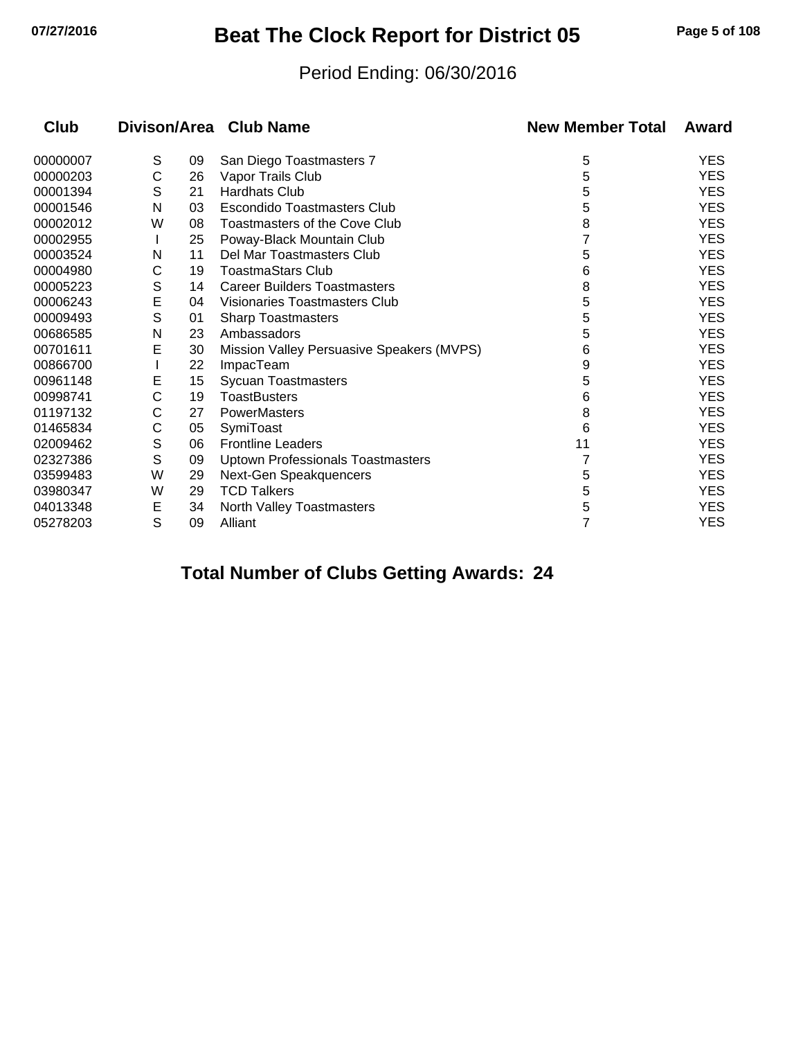# **07/27/2016 Beat The Clock Report for District 05 Page 5 of 108**

#### Period Ending: 06/30/2016

| Club     |   |    | Divison/Area Club Name                    | <b>New Member Total</b> | Award      |
|----------|---|----|-------------------------------------------|-------------------------|------------|
| 00000007 | S | 09 | San Diego Toastmasters 7                  | 5                       | <b>YES</b> |
| 00000203 | C | 26 | Vapor Trails Club                         | 5                       | <b>YES</b> |
| 00001394 | S | 21 | <b>Hardhats Club</b>                      | 5                       | <b>YES</b> |
| 00001546 | N | 03 | Escondido Toastmasters Club               | 5                       | <b>YES</b> |
| 00002012 | W | 08 | <b>Toastmasters of the Cove Club</b>      | 8                       | <b>YES</b> |
| 00002955 |   | 25 | Poway-Black Mountain Club                 |                         | <b>YES</b> |
| 00003524 | N | 11 | Del Mar Toastmasters Club                 | 5                       | <b>YES</b> |
| 00004980 | С | 19 | <b>ToastmaStars Club</b>                  | 6                       | <b>YES</b> |
| 00005223 | S | 14 | <b>Career Builders Toastmasters</b>       | 8                       | <b>YES</b> |
| 00006243 | E | 04 | Visionaries Toastmasters Club             | 5                       | <b>YES</b> |
| 00009493 | S | 01 | <b>Sharp Toastmasters</b>                 | 5                       | <b>YES</b> |
| 00686585 | N | 23 | Ambassadors                               | 5                       | <b>YES</b> |
| 00701611 | E | 30 | Mission Valley Persuasive Speakers (MVPS) | 6                       | <b>YES</b> |
| 00866700 |   | 22 | <b>ImpacTeam</b>                          | 9                       | <b>YES</b> |
| 00961148 | Е | 15 | <b>Sycuan Toastmasters</b>                | 5                       | <b>YES</b> |
| 00998741 | С | 19 | <b>ToastBusters</b>                       | 6                       | <b>YES</b> |
| 01197132 | С | 27 | PowerMasters                              | 8                       | <b>YES</b> |
| 01465834 | C | 05 | SymiToast                                 | 6                       | <b>YES</b> |
| 02009462 | S | 06 | <b>Frontline Leaders</b>                  | 11                      | <b>YES</b> |
| 02327386 | S | 09 | <b>Uptown Professionals Toastmasters</b>  |                         | <b>YES</b> |
| 03599483 | W | 29 | Next-Gen Speakquencers                    | 5                       | <b>YES</b> |
| 03980347 | W | 29 | <b>TCD Talkers</b>                        | 5                       | <b>YES</b> |
| 04013348 | E | 34 | North Valley Toastmasters                 | 5                       | <b>YES</b> |
| 05278203 | S | 09 | Alliant                                   | 7                       | <b>YES</b> |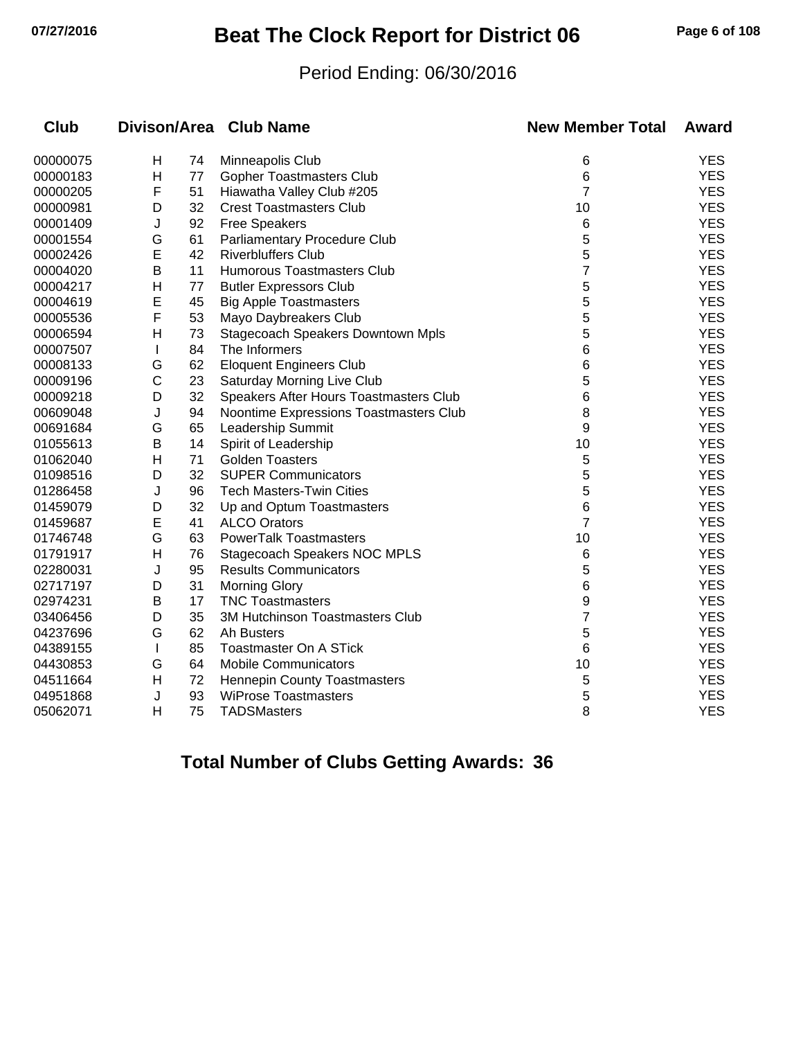## **07/27/2016 Beat The Clock Report for District 06 Page 6 of 108**

#### Period Ending: 06/30/2016

| <b>Club</b> |              |    | Divison/Area Club Name                   | <b>New Member Total</b> | Award      |
|-------------|--------------|----|------------------------------------------|-------------------------|------------|
| 00000075    | Н            | 74 | Minneapolis Club                         | 6                       | <b>YES</b> |
| 00000183    | H            | 77 | <b>Gopher Toastmasters Club</b>          | 6                       | <b>YES</b> |
| 00000205    | F            | 51 | Hiawatha Valley Club #205                | $\overline{7}$          | <b>YES</b> |
| 00000981    | D            | 32 | <b>Crest Toastmasters Club</b>           | 10                      | <b>YES</b> |
| 00001409    | J            | 92 | <b>Free Speakers</b>                     | 6                       | <b>YES</b> |
| 00001554    | G            | 61 | Parliamentary Procedure Club             | 5                       | <b>YES</b> |
| 00002426    | E            | 42 | <b>Riverbluffers Club</b>                | 5                       | <b>YES</b> |
| 00004020    | B            | 11 | Humorous Toastmasters Club               | 7                       | <b>YES</b> |
| 00004217    | Н            | 77 | <b>Butler Expressors Club</b>            | 5                       | <b>YES</b> |
| 00004619    | E            | 45 | <b>Big Apple Toastmasters</b>            | 5                       | <b>YES</b> |
| 00005536    | F            | 53 | Mayo Daybreakers Club                    | 5                       | <b>YES</b> |
| 00006594    | H            | 73 | <b>Stagecoach Speakers Downtown Mpls</b> | 5                       | <b>YES</b> |
| 00007507    | L            | 84 | The Informers                            | 6                       | <b>YES</b> |
| 00008133    | G            | 62 | <b>Eloquent Engineers Club</b>           | 6                       | <b>YES</b> |
| 00009196    | С            | 23 | Saturday Morning Live Club               | 5                       | <b>YES</b> |
| 00009218    | D            | 32 | Speakers After Hours Toastmasters Club   | 6                       | <b>YES</b> |
| 00609048    | J            | 94 | Noontime Expressions Toastmasters Club   | 8                       | <b>YES</b> |
| 00691684    | G            | 65 | Leadership Summit                        | 9                       | <b>YES</b> |
| 01055613    | B            | 14 | Spirit of Leadership                     | 10                      | <b>YES</b> |
| 01062040    | Н            | 71 | <b>Golden Toasters</b>                   | 5                       | <b>YES</b> |
| 01098516    | D            | 32 | <b>SUPER Communicators</b>               | 5                       | <b>YES</b> |
| 01286458    | J            | 96 | <b>Tech Masters-Twin Cities</b>          | 5                       | <b>YES</b> |
| 01459079    | D            | 32 | Up and Optum Toastmasters                | 6                       | <b>YES</b> |
| 01459687    | E            | 41 | <b>ALCO Orators</b>                      | $\overline{7}$          | <b>YES</b> |
| 01746748    | G            | 63 | <b>PowerTalk Toastmasters</b>            | 10                      | <b>YES</b> |
| 01791917    | Н            | 76 | Stagecoach Speakers NOC MPLS             | 6                       | <b>YES</b> |
| 02280031    | J            | 95 | <b>Results Communicators</b>             | 5                       | <b>YES</b> |
| 02717197    | D            | 31 | <b>Morning Glory</b>                     | 6                       | <b>YES</b> |
| 02974231    | B            | 17 | <b>TNC Toastmasters</b>                  | 9                       | <b>YES</b> |
| 03406456    | D            | 35 | 3M Hutchinson Toastmasters Club          | 7                       | <b>YES</b> |
| 04237696    | G            | 62 | Ah Busters                               | 5                       | <b>YES</b> |
| 04389155    | I.           | 85 | Toastmaster On A STick                   | 6                       | <b>YES</b> |
| 04430853    | G            | 64 | <b>Mobile Communicators</b>              | 10                      | <b>YES</b> |
| 04511664    | $\mathsf{H}$ | 72 | <b>Hennepin County Toastmasters</b>      | 5                       | <b>YES</b> |
| 04951868    | J            | 93 | <b>WiProse Toastmasters</b>              | 5                       | <b>YES</b> |
| 05062071    | H            | 75 | <b>TADSMasters</b>                       | 8                       | <b>YES</b> |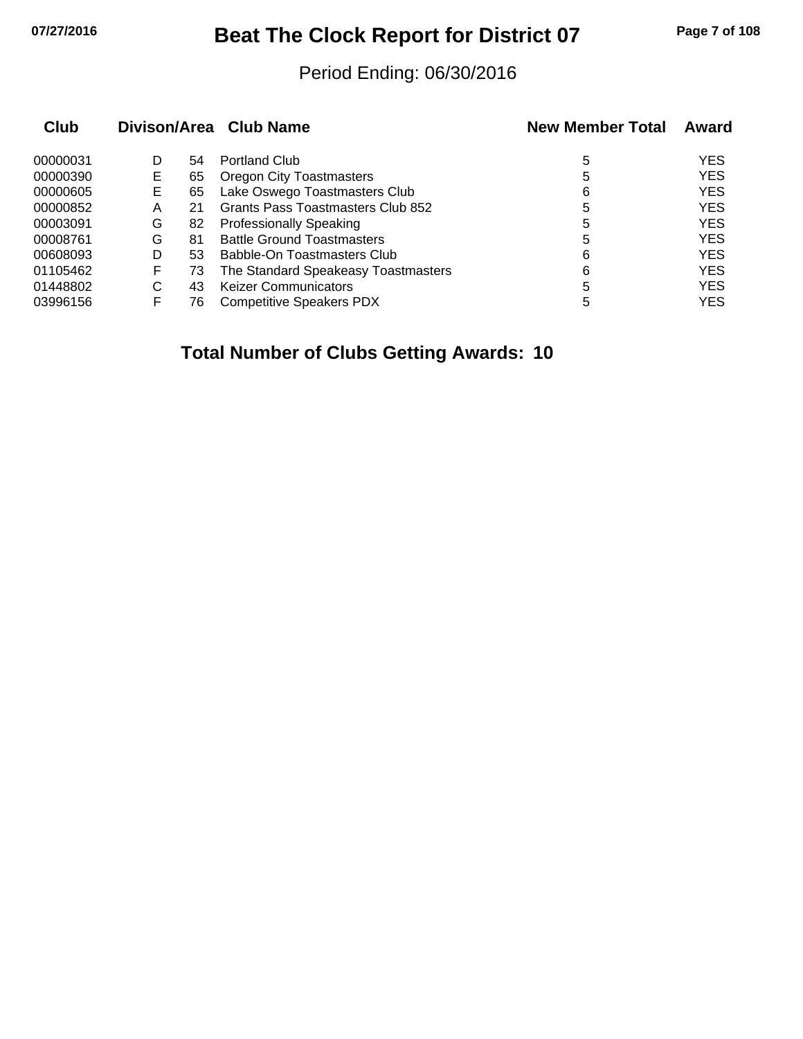# **07/27/2016 Beat The Clock Report for District 07 Page 7 of 108**

#### Period Ending: 06/30/2016

| <b>Club</b> |   |    | Divison/Area Club Name              | <b>New Member Total</b> | Award      |
|-------------|---|----|-------------------------------------|-------------------------|------------|
| 00000031    | D | 54 | <b>Portland Club</b>                | 5                       | <b>YES</b> |
| 00000390    | Е | 65 | <b>Oregon City Toastmasters</b>     | 5                       | <b>YES</b> |
| 00000605    | E | 65 | Lake Oswego Toastmasters Club       | 6                       | <b>YES</b> |
| 00000852    | A | 21 | Grants Pass Toastmasters Club 852   | 5                       | <b>YES</b> |
| 00003091    | G | 82 | <b>Professionally Speaking</b>      | 5                       | <b>YES</b> |
| 00008761    | G | 81 | <b>Battle Ground Toastmasters</b>   | 5                       | <b>YES</b> |
| 00608093    | D | 53 | Babble-On Toastmasters Club         | 6                       | <b>YES</b> |
| 01105462    | F | 73 | The Standard Speakeasy Toastmasters | 6                       | <b>YES</b> |
| 01448802    | C | 43 | <b>Keizer Communicators</b>         | 5                       | <b>YES</b> |
| 03996156    | F | 76 | <b>Competitive Speakers PDX</b>     | 5                       | <b>YES</b> |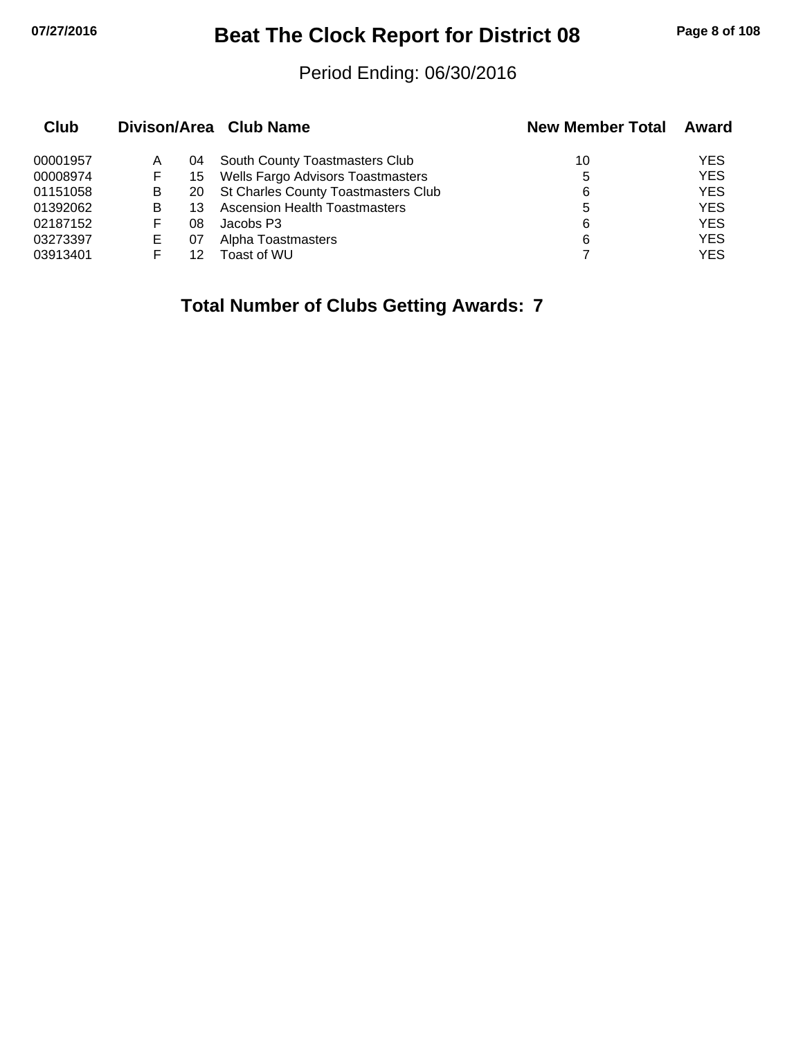# **07/27/2016 Beat The Clock Report for District 08 Page 8 of 108**

#### Period Ending: 06/30/2016

| Club     |   |    | Divison/Area Club Name                 | <b>New Member Total</b> | Award      |
|----------|---|----|----------------------------------------|-------------------------|------------|
| 00001957 | A | 04 | South County Toastmasters Club         | 10                      | <b>YES</b> |
| 00008974 | F | 15 | Wells Fargo Advisors Toastmasters      | 5                       | <b>YES</b> |
| 01151058 | B |    | 20 St Charles County Toastmasters Club | 6                       | <b>YES</b> |
| 01392062 | B |    | <b>Ascension Health Toastmasters</b>   | 5                       | <b>YES</b> |
| 02187152 | F | 08 | Jacobs P3                              | 6                       | <b>YES</b> |
| 03273397 | Е | 07 | Alpha Toastmasters                     | 6                       | <b>YES</b> |
| 03913401 |   | 12 | Toast of WU                            |                         | <b>YES</b> |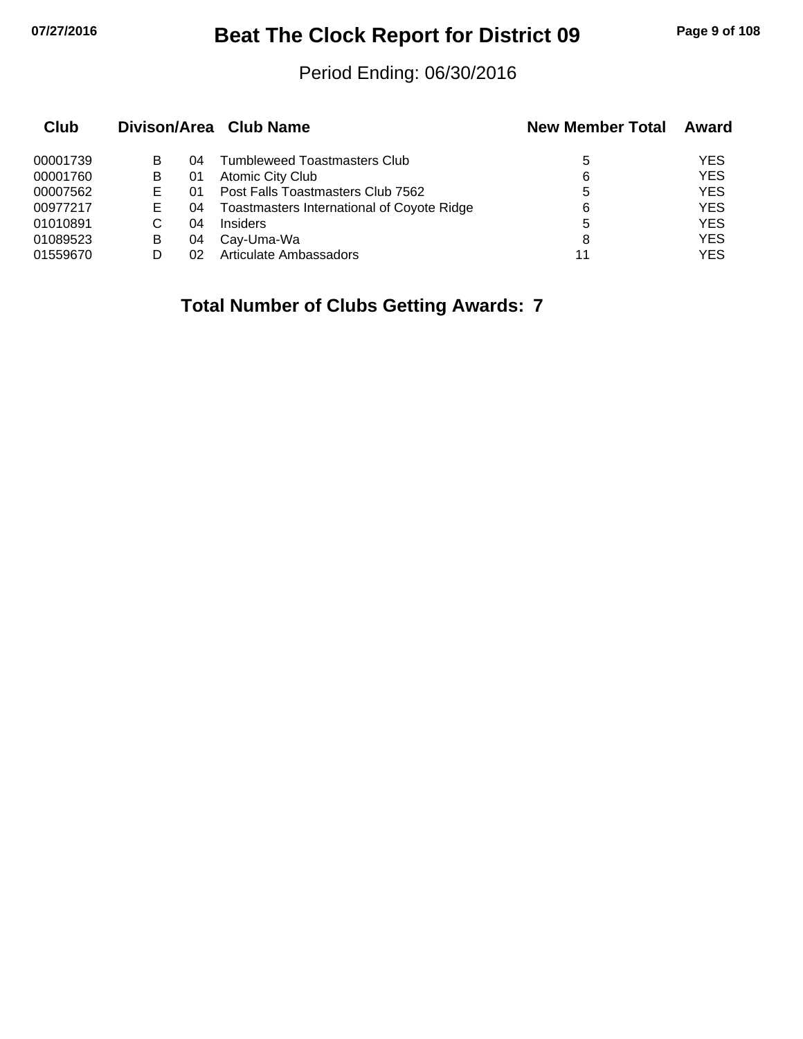# **07/27/2016 Beat The Clock Report for District 09 Page 9 of 108**

#### Period Ending: 06/30/2016

| Club     |   |    | Divison/Area Club Name                     | <b>New Member Total</b> | Award      |
|----------|---|----|--------------------------------------------|-------------------------|------------|
| 00001739 | В | 04 | <b>Tumbleweed Toastmasters Club</b>        | 5                       | <b>YES</b> |
| 00001760 | в | 01 | Atomic City Club                           | 6                       | <b>YES</b> |
| 00007562 |   | 01 | Post Falls Toastmasters Club 7562          | 5                       | <b>YES</b> |
| 00977217 | Е | 04 | Toastmasters International of Coyote Ridge | 6                       | <b>YES</b> |
| 01010891 | C | 04 | Insiders                                   | 5                       | <b>YES</b> |
| 01089523 | B | 04 | Cay-Uma-Wa                                 | 8                       | <b>YES</b> |
| 01559670 |   | 02 | Articulate Ambassadors                     | 11                      | YES        |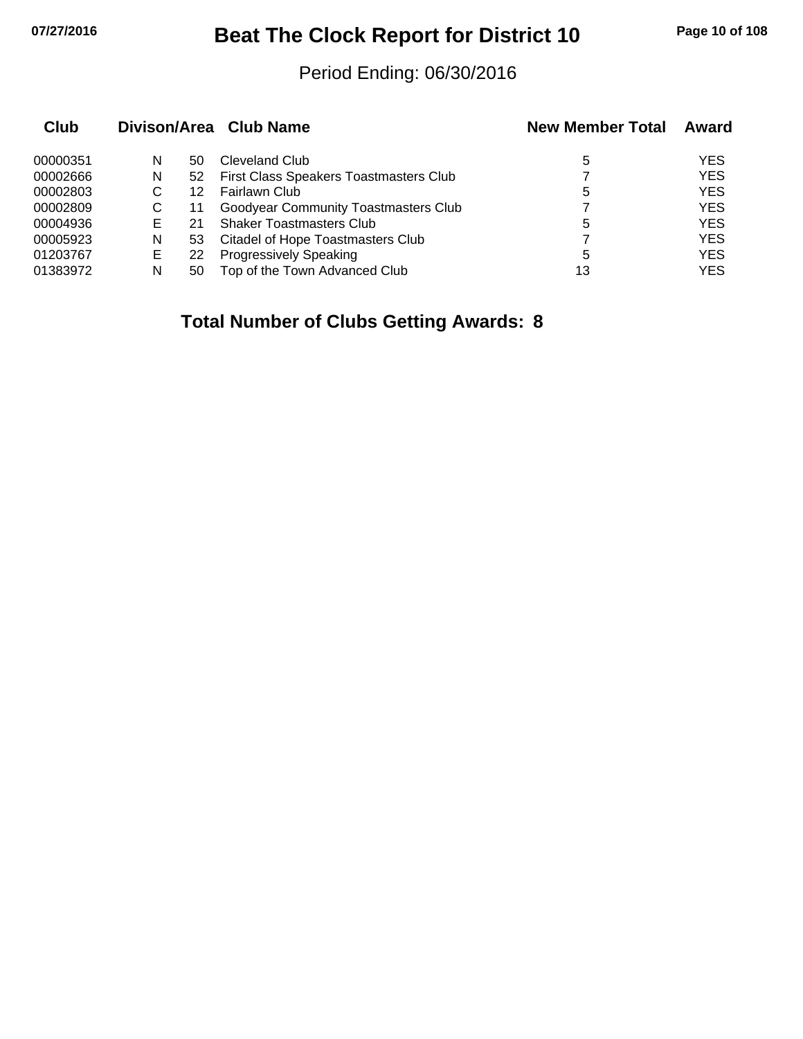## **07/27/2016 Beat The Clock Report for District 10 Page 10 of 108**

#### Period Ending: 06/30/2016

| Club     | Divison/Area Club Name |    |                                             | <b>New Member Total</b> | Award      |
|----------|------------------------|----|---------------------------------------------|-------------------------|------------|
| 00000351 | N                      | 50 | Cleveland Club                              | 5                       | <b>YES</b> |
| 00002666 | N                      | 52 | First Class Speakers Toastmasters Club      |                         | <b>YES</b> |
| 00002803 | С                      | 12 | Fairlawn Club                               | 5                       | <b>YES</b> |
| 00002809 | С                      | 11 | <b>Goodyear Community Toastmasters Club</b> |                         | <b>YES</b> |
| 00004936 | Е                      | 21 | <b>Shaker Toastmasters Club</b>             | 5                       | <b>YES</b> |
| 00005923 | N                      | 53 | <b>Citadel of Hope Toastmasters Club</b>    |                         | <b>YES</b> |
| 01203767 | Е                      | 22 | <b>Progressively Speaking</b>               | 5                       | <b>YES</b> |
| 01383972 | N                      | 50 | Top of the Town Advanced Club               | 13                      | <b>YES</b> |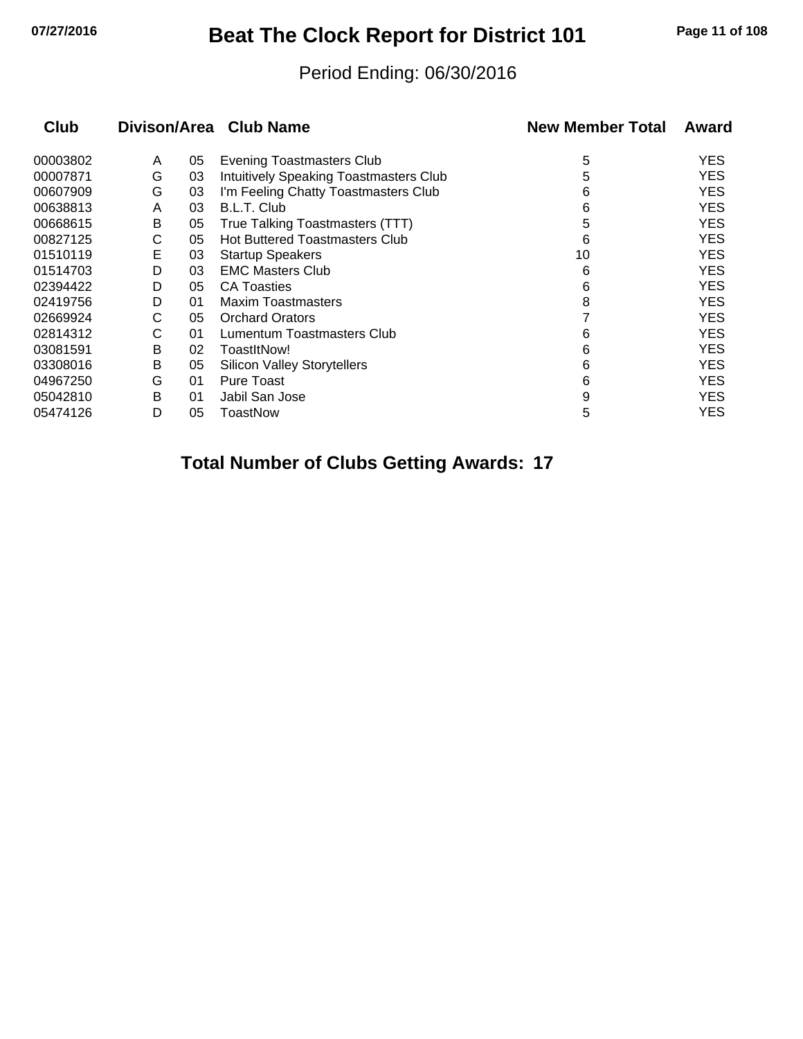# **07/27/2016 Beat The Clock Report for District 101 Page 11 of 108**

#### Period Ending: 06/30/2016

| <b>Club</b> |   |    | Divison/Area Club Name                 | <b>New Member Total</b> | Award      |
|-------------|---|----|----------------------------------------|-------------------------|------------|
| 00003802    | A | 05 | <b>Evening Toastmasters Club</b>       | 5                       | YES        |
| 00007871    | G | 03 | Intuitively Speaking Toastmasters Club | 5                       | YES        |
| 00607909    | G | 03 | I'm Feeling Chatty Toastmasters Club   | 6                       | YES        |
| 00638813    | A | 03 | B.L.T. Club                            | 6                       | YES        |
| 00668615    | B | 05 | True Talking Toastmasters (TTT)        | 5                       | YES        |
| 00827125    | С | 05 | <b>Hot Buttered Toastmasters Club</b>  | 6                       | YES        |
| 01510119    | E | 03 | <b>Startup Speakers</b>                | 10                      | <b>YES</b> |
| 01514703    | D | 03 | <b>EMC Masters Club</b>                | 6                       | YES        |
| 02394422    | D | 05 | <b>CA Toasties</b>                     | 6                       | YES        |
| 02419756    | D | 01 | <b>Maxim Toastmasters</b>              | 8                       | YES        |
| 02669924    | С | 05 | <b>Orchard Orators</b>                 |                         | YES        |
| 02814312    | С | 01 | Lumentum Toastmasters Club             | 6                       | YES        |
| 03081591    | В | 02 | ToastItNow!                            | 6                       | YES        |
| 03308016    | В | 05 | <b>Silicon Valley Storytellers</b>     | 6                       | YES        |
| 04967250    | G | 01 | Pure Toast                             | 6                       | YES        |
| 05042810    | B | 01 | Jabil San Jose                         | 9                       | YES        |
| 05474126    | D | 05 | ToastNow                               | 5                       | YES        |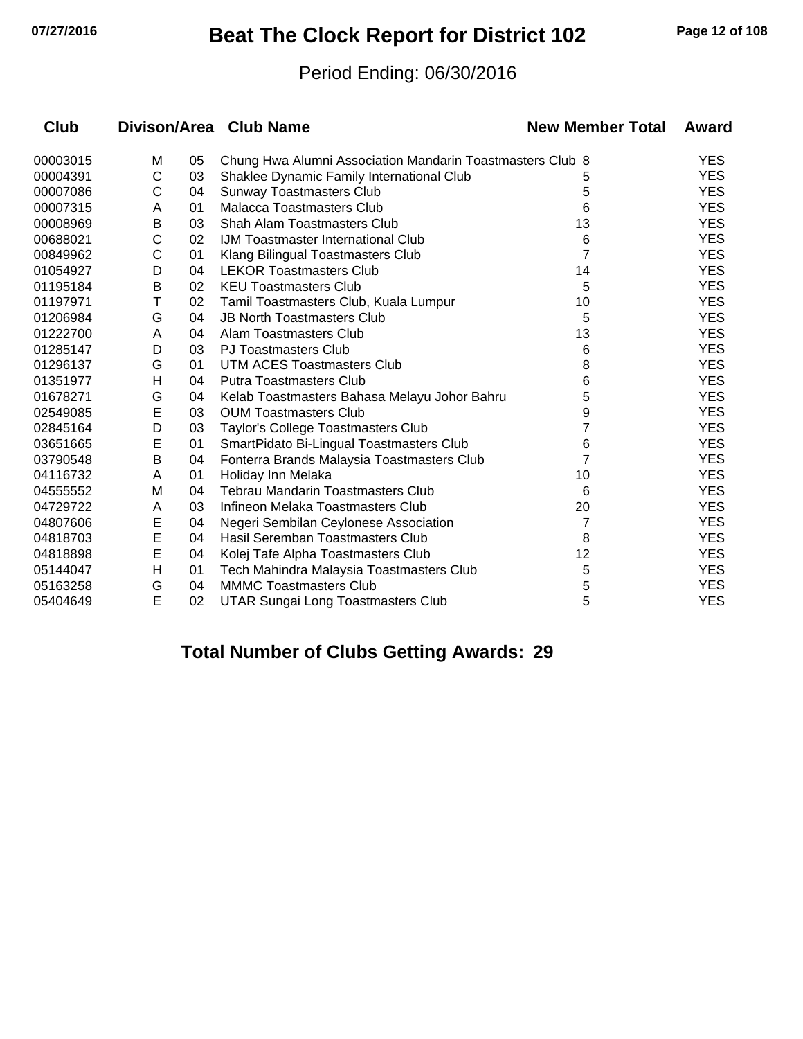## **07/27/2016 Beat The Clock Report for District 102 Page 12 of 108**

#### Period Ending: 06/30/2016

| Club     |   |    | Divison/Area Club Name                                    | <b>New Member Total</b> | Award      |
|----------|---|----|-----------------------------------------------------------|-------------------------|------------|
| 00003015 | M | 05 | Chung Hwa Alumni Association Mandarin Toastmasters Club 8 |                         | <b>YES</b> |
| 00004391 | C | 03 | Shaklee Dynamic Family International Club                 | 5                       | <b>YES</b> |
| 00007086 | С | 04 | <b>Sunway Toastmasters Club</b>                           | 5                       | <b>YES</b> |
| 00007315 | A | 01 | <b>Malacca Toastmasters Club</b>                          | 6                       | <b>YES</b> |
| 00008969 | В | 03 | Shah Alam Toastmasters Club                               | 13                      | <b>YES</b> |
| 00688021 | C | 02 | <b>IJM Toastmaster International Club</b>                 | 6                       | <b>YES</b> |
| 00849962 | С | 01 | Klang Bilingual Toastmasters Club                         | 7                       | <b>YES</b> |
| 01054927 | D | 04 | <b>LEKOR Toastmasters Club</b>                            | 14                      | <b>YES</b> |
| 01195184 | B | 02 | <b>KEU Toastmasters Club</b>                              | 5                       | <b>YES</b> |
| 01197971 | T | 02 | Tamil Toastmasters Club, Kuala Lumpur                     | 10                      | <b>YES</b> |
| 01206984 | G | 04 | <b>JB North Toastmasters Club</b>                         | 5                       | <b>YES</b> |
| 01222700 | A | 04 | Alam Toastmasters Club                                    | 13                      | <b>YES</b> |
| 01285147 | D | 03 | <b>PJ Toastmasters Club</b>                               | 6                       | <b>YES</b> |
| 01296137 | G | 01 | <b>UTM ACES Toastmasters Club</b>                         | 8                       | <b>YES</b> |
| 01351977 | н | 04 | <b>Putra Toastmasters Club</b>                            | 6                       | <b>YES</b> |
| 01678271 | G | 04 | Kelab Toastmasters Bahasa Melayu Johor Bahru              | 5                       | <b>YES</b> |
| 02549085 | E | 03 | <b>OUM Toastmasters Club</b>                              | 9                       | <b>YES</b> |
| 02845164 | D | 03 | Taylor's College Toastmasters Club                        | 7                       | <b>YES</b> |
| 03651665 | E | 01 | SmartPidato Bi-Lingual Toastmasters Club                  | 6                       | <b>YES</b> |
| 03790548 | В | 04 | Fonterra Brands Malaysia Toastmasters Club                | 7                       | <b>YES</b> |
| 04116732 | A | 01 | Holiday Inn Melaka                                        | 10                      | <b>YES</b> |
| 04555552 | M | 04 | <b>Tebrau Mandarin Toastmasters Club</b>                  | 6                       | <b>YES</b> |
| 04729722 | A | 03 | Infineon Melaka Toastmasters Club                         | 20                      | <b>YES</b> |
| 04807606 | E | 04 | Negeri Sembilan Ceylonese Association                     | 7                       | <b>YES</b> |
| 04818703 | E | 04 | Hasil Seremban Toastmasters Club                          | 8                       | <b>YES</b> |
| 04818898 | E | 04 | Kolej Tafe Alpha Toastmasters Club                        | 12                      | <b>YES</b> |
| 05144047 | Н | 01 | Tech Mahindra Malaysia Toastmasters Club                  | 5                       | <b>YES</b> |
| 05163258 | G | 04 | <b>MMMC Toastmasters Club</b>                             | 5                       | <b>YES</b> |
| 05404649 | E | 02 | <b>UTAR Sungai Long Toastmasters Club</b>                 | 5                       | <b>YES</b> |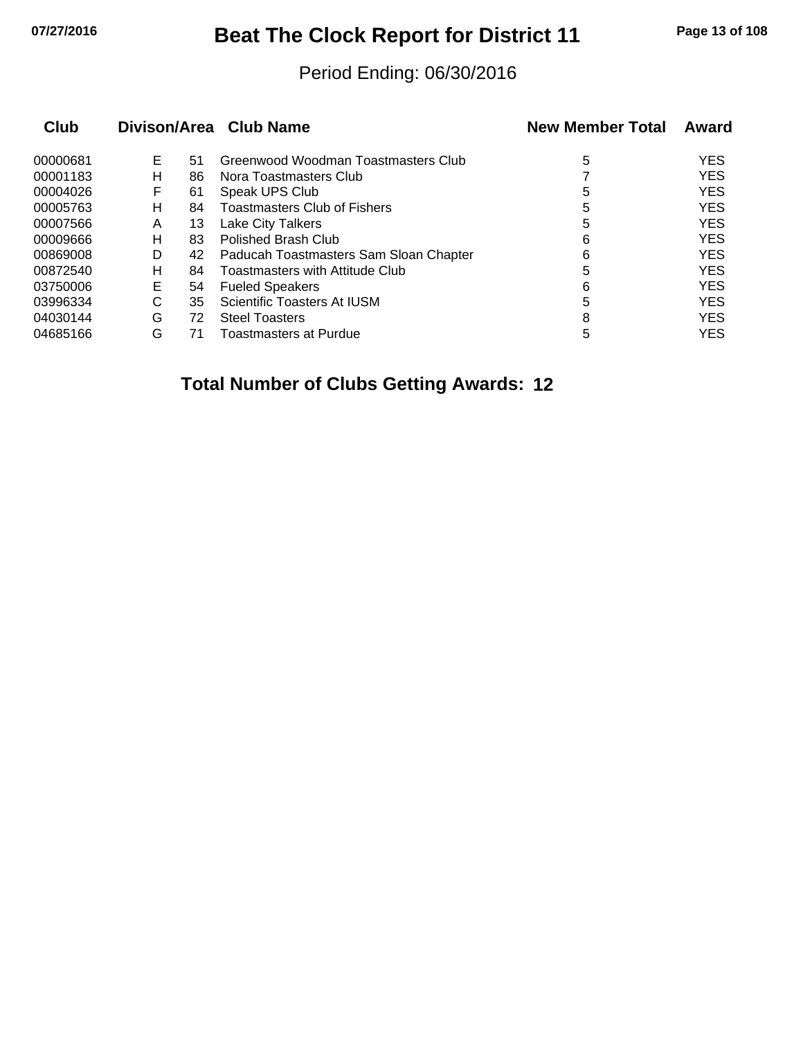## **07/27/2016 Beat The Clock Report for District 11 Page 13 of 108**

#### Period Ending: 06/30/2016

| Club     |   |    | Divison/Area Club Name                 | <b>New Member Total</b> | Award      |
|----------|---|----|----------------------------------------|-------------------------|------------|
| 00000681 | Е | 51 | Greenwood Woodman Toastmasters Club    | 5                       | <b>YES</b> |
| 00001183 | н | 86 | Nora Toastmasters Club                 |                         | <b>YES</b> |
| 00004026 | F | 61 | Speak UPS Club                         | 5                       | <b>YES</b> |
| 00005763 | н | 84 | <b>Toastmasters Club of Fishers</b>    | 5                       | <b>YES</b> |
| 00007566 | A | 13 | <b>Lake City Talkers</b>               | 5                       | <b>YES</b> |
| 00009666 | н | 83 | Polished Brash Club                    | 6                       | <b>YES</b> |
| 00869008 | D | 42 | Paducah Toastmasters Sam Sloan Chapter | 6                       | <b>YES</b> |
| 00872540 | н | 84 | Toastmasters with Attitude Club        | 5                       | <b>YES</b> |
| 03750006 | Е | 54 | <b>Fueled Speakers</b>                 | 6                       | <b>YES</b> |
| 03996334 | С | 35 | Scientific Toasters At IUSM            | 5                       | <b>YES</b> |
| 04030144 | G | 72 | <b>Steel Toasters</b>                  | 8                       | <b>YES</b> |
| 04685166 | G | 71 | Toastmasters at Purdue                 | 5                       | <b>YES</b> |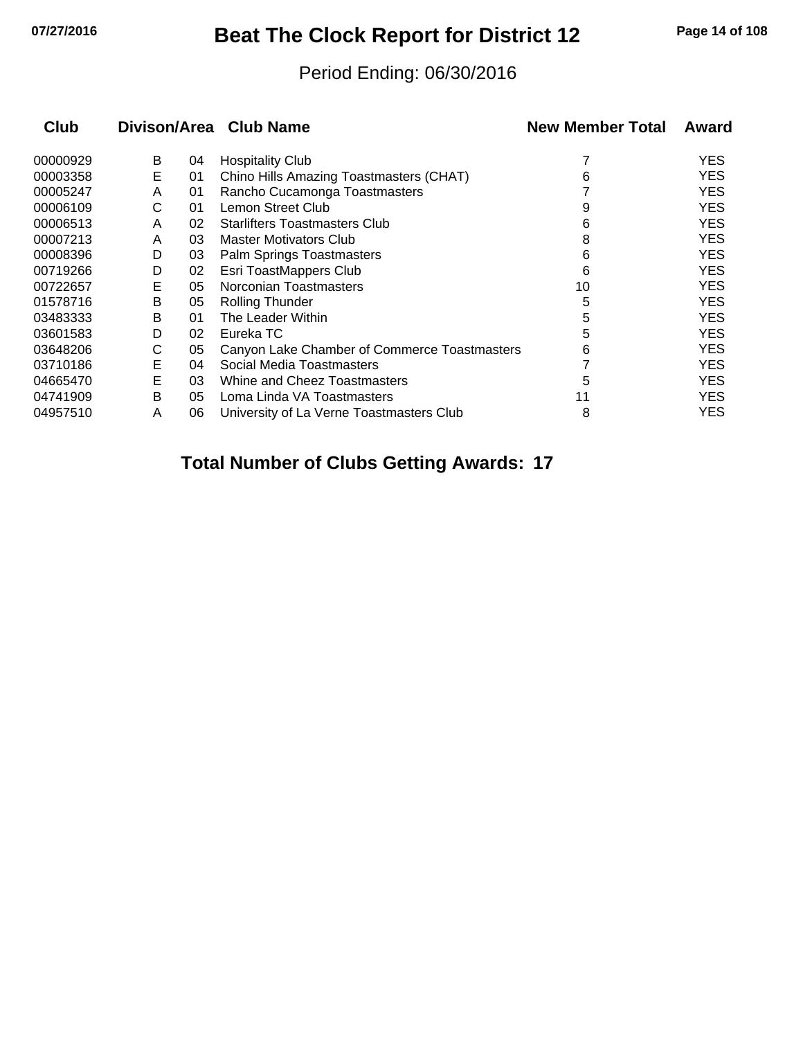## **07/27/2016 Beat The Clock Report for District 12 Page 14 of 108**

#### Period Ending: 06/30/2016

| <b>Club</b> |   |    | Divison/Area Club Name                       | <b>New Member Total</b> | Award      |
|-------------|---|----|----------------------------------------------|-------------------------|------------|
| 00000929    | B | 04 | <b>Hospitality Club</b>                      |                         | <b>YES</b> |
| 00003358    | E | 01 | Chino Hills Amazing Toastmasters (CHAT)      | 6                       | <b>YES</b> |
| 00005247    | A | 01 | Rancho Cucamonga Toastmasters                |                         | <b>YES</b> |
| 00006109    | С | 01 | Lemon Street Club                            | 9                       | <b>YES</b> |
| 00006513    | A | 02 | <b>Starlifters Toastmasters Club</b>         | 6                       | <b>YES</b> |
| 00007213    | A | 03 | <b>Master Motivators Club</b>                | 8                       | <b>YES</b> |
| 00008396    | D | 03 | Palm Springs Toastmasters                    | 6                       | <b>YES</b> |
| 00719266    | D | 02 | Esri ToastMappers Club                       | 6                       | <b>YES</b> |
| 00722657    | Е | 05 | Norconian Toastmasters                       | 10                      | <b>YES</b> |
| 01578716    | В | 05 | <b>Rolling Thunder</b>                       | 5                       | <b>YES</b> |
| 03483333    | B | 01 | The Leader Within                            | 5                       | <b>YES</b> |
| 03601583    | D | 02 | Eureka TC                                    | 5                       | <b>YES</b> |
| 03648206    | С | 05 | Canyon Lake Chamber of Commerce Toastmasters | 6                       | <b>YES</b> |
| 03710186    | Е | 04 | Social Media Toastmasters                    |                         | <b>YES</b> |
| 04665470    | E | 03 | Whine and Cheez Toastmasters                 | 5                       | <b>YES</b> |
| 04741909    | B | 05 | Loma Linda VA Toastmasters                   | 11                      | <b>YES</b> |
| 04957510    | A | 06 | University of La Verne Toastmasters Club     | 8                       | <b>YES</b> |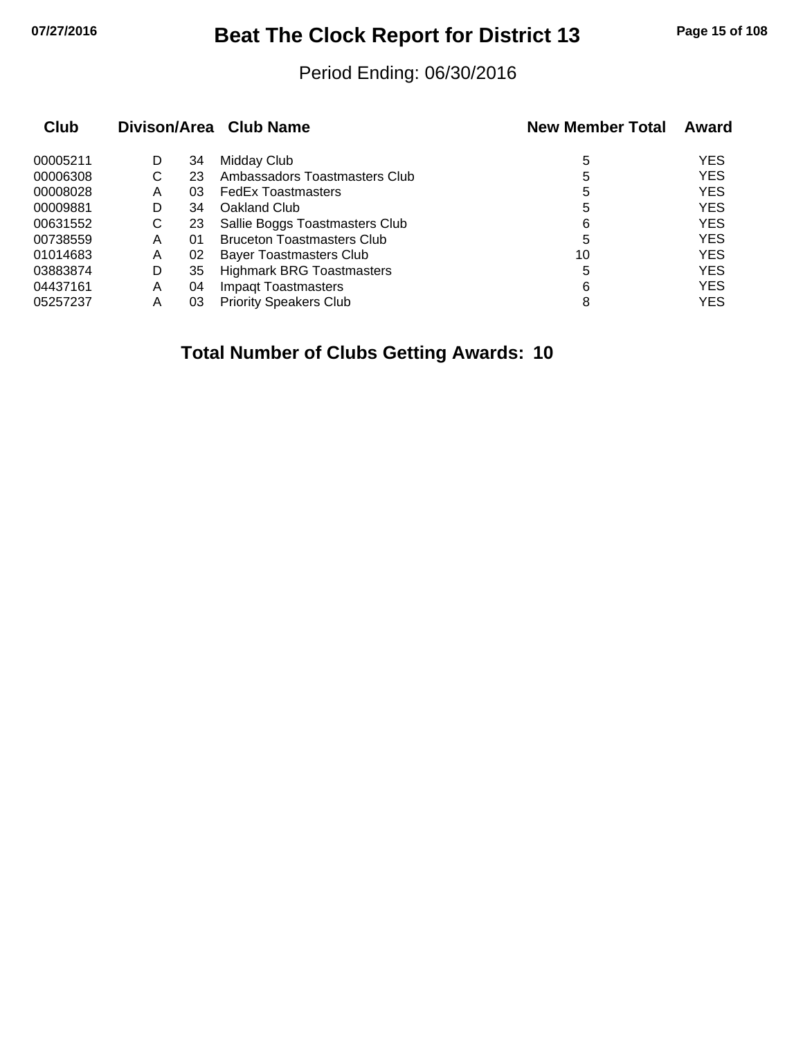## **07/27/2016 Beat The Clock Report for District 13 Page 15 of 108**

#### Period Ending: 06/30/2016

| Club     |   |    | Divison/Area Club Name            | <b>New Member Total</b> | Award      |
|----------|---|----|-----------------------------------|-------------------------|------------|
| 00005211 | D | 34 | Midday Club                       | 5                       | <b>YES</b> |
| 00006308 | С | 23 | Ambassadors Toastmasters Club     | 5                       | <b>YES</b> |
| 00008028 | Α | 03 | <b>FedEx Toastmasters</b>         | 5                       | <b>YES</b> |
| 00009881 | D | 34 | Oakland Club                      | 5                       | <b>YES</b> |
| 00631552 | С | 23 | Sallie Boggs Toastmasters Club    | 6                       | <b>YES</b> |
| 00738559 | Α | 01 | <b>Bruceton Toastmasters Club</b> | 5                       | <b>YES</b> |
| 01014683 | Α | 02 | <b>Bayer Toastmasters Club</b>    | 10                      | <b>YES</b> |
| 03883874 | D | 35 | <b>Highmark BRG Toastmasters</b>  | 5                       | <b>YES</b> |
| 04437161 | A | 04 | <b>Impagt Toastmasters</b>        | 6                       | <b>YES</b> |
| 05257237 | Α | 03 | <b>Priority Speakers Club</b>     | 8                       | <b>YES</b> |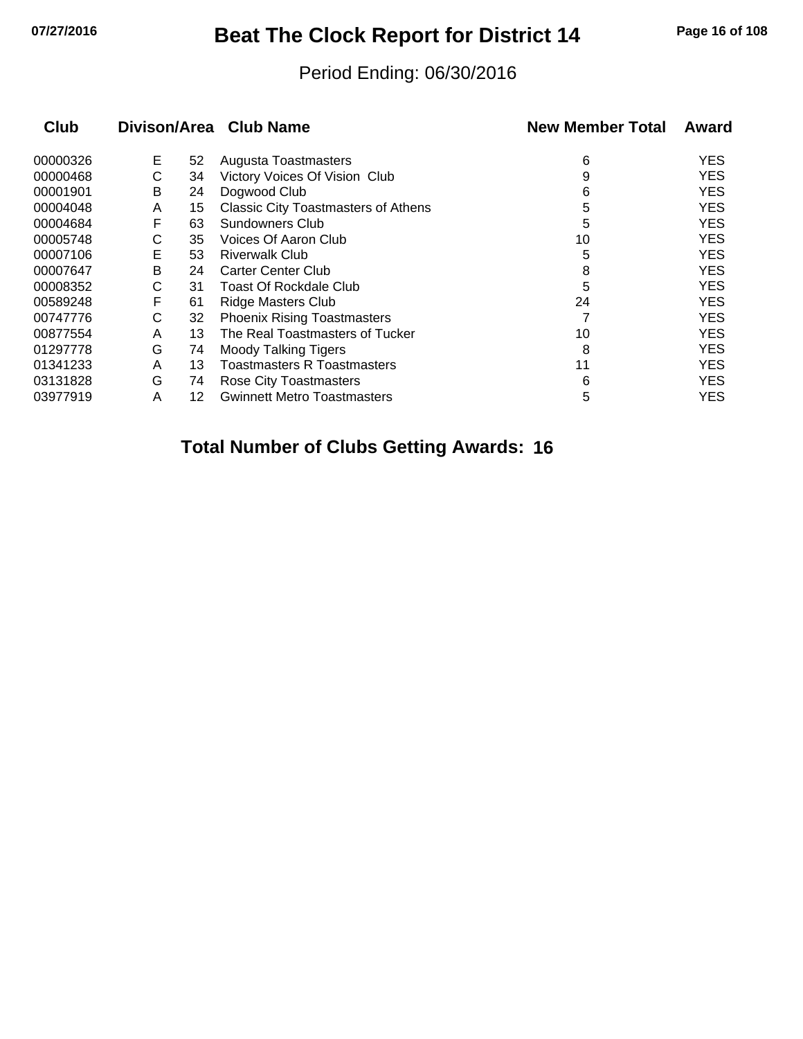## **07/27/2016 Beat The Clock Report for District 14 Page 16 of 108**

#### Period Ending: 06/30/2016

| <b>Club</b> |   |    | Divison/Area Club Name                     | <b>New Member Total</b> | Award      |
|-------------|---|----|--------------------------------------------|-------------------------|------------|
| 00000326    | Е | 52 | Augusta Toastmasters                       | 6                       | <b>YES</b> |
| 00000468    | С | 34 | Victory Voices Of Vision Club              | 9                       | <b>YES</b> |
| 00001901    | В | 24 | Dogwood Club                               | 6                       | <b>YES</b> |
| 00004048    | A | 15 | <b>Classic City Toastmasters of Athens</b> | 5                       | <b>YES</b> |
| 00004684    | F | 63 | Sundowners Club                            | 5                       | <b>YES</b> |
| 00005748    | С | 35 | Voices Of Aaron Club                       | 10                      | <b>YES</b> |
| 00007106    | E | 53 | <b>Riverwalk Club</b>                      | 5                       | <b>YES</b> |
| 00007647    | В | 24 | Carter Center Club                         | 8                       | <b>YES</b> |
| 00008352    | С | 31 | Toast Of Rockdale Club                     | 5                       | <b>YES</b> |
| 00589248    | F | 61 | <b>Ridge Masters Club</b>                  | 24                      | <b>YES</b> |
| 00747776    | С | 32 | <b>Phoenix Rising Toastmasters</b>         |                         | <b>YES</b> |
| 00877554    | A | 13 | The Real Toastmasters of Tucker            | 10                      | <b>YES</b> |
| 01297778    | G | 74 | <b>Moody Talking Tigers</b>                | 8                       | <b>YES</b> |
| 01341233    | A | 13 | Toastmasters R Toastmasters                | 11                      | <b>YES</b> |
| 03131828    | G | 74 | Rose City Toastmasters                     | 6                       | <b>YES</b> |
| 03977919    | Α | 12 | <b>Gwinnett Metro Toastmasters</b>         | 5                       | <b>YES</b> |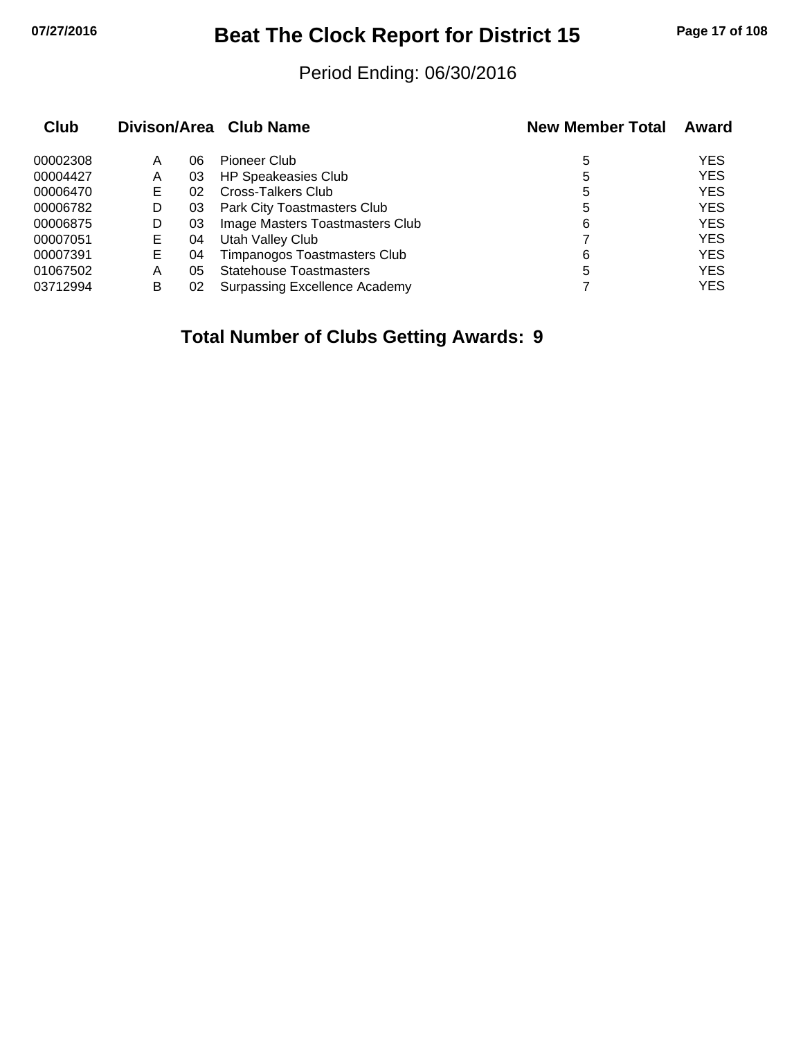## **07/27/2016 Beat The Clock Report for District 15 Page 17 of 108**

#### Period Ending: 06/30/2016

| Club     |    |    | Divison/Area Club Name              | <b>New Member Total</b> | Award      |
|----------|----|----|-------------------------------------|-------------------------|------------|
| 00002308 | Α  | 06 | Pioneer Club                        | 5                       | <b>YES</b> |
| 00004427 | A  | 03 | <b>HP Speakeasies Club</b>          | 5                       | <b>YES</b> |
| 00006470 | Е  | 02 | <b>Cross-Talkers Club</b>           | 5                       | <b>YES</b> |
| 00006782 | D  | 03 | Park City Toastmasters Club         | 5                       | <b>YES</b> |
| 00006875 | D  | 03 | Image Masters Toastmasters Club     | 6                       | <b>YES</b> |
| 00007051 | E. | 04 | Utah Valley Club                    |                         | <b>YES</b> |
| 00007391 | E. | 04 | <b>Timpanogos Toastmasters Club</b> | 6                       | <b>YES</b> |
| 01067502 | A  | 05 | <b>Statehouse Toastmasters</b>      | 5                       | <b>YES</b> |
| 03712994 | в  | 02 | Surpassing Excellence Academy       |                         | <b>YES</b> |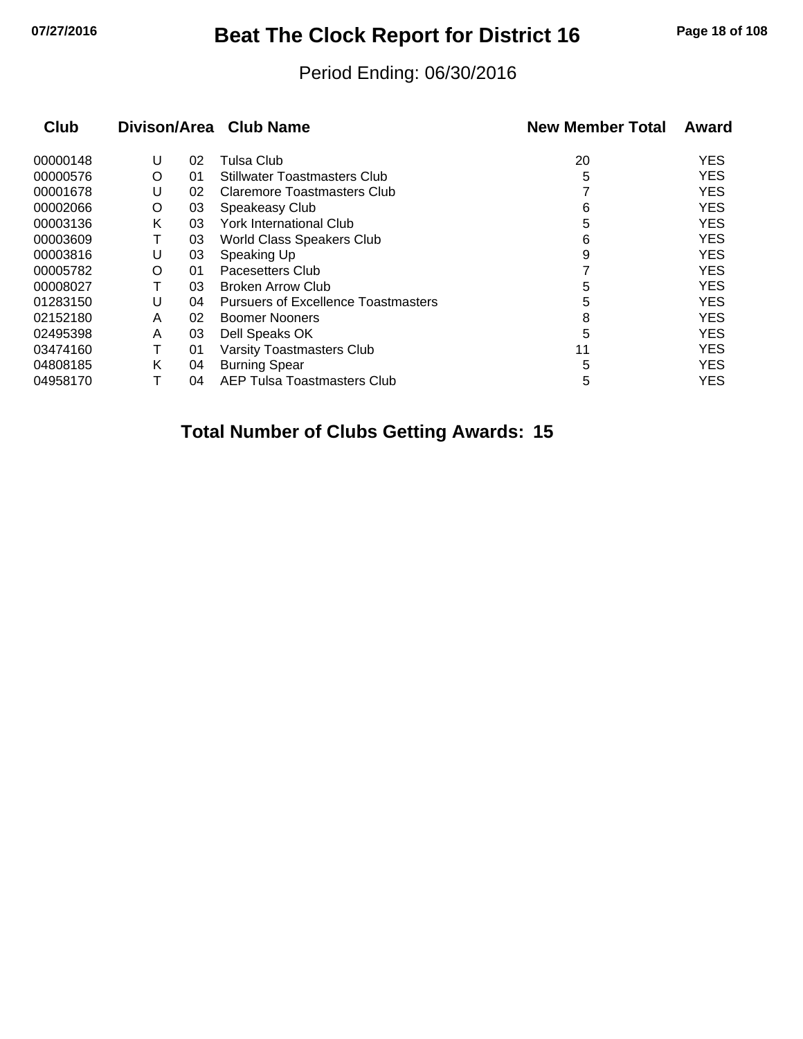## **07/27/2016 Beat The Clock Report for District 16 Page 18 of 108**

#### Period Ending: 06/30/2016

| <b>Club</b> |   |    | Divison/Area Club Name                     | <b>New Member Total</b> | Award      |
|-------------|---|----|--------------------------------------------|-------------------------|------------|
| 00000148    | U | 02 | Tulsa Club                                 | 20                      | <b>YES</b> |
| 00000576    | O | 01 | <b>Stillwater Toastmasters Club</b>        | 5                       | <b>YES</b> |
| 00001678    | U | 02 | Claremore Toastmasters Club                |                         | <b>YES</b> |
| 00002066    | O | 03 | Speakeasy Club                             | 6                       | <b>YES</b> |
| 00003136    | Κ | 03 | York International Club                    | 5                       | <b>YES</b> |
| 00003609    |   | 03 | World Class Speakers Club                  | 6                       | <b>YES</b> |
| 00003816    | U | 03 | Speaking Up                                | 9                       | <b>YES</b> |
| 00005782    | O | 01 | Pacesetters Club                           |                         | <b>YES</b> |
| 00008027    |   | 03 | <b>Broken Arrow Club</b>                   | 5                       | <b>YES</b> |
| 01283150    | U | 04 | <b>Pursuers of Excellence Toastmasters</b> | 5                       | <b>YES</b> |
| 02152180    | A | 02 | <b>Boomer Nooners</b>                      | 8                       | <b>YES</b> |
| 02495398    | A | 03 | Dell Speaks OK                             | 5                       | <b>YES</b> |
| 03474160    |   | 01 | <b>Varsity Toastmasters Club</b>           | 11                      | <b>YES</b> |
| 04808185    | Κ | 04 | <b>Burning Spear</b>                       | 5                       | <b>YES</b> |
| 04958170    |   | 04 | AEP Tulsa Toastmasters Club                | 5                       | <b>YES</b> |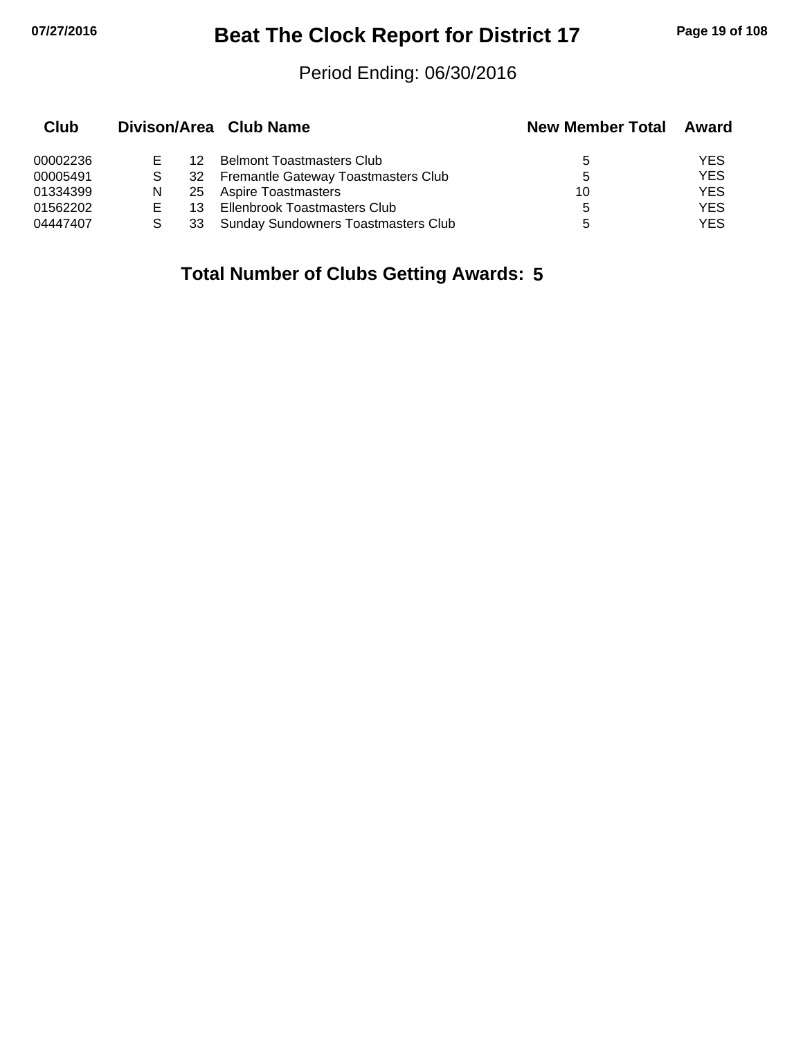## **07/27/2016 Beat The Clock Report for District 17 Page 19 of 108**

#### Period Ending: 06/30/2016

| Club     |   |     | Divison/Area Club Name                     | <b>New Member Total</b> | Award      |
|----------|---|-----|--------------------------------------------|-------------------------|------------|
| 00002236 |   | 12  | <b>Belmont Toastmasters Club</b>           | 5                       | YES        |
| 00005491 |   |     | 32 Fremantle Gateway Toastmasters Club     | 5                       | <b>YES</b> |
| 01334399 | N | -25 | Aspire Toastmasters                        | 10                      | <b>YES</b> |
| 01562202 | Е | 13. | Ellenbrook Toastmasters Club               | 5.                      | <b>YES</b> |
| 04447407 |   | 33  | <b>Sunday Sundowners Toastmasters Club</b> | 5                       | <b>YES</b> |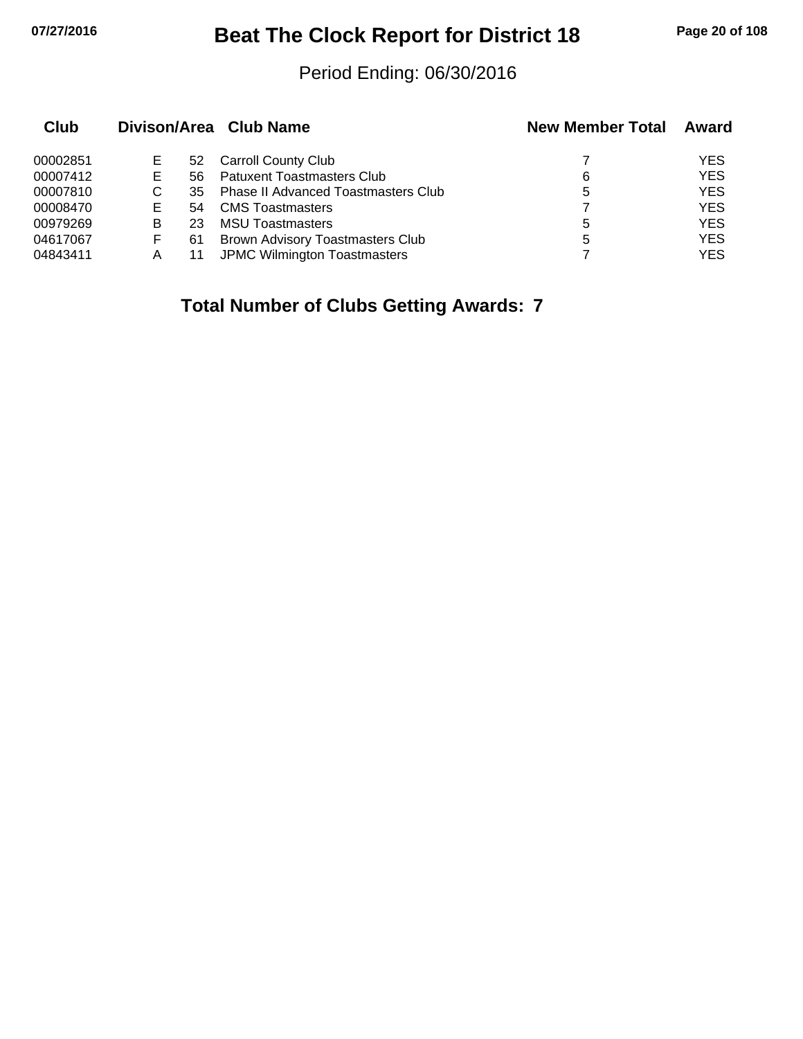# **07/27/2016 Beat The Clock Report for District 18 Page 20 of 108**

#### Period Ending: 06/30/2016

| Club     |   |     | Divison/Area Club Name                     | <b>New Member Total</b> | Award      |
|----------|---|-----|--------------------------------------------|-------------------------|------------|
| 00002851 | Е | 52  | <b>Carroll County Club</b>                 |                         | YES        |
| 00007412 | Е | 56. | <b>Patuxent Toastmasters Club</b>          | 6                       | <b>YES</b> |
| 00007810 | С | 35  | <b>Phase II Advanced Toastmasters Club</b> | 5                       | <b>YES</b> |
| 00008470 | E | 54  | <b>CMS</b> Toastmasters                    |                         | <b>YES</b> |
| 00979269 | в | 23  | <b>MSU Toastmasters</b>                    | 5                       | <b>YES</b> |
| 04617067 | F | 61  | Brown Advisory Toastmasters Club           | 5                       | <b>YES</b> |
| 04843411 | А |     | JPMC Wilmington Toastmasters               |                         | <b>YES</b> |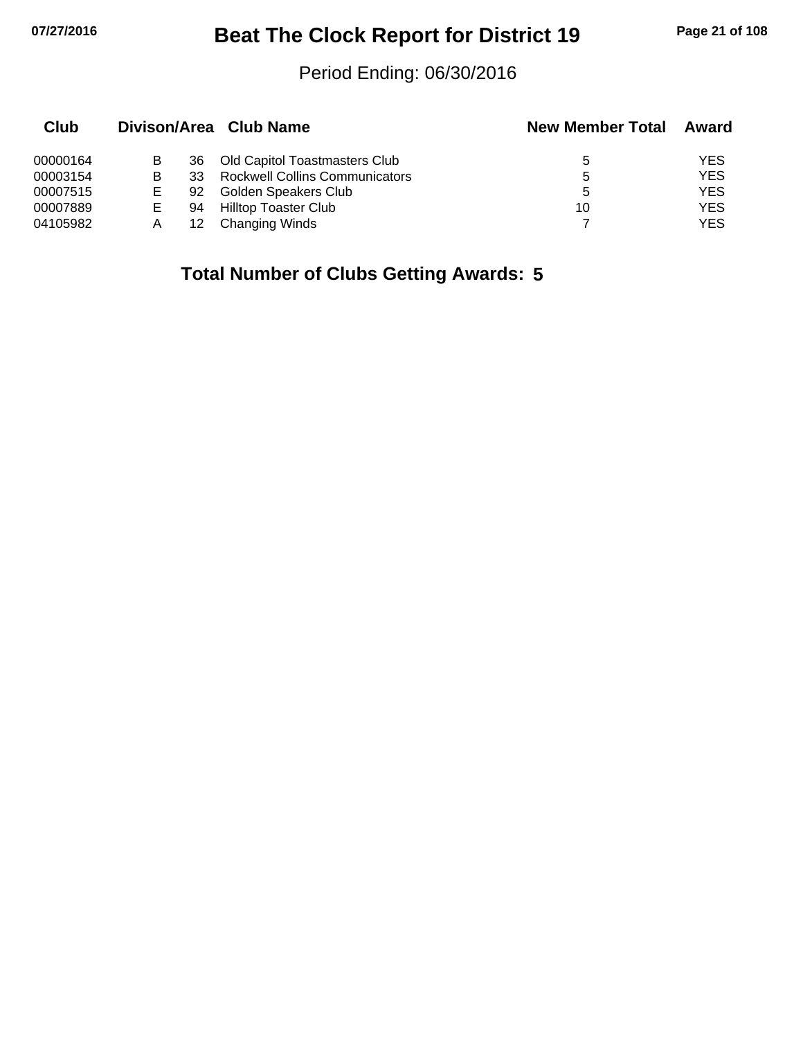# **07/27/2016 Beat The Clock Report for District 19 Page 21 of 108**

#### Period Ending: 06/30/2016

| Club     |   |     | Divison/Area Club Name                | <b>New Member Total</b> | Award      |
|----------|---|-----|---------------------------------------|-------------------------|------------|
| 00000164 |   | 36  | Old Capitol Toastmasters Club         | 5                       | <b>YES</b> |
| 00003154 | в | 33. | <b>Rockwell Collins Communicators</b> | 5                       | <b>YES</b> |
| 00007515 |   | 92  | Golden Speakers Club                  | 5                       | <b>YES</b> |
| 00007889 | Е | 94  | Hilltop Toaster Club                  | 10                      | <b>YES</b> |
| 04105982 |   | 12  | <b>Changing Winds</b>                 |                         | YES        |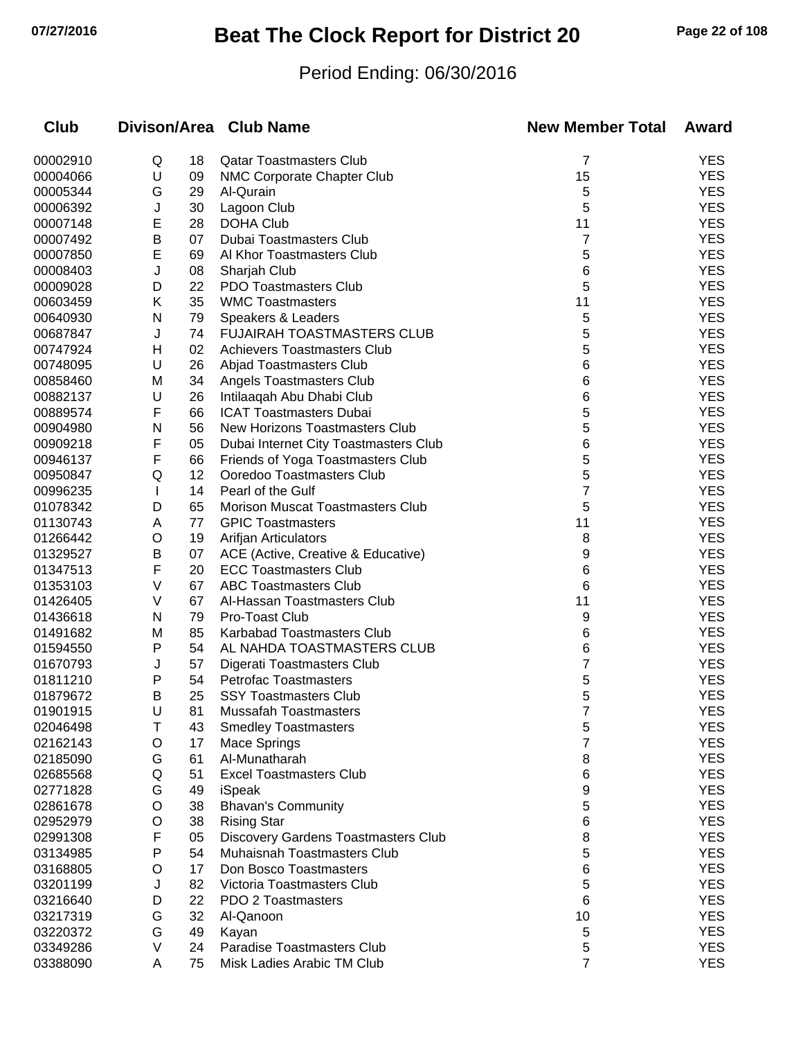# **07/27/2016 Beat The Clock Report for District 20 Page 22 of 108**

### Period Ending: 06/30/2016

| <b>Club</b>          |              |          | Divison/Area Club Name                                             | <b>New Member Total</b> | Award             |
|----------------------|--------------|----------|--------------------------------------------------------------------|-------------------------|-------------------|
| 00002910             | Q            | 18       | <b>Qatar Toastmasters Club</b>                                     | 7                       | <b>YES</b>        |
| 00004066             | U            | 09       | NMC Corporate Chapter Club                                         | 15                      | <b>YES</b>        |
| 00005344             | G            | 29       | Al-Qurain                                                          | 5                       | <b>YES</b>        |
| 00006392             | J            | 30       | Lagoon Club                                                        | 5                       | <b>YES</b>        |
| 00007148             | E            | 28       | <b>DOHA Club</b>                                                   | 11                      | <b>YES</b>        |
| 00007492             | Β            | 07       | Dubai Toastmasters Club                                            | 7                       | <b>YES</b>        |
| 00007850             | E            | 69       | Al Khor Toastmasters Club                                          | 5                       | <b>YES</b>        |
| 00008403             | J            | 08       | Sharjah Club                                                       | 6                       | <b>YES</b>        |
| 00009028             | D            | 22       | <b>PDO Toastmasters Club</b>                                       | 5                       | <b>YES</b>        |
| 00603459             | Κ            | 35       | <b>WMC Toastmasters</b>                                            | 11                      | <b>YES</b>        |
| 00640930             | N            | 79       | Speakers & Leaders                                                 | 5                       | <b>YES</b>        |
| 00687847             | J            | 74       | <b>FUJAIRAH TOASTMASTERS CLUB</b>                                  | 5                       | <b>YES</b>        |
| 00747924             | H            | 02       | <b>Achievers Toastmasters Club</b>                                 | 5                       | <b>YES</b>        |
| 00748095             | U            | 26       | Abjad Toastmasters Club                                            | 6                       | <b>YES</b>        |
| 00858460             | M            | 34       | Angels Toastmasters Club                                           | 6                       | <b>YES</b>        |
| 00882137             | U            | 26       | Intilaaqah Abu Dhabi Club                                          | 6                       | <b>YES</b>        |
| 00889574             | F            | 66       | <b>ICAT Toastmasters Dubai</b>                                     | 5                       | <b>YES</b>        |
| 00904980             | N            | 56       | New Horizons Toastmasters Club                                     | 5                       | <b>YES</b>        |
| 00909218             | F            | 05       | Dubai Internet City Toastmasters Club                              | 6                       | <b>YES</b>        |
| 00946137             | F            | 66       | Friends of Yoga Toastmasters Club                                  | 5                       | <b>YES</b>        |
| 00950847             | Q            | 12       | Ooredoo Toastmasters Club                                          | 5                       | <b>YES</b>        |
| 00996235             | $\mathbf{I}$ | 14       | Pearl of the Gulf                                                  | 7                       | <b>YES</b>        |
| 01078342             | D            | 65       | <b>Morison Muscat Toastmasters Club</b>                            | 5                       | <b>YES</b>        |
| 01130743             | A            | 77       | <b>GPIC Toastmasters</b>                                           | 11                      | <b>YES</b>        |
| 01266442             | O            | 19       | Arifjan Articulators                                               | 8                       | <b>YES</b>        |
| 01329527             | Β            | 07       | ACE (Active, Creative & Educative)                                 | 9                       | <b>YES</b>        |
| 01347513             | F            | 20       | <b>ECC Toastmasters Club</b>                                       | 6                       | <b>YES</b>        |
| 01353103             | ٧            | 67       | <b>ABC Toastmasters Club</b>                                       | 6                       | <b>YES</b>        |
| 01426405             | V            | 67       | Al-Hassan Toastmasters Club                                        | 11                      | <b>YES</b>        |
| 01436618             | N            | 79       | Pro-Toast Club                                                     | 9                       | <b>YES</b>        |
| 01491682             | M            | 85       | Karbabad Toastmasters Club                                         | 6                       | <b>YES</b>        |
| 01594550             | P            | 54       | AL NAHDA TOASTMASTERS CLUB                                         | 6                       | <b>YES</b>        |
| 01670793             | J            | 57       | Digerati Toastmasters Club                                         | 7                       | <b>YES</b>        |
| 01811210             | P            | 54       | <b>Petrofac Toastmasters</b>                                       | 5                       | <b>YES</b>        |
| 01879672             | B            | 25       | <b>SSY Toastmasters Club</b>                                       | 5                       | <b>YES</b>        |
| 01901915             | U            | 81       | <b>Mussafah Toastmasters</b>                                       | ſ                       | YES<br><b>YES</b> |
| 02046498             | Т            | 43       | <b>Smedley Toastmasters</b>                                        | 5<br>7                  | <b>YES</b>        |
| 02162143             | O            | 17       | Mace Springs<br>Al-Munatharah                                      |                         | <b>YES</b>        |
| 02185090             | G            | 61       |                                                                    | 8                       | <b>YES</b>        |
| 02685568<br>02771828 | Q<br>G       | 51       | <b>Excel Toastmasters Club</b>                                     | 6                       | <b>YES</b>        |
|                      | O            | 49<br>38 | iSpeak<br><b>Bhavan's Community</b>                                | 9                       | <b>YES</b>        |
| 02861678<br>02952979 | O            | 38       |                                                                    | 5                       | <b>YES</b>        |
| 02991308             | F            | 05       | <b>Rising Star</b>                                                 | 6                       | <b>YES</b>        |
|                      | P            | 54       | Discovery Gardens Toastmasters Club<br>Muhaisnah Toastmasters Club | 8<br>5                  | <b>YES</b>        |
| 03134985<br>03168805 | O            | 17       | Don Bosco Toastmasters                                             |                         | <b>YES</b>        |
|                      |              |          |                                                                    | 6                       | <b>YES</b>        |
| 03201199<br>03216640 | J<br>D       | 82<br>22 | Victoria Toastmasters Club<br>PDO 2 Toastmasters                   | 5<br>6                  | <b>YES</b>        |
| 03217319             | G            | 32       | Al-Qanoon                                                          | 10                      | <b>YES</b>        |
| 03220372             | G            | 49       | Kayan                                                              | 5                       | <b>YES</b>        |
| 03349286             | V            | 24       | Paradise Toastmasters Club                                         | 5                       | <b>YES</b>        |
| 03388090             | A            | 75       | Misk Ladies Arabic TM Club                                         | 7                       | <b>YES</b>        |
|                      |              |          |                                                                    |                         |                   |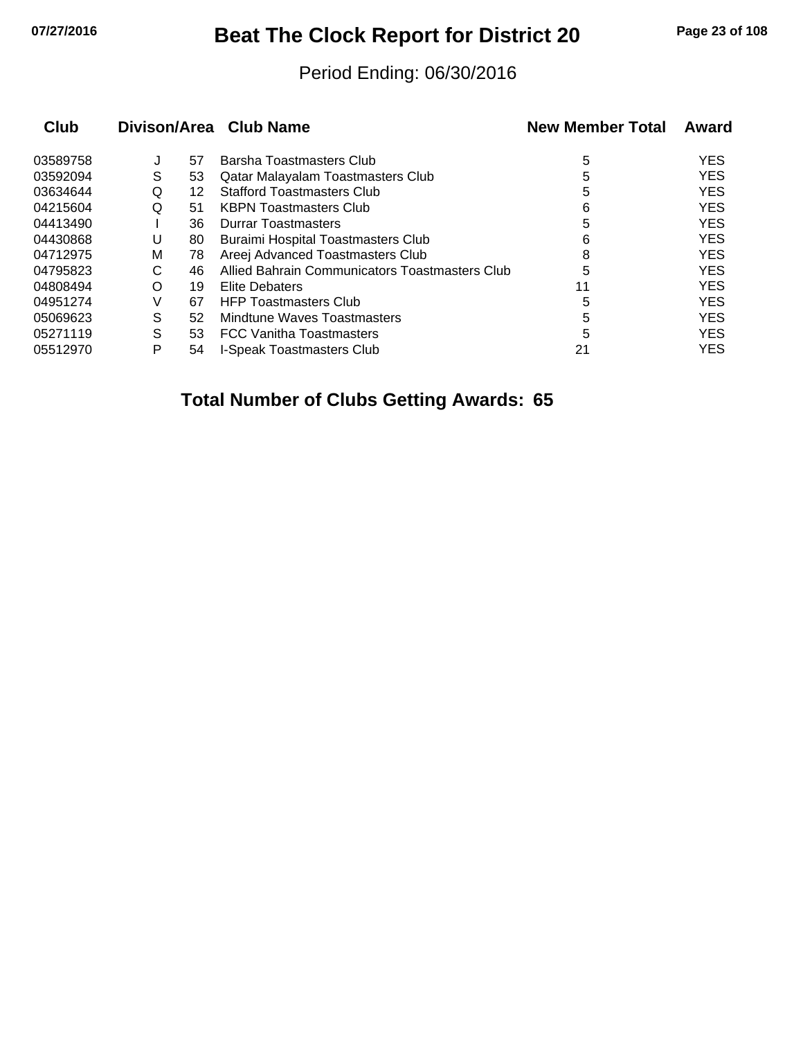## **07/27/2016 Beat The Clock Report for District 20 Page 23 of 108**

#### Period Ending: 06/30/2016

| <b>Club</b> |   |    | Divison/Area Club Name                         | <b>New Member Total</b> | Award      |
|-------------|---|----|------------------------------------------------|-------------------------|------------|
| 03589758    | J | 57 | Barsha Toastmasters Club                       | 5                       | <b>YES</b> |
| 03592094    | S | 53 | Qatar Malayalam Toastmasters Club              | 5                       | <b>YES</b> |
| 03634644    | Q | 12 | <b>Stafford Toastmasters Club</b>              | 5                       | <b>YES</b> |
| 04215604    | Q | 51 | <b>KBPN Toastmasters Club</b>                  | 6                       | <b>YES</b> |
| 04413490    |   | 36 | <b>Durrar Toastmasters</b>                     | 5                       | <b>YES</b> |
| 04430868    | U | 80 | <b>Buraimi Hospital Toastmasters Club</b>      | 6                       | <b>YES</b> |
| 04712975    | M | 78 | Areej Advanced Toastmasters Club               | 8                       | <b>YES</b> |
| 04795823    | С | 46 | Allied Bahrain Communicators Toastmasters Club | 5                       | <b>YES</b> |
| 04808494    | O | 19 | Elite Debaters                                 | 11                      | <b>YES</b> |
| 04951274    | V | 67 | <b>HFP Toastmasters Club</b>                   | 5                       | <b>YES</b> |
| 05069623    | S | 52 | Mindtune Waves Toastmasters                    | 5                       | <b>YES</b> |
| 05271119    | S | 53 | <b>FCC Vanitha Toastmasters</b>                | 5                       | <b>YES</b> |
| 05512970    | P | 54 | I-Speak Toastmasters Club                      | 21                      | <b>YES</b> |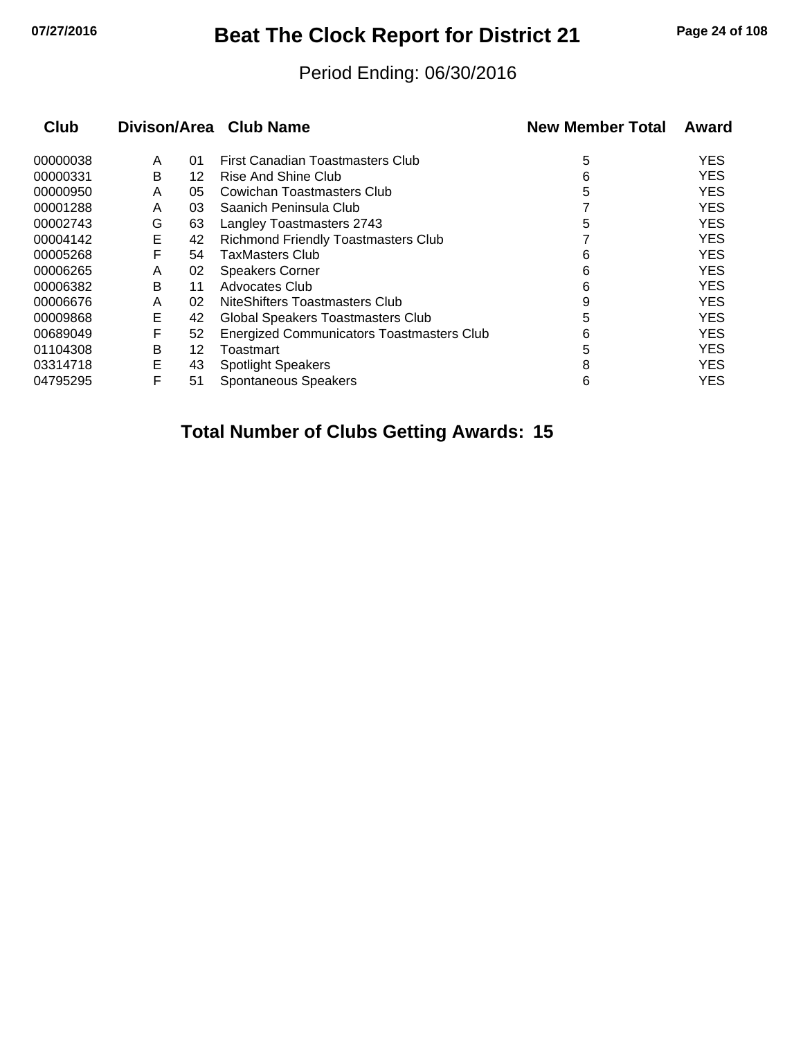## **07/27/2016 Beat The Clock Report for District 21 Page 24 of 108**

#### Period Ending: 06/30/2016

| <b>Club</b> |   |    | Divison/Area Club Name                     | <b>New Member Total</b> | Award      |
|-------------|---|----|--------------------------------------------|-------------------------|------------|
| 00000038    | A | 01 | First Canadian Toastmasters Club           | 5                       | <b>YES</b> |
| 00000331    | B | 12 | Rise And Shine Club                        | 6                       | YES        |
| 00000950    | Α | 05 | Cowichan Toastmasters Club                 | 5                       | <b>YES</b> |
| 00001288    | A | 03 | Saanich Peninsula Club                     |                         | <b>YES</b> |
| 00002743    | G | 63 | Langley Toastmasters 2743                  | 5                       | YES        |
| 00004142    | E | 42 | <b>Richmond Friendly Toastmasters Club</b> |                         | <b>YES</b> |
| 00005268    | F | 54 | <b>TaxMasters Club</b>                     | 6                       | <b>YES</b> |
| 00006265    | A | 02 | <b>Speakers Corner</b>                     | 6                       | <b>YES</b> |
| 00006382    | B | 11 | Advocates Club                             | 6                       | <b>YES</b> |
| 00006676    | A | 02 | NiteShifters Toastmasters Club             | 9                       | YES        |
| 00009868    | Е | 42 | Global Speakers Toastmasters Club          | 5                       | <b>YES</b> |
| 00689049    | F | 52 | Energized Communicators Toastmasters Club  | 6                       | <b>YES</b> |
| 01104308    | B | 12 | Toastmart                                  | 5                       | YES        |
| 03314718    | E | 43 | <b>Spotlight Speakers</b>                  | 8                       | YES.       |
| 04795295    | F | 51 | Spontaneous Speakers                       | 6                       | YES        |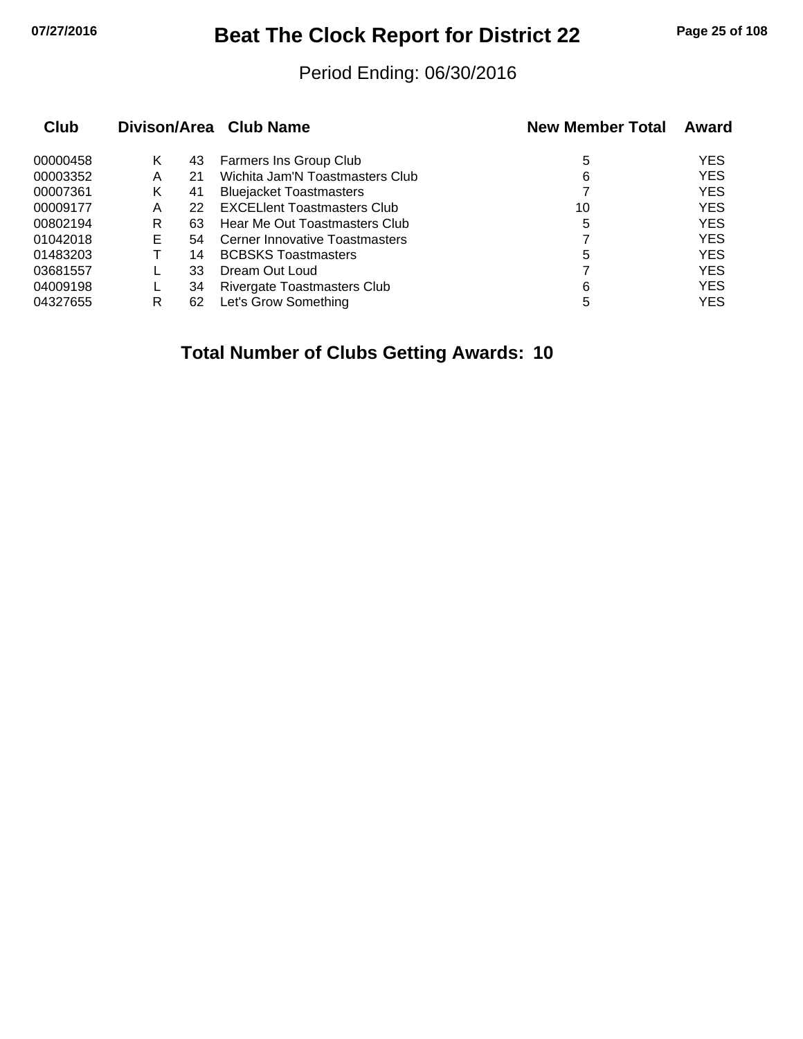## **07/27/2016 Beat The Clock Report for District 22 Page 25 of 108**

#### Period Ending: 06/30/2016

| Club     |    |    | Divison/Area Club Name             | <b>New Member Total</b> | Award      |
|----------|----|----|------------------------------------|-------------------------|------------|
| 00000458 | Κ  | 43 | Farmers Ins Group Club             | 5                       | <b>YES</b> |
| 00003352 | A  | 21 | Wichita Jam'N Toastmasters Club    | 6                       | <b>YES</b> |
| 00007361 | Κ  | 41 | <b>Bluejacket Toastmasters</b>     |                         | <b>YES</b> |
| 00009177 | Α  | 22 | <b>EXCELIent Toastmasters Club</b> | 10                      | <b>YES</b> |
| 00802194 | R  | 63 | Hear Me Out Toastmasters Club      | 5                       | <b>YES</b> |
| 01042018 | E. | 54 | Cerner Innovative Toastmasters     |                         | <b>YES</b> |
| 01483203 |    | 14 | <b>BCBSKS Toastmasters</b>         | 5                       | <b>YES</b> |
| 03681557 |    | 33 | Dream Out Loud                     |                         | <b>YES</b> |
| 04009198 |    | 34 | <b>Rivergate Toastmasters Club</b> | 6                       | <b>YES</b> |
| 04327655 | R  | 62 | Let's Grow Something               | 5                       | <b>YES</b> |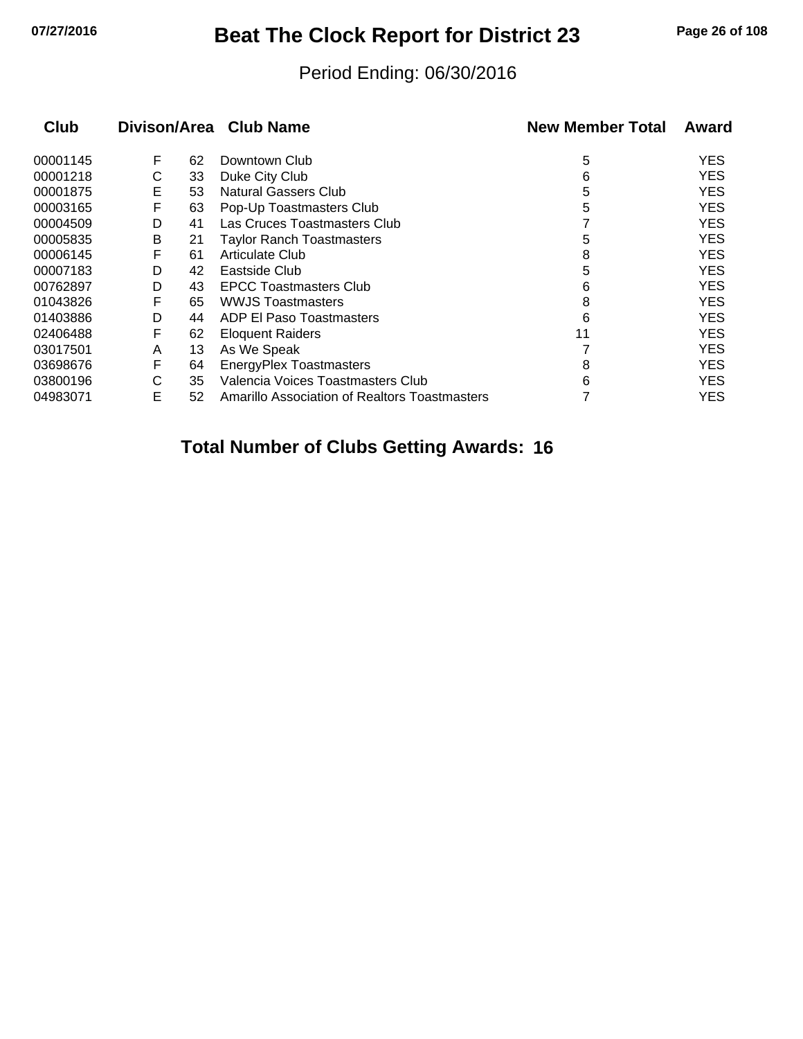# **07/27/2016 Beat The Clock Report for District 23 Page 26 of 108**

#### Period Ending: 06/30/2016

| Club     |   |    | Divison/Area Club Name                        | <b>New Member Total</b> | Award      |
|----------|---|----|-----------------------------------------------|-------------------------|------------|
| 00001145 | F | 62 | Downtown Club                                 | 5                       | <b>YES</b> |
| 00001218 | С | 33 | Duke City Club                                | 6                       | <b>YES</b> |
| 00001875 | Е | 53 | <b>Natural Gassers Club</b>                   | 5                       | <b>YES</b> |
| 00003165 | F | 63 | Pop-Up Toastmasters Club                      | 5                       | <b>YES</b> |
| 00004509 | D | 41 | Las Cruces Toastmasters Club                  |                         | <b>YES</b> |
| 00005835 | В | 21 | <b>Taylor Ranch Toastmasters</b>              | 5                       | <b>YES</b> |
| 00006145 | F | 61 | Articulate Club                               | 8                       | <b>YES</b> |
| 00007183 | D | 42 | Eastside Club                                 | 5                       | <b>YES</b> |
| 00762897 | D | 43 | <b>EPCC Toastmasters Club</b>                 | 6                       | <b>YES</b> |
| 01043826 | F | 65 | <b>WWJS Toastmasters</b>                      | 8                       | <b>YES</b> |
| 01403886 | D | 44 | <b>ADP EI Paso Toastmasters</b>               | 6                       | <b>YES</b> |
| 02406488 | F | 62 | <b>Eloquent Raiders</b>                       | 11                      | <b>YES</b> |
| 03017501 | A | 13 | As We Speak                                   |                         | <b>YES</b> |
| 03698676 | F | 64 | <b>EnergyPlex Toastmasters</b>                | 8                       | <b>YES</b> |
| 03800196 | С | 35 | Valencia Voices Toastmasters Club             | 6                       | <b>YES</b> |
| 04983071 | E | 52 | Amarillo Association of Realtors Toastmasters |                         | <b>YES</b> |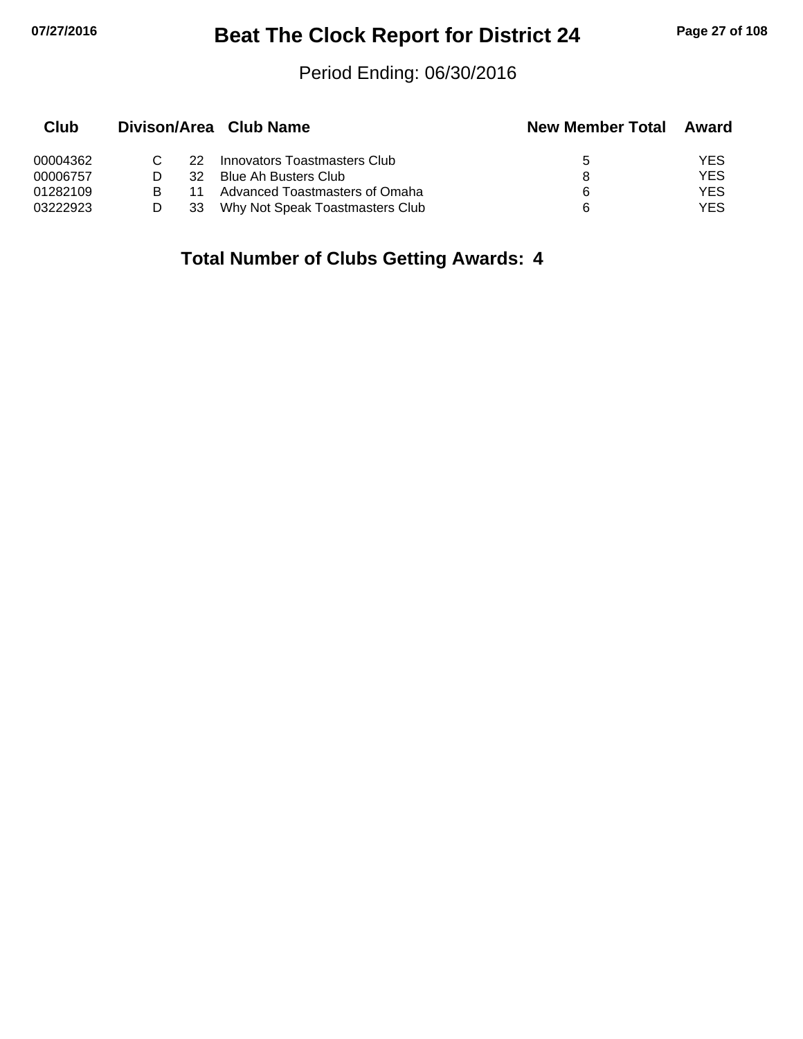## **07/27/2016 Beat The Clock Report for District 24 Page 27 of 108**

#### Period Ending: 06/30/2016

| Club     |     | Divison/Area Club Name          | <b>New Member Total</b> | Award |
|----------|-----|---------------------------------|-------------------------|-------|
| 00004362 | 22. | Innovators Toastmasters Club    | b                       | YES   |
| 00006757 | 32  | Blue Ah Busters Club            |                         | YES   |
| 01282109 | 11  | Advanced Toastmasters of Omaha  | 6                       | YES   |
| 03222923 | 33  | Why Not Speak Toastmasters Club | 6                       | YES   |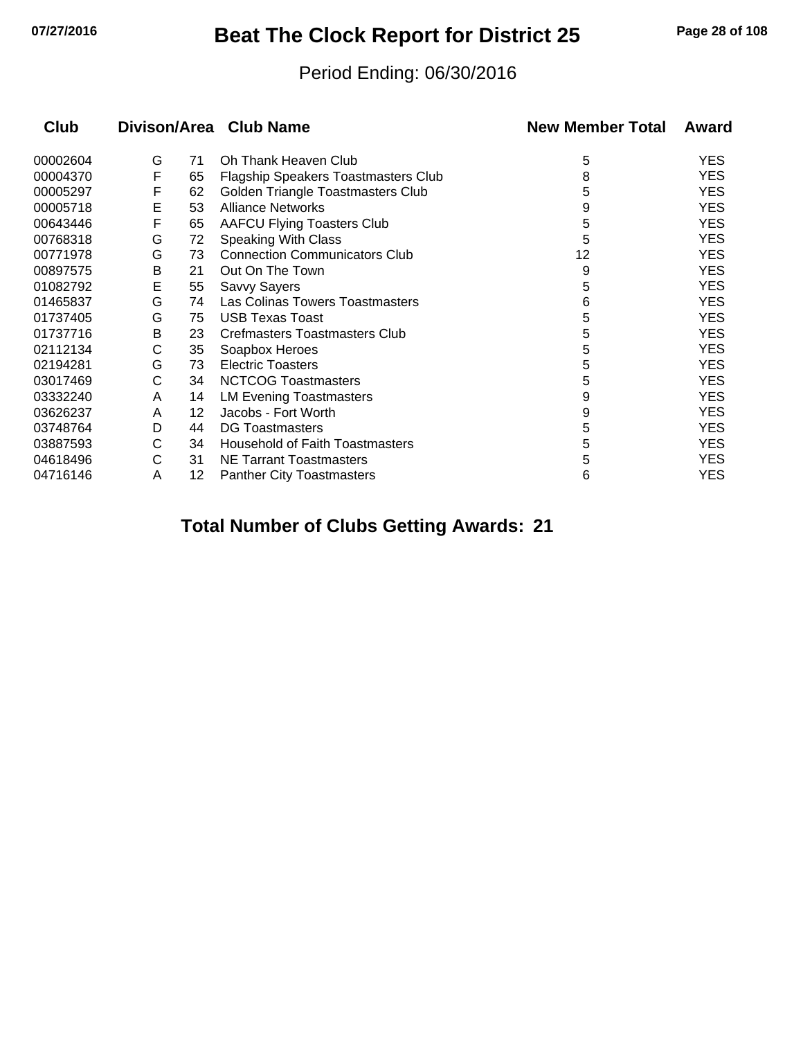## **07/27/2016 Beat The Clock Report for District 25 Page 28 of 108**

#### Period Ending: 06/30/2016

| Club     |   |    | Divison/Area Club Name                 | <b>New Member Total</b> | Award      |
|----------|---|----|----------------------------------------|-------------------------|------------|
| 00002604 | G | 71 | Oh Thank Heaven Club                   | 5                       | YES        |
| 00004370 | F | 65 | Flagship Speakers Toastmasters Club    | 8                       | <b>YES</b> |
| 00005297 | F | 62 | Golden Triangle Toastmasters Club      | 5                       | YES        |
| 00005718 | E | 53 | <b>Alliance Networks</b>               | 9                       | <b>YES</b> |
| 00643446 | F | 65 | <b>AAFCU Flying Toasters Club</b>      | 5                       | <b>YES</b> |
| 00768318 | G | 72 | <b>Speaking With Class</b>             | 5                       | <b>YES</b> |
| 00771978 | G | 73 | <b>Connection Communicators Club</b>   | 12                      | <b>YES</b> |
| 00897575 | B | 21 | Out On The Town                        | 9                       | YES        |
| 01082792 | E | 55 | Savvy Sayers                           | 5                       | YES        |
| 01465837 | G | 74 | Las Colinas Towers Toastmasters        | 6                       | <b>YES</b> |
| 01737405 | G | 75 | <b>USB Texas Toast</b>                 | 5                       | YES        |
| 01737716 | В | 23 | Crefmasters Toastmasters Club          | 5                       | <b>YES</b> |
| 02112134 | C | 35 | Soapbox Heroes                         | 5                       | <b>YES</b> |
| 02194281 | G | 73 | <b>Electric Toasters</b>               | 5                       | YES        |
| 03017469 | С | 34 | <b>NCTCOG Toastmasters</b>             | 5                       | <b>YES</b> |
| 03332240 | A | 14 | <b>LM Evening Toastmasters</b>         | 9                       | YES        |
| 03626237 | A | 12 | Jacobs - Fort Worth                    | 9                       | YES        |
| 03748764 | D | 44 | <b>DG Toastmasters</b>                 | 5                       | YES        |
| 03887593 | C | 34 | <b>Household of Faith Toastmasters</b> | 5                       | <b>YES</b> |
| 04618496 | C | 31 | <b>NE Tarrant Toastmasters</b>         | 5                       | <b>YES</b> |
| 04716146 | Α | 12 | <b>Panther City Toastmasters</b>       | 6                       | YES        |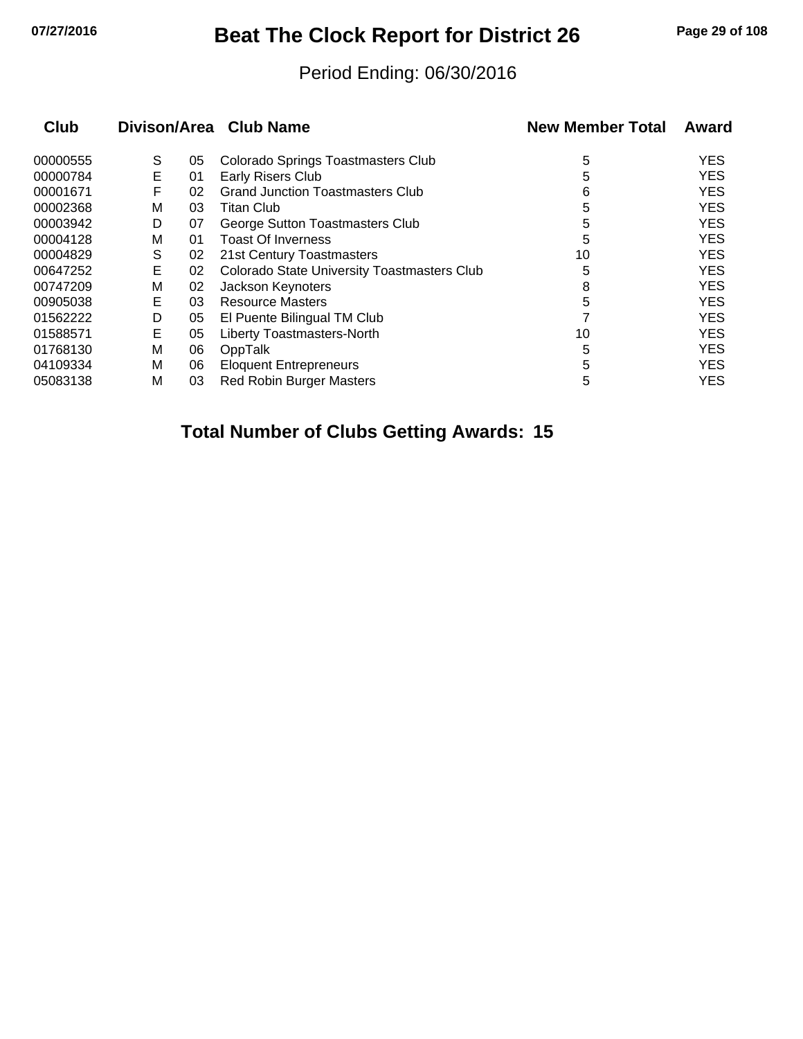## **07/27/2016 Beat The Clock Report for District 26 Page 29 of 108**

#### Period Ending: 06/30/2016

| Club     |   |    | Divison/Area Club Name                             | <b>New Member Total</b> | Award      |
|----------|---|----|----------------------------------------------------|-------------------------|------------|
| 00000555 | S | 05 | Colorado Springs Toastmasters Club                 | 5                       | <b>YES</b> |
| 00000784 | E | 01 | Early Risers Club                                  | 5                       | <b>YES</b> |
| 00001671 | F | 02 | <b>Grand Junction Toastmasters Club</b>            | 6                       | <b>YES</b> |
| 00002368 | М | 03 | Titan Club                                         | 5                       | <b>YES</b> |
| 00003942 | D | 07 | George Sutton Toastmasters Club                    | 5                       | <b>YES</b> |
| 00004128 | M | 01 | <b>Toast Of Inverness</b>                          | 5                       | <b>YES</b> |
| 00004829 | S | 02 | 21st Century Toastmasters                          | 10                      | <b>YES</b> |
| 00647252 | Е | 02 | <b>Colorado State University Toastmasters Club</b> | 5                       | <b>YES</b> |
| 00747209 | М | 02 | Jackson Keynoters                                  | 8                       | <b>YES</b> |
| 00905038 | Е | 03 | <b>Resource Masters</b>                            | 5                       | <b>YES</b> |
| 01562222 | D | 05 | El Puente Bilingual TM Club                        |                         | <b>YES</b> |
| 01588571 | Е | 05 | <b>Liberty Toastmasters-North</b>                  | 10                      | <b>YES</b> |
| 01768130 | M | 06 | OppTalk                                            | 5                       | <b>YES</b> |
| 04109334 | M | 06 | <b>Eloquent Entrepreneurs</b>                      | 5                       | <b>YES</b> |
| 05083138 | M | 03 | <b>Red Robin Burger Masters</b>                    | 5                       | <b>YES</b> |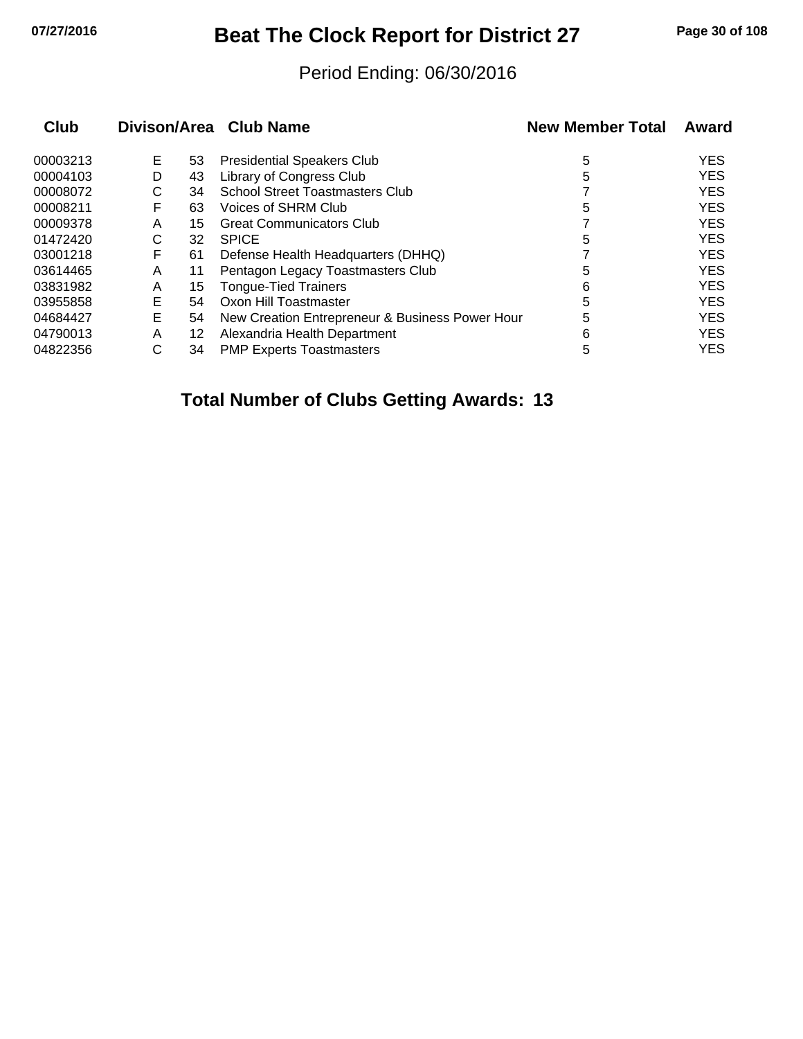## **07/27/2016 Beat The Clock Report for District 27 Page 30 of 108**

#### Period Ending: 06/30/2016

| Club     |   |    | Divison/Area Club Name                          | <b>New Member Total</b> | Award      |
|----------|---|----|-------------------------------------------------|-------------------------|------------|
| 00003213 | Е | 53 | <b>Presidential Speakers Club</b>               | 5                       | <b>YES</b> |
| 00004103 | D | 43 | Library of Congress Club                        | 5                       | <b>YES</b> |
| 00008072 | С | 34 | <b>School Street Toastmasters Club</b>          |                         | <b>YES</b> |
| 00008211 | F | 63 | Voices of SHRM Club                             | 5                       | <b>YES</b> |
| 00009378 | A | 15 | <b>Great Communicators Club</b>                 |                         | <b>YES</b> |
| 01472420 | С | 32 | <b>SPICE</b>                                    | 5                       | <b>YES</b> |
| 03001218 | F | 61 | Defense Health Headquarters (DHHQ)              |                         | <b>YES</b> |
| 03614465 | A | 11 | Pentagon Legacy Toastmasters Club               | 5                       | <b>YES</b> |
| 03831982 | A | 15 | <b>Tongue-Tied Trainers</b>                     | 6                       | <b>YES</b> |
| 03955858 | E | 54 | Oxon Hill Toastmaster                           | 5                       | <b>YES</b> |
| 04684427 | E | 54 | New Creation Entrepreneur & Business Power Hour | 5                       | <b>YES</b> |
| 04790013 | A | 12 | Alexandria Health Department                    | 6                       | <b>YES</b> |
| 04822356 | С | 34 | <b>PMP Experts Toastmasters</b>                 | 5                       | <b>YES</b> |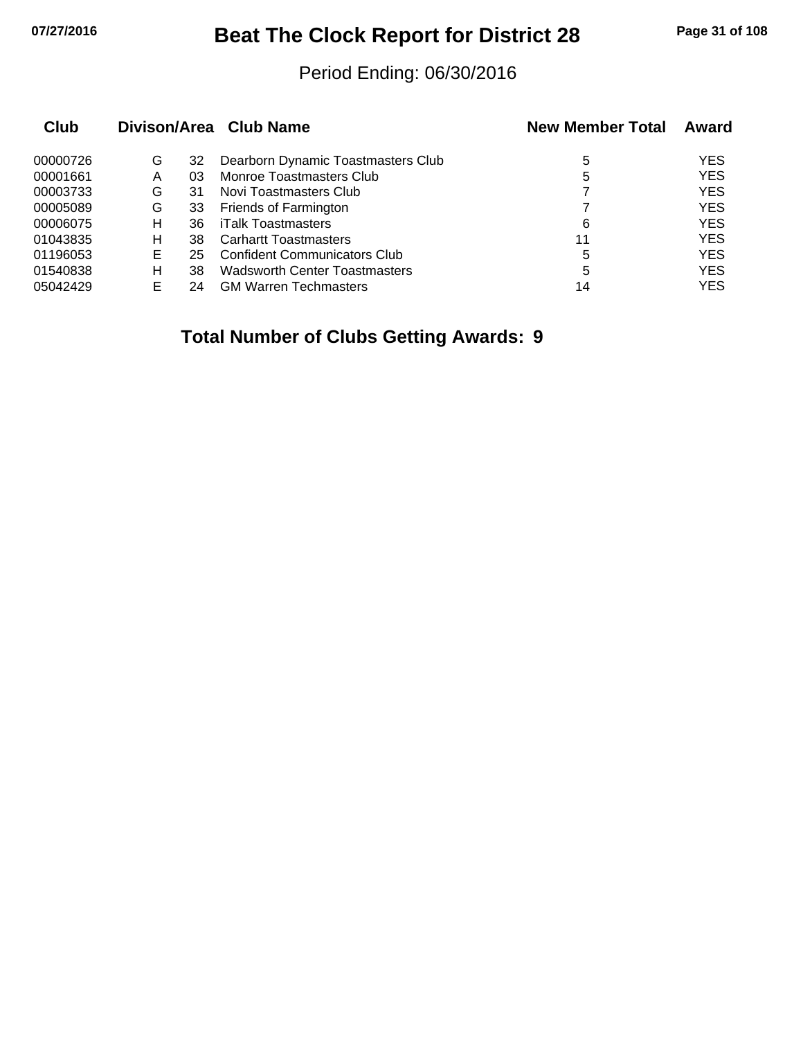## **07/27/2016 Beat The Clock Report for District 28 Page 31 of 108**

#### Period Ending: 06/30/2016

| Club     |   |    | Divison/Area Club Name               | <b>New Member Total</b> | Award      |
|----------|---|----|--------------------------------------|-------------------------|------------|
| 00000726 | G | 32 | Dearborn Dynamic Toastmasters Club   | 5                       | YES        |
| 00001661 | Α | 03 | Monroe Toastmasters Club             | 5                       | <b>YES</b> |
| 00003733 | G | 31 | Novi Toastmasters Club               |                         | <b>YES</b> |
| 00005089 | G | 33 | Friends of Farmington                |                         | <b>YES</b> |
| 00006075 | н | 36 | iTalk Toastmasters                   | 6                       | <b>YES</b> |
| 01043835 | н | 38 | <b>Carhartt Toastmasters</b>         | 11                      | <b>YES</b> |
| 01196053 | Е | 25 | <b>Confident Communicators Club</b>  | 5                       | <b>YES</b> |
| 01540838 | н | 38 | <b>Wadsworth Center Toastmasters</b> | 5                       | <b>YES</b> |
| 05042429 | F | 24 | <b>GM Warren Techmasters</b>         | 14                      | <b>YES</b> |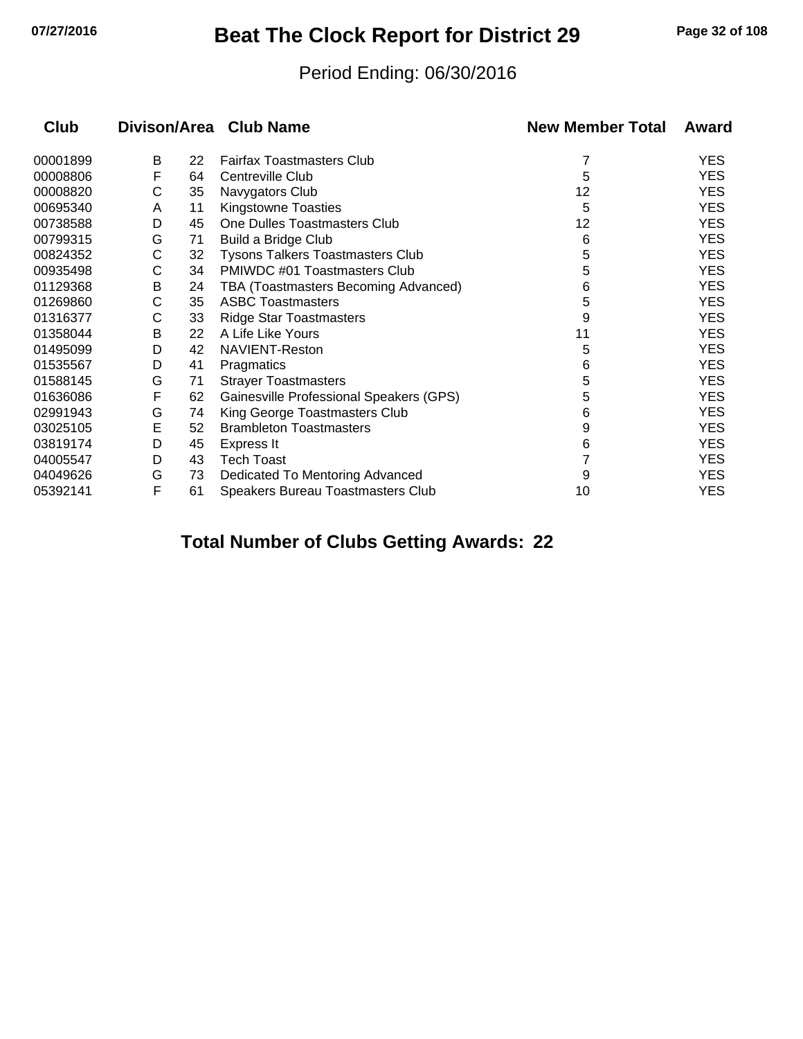## **07/27/2016 Beat The Clock Report for District 29 Page 32 of 108**

#### Period Ending: 06/30/2016

| Club     |   |    | Divison/Area Club Name                  | <b>New Member Total</b> | Award      |
|----------|---|----|-----------------------------------------|-------------------------|------------|
| 00001899 | В | 22 | <b>Fairfax Toastmasters Club</b>        |                         | <b>YES</b> |
| 00008806 | F | 64 | Centreville Club                        | 5                       | <b>YES</b> |
| 00008820 | С | 35 | Navygators Club                         | 12                      | <b>YES</b> |
| 00695340 | A | 11 | Kingstowne Toasties                     | 5                       | <b>YES</b> |
| 00738588 | D | 45 | One Dulles Toastmasters Club            | 12                      | <b>YES</b> |
| 00799315 | G | 71 | <b>Build a Bridge Club</b>              | 6                       | <b>YES</b> |
| 00824352 | С | 32 | Tysons Talkers Toastmasters Club        | 5                       | <b>YES</b> |
| 00935498 | С | 34 | PMIWDC #01 Toastmasters Club            | 5                       | <b>YES</b> |
| 01129368 | В | 24 | TBA (Toastmasters Becoming Advanced)    | 6                       | <b>YES</b> |
| 01269860 | С | 35 | <b>ASBC Toastmasters</b>                | 5                       | <b>YES</b> |
| 01316377 | С | 33 | <b>Ridge Star Toastmasters</b>          | 9                       | <b>YES</b> |
| 01358044 | В | 22 | A Life Like Yours                       | 11                      | <b>YES</b> |
| 01495099 | D | 42 | NAVIENT-Reston                          | 5                       | <b>YES</b> |
| 01535567 | D | 41 | Pragmatics                              | 6                       | <b>YES</b> |
| 01588145 | G | 71 | <b>Strayer Toastmasters</b>             | 5                       | <b>YES</b> |
| 01636086 | F | 62 | Gainesville Professional Speakers (GPS) | 5                       | <b>YES</b> |
| 02991943 | G | 74 | King George Toastmasters Club           | 6                       | <b>YES</b> |
| 03025105 | E | 52 | <b>Brambleton Toastmasters</b>          | 9                       | <b>YES</b> |
| 03819174 | D | 45 | Express It                              | 6                       | <b>YES</b> |
| 04005547 | D | 43 | <b>Tech Toast</b>                       |                         | <b>YES</b> |
| 04049626 | G | 73 | Dedicated To Mentoring Advanced         | 9                       | <b>YES</b> |
| 05392141 | F | 61 | Speakers Bureau Toastmasters Club       | 10                      | <b>YES</b> |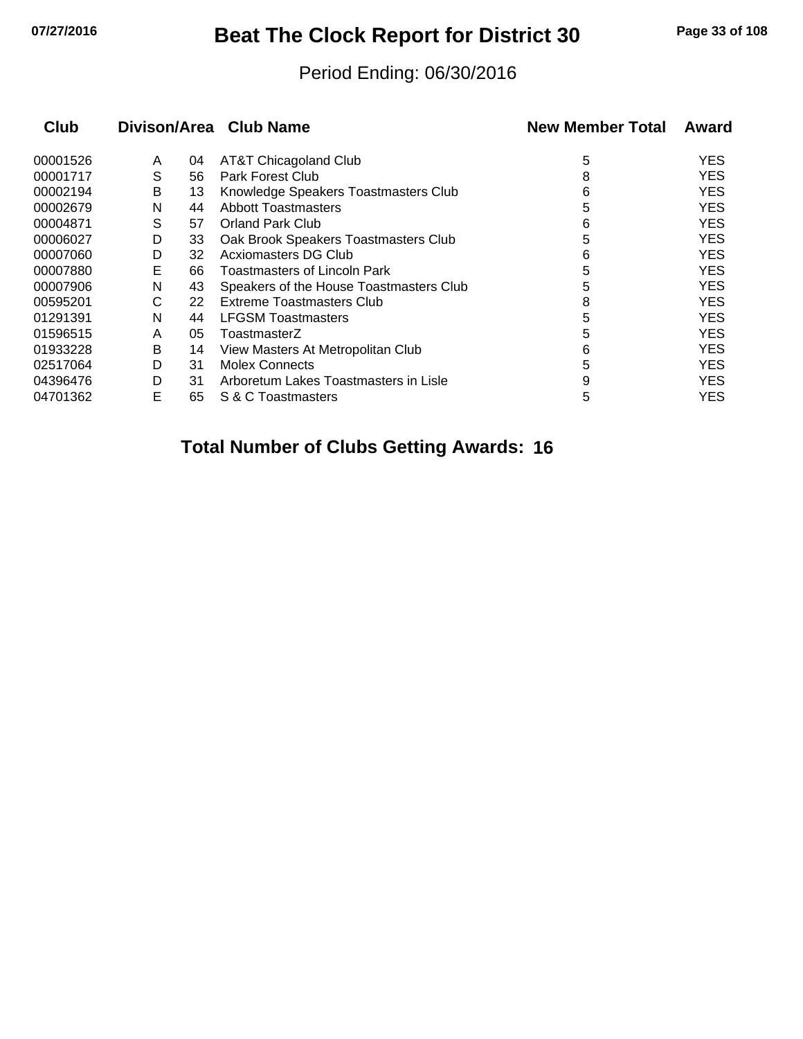## **07/27/2016 Beat The Clock Report for District 30 Page 33 of 108**

#### Period Ending: 06/30/2016

|   |    |                                         | <b>New Member Total</b> | Award      |
|---|----|-----------------------------------------|-------------------------|------------|
| A | 04 | AT&T Chicagoland Club                   | 5                       | <b>YES</b> |
| S | 56 | <b>Park Forest Club</b>                 | 8                       | <b>YES</b> |
| В | 13 | Knowledge Speakers Toastmasters Club    | 6                       | <b>YES</b> |
| N | 44 | <b>Abbott Toastmasters</b>              | 5                       | <b>YES</b> |
| S | 57 | <b>Orland Park Club</b>                 | 6                       | <b>YES</b> |
| D | 33 | Oak Brook Speakers Toastmasters Club    | 5                       | <b>YES</b> |
| D | 32 | Acxiomasters DG Club                    | 6                       | <b>YES</b> |
| E | 66 | <b>Toastmasters of Lincoln Park</b>     | 5                       | <b>YES</b> |
| N | 43 | Speakers of the House Toastmasters Club | 5                       | <b>YES</b> |
| С | 22 | Extreme Toastmasters Club               | 8                       | <b>YES</b> |
| N | 44 | <b>LFGSM Toastmasters</b>               | 5                       | <b>YES</b> |
| A | 05 | ToastmasterZ                            | 5                       | <b>YES</b> |
| В | 14 | View Masters At Metropolitan Club       | 6                       | <b>YES</b> |
| D | 31 | <b>Molex Connects</b>                   | 5                       | <b>YES</b> |
| D | 31 | Arboretum Lakes Toastmasters in Lisle   | 9                       | <b>YES</b> |
| E | 65 | S & C Toastmasters                      | 5                       | <b>YES</b> |
|   |    |                                         | Divison/Area Club Name  |            |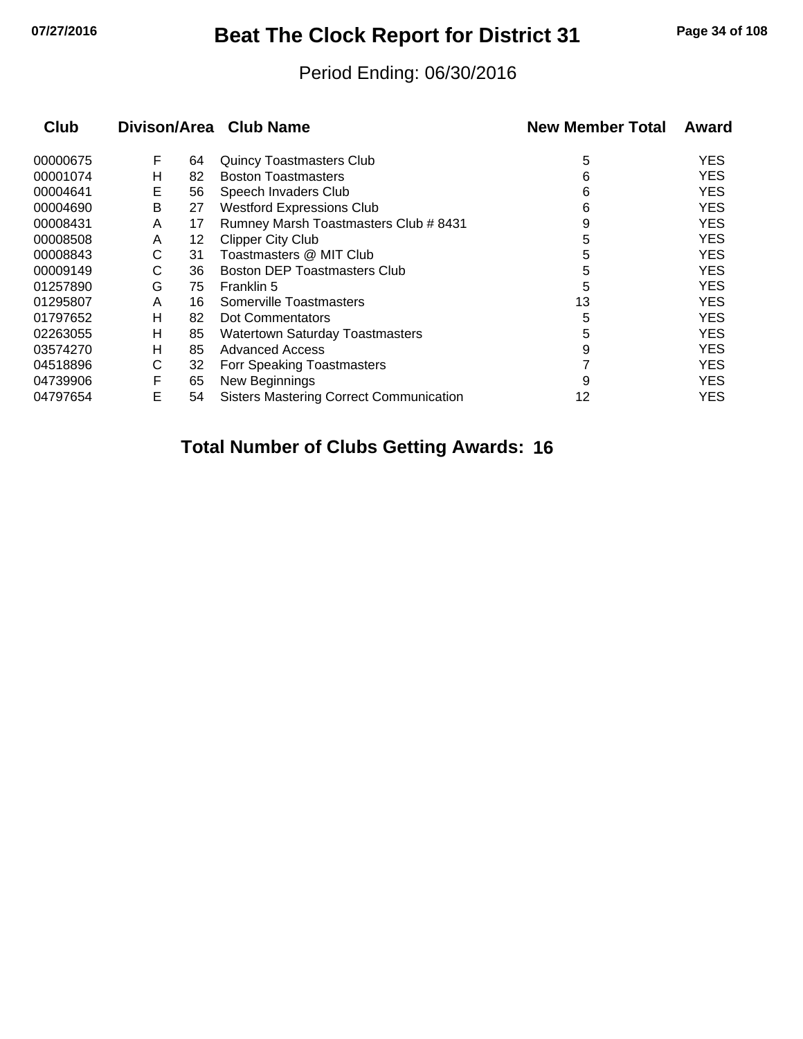## **07/27/2016 Beat The Clock Report for District 31 Page 34 of 108**

#### Period Ending: 06/30/2016

| <b>Club</b> | Divison/Area Club Name |    |                                                | <b>New Member Total</b> | Award      |  |
|-------------|------------------------|----|------------------------------------------------|-------------------------|------------|--|
| 00000675    | F                      | 64 | <b>Quincy Toastmasters Club</b>                | 5                       | <b>YES</b> |  |
| 00001074    | н                      | 82 | <b>Boston Toastmasters</b>                     | 6                       | <b>YES</b> |  |
| 00004641    | Е                      | 56 | Speech Invaders Club                           | 6                       | <b>YES</b> |  |
| 00004690    | Β                      | 27 | <b>Westford Expressions Club</b>               | 6                       | <b>YES</b> |  |
| 00008431    | A                      | 17 | Rumney Marsh Toastmasters Club # 8431          | 9                       | <b>YES</b> |  |
| 00008508    | A                      | 12 | <b>Clipper City Club</b>                       | 5                       | <b>YES</b> |  |
| 00008843    | С                      | 31 | Toastmasters @ MIT Club                        | 5                       | <b>YES</b> |  |
| 00009149    | С                      | 36 | <b>Boston DEP Toastmasters Club</b>            | 5                       | <b>YES</b> |  |
| 01257890    | G                      | 75 | Franklin 5                                     | 5                       | <b>YES</b> |  |
| 01295807    | A                      | 16 | Somerville Toastmasters                        | 13                      | <b>YES</b> |  |
| 01797652    | н                      | 82 | Dot Commentators                               | 5                       | <b>YES</b> |  |
| 02263055    | н                      | 85 | <b>Watertown Saturday Toastmasters</b>         | 5                       | <b>YES</b> |  |
| 03574270    | н                      | 85 | <b>Advanced Access</b>                         | 9                       | <b>YES</b> |  |
| 04518896    | С                      | 32 | Forr Speaking Toastmasters                     |                         | <b>YES</b> |  |
| 04739906    | F                      | 65 | New Beginnings                                 | 9                       | <b>YES</b> |  |
| 04797654    | E                      | 54 | <b>Sisters Mastering Correct Communication</b> | 12                      | YES        |  |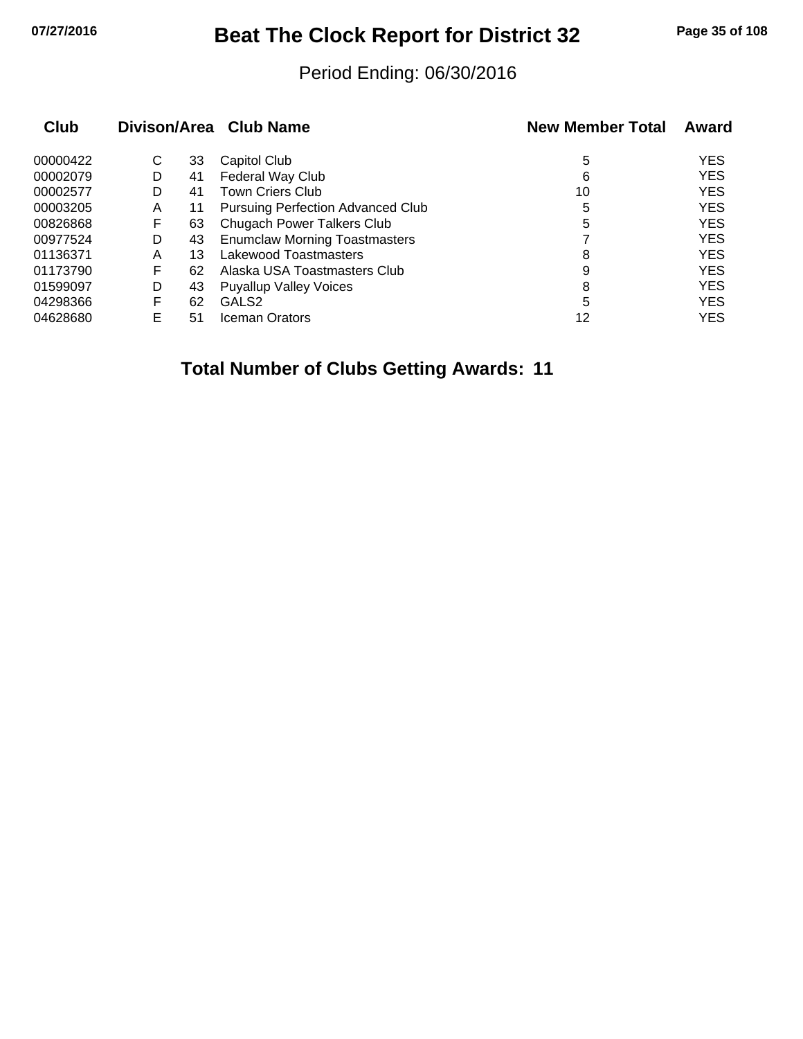## **07/27/2016 Beat The Clock Report for District 32 Page 35 of 108**

#### Period Ending: 06/30/2016

| Club     |   |    | Divison/Area Club Name               | <b>New Member Total</b> | Award      |
|----------|---|----|--------------------------------------|-------------------------|------------|
| 00000422 | С | 33 | Capitol Club                         | 5                       | <b>YES</b> |
| 00002079 | D | 41 | Federal Way Club                     | 6                       | <b>YES</b> |
| 00002577 | D | 41 | <b>Town Criers Club</b>              | 10                      | <b>YES</b> |
| 00003205 | A | 11 | Pursuing Perfection Advanced Club    | 5                       | <b>YES</b> |
| 00826868 | F | 63 | Chugach Power Talkers Club           | 5                       | <b>YES</b> |
| 00977524 | D | 43 | <b>Enumclaw Morning Toastmasters</b> |                         | <b>YES</b> |
| 01136371 | Α | 13 | Lakewood Toastmasters                | 8                       | <b>YES</b> |
| 01173790 | F | 62 | Alaska USA Toastmasters Club         | 9                       | <b>YES</b> |
| 01599097 | D | 43 | <b>Puyallup Valley Voices</b>        | 8                       | <b>YES</b> |
| 04298366 | F | 62 | GALS <sub>2</sub>                    | 5                       | <b>YES</b> |
| 04628680 | E | 51 | <b>Iceman Orators</b>                | 12                      | <b>YES</b> |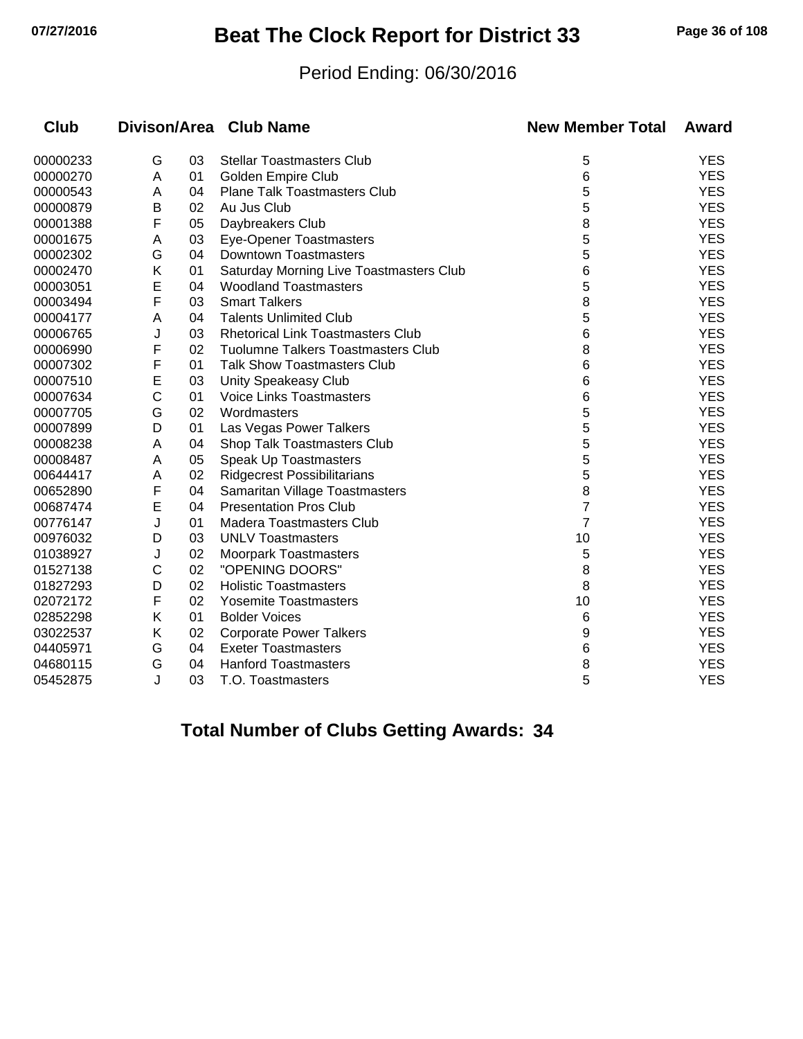## **07/27/2016 Beat The Clock Report for District 33 Page 36 of 108**

#### Period Ending: 06/30/2016

| <b>Club</b> |   |    | Divison/Area Club Name                    | <b>New Member Total</b> | Award      |
|-------------|---|----|-------------------------------------------|-------------------------|------------|
| 00000233    | G | 03 | <b>Stellar Toastmasters Club</b>          | 5                       | <b>YES</b> |
| 00000270    | A | 01 | Golden Empire Club                        | 6                       | <b>YES</b> |
| 00000543    | A | 04 | <b>Plane Talk Toastmasters Club</b>       | 5                       | <b>YES</b> |
| 00000879    | В | 02 | Au Jus Club                               | 5                       | <b>YES</b> |
| 00001388    | F | 05 | Daybreakers Club                          | 8                       | <b>YES</b> |
| 00001675    | A | 03 | Eye-Opener Toastmasters                   | 5                       | <b>YES</b> |
| 00002302    | G | 04 | <b>Downtown Toastmasters</b>              | 5                       | <b>YES</b> |
| 00002470    | Κ | 01 | Saturday Morning Live Toastmasters Club   | 6                       | <b>YES</b> |
| 00003051    | E | 04 | <b>Woodland Toastmasters</b>              | 5                       | <b>YES</b> |
| 00003494    | F | 03 | <b>Smart Talkers</b>                      | 8                       | <b>YES</b> |
| 00004177    | A | 04 | <b>Talents Unlimited Club</b>             | 5                       | <b>YES</b> |
| 00006765    | J | 03 | <b>Rhetorical Link Toastmasters Club</b>  | 6                       | <b>YES</b> |
| 00006990    | F | 02 | <b>Tuolumne Talkers Toastmasters Club</b> | 8                       | <b>YES</b> |
| 00007302    | F | 01 | <b>Talk Show Toastmasters Club</b>        | 6                       | <b>YES</b> |
| 00007510    | E | 03 | Unity Speakeasy Club                      | 6                       | <b>YES</b> |
| 00007634    | C | 01 | Voice Links Toastmasters                  | 6                       | <b>YES</b> |
| 00007705    | G | 02 | Wordmasters                               | 5                       | <b>YES</b> |
| 00007899    | D | 01 | Las Vegas Power Talkers                   | 5                       | <b>YES</b> |
| 00008238    | A | 04 | Shop Talk Toastmasters Club               | 5                       | <b>YES</b> |
| 00008487    | A | 05 | Speak Up Toastmasters                     | 5                       | <b>YES</b> |
| 00644417    | A | 02 | <b>Ridgecrest Possibilitarians</b>        | 5                       | <b>YES</b> |
| 00652890    | F | 04 | Samaritan Village Toastmasters            | 8                       | <b>YES</b> |
| 00687474    | E | 04 | <b>Presentation Pros Club</b>             | 7                       | <b>YES</b> |
| 00776147    | J | 01 | Madera Toastmasters Club                  | $\overline{7}$          | <b>YES</b> |
| 00976032    | D | 03 | <b>UNLV Toastmasters</b>                  | 10                      | <b>YES</b> |
| 01038927    | J | 02 | <b>Moorpark Toastmasters</b>              | 5                       | <b>YES</b> |
| 01527138    | C | 02 | "OPENING DOORS"                           | 8                       | <b>YES</b> |
| 01827293    | D | 02 | <b>Holistic Toastmasters</b>              | 8                       | <b>YES</b> |
| 02072172    | F | 02 | <b>Yosemite Toastmasters</b>              | 10                      | <b>YES</b> |
| 02852298    | Κ | 01 | <b>Bolder Voices</b>                      | 6                       | <b>YES</b> |
| 03022537    | Κ | 02 | <b>Corporate Power Talkers</b>            | 9                       | <b>YES</b> |
| 04405971    | G | 04 | <b>Exeter Toastmasters</b>                | 6                       | <b>YES</b> |
| 04680115    | G | 04 | <b>Hanford Toastmasters</b>               | 8                       | <b>YES</b> |
| 05452875    | J | 03 | T.O. Toastmasters                         | 5                       | <b>YES</b> |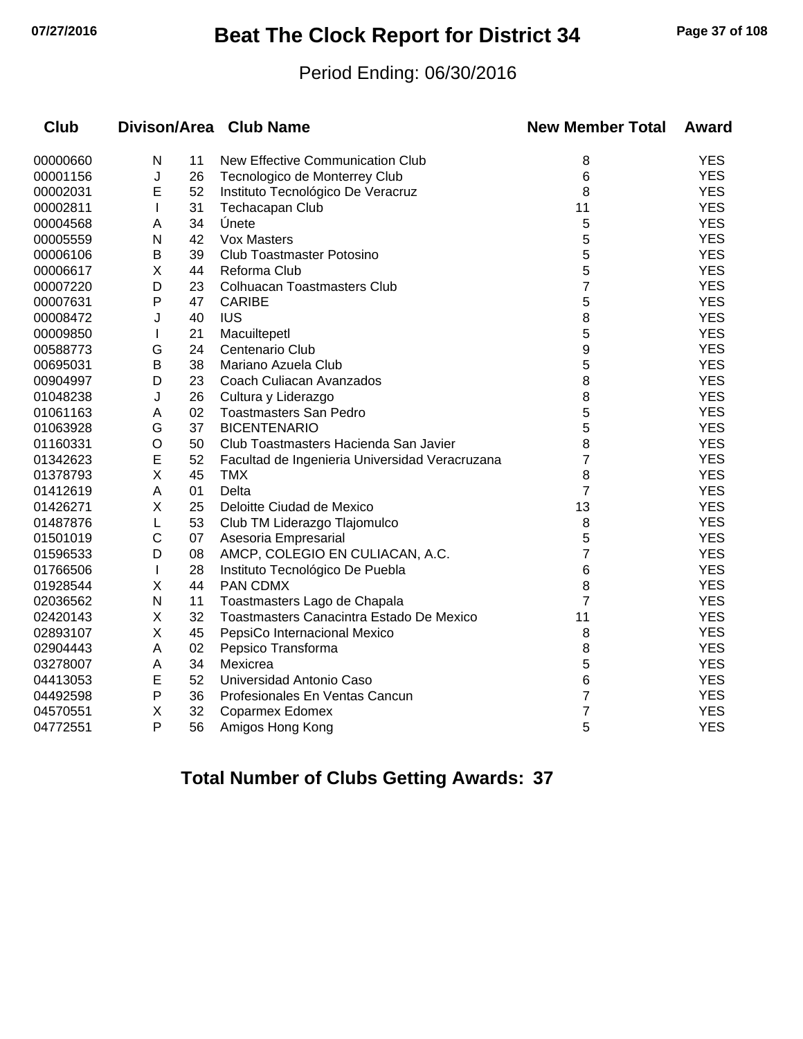# **07/27/2016 Beat The Clock Report for District 34 Page 37 of 108**

#### Period Ending: 06/30/2016

| <b>Club</b> |              |    | Divison/Area Club Name                         | <b>New Member Total</b> | Award      |
|-------------|--------------|----|------------------------------------------------|-------------------------|------------|
| 00000660    | N            | 11 | New Effective Communication Club               | 8                       | <b>YES</b> |
| 00001156    | J            | 26 | Tecnologico de Monterrey Club                  | 6                       | <b>YES</b> |
| 00002031    | Е            | 52 | Instituto Tecnológico De Veracruz              | 8                       | <b>YES</b> |
| 00002811    | $\mathbf{I}$ | 31 | Techacapan Club                                | 11                      | <b>YES</b> |
| 00004568    | Α            | 34 | Únete                                          | 5                       | <b>YES</b> |
| 00005559    | N            | 42 | <b>Vox Masters</b>                             | 5                       | <b>YES</b> |
| 00006106    | В            | 39 | <b>Club Toastmaster Potosino</b>               | 5                       | <b>YES</b> |
| 00006617    | X            | 44 | Reforma Club                                   | 5                       | <b>YES</b> |
| 00007220    | D            | 23 | <b>Colhuacan Toastmasters Club</b>             | 7                       | <b>YES</b> |
| 00007631    | P            | 47 | <b>CARIBE</b>                                  | 5                       | <b>YES</b> |
| 00008472    | J            | 40 | <b>IUS</b>                                     | 8                       | <b>YES</b> |
| 00009850    | $\mathbf{I}$ | 21 | Macuiltepetl                                   | 5                       | <b>YES</b> |
| 00588773    | G            | 24 | Centenario Club                                | 9                       | <b>YES</b> |
| 00695031    | B            | 38 | Mariano Azuela Club                            | 5                       | <b>YES</b> |
| 00904997    | D            | 23 | Coach Culiacan Avanzados                       | 8                       | <b>YES</b> |
| 01048238    | J            | 26 | Cultura y Liderazgo                            | 8                       | <b>YES</b> |
| 01061163    | A            | 02 | <b>Toastmasters San Pedro</b>                  | 5                       | <b>YES</b> |
| 01063928    | G            | 37 | <b>BICENTENARIO</b>                            | 5                       | <b>YES</b> |
| 01160331    | $\circ$      | 50 | Club Toastmasters Hacienda San Javier          | 8                       | <b>YES</b> |
| 01342623    | E            | 52 | Facultad de Ingenieria Universidad Veracruzana | 7                       | <b>YES</b> |
| 01378793    | $\sf X$      | 45 | <b>TMX</b>                                     | 8                       | <b>YES</b> |
| 01412619    | A            | 01 | Delta                                          | $\overline{7}$          | <b>YES</b> |
| 01426271    | Χ            | 25 | Deloitte Ciudad de Mexico                      | 13                      | <b>YES</b> |
| 01487876    | L            | 53 | Club TM Liderazgo Tlajomulco                   | 8                       | <b>YES</b> |
| 01501019    | C            | 07 | Asesoria Empresarial                           | 5                       | <b>YES</b> |
| 01596533    | D            | 08 | AMCP, COLEGIO EN CULIACAN, A.C.                | 7                       | <b>YES</b> |
| 01766506    | $\mathbf{I}$ | 28 | Instituto Tecnológico De Puebla                | 6                       | <b>YES</b> |
| 01928544    | X            | 44 | PAN CDMX                                       | 8                       | <b>YES</b> |
| 02036562    | N            | 11 | Toastmasters Lago de Chapala                   | $\overline{7}$          | <b>YES</b> |
| 02420143    | X            | 32 | Toastmasters Canacintra Estado De Mexico       | 11                      | <b>YES</b> |
| 02893107    | Χ            | 45 | PepsiCo Internacional Mexico                   | 8                       | <b>YES</b> |
| 02904443    | A            | 02 | Pepsico Transforma                             | 8                       | <b>YES</b> |
| 03278007    | A            | 34 | Mexicrea                                       | 5                       | <b>YES</b> |
| 04413053    | E            | 52 | Universidad Antonio Caso                       | 6                       | <b>YES</b> |
| 04492598    | $\mathsf{P}$ | 36 | Profesionales En Ventas Cancun                 | $\overline{7}$          | <b>YES</b> |
| 04570551    | X            | 32 | <b>Coparmex Edomex</b>                         | 7                       | <b>YES</b> |
| 04772551    | P            | 56 | Amigos Hong Kong                               | 5                       | <b>YES</b> |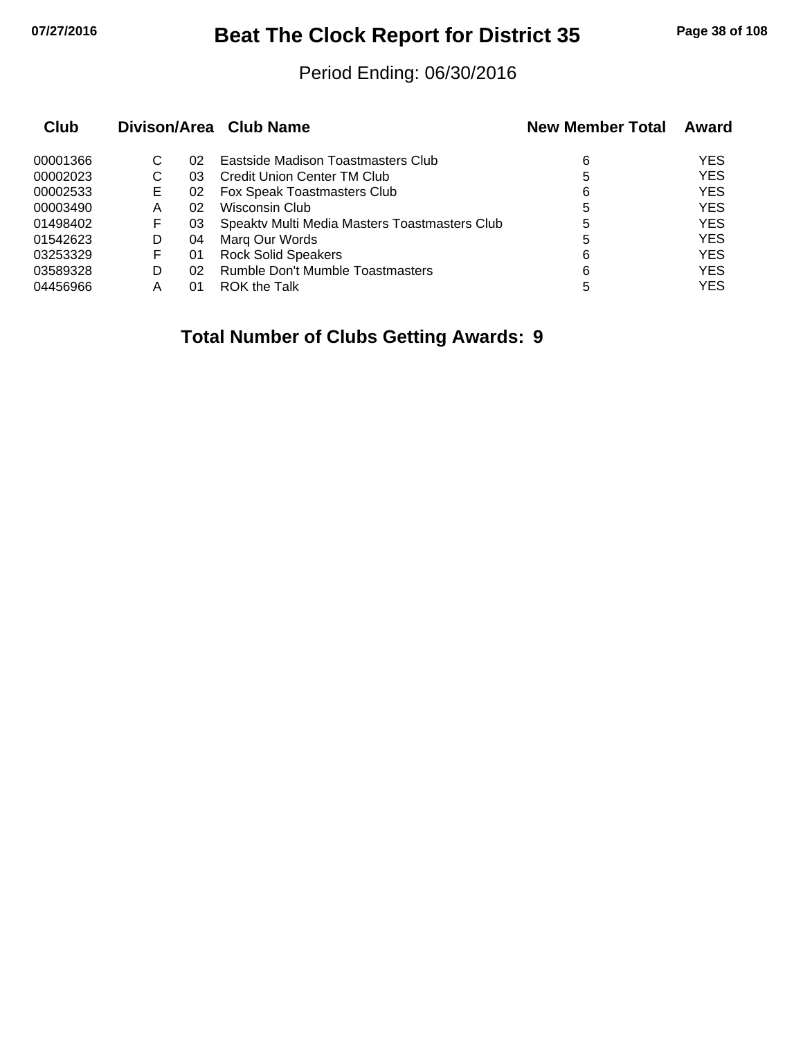## **07/27/2016 Beat The Clock Report for District 35 Page 38 of 108**

#### Period Ending: 06/30/2016

| Club     |   |    | Divison/Area Club Name                        | <b>New Member Total</b> | Award      |
|----------|---|----|-----------------------------------------------|-------------------------|------------|
| 00001366 | С | 02 | Eastside Madison Toastmasters Club            | 6                       | <b>YES</b> |
| 00002023 | С | 03 | Credit Union Center TM Club                   | 5                       | <b>YES</b> |
| 00002533 | Е | 02 | Fox Speak Toastmasters Club                   | 6                       | <b>YES</b> |
| 00003490 | Α | 02 | Wisconsin Club                                | 5                       | <b>YES</b> |
| 01498402 | F | 03 | Speaktv Multi Media Masters Toastmasters Club | 5                       | <b>YES</b> |
| 01542623 | D | 04 | Marg Our Words                                | 5                       | <b>YES</b> |
| 03253329 | F | 01 | <b>Rock Solid Speakers</b>                    | 6                       | <b>YES</b> |
| 03589328 | D | 02 | <b>Rumble Don't Mumble Toastmasters</b>       | 6                       | <b>YES</b> |
| 04456966 | Α | 01 | ROK the Talk                                  | 5                       | <b>YES</b> |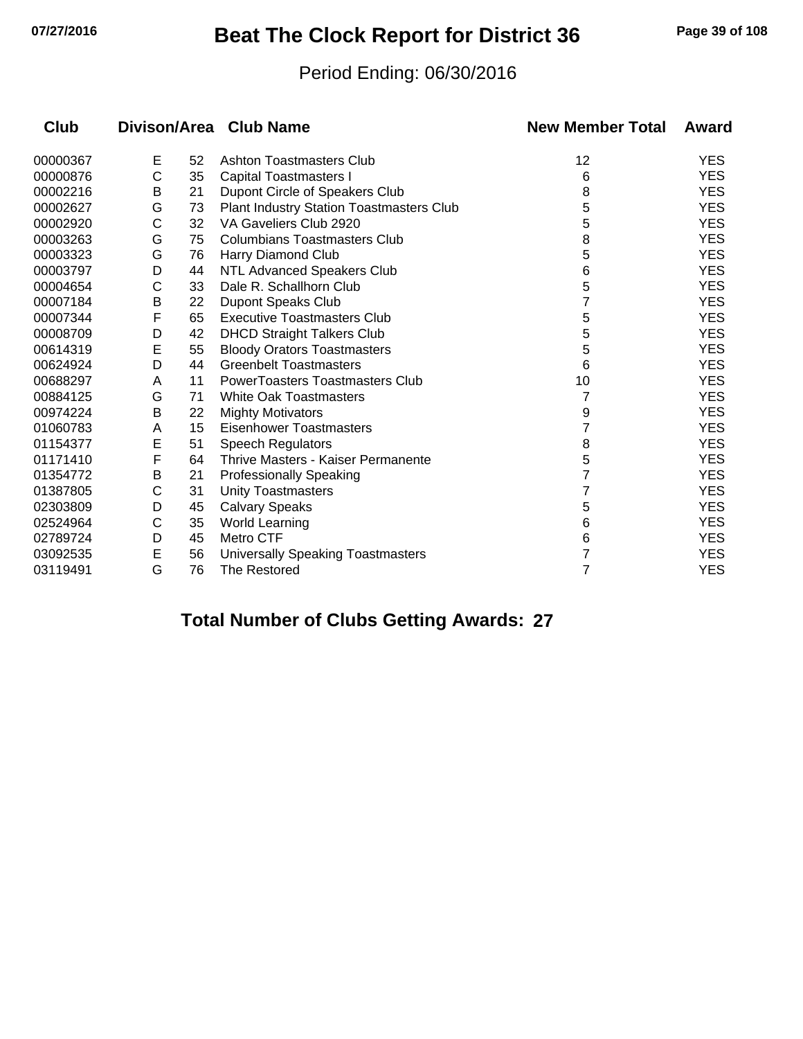## **07/27/2016 Beat The Clock Report for District 36 Page 39 of 108**

#### Period Ending: 06/30/2016

| Club     |   |    | Divison/Area Club Name                   | <b>New Member Total</b> | Award      |
|----------|---|----|------------------------------------------|-------------------------|------------|
| 00000367 | Е | 52 | Ashton Toastmasters Club                 | 12                      | <b>YES</b> |
| 00000876 | C | 35 | <b>Capital Toastmasters I</b>            | 6                       | <b>YES</b> |
| 00002216 | B | 21 | Dupont Circle of Speakers Club           | 8                       | <b>YES</b> |
| 00002627 | G | 73 | Plant Industry Station Toastmasters Club | 5                       | <b>YES</b> |
| 00002920 | С | 32 | VA Gaveliers Club 2920                   | 5                       | <b>YES</b> |
| 00003263 | G | 75 | <b>Columbians Toastmasters Club</b>      | 8                       | <b>YES</b> |
| 00003323 | G | 76 | Harry Diamond Club                       | 5                       | <b>YES</b> |
| 00003797 | D | 44 | <b>NTL Advanced Speakers Club</b>        | 6                       | <b>YES</b> |
| 00004654 | C | 33 | Dale R. Schallhorn Club                  | 5                       | <b>YES</b> |
| 00007184 | B | 22 | <b>Dupont Speaks Club</b>                |                         | <b>YES</b> |
| 00007344 | F | 65 | <b>Executive Toastmasters Club</b>       | 5                       | <b>YES</b> |
| 00008709 | D | 42 | <b>DHCD Straight Talkers Club</b>        | 5                       | <b>YES</b> |
| 00614319 | E | 55 | <b>Bloody Orators Toastmasters</b>       | 5                       | <b>YES</b> |
| 00624924 | D | 44 | <b>Greenbelt Toastmasters</b>            | 6                       | <b>YES</b> |
| 00688297 | A | 11 | <b>PowerToasters Toastmasters Club</b>   | 10                      | <b>YES</b> |
| 00884125 | G | 71 | <b>White Oak Toastmasters</b>            | 7                       | <b>YES</b> |
| 00974224 | B | 22 | <b>Mighty Motivators</b>                 | 9                       | <b>YES</b> |
| 01060783 | A | 15 | <b>Eisenhower Toastmasters</b>           | 7                       | <b>YES</b> |
| 01154377 | E | 51 | <b>Speech Regulators</b>                 | 8                       | <b>YES</b> |
| 01171410 | F | 64 | Thrive Masters - Kaiser Permanente       | 5                       | <b>YES</b> |
| 01354772 | В | 21 | <b>Professionally Speaking</b>           |                         | <b>YES</b> |
| 01387805 | C | 31 | <b>Unity Toastmasters</b>                |                         | <b>YES</b> |
| 02303809 | D | 45 | <b>Calvary Speaks</b>                    | 5                       | <b>YES</b> |
| 02524964 | C | 35 | <b>World Learning</b>                    | 6                       | <b>YES</b> |
| 02789724 | D | 45 | Metro CTF                                | 6                       | <b>YES</b> |
| 03092535 | E | 56 | Universally Speaking Toastmasters        | 7                       | <b>YES</b> |
| 03119491 | G | 76 | <b>The Restored</b>                      | 7                       | <b>YES</b> |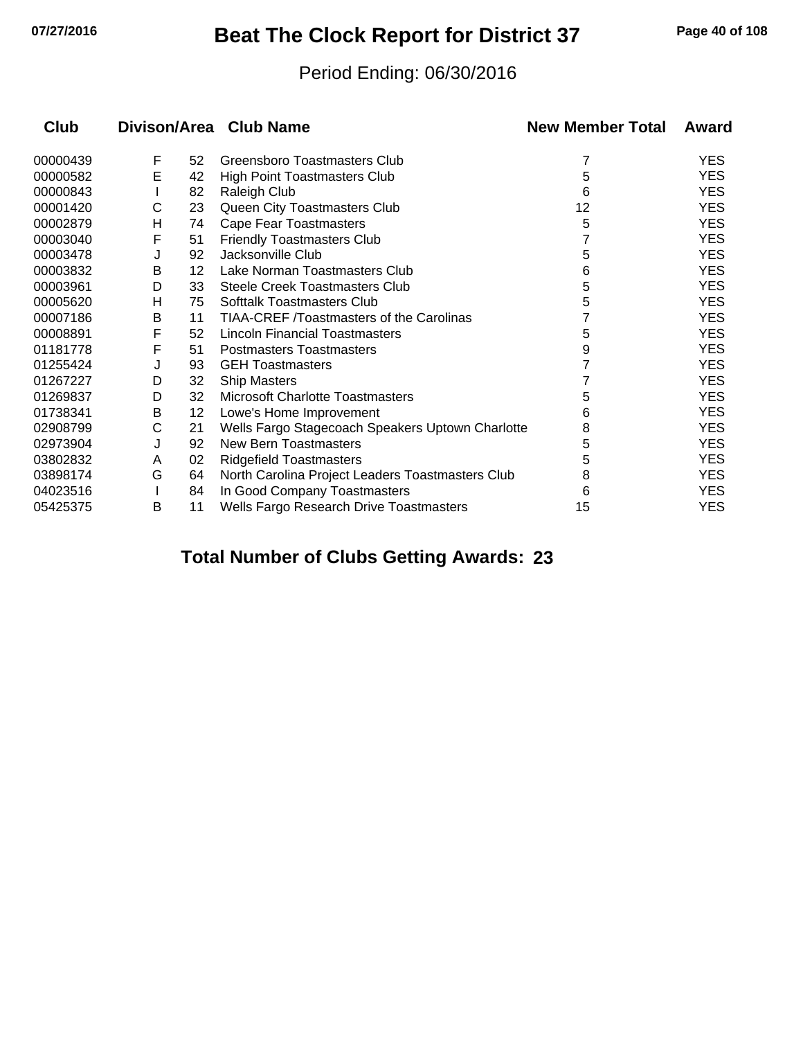## **07/27/2016 Beat The Clock Report for District 37 Page 40 of 108**

#### Period Ending: 06/30/2016

| Club     |   |    | Divison/Area Club Name                           | <b>New Member Total</b> | Award      |
|----------|---|----|--------------------------------------------------|-------------------------|------------|
| 00000439 | F | 52 | Greensboro Toastmasters Club                     | 7                       | <b>YES</b> |
| 00000582 | E | 42 | High Point Toastmasters Club                     | 5                       | <b>YES</b> |
| 00000843 |   | 82 | Raleigh Club                                     | 6                       | <b>YES</b> |
| 00001420 | С | 23 | Queen City Toastmasters Club                     | 12                      | <b>YES</b> |
| 00002879 | н | 74 | <b>Cape Fear Toastmasters</b>                    | 5                       | <b>YES</b> |
| 00003040 | F | 51 | <b>Friendly Toastmasters Club</b>                |                         | <b>YES</b> |
| 00003478 |   | 92 | Jacksonville Club                                | 5                       | <b>YES</b> |
| 00003832 | В | 12 | Lake Norman Toastmasters Club                    | 6                       | <b>YES</b> |
| 00003961 | D | 33 | Steele Creek Toastmasters Club                   | 5                       | <b>YES</b> |
| 00005620 | н | 75 | Softtalk Toastmasters Club                       | 5                       | <b>YES</b> |
| 00007186 | В | 11 | TIAA-CREF /Toastmasters of the Carolinas         |                         | <b>YES</b> |
| 00008891 | F | 52 | Lincoln Financial Toastmasters                   | 5                       | <b>YES</b> |
| 01181778 | F | 51 | <b>Postmasters Toastmasters</b>                  | 9                       | <b>YES</b> |
| 01255424 | J | 93 | <b>GEH Toastmasters</b>                          |                         | <b>YES</b> |
| 01267227 | D | 32 | <b>Ship Masters</b>                              |                         | <b>YES</b> |
| 01269837 | D | 32 | <b>Microsoft Charlotte Toastmasters</b>          | 5                       | <b>YES</b> |
| 01738341 | B | 12 | Lowe's Home Improvement                          | 6                       | <b>YES</b> |
| 02908799 | С | 21 | Wells Fargo Stagecoach Speakers Uptown Charlotte | 8                       | <b>YES</b> |
| 02973904 | J | 92 | New Bern Toastmasters                            | 5                       | <b>YES</b> |
| 03802832 | A | 02 | <b>Ridgefield Toastmasters</b>                   | 5                       | <b>YES</b> |
| 03898174 | G | 64 | North Carolina Project Leaders Toastmasters Club | 8                       | <b>YES</b> |
| 04023516 |   | 84 | In Good Company Toastmasters                     | 6                       | <b>YES</b> |
| 05425375 | B | 11 | Wells Fargo Research Drive Toastmasters          | 15                      | <b>YES</b> |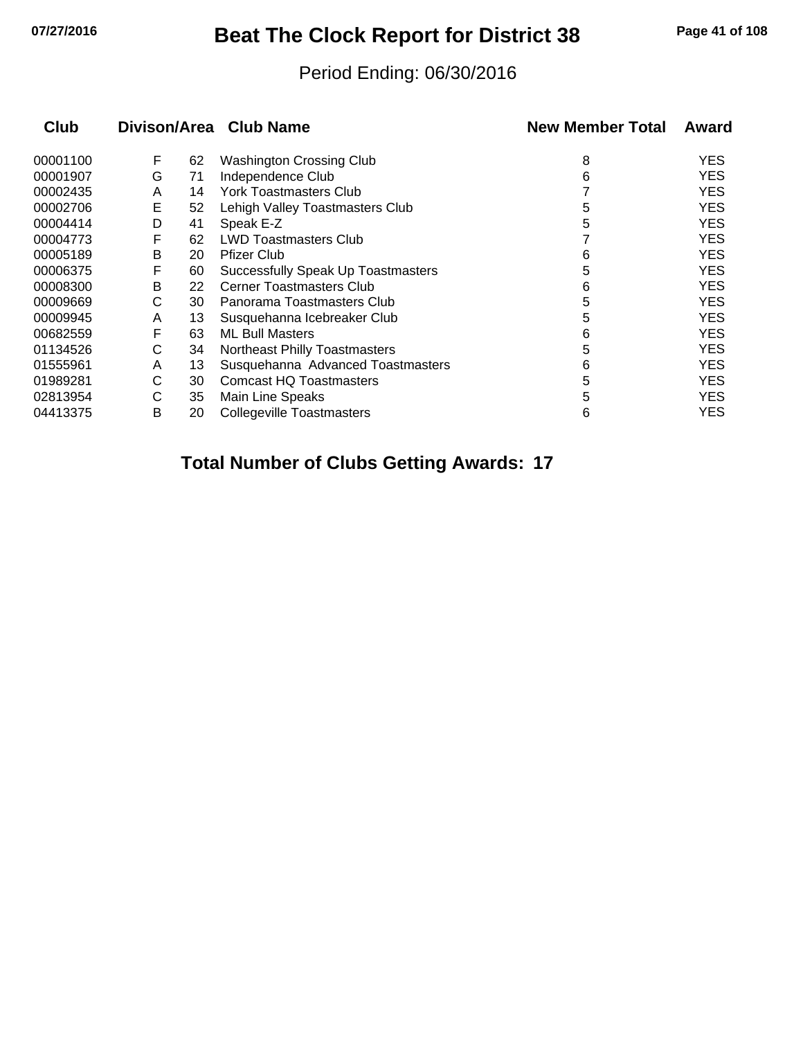## **07/27/2016 Beat The Clock Report for District 38 Page 41 of 108**

#### Period Ending: 06/30/2016

| <b>Club</b> |   |    | Divison/Area Club Name                    | <b>New Member Total</b> | Award      |
|-------------|---|----|-------------------------------------------|-------------------------|------------|
| 00001100    | F | 62 | <b>Washington Crossing Club</b>           | 8                       | <b>YES</b> |
| 00001907    | G | 71 | Independence Club                         | 6                       | <b>YES</b> |
| 00002435    | A | 14 | York Toastmasters Club                    |                         | <b>YES</b> |
| 00002706    | Е | 52 | Lehigh Valley Toastmasters Club           | 5                       | <b>YES</b> |
| 00004414    | D | 41 | Speak E-Z                                 | 5                       | <b>YES</b> |
| 00004773    | F | 62 | <b>LWD Toastmasters Club</b>              |                         | <b>YES</b> |
| 00005189    | В | 20 | <b>Pfizer Club</b>                        | 6                       | <b>YES</b> |
| 00006375    | F | 60 | <b>Successfully Speak Up Toastmasters</b> | 5                       | <b>YES</b> |
| 00008300    | В | 22 | <b>Cerner Toastmasters Club</b>           | 6                       | <b>YES</b> |
| 00009669    | С | 30 | Panorama Toastmasters Club                | 5                       | <b>YES</b> |
| 00009945    | A | 13 | Susquehanna Icebreaker Club               | 5                       | <b>YES</b> |
| 00682559    | F | 63 | <b>ML Bull Masters</b>                    | 6                       | <b>YES</b> |
| 01134526    | С | 34 | <b>Northeast Philly Toastmasters</b>      | 5                       | <b>YES</b> |
| 01555961    | A | 13 | Susquehanna Advanced Toastmasters         | 6                       | <b>YES</b> |
| 01989281    | С | 30 | <b>Comcast HQ Toastmasters</b>            | 5                       | <b>YES</b> |
| 02813954    | С | 35 | Main Line Speaks                          | 5                       | <b>YES</b> |
| 04413375    | B | 20 | <b>Collegeville Toastmasters</b>          | 6                       | <b>YES</b> |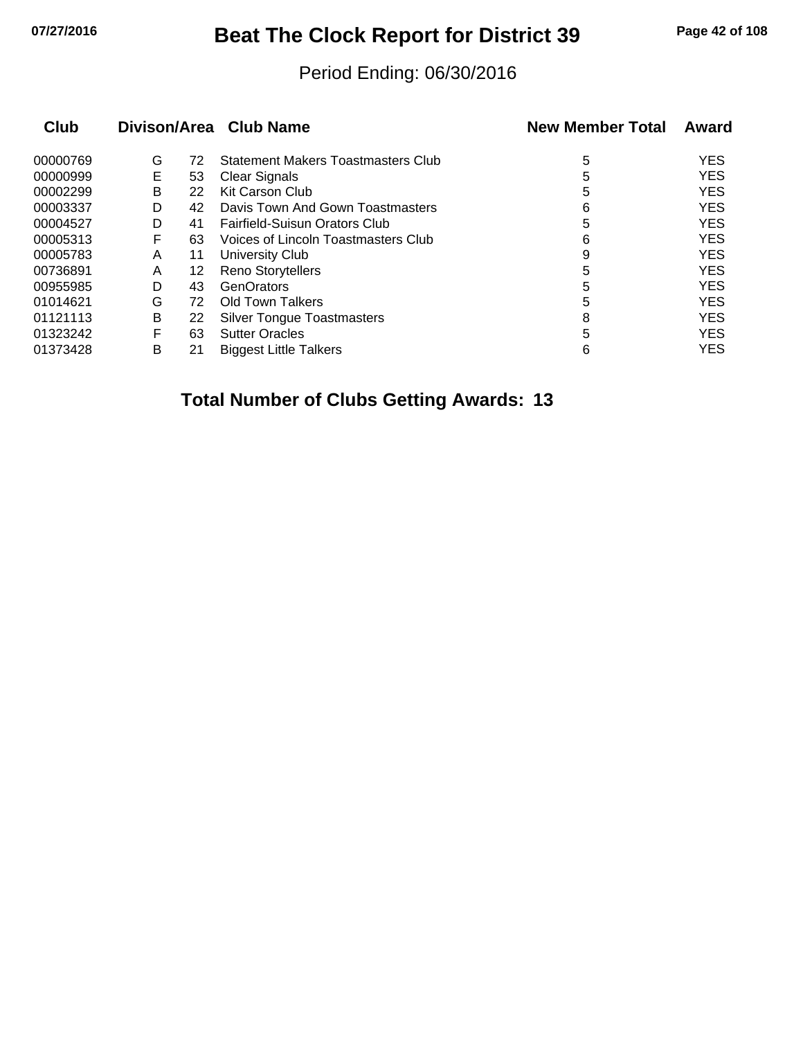## **07/27/2016 Beat The Clock Report for District 39 Page 42 of 108**

#### Period Ending: 06/30/2016

| Club     |   |    | Divison/Area Club Name                    | <b>New Member Total</b> | Award      |
|----------|---|----|-------------------------------------------|-------------------------|------------|
| 00000769 | G | 72 | <b>Statement Makers Toastmasters Club</b> | 5                       | <b>YES</b> |
| 00000999 | Е | 53 | <b>Clear Signals</b>                      | 5                       | <b>YES</b> |
| 00002299 | B | 22 | <b>Kit Carson Club</b>                    | 5                       | <b>YES</b> |
| 00003337 | D | 42 | Davis Town And Gown Toastmasters          | 6                       | <b>YES</b> |
| 00004527 | D | 41 | <b>Fairfield-Suisun Orators Club</b>      | 5                       | <b>YES</b> |
| 00005313 | F | 63 | Voices of Lincoln Toastmasters Club       | 6                       | <b>YES</b> |
| 00005783 | A | 11 | University Club                           | 9                       | <b>YES</b> |
| 00736891 | A | 12 | <b>Reno Storytellers</b>                  | 5                       | <b>YES</b> |
| 00955985 | D | 43 | GenOrators                                | 5                       | <b>YES</b> |
| 01014621 | G | 72 | Old Town Talkers                          | 5                       | <b>YES</b> |
| 01121113 | B | 22 | <b>Silver Tongue Toastmasters</b>         | 8                       | <b>YES</b> |
| 01323242 | F | 63 | <b>Sutter Oracles</b>                     | 5                       | <b>YES</b> |
| 01373428 | B | 21 | <b>Biggest Little Talkers</b>             | 6                       | <b>YES</b> |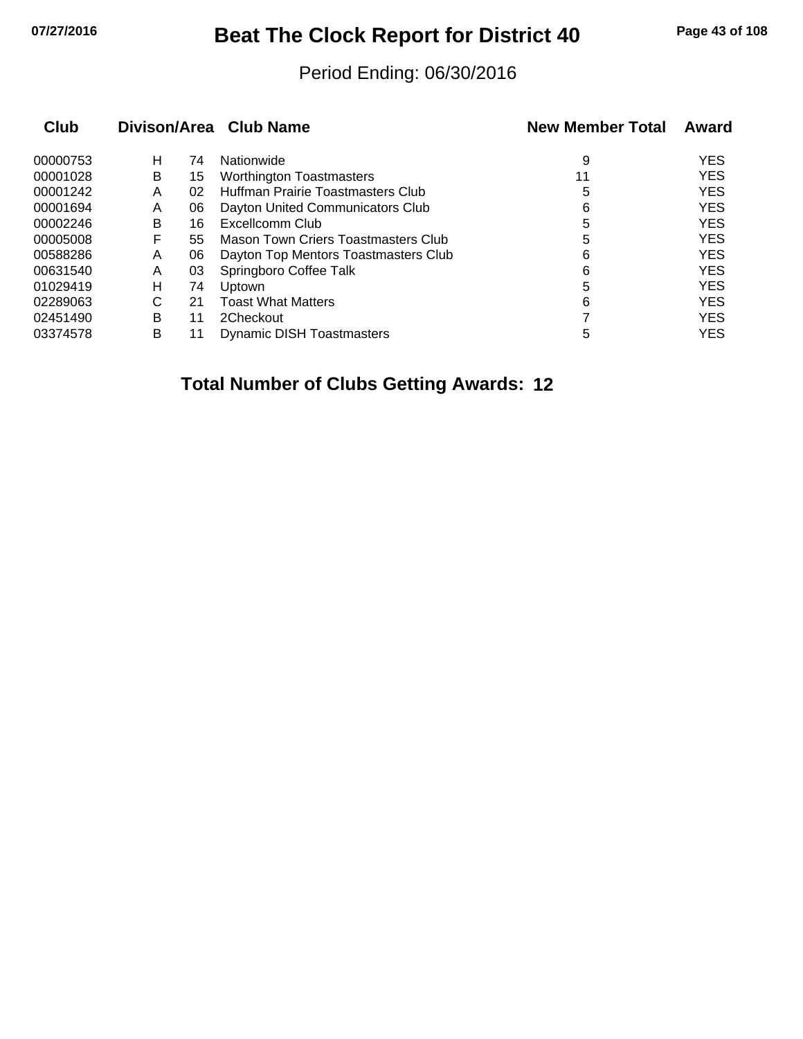## **07/27/2016 Beat The Clock Report for District 40 Page 43 of 108**

#### Period Ending: 06/30/2016

| Club     |   |    | Divison/Area Club Name                     | <b>New Member Total</b> | Award      |
|----------|---|----|--------------------------------------------|-------------------------|------------|
| 00000753 | н | 74 | Nationwide                                 | 9                       | <b>YES</b> |
| 00001028 | B | 15 | <b>Worthington Toastmasters</b>            | 11                      | <b>YES</b> |
| 00001242 | Α | 02 | Huffman Prairie Toastmasters Club          | 5                       | <b>YES</b> |
| 00001694 | A | 06 | Dayton United Communicators Club           | 6                       | <b>YES</b> |
| 00002246 | в | 16 | Excellcomm Club                            | 5                       | <b>YES</b> |
| 00005008 | F | 55 | <b>Mason Town Criers Toastmasters Club</b> | 5                       | <b>YES</b> |
| 00588286 | A | 06 | Dayton Top Mentors Toastmasters Club       | 6                       | <b>YES</b> |
| 00631540 | Α | 03 | Springboro Coffee Talk                     | 6                       | <b>YES</b> |
| 01029419 | н | 74 | <b>Uptown</b>                              | 5                       | <b>YES</b> |
| 02289063 | С | 21 | <b>Toast What Matters</b>                  | 6                       | <b>YES</b> |
| 02451490 | B | 11 | 2Checkout                                  |                         | <b>YES</b> |
| 03374578 | в | 11 | <b>Dynamic DISH Toastmasters</b>           | 5                       | <b>YES</b> |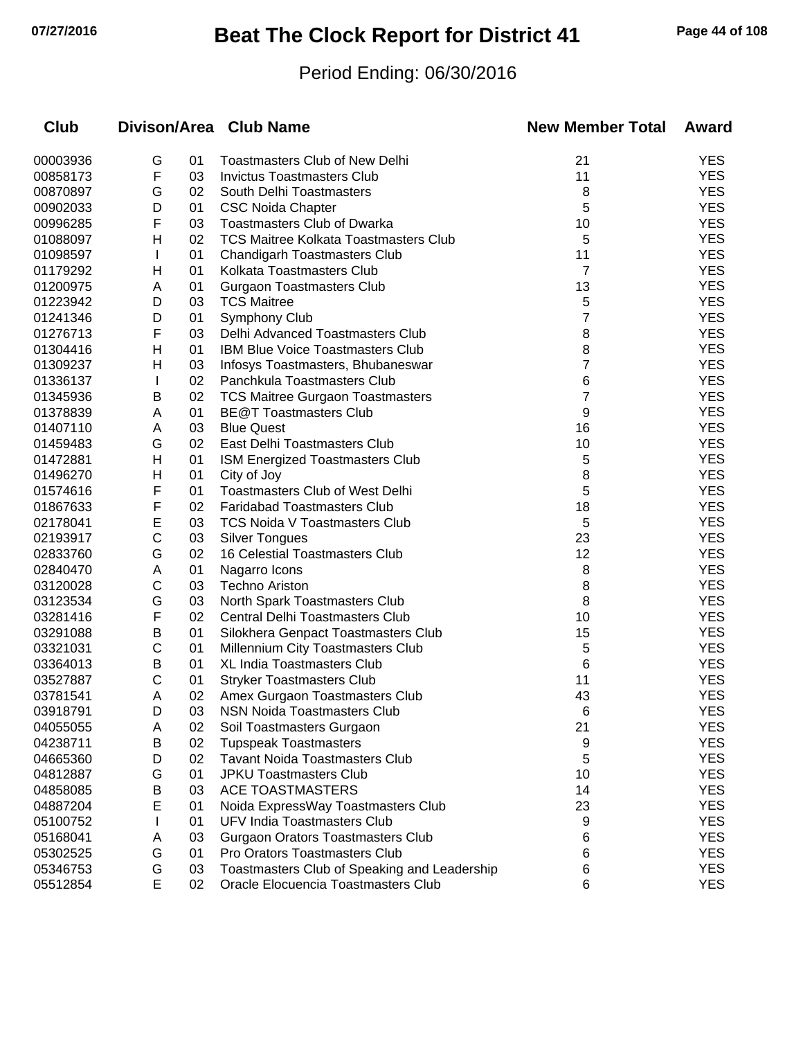# **07/27/2016 Beat The Clock Report for District 41 Page 44 of 108**

### Period Ending: 06/30/2016

| <b>Club</b> |   |    | Divison/Area Club Name                       | <b>New Member Total</b> | Award      |
|-------------|---|----|----------------------------------------------|-------------------------|------------|
| 00003936    | G | 01 | <b>Toastmasters Club of New Delhi</b>        | 21                      | <b>YES</b> |
| 00858173    | F | 03 | <b>Invictus Toastmasters Club</b>            | 11                      | <b>YES</b> |
| 00870897    | G | 02 | South Delhi Toastmasters                     | 8                       | <b>YES</b> |
| 00902033    | D | 01 | <b>CSC Noida Chapter</b>                     | 5                       | <b>YES</b> |
| 00996285    | F | 03 | <b>Toastmasters Club of Dwarka</b>           | 10                      | <b>YES</b> |
| 01088097    | Η | 02 | <b>TCS Maitree Kolkata Toastmasters Club</b> | 5                       | <b>YES</b> |
| 01098597    | L | 01 | <b>Chandigarh Toastmasters Club</b>          | 11                      | <b>YES</b> |
| 01179292    | н | 01 | Kolkata Toastmasters Club                    | 7                       | <b>YES</b> |
| 01200975    | A | 01 | <b>Gurgaon Toastmasters Club</b>             | 13                      | <b>YES</b> |
| 01223942    | D | 03 | <b>TCS Maitree</b>                           | 5                       | <b>YES</b> |
| 01241346    | D | 01 | Symphony Club                                | 7                       | <b>YES</b> |
| 01276713    | F | 03 | Delhi Advanced Toastmasters Club             | 8                       | <b>YES</b> |
| 01304416    | Н | 01 | <b>IBM Blue Voice Toastmasters Club</b>      | 8                       | <b>YES</b> |
| 01309237    | Н | 03 | Infosys Toastmasters, Bhubaneswar            | 7                       | <b>YES</b> |
| 01336137    | L | 02 | Panchkula Toastmasters Club                  | 6                       | <b>YES</b> |
| 01345936    | Β | 02 | <b>TCS Maitree Gurgaon Toastmasters</b>      | 7                       | <b>YES</b> |
| 01378839    | A | 01 | <b>BE@T Toastmasters Club</b>                | 9                       | <b>YES</b> |
| 01407110    | Α | 03 | <b>Blue Quest</b>                            | 16                      | <b>YES</b> |
| 01459483    | G | 02 | East Delhi Toastmasters Club                 | 10                      | <b>YES</b> |
| 01472881    | Н | 01 | ISM Energized Toastmasters Club              | 5                       | <b>YES</b> |
| 01496270    | н | 01 | City of Joy                                  | 8                       | <b>YES</b> |
| 01574616    | F | 01 | <b>Toastmasters Club of West Delhi</b>       | 5                       | <b>YES</b> |
| 01867633    | F | 02 | <b>Faridabad Toastmasters Club</b>           | 18                      | <b>YES</b> |
| 02178041    | E | 03 | <b>TCS Noida V Toastmasters Club</b>         | 5                       | <b>YES</b> |
| 02193917    | С | 03 | <b>Silver Tongues</b>                        | 23                      | <b>YES</b> |
| 02833760    | G | 02 | <b>16 Celestial Toastmasters Club</b>        | 12                      | <b>YES</b> |
| 02840470    | Α | 01 | Nagarro Icons                                | 8                       | <b>YES</b> |
| 03120028    | C | 03 | <b>Techno Ariston</b>                        | 8                       | <b>YES</b> |
| 03123534    | G | 03 | North Spark Toastmasters Club                | 8                       | <b>YES</b> |
| 03281416    | F | 02 | Central Delhi Toastmasters Club              | 10                      | <b>YES</b> |
| 03291088    | Β | 01 | Silokhera Genpact Toastmasters Club          | 15                      | <b>YES</b> |
| 03321031    | C | 01 | Millennium City Toastmasters Club            | 5                       | <b>YES</b> |
| 03364013    | Β | 01 | <b>XL India Toastmasters Club</b>            | 6                       | <b>YES</b> |
| 03527887    | С | 01 | <b>Stryker Toastmasters Club</b>             | 11                      | <b>YES</b> |
| 03781541    | Α | 02 | Amex Gurgaon Toastmasters Club               | 43                      | <b>YES</b> |
| 03918791    | D | 03 | <b>NSN Noida Toastmasters Club</b>           | 6                       | YES        |
| 04055055    | A | 02 | Soil Toastmasters Gurgaon                    | 21                      | <b>YES</b> |
| 04238711    | В | 02 | <b>Tupspeak Toastmasters</b>                 | 9                       | <b>YES</b> |
| 04665360    | D | 02 | <b>Tavant Noida Toastmasters Club</b>        | 5                       | <b>YES</b> |
| 04812887    | G | 01 | <b>JPKU Toastmasters Club</b>                | 10                      | <b>YES</b> |
| 04858085    | Β | 03 | <b>ACE TOASTMASTERS</b>                      | 14                      | <b>YES</b> |
| 04887204    | Е | 01 | Noida ExpressWay Toastmasters Club           | 23                      | <b>YES</b> |
| 05100752    |   | 01 | UFV India Toastmasters Club                  | 9                       | <b>YES</b> |
| 05168041    | Α | 03 | <b>Gurgaon Orators Toastmasters Club</b>     | 6                       | <b>YES</b> |
| 05302525    | G | 01 | Pro Orators Toastmasters Club                | 6                       | <b>YES</b> |
| 05346753    | G | 03 | Toastmasters Club of Speaking and Leadership | 6                       | <b>YES</b> |
| 05512854    | E | 02 | Oracle Elocuencia Toastmasters Club          | 6                       | <b>YES</b> |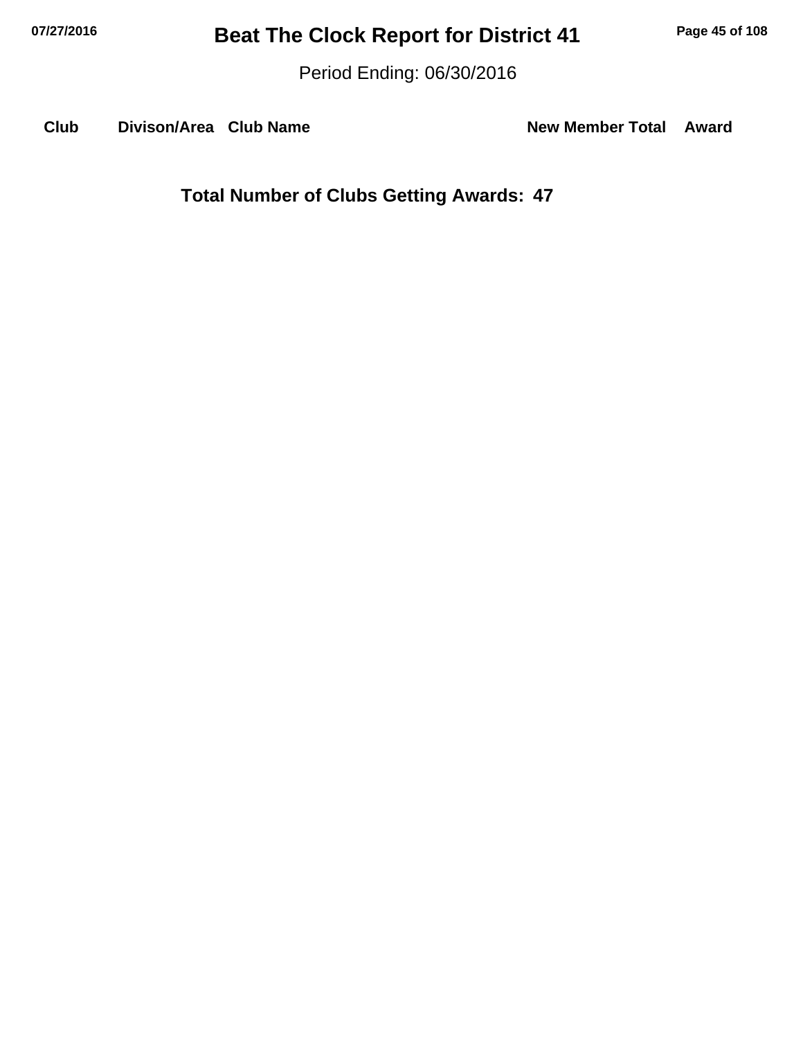Period Ending: 06/30/2016

**Club Divison/Area Club Name New Member Total Award**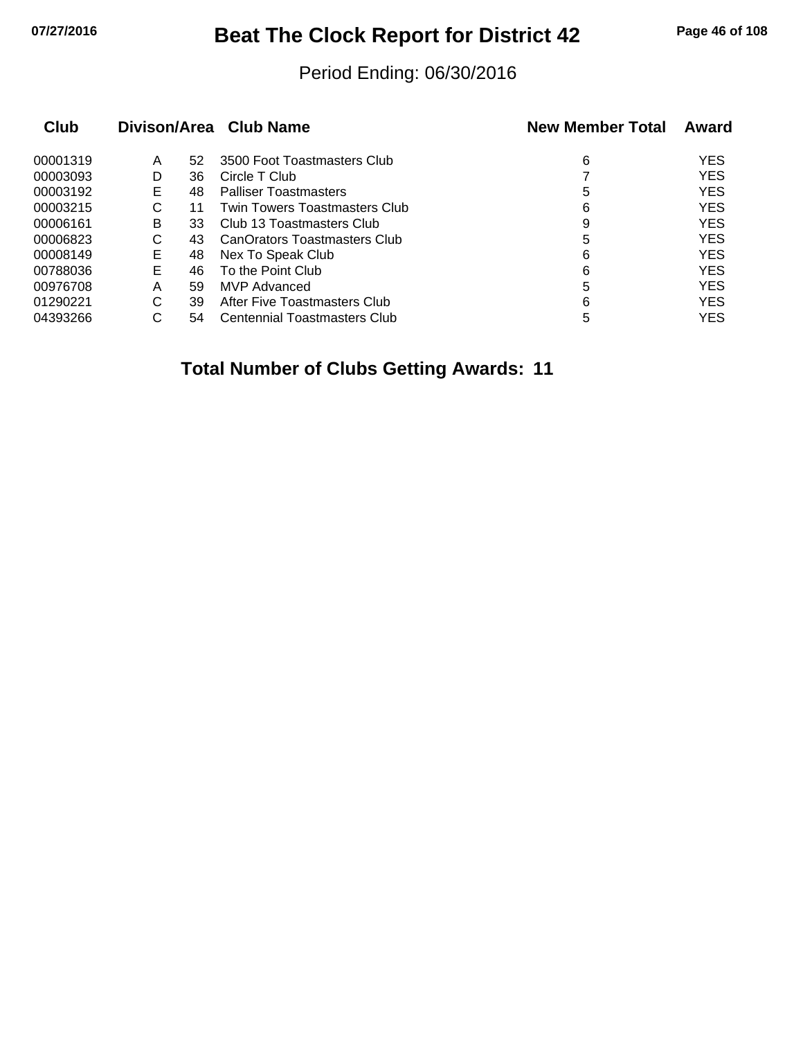## **07/27/2016 Beat The Clock Report for District 42 Page 46 of 108**

#### Period Ending: 06/30/2016

| Club     |    |    | Divison/Area Club Name              | <b>New Member Total</b> | Award      |
|----------|----|----|-------------------------------------|-------------------------|------------|
| 00001319 | Α  | 52 | 3500 Foot Toastmasters Club         | 6                       | <b>YES</b> |
| 00003093 | D  | 36 | Circle T Club                       |                         | <b>YES</b> |
| 00003192 | E. | 48 | <b>Palliser Toastmasters</b>        | 5                       | <b>YES</b> |
| 00003215 | C  | 11 | Twin Towers Toastmasters Club       | 6                       | <b>YES</b> |
| 00006161 | B  | 33 | Club 13 Toastmasters Club           | 9                       | <b>YES</b> |
| 00006823 | C  | 43 | CanOrators Toastmasters Club        | 5                       | <b>YES</b> |
| 00008149 | Е  | 48 | Nex To Speak Club                   | 6                       | <b>YES</b> |
| 00788036 | Е  | 46 | To the Point Club                   | 6                       | <b>YES</b> |
| 00976708 | Α  | 59 | MVP Advanced                        | 5                       | <b>YES</b> |
| 01290221 | C  | 39 | After Five Toastmasters Club        | 6                       | <b>YES</b> |
| 04393266 | C  | 54 | <b>Centennial Toastmasters Club</b> | 5                       | <b>YES</b> |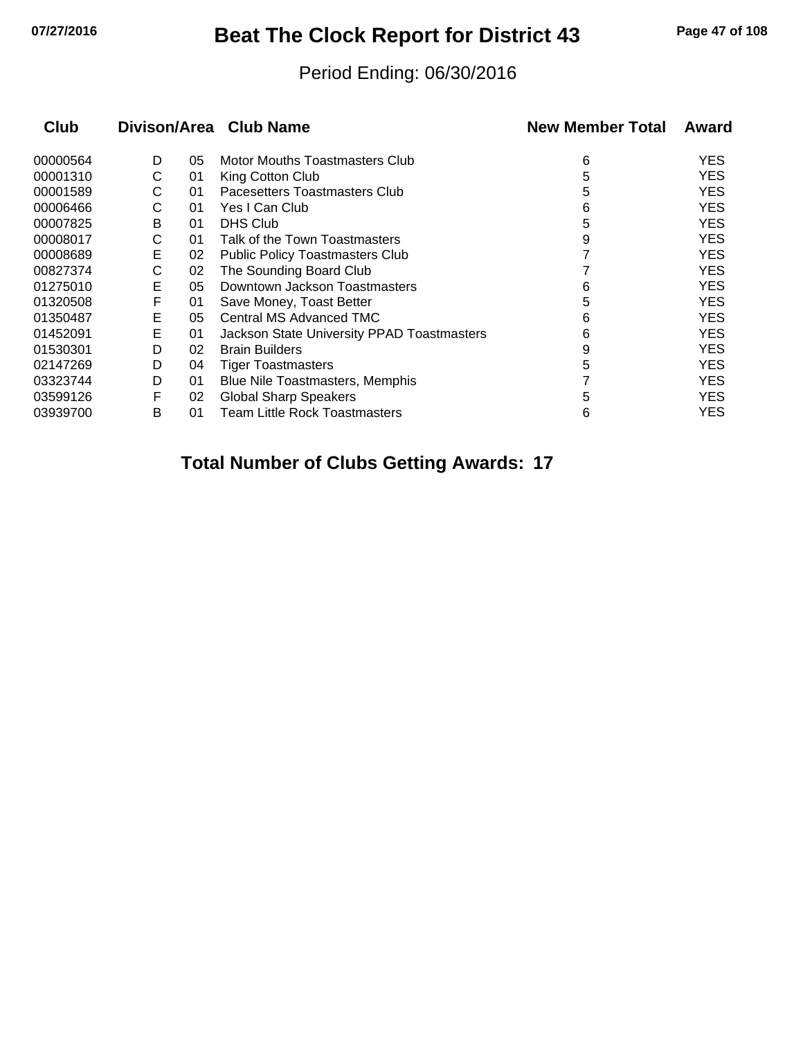## **07/27/2016 Beat The Clock Report for District 43 Page 47 of 108**

#### Period Ending: 06/30/2016

| <b>Club</b> |   |    | Divison/Area Club Name                     | <b>New Member Total</b> | Award      |
|-------------|---|----|--------------------------------------------|-------------------------|------------|
| 00000564    | D | 05 | Motor Mouths Toastmasters Club             | 6                       | <b>YES</b> |
| 00001310    | С | 01 | King Cotton Club                           | 5                       | <b>YES</b> |
| 00001589    | C | 01 | Pacesetters Toastmasters Club              | 5                       | <b>YES</b> |
| 00006466    | С | 01 | Yes I Can Club                             | 6                       | <b>YES</b> |
| 00007825    | В | 01 | <b>DHS Club</b>                            | 5                       | <b>YES</b> |
| 00008017    | С | 01 | Talk of the Town Toastmasters              | 9                       | <b>YES</b> |
| 00008689    | Е | 02 | <b>Public Policy Toastmasters Club</b>     |                         | <b>YES</b> |
| 00827374    | С | 02 | The Sounding Board Club                    |                         | <b>YES</b> |
| 01275010    | Е | 05 | Downtown Jackson Toastmasters              | 6                       | <b>YES</b> |
| 01320508    | F | 01 | Save Money, Toast Better                   | 5                       | <b>YES</b> |
| 01350487    | Е | 05 | Central MS Advanced TMC                    | 6                       | <b>YES</b> |
| 01452091    | E | 01 | Jackson State University PPAD Toastmasters | 6                       | <b>YES</b> |
| 01530301    | D | 02 | <b>Brain Builders</b>                      | 9                       | <b>YES</b> |
| 02147269    | D | 04 | <b>Tiger Toastmasters</b>                  | 5                       | <b>YES</b> |
| 03323744    | D | 01 | <b>Blue Nile Toastmasters, Memphis</b>     |                         | <b>YES</b> |
| 03599126    | F | 02 | <b>Global Sharp Speakers</b>               | 5                       | <b>YES</b> |
| 03939700    | B | 01 | Team Little Rock Toastmasters              | 6                       | <b>YES</b> |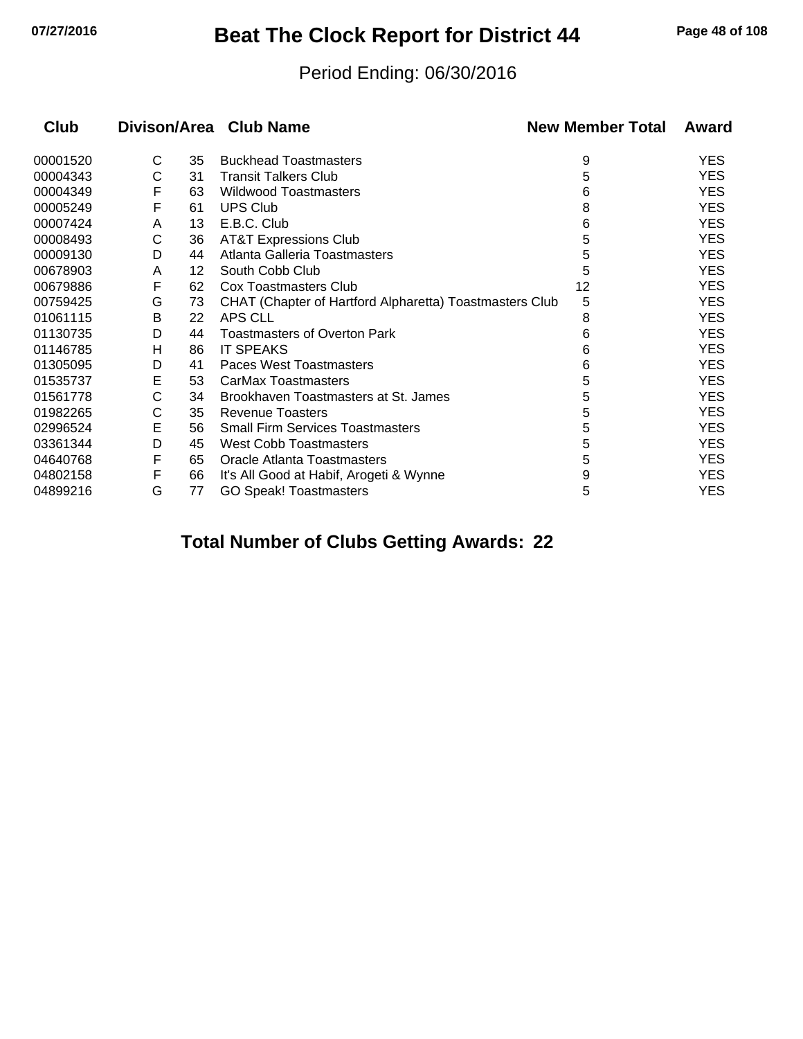## **07/27/2016 Beat The Clock Report for District 44 Page 48 of 108**

#### Period Ending: 06/30/2016

| <b>Club</b> |   |    | Divison/Area Club Name                                  | <b>New Member Total</b> | Award      |
|-------------|---|----|---------------------------------------------------------|-------------------------|------------|
| 00001520    | С | 35 | <b>Buckhead Toastmasters</b>                            | 9                       | <b>YES</b> |
| 00004343    | С | 31 | <b>Transit Talkers Club</b>                             | 5                       | <b>YES</b> |
| 00004349    | F | 63 | <b>Wildwood Toastmasters</b>                            | 6                       | <b>YES</b> |
| 00005249    | F | 61 | <b>UPS Club</b>                                         | 8                       | <b>YES</b> |
| 00007424    | A | 13 | E.B.C. Club                                             | 6                       | <b>YES</b> |
| 00008493    | С | 36 | <b>AT&amp;T Expressions Club</b>                        | 5                       | <b>YES</b> |
| 00009130    | D | 44 | Atlanta Galleria Toastmasters                           | 5                       | <b>YES</b> |
| 00678903    | A | 12 | South Cobb Club                                         | 5                       | <b>YES</b> |
| 00679886    | F | 62 | Cox Toastmasters Club                                   | 12                      | <b>YES</b> |
| 00759425    | G | 73 | CHAT (Chapter of Hartford Alpharetta) Toastmasters Club | 5                       | <b>YES</b> |
| 01061115    | B | 22 | APS CLL                                                 | 8                       | <b>YES</b> |
| 01130735    | D | 44 | <b>Toastmasters of Overton Park</b>                     | 6                       | <b>YES</b> |
| 01146785    | н | 86 | <b>IT SPEAKS</b>                                        | 6                       | <b>YES</b> |
| 01305095    | D | 41 | Paces West Toastmasters                                 | 6                       | <b>YES</b> |
| 01535737    | Е | 53 | CarMax Toastmasters                                     | 5                       | <b>YES</b> |
| 01561778    | С | 34 | Brookhaven Toastmasters at St. James                    | 5                       | <b>YES</b> |
| 01982265    | С | 35 | <b>Revenue Toasters</b>                                 | 5                       | <b>YES</b> |
| 02996524    | Е | 56 | <b>Small Firm Services Toastmasters</b>                 | 5                       | <b>YES</b> |
| 03361344    | D | 45 | <b>West Cobb Toastmasters</b>                           | 5                       | <b>YES</b> |
| 04640768    | F | 65 | Oracle Atlanta Toastmasters                             | 5                       | <b>YES</b> |
| 04802158    | F | 66 | It's All Good at Habif, Arogeti & Wynne                 | 9                       | <b>YES</b> |
| 04899216    | G | 77 | <b>GO Speak! Toastmasters</b>                           | 5                       | <b>YES</b> |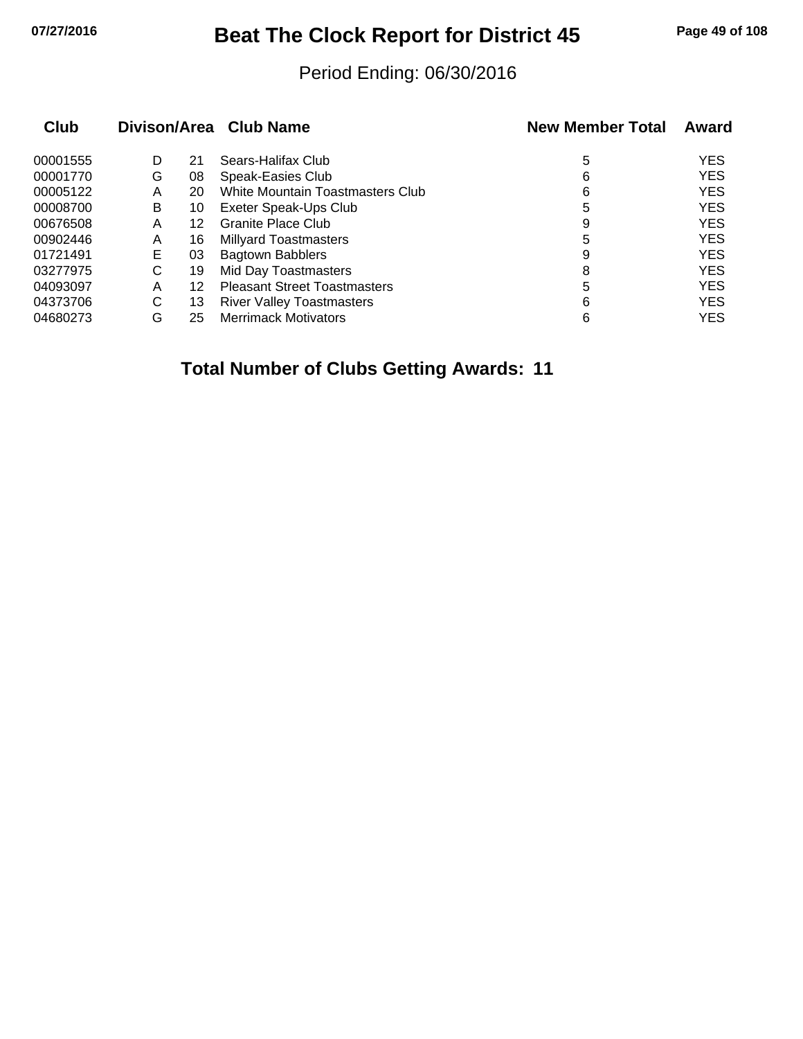## **07/27/2016 Beat The Clock Report for District 45 Page 49 of 108**

#### Period Ending: 06/30/2016

| Club     |   |    | Divison/Area Club Name              | <b>New Member Total</b> | Award      |
|----------|---|----|-------------------------------------|-------------------------|------------|
| 00001555 | D | 21 | Sears-Halifax Club                  | 5                       | <b>YES</b> |
| 00001770 | G | 08 | Speak-Easies Club                   | 6                       | <b>YES</b> |
| 00005122 | A | 20 | White Mountain Toastmasters Club    | 6                       | <b>YES</b> |
| 00008700 | B | 10 | Exeter Speak-Ups Club               | 5                       | <b>YES</b> |
| 00676508 | Α | 12 | <b>Granite Place Club</b>           | 9                       | <b>YES</b> |
| 00902446 | A | 16 | <b>Millyard Toastmasters</b>        | 5                       | <b>YES</b> |
| 01721491 | Е | 03 | <b>Bagtown Babblers</b>             | 9                       | <b>YES</b> |
| 03277975 | C | 19 | Mid Day Toastmasters                | 8                       | <b>YES</b> |
| 04093097 | A | 12 | <b>Pleasant Street Toastmasters</b> | 5                       | <b>YES</b> |
| 04373706 | С | 13 | <b>River Valley Toastmasters</b>    | 6                       | <b>YES</b> |
| 04680273 | G | 25 | <b>Merrimack Motivators</b>         | 6                       | <b>YES</b> |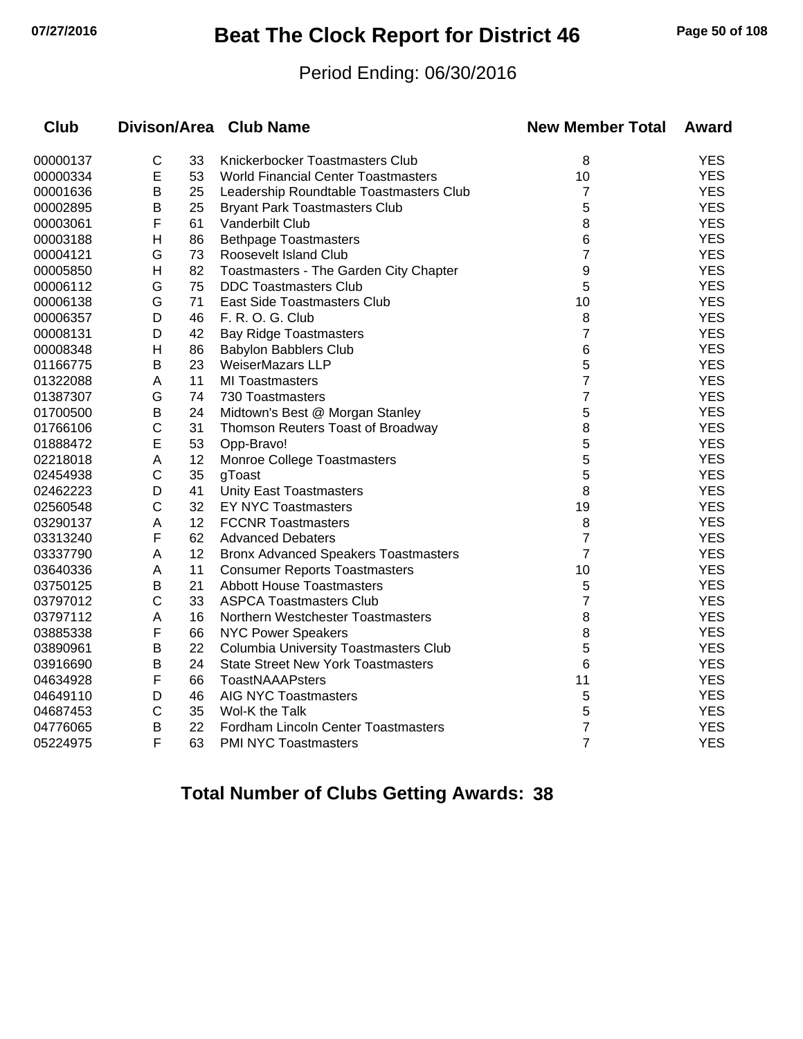# **07/27/2016 Beat The Clock Report for District 46 Page 50 of 108**

#### Period Ending: 06/30/2016

| Club     |                |    | Divison/Area Club Name                       | <b>New Member Total</b> | Award      |
|----------|----------------|----|----------------------------------------------|-------------------------|------------|
| 00000137 | C              | 33 | Knickerbocker Toastmasters Club              | 8                       | <b>YES</b> |
| 00000334 | E              | 53 | <b>World Financial Center Toastmasters</b>   | 10                      | <b>YES</b> |
| 00001636 | B              | 25 | Leadership Roundtable Toastmasters Club      | 7                       | <b>YES</b> |
| 00002895 | B              | 25 | <b>Bryant Park Toastmasters Club</b>         | 5                       | <b>YES</b> |
| 00003061 | F              | 61 | Vanderbilt Club                              | 8                       | <b>YES</b> |
| 00003188 | $\overline{H}$ | 86 | <b>Bethpage Toastmasters</b>                 | 6                       | <b>YES</b> |
| 00004121 | G              | 73 | Roosevelt Island Club                        | 7                       | <b>YES</b> |
| 00005850 | H              | 82 | Toastmasters - The Garden City Chapter       | 9                       | <b>YES</b> |
| 00006112 | G              | 75 | <b>DDC Toastmasters Club</b>                 | 5                       | <b>YES</b> |
| 00006138 | G              | 71 | East Side Toastmasters Club                  | 10                      | <b>YES</b> |
| 00006357 | D              | 46 | F. R. O. G. Club                             | 8                       | <b>YES</b> |
| 00008131 | D              | 42 | <b>Bay Ridge Toastmasters</b>                | 7                       | <b>YES</b> |
| 00008348 | н              | 86 | <b>Babylon Babblers Club</b>                 | 6                       | <b>YES</b> |
| 01166775 | B              | 23 | WeiserMazars LLP                             | 5                       | <b>YES</b> |
| 01322088 | Α              | 11 | <b>MI Toastmasters</b>                       | $\overline{7}$          | <b>YES</b> |
| 01387307 | G              | 74 | 730 Toastmasters                             | 7                       | <b>YES</b> |
| 01700500 | B              | 24 | Midtown's Best @ Morgan Stanley              | 5                       | <b>YES</b> |
| 01766106 | С              | 31 | Thomson Reuters Toast of Broadway            | 8                       | <b>YES</b> |
| 01888472 | E              | 53 | Opp-Bravo!                                   | 5                       | <b>YES</b> |
| 02218018 | A              | 12 | Monroe College Toastmasters                  | 5                       | <b>YES</b> |
| 02454938 | C              | 35 | gToast                                       | 5                       | <b>YES</b> |
| 02462223 | D              | 41 | <b>Unity East Toastmasters</b>               | 8                       | <b>YES</b> |
| 02560548 | C              | 32 | <b>EY NYC Toastmasters</b>                   | 19                      | <b>YES</b> |
| 03290137 | Α              | 12 | <b>FCCNR Toastmasters</b>                    | 8                       | <b>YES</b> |
| 03313240 | F              | 62 | <b>Advanced Debaters</b>                     | $\overline{7}$          | <b>YES</b> |
| 03337790 | A              | 12 | <b>Bronx Advanced Speakers Toastmasters</b>  | $\overline{7}$          | <b>YES</b> |
| 03640336 | Α              | 11 | <b>Consumer Reports Toastmasters</b>         | 10                      | <b>YES</b> |
| 03750125 | Β              | 21 | <b>Abbott House Toastmasters</b>             | 5                       | <b>YES</b> |
| 03797012 | C              | 33 | <b>ASPCA Toastmasters Club</b>               | $\overline{7}$          | <b>YES</b> |
| 03797112 | A              | 16 | Northern Westchester Toastmasters            | 8                       | <b>YES</b> |
| 03885338 | F              | 66 | <b>NYC Power Speakers</b>                    | 8                       | <b>YES</b> |
| 03890961 | B              | 22 | <b>Columbia University Toastmasters Club</b> | 5                       | <b>YES</b> |
| 03916690 | Β              | 24 | <b>State Street New York Toastmasters</b>    | 6                       | <b>YES</b> |
| 04634928 | F              | 66 | <b>ToastNAAAPsters</b>                       | 11                      | <b>YES</b> |
| 04649110 | D              | 46 | AIG NYC Toastmasters                         | 5                       | <b>YES</b> |
| 04687453 | $\mathsf C$    | 35 | Wol-K the Talk                               | 5                       | <b>YES</b> |
| 04776065 | B              | 22 | Fordham Lincoln Center Toastmasters          | $\overline{7}$          | <b>YES</b> |
| 05224975 | F              | 63 | <b>PMI NYC Toastmasters</b>                  | $\overline{7}$          | <b>YES</b> |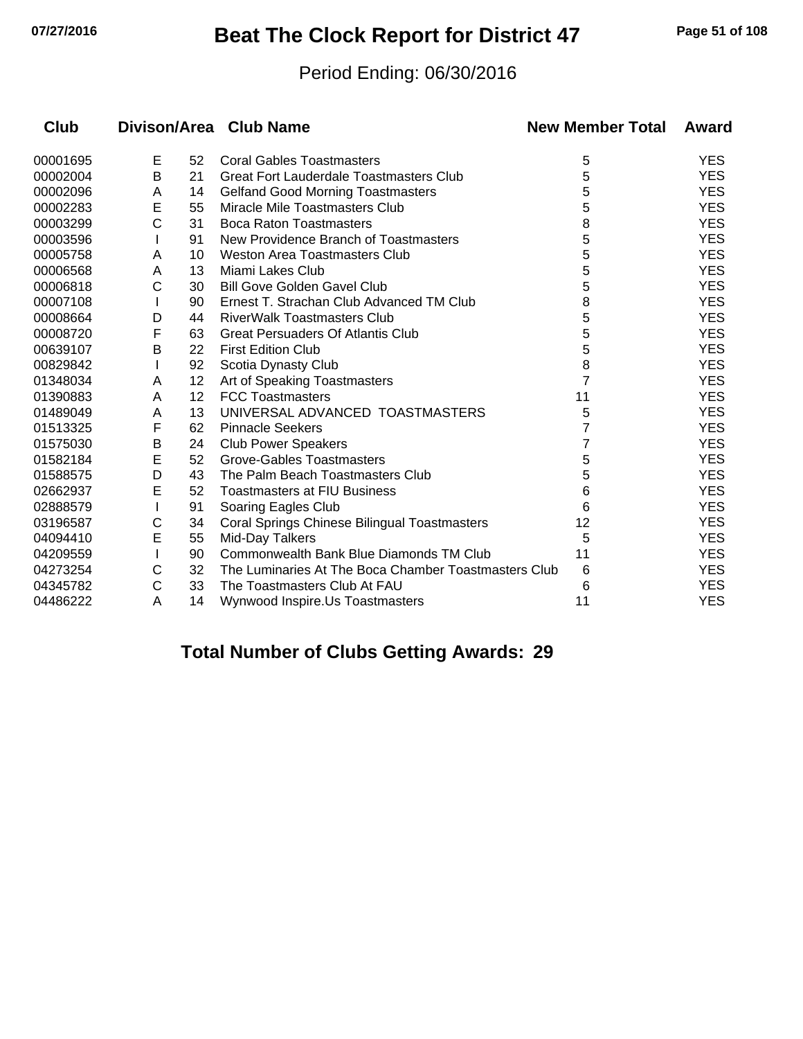# **07/27/2016 Beat The Clock Report for District 47 Page 51 of 108**

#### Period Ending: 06/30/2016

| Club     |   |    | Divison/Area Club Name                               | <b>New Member Total</b> | Award      |
|----------|---|----|------------------------------------------------------|-------------------------|------------|
| 00001695 | E | 52 | <b>Coral Gables Toastmasters</b>                     | 5                       | <b>YES</b> |
| 00002004 | B | 21 | <b>Great Fort Lauderdale Toastmasters Club</b>       | 5                       | <b>YES</b> |
| 00002096 | A | 14 | <b>Gelfand Good Morning Toastmasters</b>             | 5                       | <b>YES</b> |
| 00002283 | E | 55 | Miracle Mile Toastmasters Club                       | 5                       | <b>YES</b> |
| 00003299 | Ć | 31 | <b>Boca Raton Toastmasters</b>                       | 8                       | <b>YES</b> |
| 00003596 |   | 91 | New Providence Branch of Toastmasters                | 5                       | <b>YES</b> |
| 00005758 | A | 10 | <b>Weston Area Toastmasters Club</b>                 | 5                       | <b>YES</b> |
| 00006568 | Α | 13 | Miami Lakes Club                                     | 5                       | <b>YES</b> |
| 00006818 | C | 30 | <b>Bill Gove Golden Gavel Club</b>                   | 5                       | <b>YES</b> |
| 00007108 |   | 90 | Ernest T. Strachan Club Advanced TM Club             | 8                       | <b>YES</b> |
| 00008664 | D | 44 | <b>RiverWalk Toastmasters Club</b>                   | 5                       | <b>YES</b> |
| 00008720 | F | 63 | <b>Great Persuaders Of Atlantis Club</b>             | 5                       | <b>YES</b> |
| 00639107 | B | 22 | <b>First Edition Club</b>                            | 5                       | <b>YES</b> |
| 00829842 |   | 92 | Scotia Dynasty Club                                  | 8                       | <b>YES</b> |
| 01348034 | Α | 12 | Art of Speaking Toastmasters                         | 7                       | <b>YES</b> |
| 01390883 | A | 12 | <b>FCC Toastmasters</b>                              | 11                      | <b>YES</b> |
| 01489049 | Α | 13 | UNIVERSAL ADVANCED TOASTMASTERS                      | 5                       | <b>YES</b> |
| 01513325 | F | 62 | <b>Pinnacle Seekers</b>                              |                         | <b>YES</b> |
| 01575030 | В | 24 | <b>Club Power Speakers</b>                           | 7                       | <b>YES</b> |
| 01582184 | E | 52 | Grove-Gables Toastmasters                            | 5                       | <b>YES</b> |
| 01588575 | D | 43 | The Palm Beach Toastmasters Club                     | 5                       | <b>YES</b> |
| 02662937 | E | 52 | <b>Toastmasters at FIU Business</b>                  | 6                       | <b>YES</b> |
| 02888579 |   | 91 | Soaring Eagles Club                                  | 6                       | <b>YES</b> |
| 03196587 | С | 34 | Coral Springs Chinese Bilingual Toastmasters         | 12                      | <b>YES</b> |
| 04094410 | E | 55 | Mid-Day Talkers                                      | 5                       | <b>YES</b> |
| 04209559 |   | 90 | Commonwealth Bank Blue Diamonds TM Club              | 11                      | <b>YES</b> |
| 04273254 | С | 32 | The Luminaries At The Boca Chamber Toastmasters Club | 6                       | <b>YES</b> |
| 04345782 | С | 33 | The Toastmasters Club At FAU                         | 6                       | <b>YES</b> |
| 04486222 | Α | 14 | Wynwood Inspire.Us Toastmasters                      | 11                      | <b>YES</b> |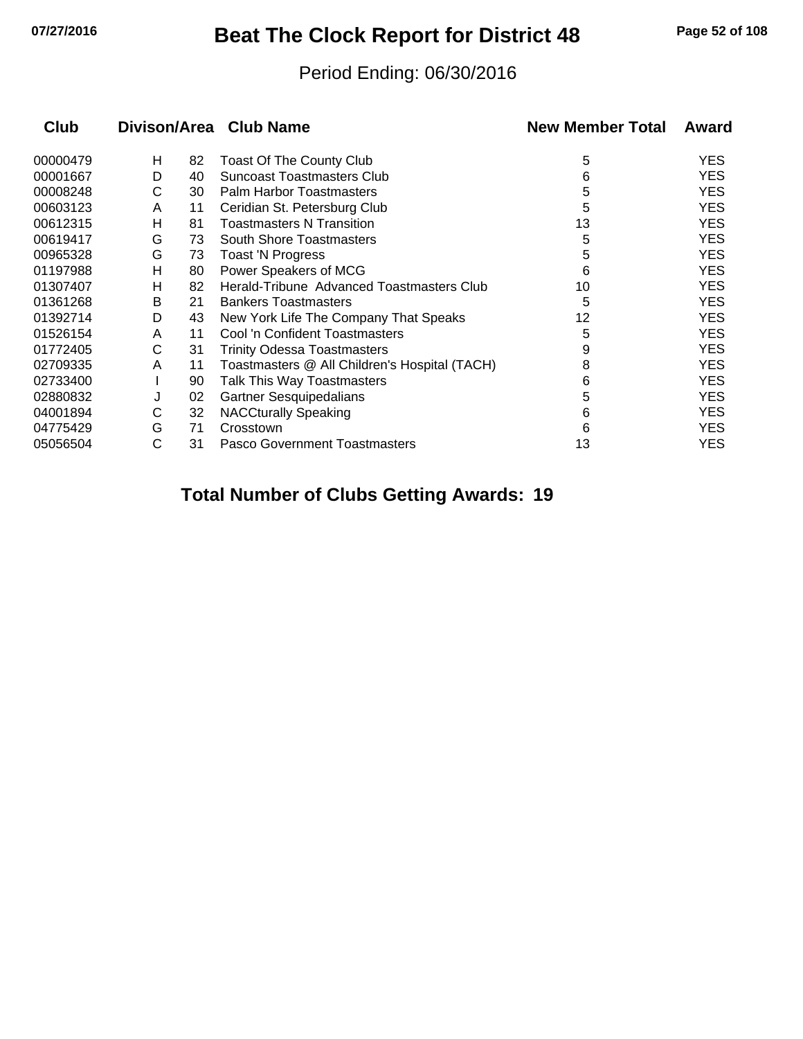## **07/27/2016 Beat The Clock Report for District 48 Page 52 of 108**

#### Period Ending: 06/30/2016

| Club     |   |    | Divison/Area Club Name                        | <b>New Member Total</b> | Award      |
|----------|---|----|-----------------------------------------------|-------------------------|------------|
| 00000479 | н | 82 | <b>Toast Of The County Club</b>               | 5                       | <b>YES</b> |
| 00001667 | D | 40 | <b>Suncoast Toastmasters Club</b>             | 6                       | <b>YES</b> |
| 00008248 | С | 30 | Palm Harbor Toastmasters                      | 5                       | <b>YES</b> |
| 00603123 | A | 11 | Ceridian St. Petersburg Club                  | 5                       | <b>YES</b> |
| 00612315 | н | 81 | <b>Toastmasters N Transition</b>              | 13                      | <b>YES</b> |
| 00619417 | G | 73 | <b>South Shore Toastmasters</b>               | 5                       | <b>YES</b> |
| 00965328 | G | 73 | <b>Toast 'N Progress</b>                      | 5                       | <b>YES</b> |
| 01197988 | н | 80 | Power Speakers of MCG                         | 6                       | <b>YES</b> |
| 01307407 | н | 82 | Herald-Tribune Advanced Toastmasters Club     | 10                      | <b>YES</b> |
| 01361268 | В | 21 | <b>Bankers Toastmasters</b>                   | 5                       | <b>YES</b> |
| 01392714 | D | 43 | New York Life The Company That Speaks         | 12                      | <b>YES</b> |
| 01526154 | A | 11 | Cool 'n Confident Toastmasters                | 5                       | <b>YES</b> |
| 01772405 | С | 31 | <b>Trinity Odessa Toastmasters</b>            | 9                       | <b>YES</b> |
| 02709335 | A | 11 | Toastmasters @ All Children's Hospital (TACH) | 8                       | <b>YES</b> |
| 02733400 |   | 90 | Talk This Way Toastmasters                    | 6                       | <b>YES</b> |
| 02880832 | J | 02 | <b>Gartner Sesquipedalians</b>                | 5                       | <b>YES</b> |
| 04001894 | С | 32 | <b>NACCturally Speaking</b>                   | 6                       | <b>YES</b> |
| 04775429 | G | 71 | Crosstown                                     | 6                       | <b>YES</b> |
| 05056504 | C | 31 | Pasco Government Toastmasters                 | 13                      | <b>YES</b> |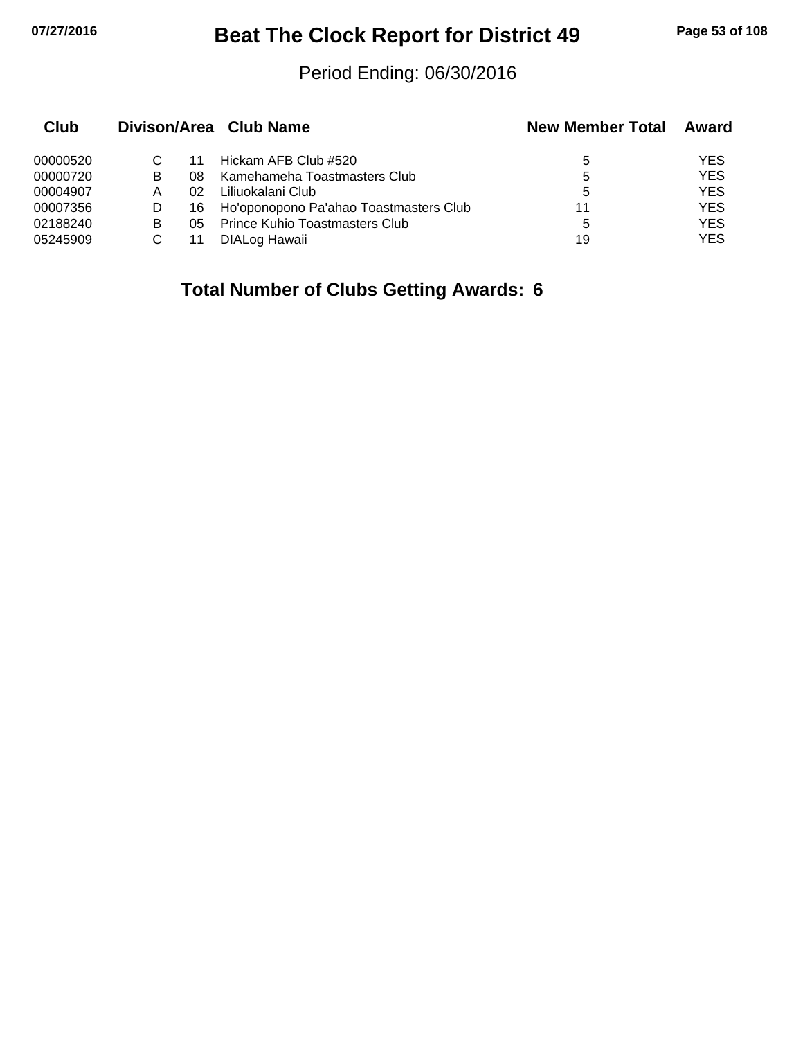# **07/27/2016 Beat The Clock Report for District 49 Page 53 of 108**

#### Period Ending: 06/30/2016

| Club     |   |     | Divison/Area Club Name                 | <b>New Member Total</b> | Award      |
|----------|---|-----|----------------------------------------|-------------------------|------------|
| 00000520 |   | 11  | Hickam AFB Club #520                   | 5                       | <b>YES</b> |
| 00000720 | В | 08  | Kamehameha Toastmasters Club           | 5                       | <b>YES</b> |
| 00004907 | А | በ2  | Liliuokalani Club                      | 5                       | <b>YES</b> |
| 00007356 |   | 16. | Ho'oponopono Pa'ahao Toastmasters Club | 11                      | <b>YES</b> |
| 02188240 | В | 05. | <b>Prince Kuhio Toastmasters Club</b>  | 5                       | <b>YES</b> |
| 05245909 |   |     | DIALog Hawaii                          | 19                      | YES        |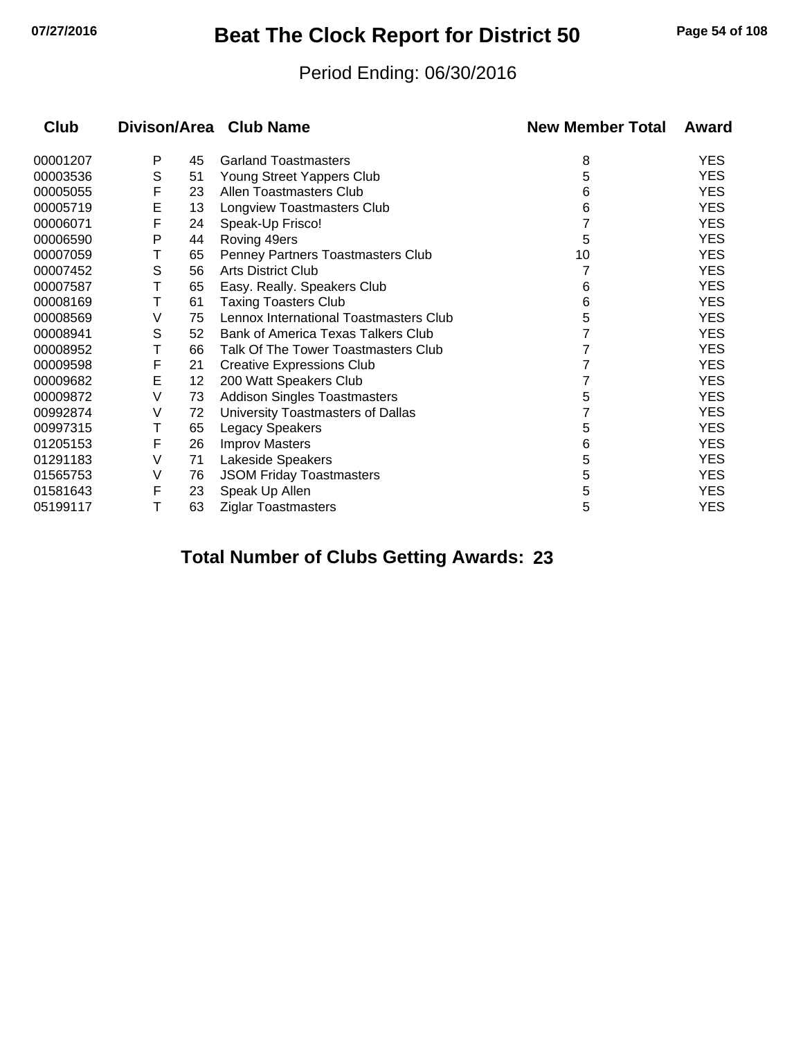## **07/27/2016 Beat The Clock Report for District 50 Page 54 of 108**

#### Period Ending: 06/30/2016

| Club     |   |    | Divison/Area Club Name                 | <b>New Member Total</b> | Award      |
|----------|---|----|----------------------------------------|-------------------------|------------|
| 00001207 | Р | 45 | <b>Garland Toastmasters</b>            | 8                       | <b>YES</b> |
| 00003536 | S | 51 | Young Street Yappers Club              | 5                       | <b>YES</b> |
| 00005055 | F | 23 | Allen Toastmasters Club                | 6                       | <b>YES</b> |
| 00005719 | E | 13 | Longview Toastmasters Club             | 6                       | <b>YES</b> |
| 00006071 | F | 24 | Speak-Up Frisco!                       |                         | <b>YES</b> |
| 00006590 | P | 44 | Roving 49ers                           | 5                       | <b>YES</b> |
| 00007059 | Τ | 65 | Penney Partners Toastmasters Club      | 10                      | <b>YES</b> |
| 00007452 | S | 56 | <b>Arts District Club</b>              |                         | <b>YES</b> |
| 00007587 | Τ | 65 | Easy. Really. Speakers Club            | 6                       | <b>YES</b> |
| 00008169 | Т | 61 | <b>Taxing Toasters Club</b>            | 6                       | <b>YES</b> |
| 00008569 | V | 75 | Lennox International Toastmasters Club | 5                       | <b>YES</b> |
| 00008941 | S | 52 | Bank of America Texas Talkers Club     |                         | <b>YES</b> |
| 00008952 | Τ | 66 | Talk Of The Tower Toastmasters Club    |                         | <b>YES</b> |
| 00009598 | F | 21 | <b>Creative Expressions Club</b>       |                         | <b>YES</b> |
| 00009682 | E | 12 | 200 Watt Speakers Club                 |                         | <b>YES</b> |
| 00009872 | V | 73 | <b>Addison Singles Toastmasters</b>    | 5                       | <b>YES</b> |
| 00992874 | V | 72 | University Toastmasters of Dallas      |                         | <b>YES</b> |
| 00997315 | Т | 65 | <b>Legacy Speakers</b>                 | 5                       | <b>YES</b> |
| 01205153 | F | 26 | <b>Improv Masters</b>                  | 6                       | <b>YES</b> |
| 01291183 | V | 71 | Lakeside Speakers                      | 5                       | <b>YES</b> |
| 01565753 | V | 76 | <b>JSOM Friday Toastmasters</b>        | 5                       | <b>YES</b> |
| 01581643 | F | 23 | Speak Up Allen                         | 5                       | <b>YES</b> |
| 05199117 | Т | 63 | <b>Ziglar Toastmasters</b>             | 5                       | <b>YES</b> |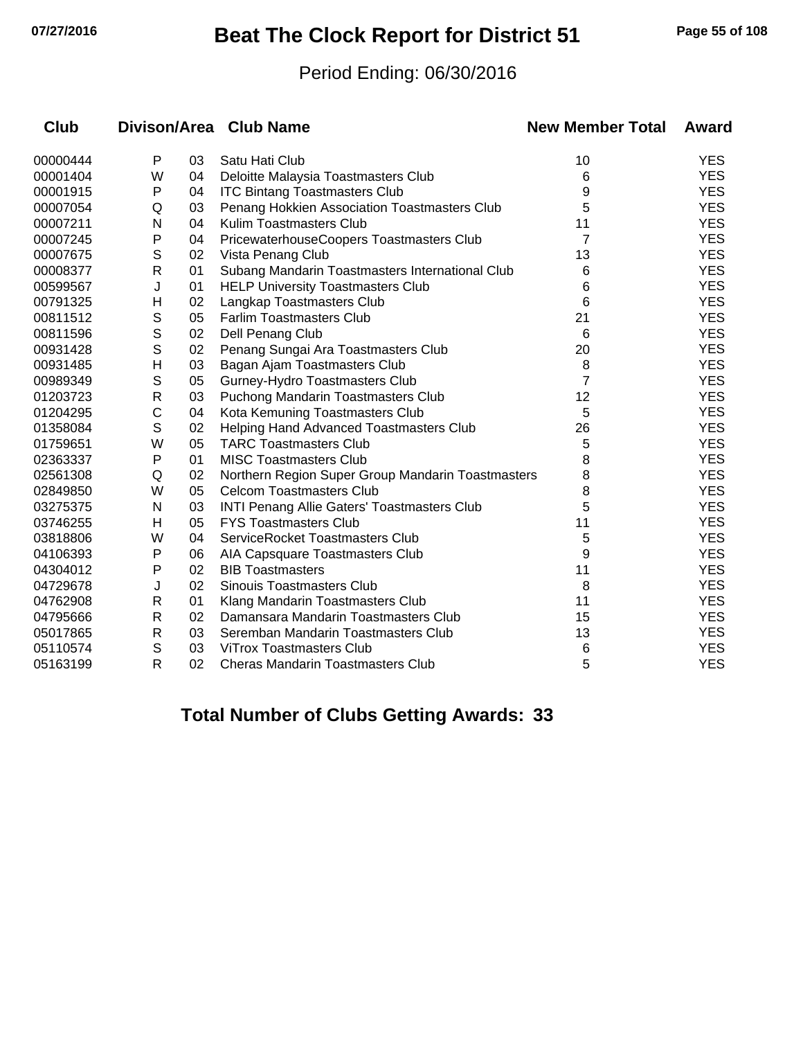## **07/27/2016 Beat The Clock Report for District 51 Page 55 of 108**

#### Period Ending: 06/30/2016

| <b>Club</b> |              |    | Divison/Area Club Name                             | <b>New Member Total</b> | Award      |
|-------------|--------------|----|----------------------------------------------------|-------------------------|------------|
| 00000444    | P            | 03 | Satu Hati Club                                     | 10                      | <b>YES</b> |
| 00001404    | W            | 04 | Deloitte Malaysia Toastmasters Club                | 6                       | <b>YES</b> |
| 00001915    | P            | 04 | <b>ITC Bintang Toastmasters Club</b>               | 9                       | <b>YES</b> |
| 00007054    | Q            | 03 | Penang Hokkien Association Toastmasters Club       | 5                       | <b>YES</b> |
| 00007211    | N            | 04 | Kulim Toastmasters Club                            | 11                      | <b>YES</b> |
| 00007245    | P            | 04 | PricewaterhouseCoopers Toastmasters Club           | 7                       | <b>YES</b> |
| 00007675    | S            | 02 | Vista Penang Club                                  | 13                      | <b>YES</b> |
| 00008377    | R            | 01 | Subang Mandarin Toastmasters International Club    | 6                       | <b>YES</b> |
| 00599567    | J            | 01 | <b>HELP University Toastmasters Club</b>           | 6                       | <b>YES</b> |
| 00791325    | H            | 02 | Langkap Toastmasters Club                          | 6                       | <b>YES</b> |
| 00811512    | $\mathsf S$  | 05 | <b>Farlim Toastmasters Club</b>                    | 21                      | <b>YES</b> |
| 00811596    | $\mathsf S$  | 02 | Dell Penang Club                                   | 6                       | <b>YES</b> |
| 00931428    | $\mathsf{S}$ | 02 | Penang Sungai Ara Toastmasters Club                | 20                      | <b>YES</b> |
| 00931485    | Н            | 03 | Bagan Ajam Toastmasters Club                       | 8                       | <b>YES</b> |
| 00989349    | S            | 05 | Gurney-Hydro Toastmasters Club                     | 7                       | <b>YES</b> |
| 01203723    | $\mathsf{R}$ | 03 | Puchong Mandarin Toastmasters Club                 | 12                      | <b>YES</b> |
| 01204295    | C            | 04 | Kota Kemuning Toastmasters Club                    | 5                       | <b>YES</b> |
| 01358084    | $\mathsf S$  | 02 | Helping Hand Advanced Toastmasters Club            | 26                      | <b>YES</b> |
| 01759651    | W            | 05 | <b>TARC Toastmasters Club</b>                      | 5                       | <b>YES</b> |
| 02363337    | P            | 01 | <b>MISC Toastmasters Club</b>                      | 8                       | <b>YES</b> |
| 02561308    | Q            | 02 | Northern Region Super Group Mandarin Toastmasters  | 8                       | <b>YES</b> |
| 02849850    | W            | 05 | <b>Celcom Toastmasters Club</b>                    | 8                       | <b>YES</b> |
| 03275375    | N            | 03 | <b>INTI Penang Allie Gaters' Toastmasters Club</b> | 5                       | <b>YES</b> |
| 03746255    | Н            | 05 | <b>FYS Toastmasters Club</b>                       | 11                      | <b>YES</b> |
| 03818806    | W            | 04 | ServiceRocket Toastmasters Club                    | 5                       | <b>YES</b> |
| 04106393    | Ρ            | 06 | AIA Capsquare Toastmasters Club                    | 9                       | <b>YES</b> |
| 04304012    | P            | 02 | <b>BIB Toastmasters</b>                            | 11                      | <b>YES</b> |
| 04729678    | J            | 02 | <b>Sinouis Toastmasters Club</b>                   | 8                       | <b>YES</b> |
| 04762908    | R            | 01 | Klang Mandarin Toastmasters Club                   | 11                      | <b>YES</b> |
| 04795666    | R            | 02 | Damansara Mandarin Toastmasters Club               | 15                      | <b>YES</b> |
| 05017865    | $\mathsf{R}$ | 03 | Seremban Mandarin Toastmasters Club                | 13                      | <b>YES</b> |
| 05110574    | S            | 03 | <b>ViTrox Toastmasters Club</b>                    | 6                       | <b>YES</b> |
| 05163199    | $\mathsf{R}$ | 02 | Cheras Mandarin Toastmasters Club                  | 5                       | <b>YES</b> |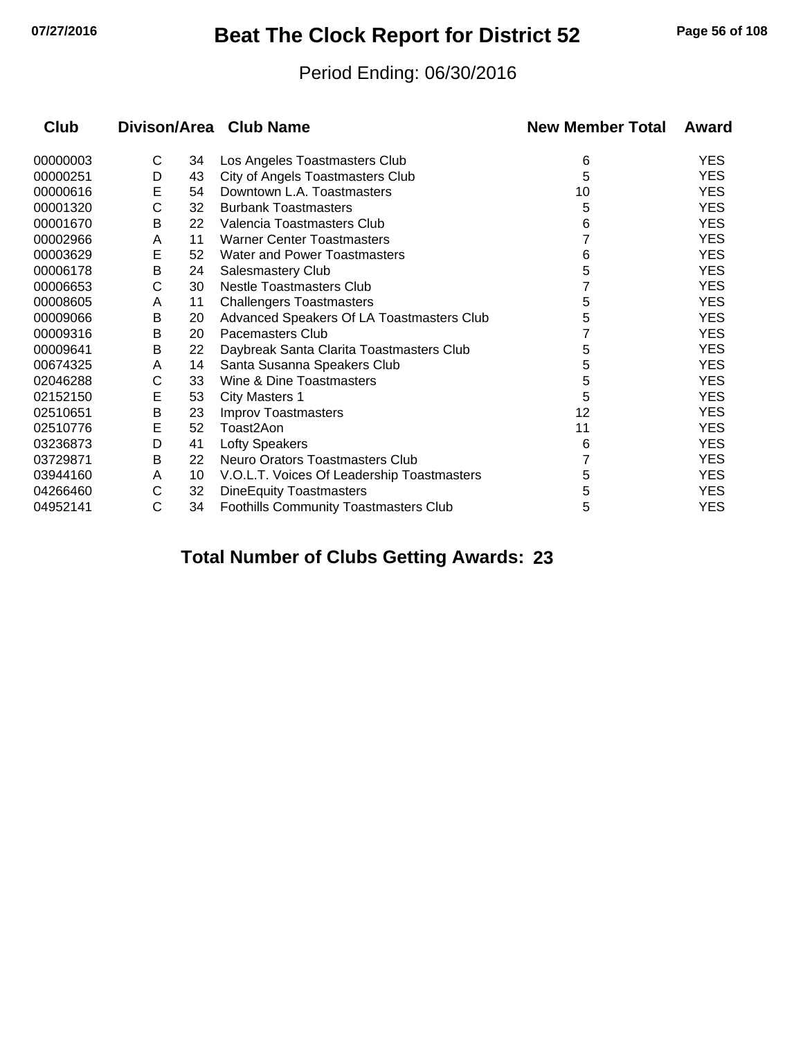## **07/27/2016 Beat The Clock Report for District 52 Page 56 of 108**

#### Period Ending: 06/30/2016

| Club     |   |    | Divison/Area Club Name                     | <b>New Member Total</b> | Award      |
|----------|---|----|--------------------------------------------|-------------------------|------------|
| 00000003 | С | 34 | Los Angeles Toastmasters Club              | 6                       | <b>YES</b> |
| 00000251 | D | 43 | City of Angels Toastmasters Club           | 5                       | <b>YES</b> |
| 00000616 | E | 54 | Downtown L.A. Toastmasters                 | 10                      | <b>YES</b> |
| 00001320 | C | 32 | <b>Burbank Toastmasters</b>                | 5                       | <b>YES</b> |
| 00001670 | В | 22 | Valencia Toastmasters Club                 | 6                       | <b>YES</b> |
| 00002966 | A | 11 | <b>Warner Center Toastmasters</b>          |                         | <b>YES</b> |
| 00003629 | E | 52 | <b>Water and Power Toastmasters</b>        | 6                       | <b>YES</b> |
| 00006178 | B | 24 | Salesmastery Club                          | 5                       | <b>YES</b> |
| 00006653 | С | 30 | Nestle Toastmasters Club                   |                         | <b>YES</b> |
| 00008605 | A | 11 | <b>Challengers Toastmasters</b>            | 5                       | <b>YES</b> |
| 00009066 | B | 20 | Advanced Speakers Of LA Toastmasters Club  | 5                       | <b>YES</b> |
| 00009316 | В | 20 | Pacemasters Club                           |                         | <b>YES</b> |
| 00009641 | В | 22 | Daybreak Santa Clarita Toastmasters Club   | 5                       | YES.       |
| 00674325 | A | 14 | Santa Susanna Speakers Club                | 5                       | <b>YES</b> |
| 02046288 | С | 33 | Wine & Dine Toastmasters                   | 5                       | <b>YES</b> |
| 02152150 | E | 53 | <b>City Masters 1</b>                      | 5                       | <b>YES</b> |
| 02510651 | B | 23 | <b>Improv Toastmasters</b>                 | 12                      | <b>YES</b> |
| 02510776 | E | 52 | Toast2Aon                                  | 11                      | <b>YES</b> |
| 03236873 | D | 41 | <b>Lofty Speakers</b>                      | 6                       | <b>YES</b> |
| 03729871 | B | 22 | Neuro Orators Toastmasters Club            |                         | <b>YES</b> |
| 03944160 | A | 10 | V.O.L.T. Voices Of Leadership Toastmasters | 5                       | <b>YES</b> |
| 04266460 | С | 32 | <b>DineEquity Toastmasters</b>             | 5                       | <b>YES</b> |
| 04952141 | C | 34 | Foothills Community Toastmasters Club      | 5                       | <b>YES</b> |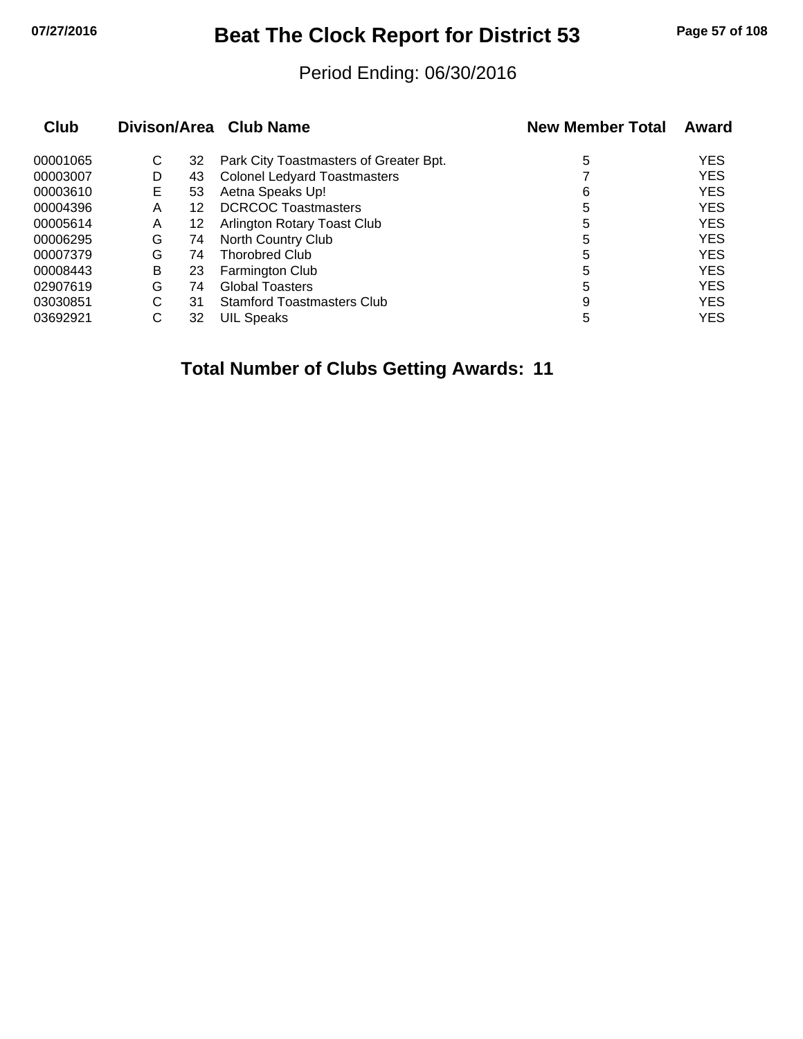## **07/27/2016 Beat The Clock Report for District 53 Page 57 of 108**

#### Period Ending: 06/30/2016

| Club     |   |    | Divison/Area Club Name                 | <b>New Member Total</b> | Award      |
|----------|---|----|----------------------------------------|-------------------------|------------|
| 00001065 | С | 32 | Park City Toastmasters of Greater Bpt. | 5                       | <b>YES</b> |
| 00003007 | D | 43 | <b>Colonel Ledyard Toastmasters</b>    |                         | <b>YES</b> |
| 00003610 | Е | 53 | Aetna Speaks Up!                       | 6                       | <b>YES</b> |
| 00004396 | Α | 12 | <b>DCRCOC Toastmasters</b>             | 5                       | <b>YES</b> |
| 00005614 | A | 12 | Arlington Rotary Toast Club            | 5                       | <b>YES</b> |
| 00006295 | G | 74 | North Country Club                     | 5                       | <b>YES</b> |
| 00007379 | G | 74 | <b>Thorobred Club</b>                  | 5                       | <b>YES</b> |
| 00008443 | B | 23 | Farmington Club                        | 5                       | <b>YES</b> |
| 02907619 | G | 74 | <b>Global Toasters</b>                 | 5                       | <b>YES</b> |
| 03030851 | С | 31 | <b>Stamford Toastmasters Club</b>      | 9                       | <b>YES</b> |
| 03692921 | C | 32 | <b>UIL Speaks</b>                      | 5                       | <b>YES</b> |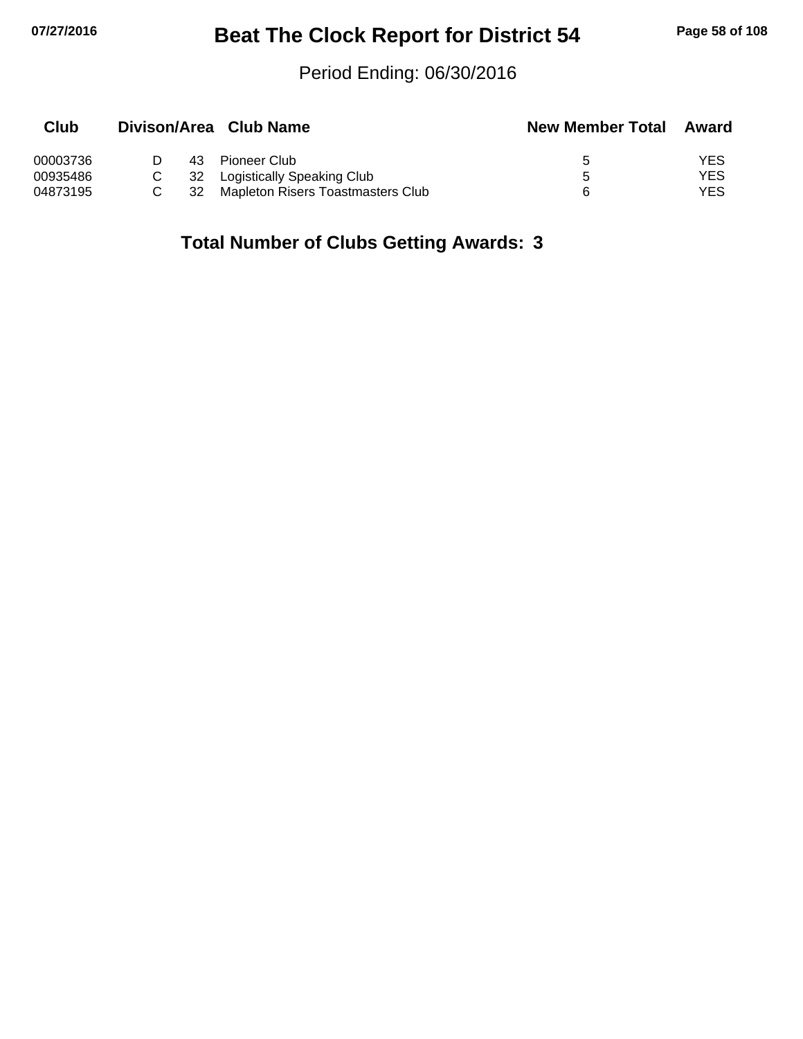# **07/27/2016 Beat The Clock Report for District 54 Page 58 of 108**

#### Period Ending: 06/30/2016

| Club     |    | Divison/Area Club Name            | <b>New Member Total</b> | Award |
|----------|----|-----------------------------------|-------------------------|-------|
| 00003736 | 43 | Pioneer Club                      | $\ddot{\phantom{1}}$    | YES   |
| 00935486 | 32 | Logistically Speaking Club        | ᄃ                       | YES   |
| 04873195 | 32 | Mapleton Risers Toastmasters Club |                         | YES   |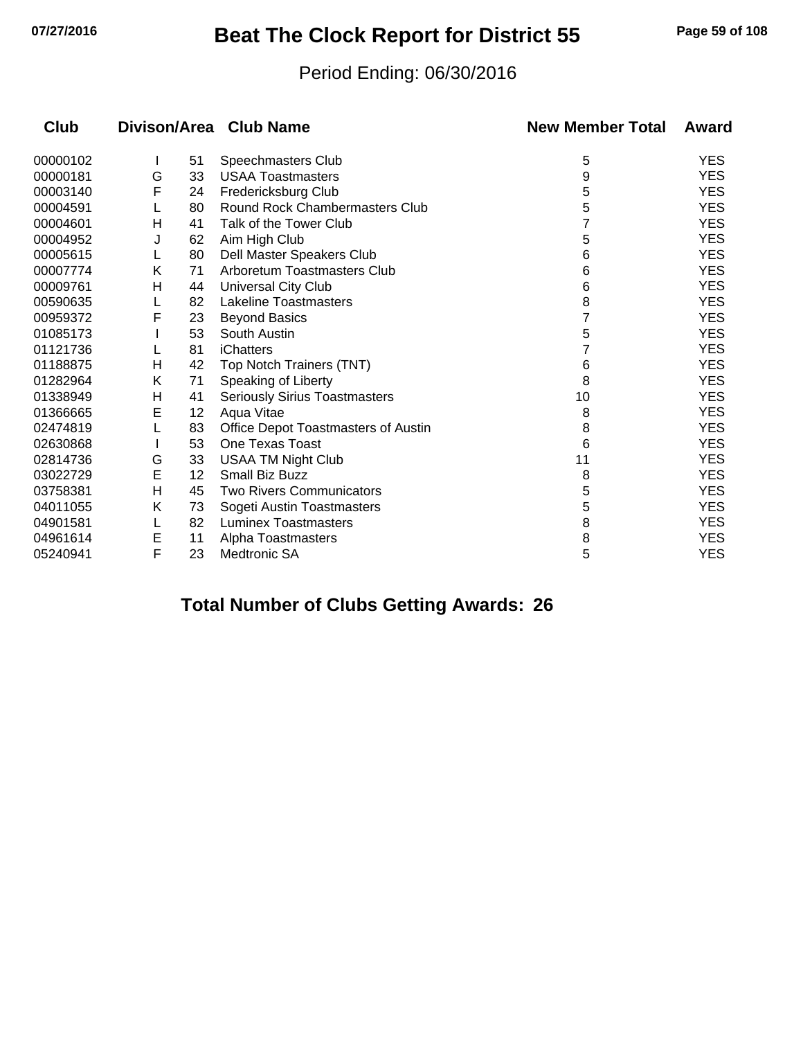## **07/27/2016 Beat The Clock Report for District 55 Page 59 of 108**

#### Period Ending: 06/30/2016

| Club     |   |    | Divison/Area Club Name               | <b>New Member Total</b> | Award      |
|----------|---|----|--------------------------------------|-------------------------|------------|
| 00000102 |   | 51 | Speechmasters Club                   | 5                       | <b>YES</b> |
| 00000181 | G | 33 | <b>USAA Toastmasters</b>             | 9                       | <b>YES</b> |
| 00003140 | F | 24 | Fredericksburg Club                  | 5                       | <b>YES</b> |
| 00004591 |   | 80 | Round Rock Chambermasters Club       | 5                       | <b>YES</b> |
| 00004601 | Η | 41 | Talk of the Tower Club               |                         | <b>YES</b> |
| 00004952 | J | 62 | Aim High Club                        | 5                       | <b>YES</b> |
| 00005615 |   | 80 | Dell Master Speakers Club            | 6                       | <b>YES</b> |
| 00007774 | Κ | 71 | Arboretum Toastmasters Club          | 6                       | <b>YES</b> |
| 00009761 | н | 44 | Universal City Club                  | 6                       | <b>YES</b> |
| 00590635 |   | 82 | <b>Lakeline Toastmasters</b>         | 8                       | <b>YES</b> |
| 00959372 | F | 23 | <b>Beyond Basics</b>                 | 7                       | <b>YES</b> |
| 01085173 |   | 53 | South Austin                         | 5                       | <b>YES</b> |
| 01121736 |   | 81 | iChatters                            |                         | <b>YES</b> |
| 01188875 | Н | 42 | Top Notch Trainers (TNT)             | 6                       | <b>YES</b> |
| 01282964 | K | 71 | Speaking of Liberty                  | 8                       | <b>YES</b> |
| 01338949 | н | 41 | <b>Seriously Sirius Toastmasters</b> | 10                      | <b>YES</b> |
| 01366665 | Е | 12 | Aqua Vitae                           | 8                       | <b>YES</b> |
| 02474819 |   | 83 | Office Depot Toastmasters of Austin  | 8                       | <b>YES</b> |
| 02630868 |   | 53 | One Texas Toast                      | 6                       | <b>YES</b> |
| 02814736 | G | 33 | <b>USAA TM Night Club</b>            | 11                      | <b>YES</b> |
| 03022729 | E | 12 | <b>Small Biz Buzz</b>                | 8                       | <b>YES</b> |
| 03758381 | Н | 45 | <b>Two Rivers Communicators</b>      | 5                       | <b>YES</b> |
| 04011055 | Κ | 73 | Sogeti Austin Toastmasters           | 5                       | <b>YES</b> |
| 04901581 | L | 82 | <b>Luminex Toastmasters</b>          | 8                       | <b>YES</b> |
| 04961614 | E | 11 | Alpha Toastmasters                   | 8                       | <b>YES</b> |
| 05240941 | F | 23 | Medtronic SA                         | 5                       | <b>YES</b> |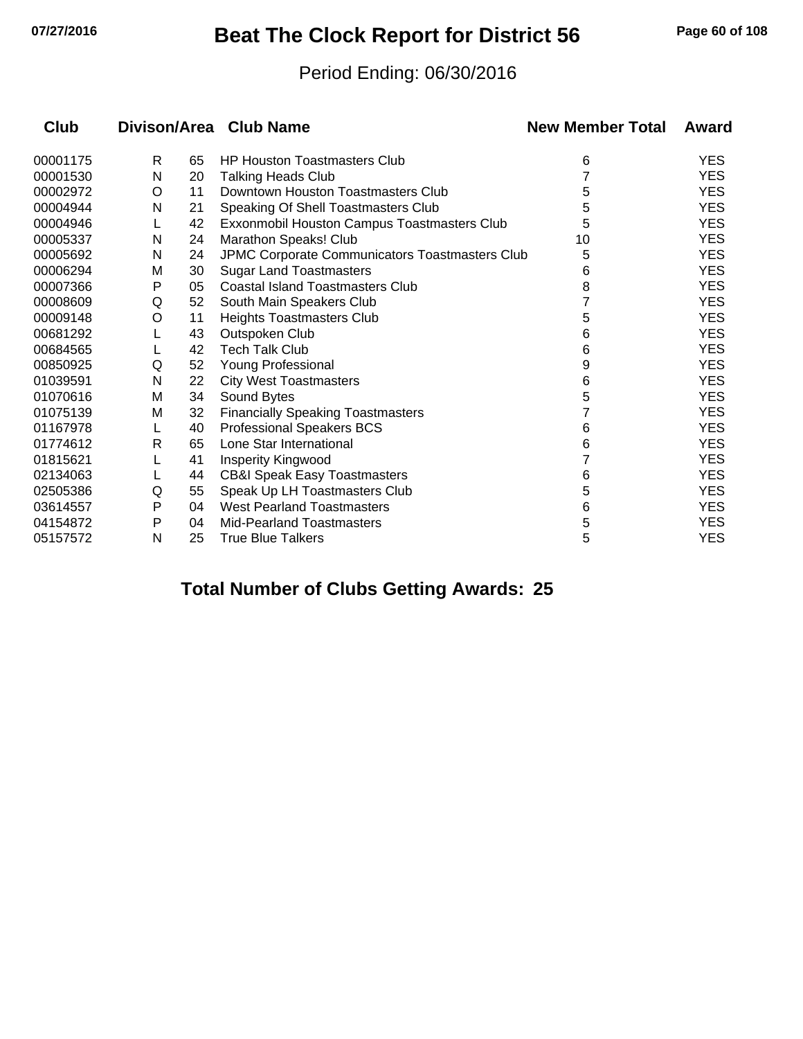# **07/27/2016 Beat The Clock Report for District 56 Page 60 of 108**

#### Period Ending: 06/30/2016

| Club     |   |    | Divison/Area Club Name                         | <b>New Member Total</b> | Award      |
|----------|---|----|------------------------------------------------|-------------------------|------------|
| 00001175 | R | 65 | <b>HP Houston Toastmasters Club</b>            | 6                       | <b>YES</b> |
| 00001530 | N | 20 | <b>Talking Heads Club</b>                      | 7                       | <b>YES</b> |
| 00002972 | O | 11 | Downtown Houston Toastmasters Club             | 5                       | <b>YES</b> |
| 00004944 | N | 21 | Speaking Of Shell Toastmasters Club            | 5                       | <b>YES</b> |
| 00004946 |   | 42 | Exxonmobil Houston Campus Toastmasters Club    | 5                       | <b>YES</b> |
| 00005337 | N | 24 | Marathon Speaks! Club                          | 10                      | <b>YES</b> |
| 00005692 | N | 24 | JPMC Corporate Communicators Toastmasters Club | 5                       | <b>YES</b> |
| 00006294 | M | 30 | <b>Sugar Land Toastmasters</b>                 | 6                       | <b>YES</b> |
| 00007366 | P | 05 | <b>Coastal Island Toastmasters Club</b>        | 8                       | <b>YES</b> |
| 00008609 | Q | 52 | South Main Speakers Club                       |                         | <b>YES</b> |
| 00009148 | O | 11 | <b>Heights Toastmasters Club</b>               | 5                       | <b>YES</b> |
| 00681292 |   | 43 | Outspoken Club                                 | 6                       | <b>YES</b> |
| 00684565 |   | 42 | <b>Tech Talk Club</b>                          | 6                       | <b>YES</b> |
| 00850925 | Q | 52 | Young Professional                             | 9                       | <b>YES</b> |
| 01039591 | N | 22 | <b>City West Toastmasters</b>                  | 6                       | <b>YES</b> |
| 01070616 | M | 34 | Sound Bytes                                    | 5                       | <b>YES</b> |
| 01075139 | м | 32 | <b>Financially Speaking Toastmasters</b>       | 7                       | <b>YES</b> |
| 01167978 | L | 40 | <b>Professional Speakers BCS</b>               | 6                       | <b>YES</b> |
| 01774612 | R | 65 | Lone Star International                        | 6                       | <b>YES</b> |
| 01815621 |   | 41 | Insperity Kingwood                             | 7                       | <b>YES</b> |
| 02134063 |   | 44 | <b>CB&amp;I Speak Easy Toastmasters</b>        | 6                       | <b>YES</b> |
| 02505386 | Q | 55 | Speak Up LH Toastmasters Club                  | 5                       | <b>YES</b> |
| 03614557 | Ρ | 04 | <b>West Pearland Toastmasters</b>              | 6                       | <b>YES</b> |
| 04154872 | P | 04 | <b>Mid-Pearland Toastmasters</b>               | 5                       | <b>YES</b> |
| 05157572 | N | 25 | <b>True Blue Talkers</b>                       | 5                       | <b>YES</b> |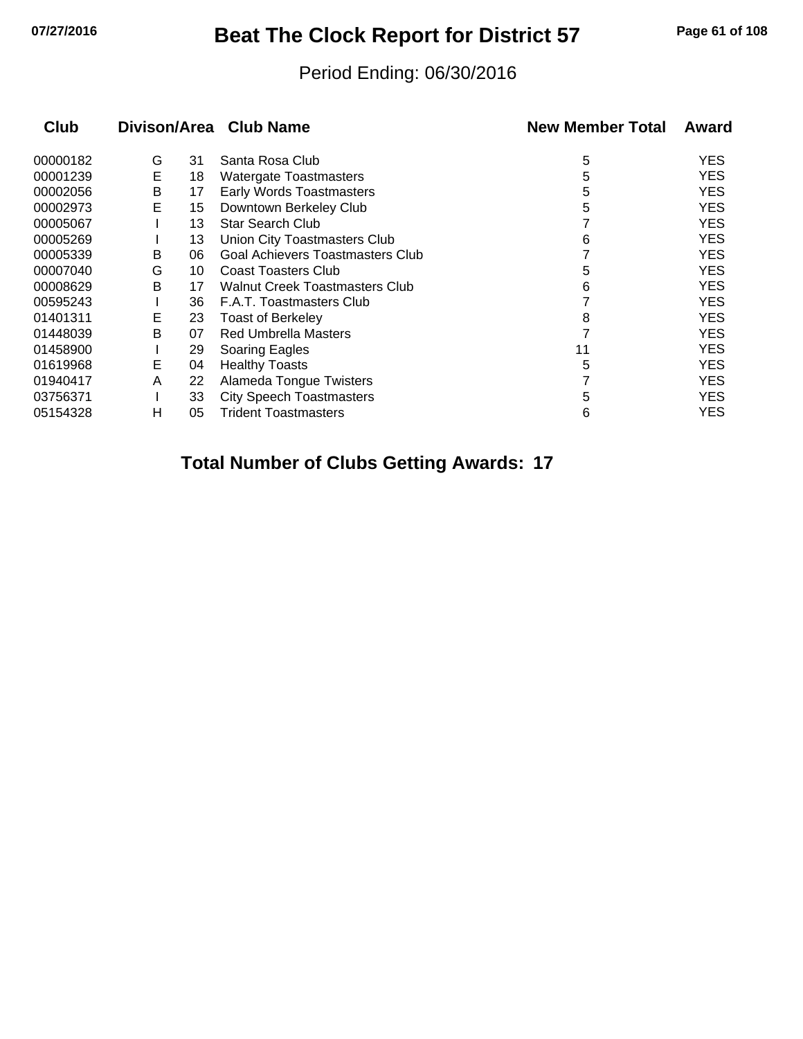## **07/27/2016 Beat The Clock Report for District 57 Page 61 of 108**

#### Period Ending: 06/30/2016

| <b>Club</b> |   |    | Divison/Area Club Name                | <b>New Member Total</b> | Award      |
|-------------|---|----|---------------------------------------|-------------------------|------------|
| 00000182    | G | 31 | Santa Rosa Club                       | 5                       | <b>YES</b> |
| 00001239    | E | 18 | Watergate Toastmasters                | 5                       | <b>YES</b> |
| 00002056    | В | 17 | Early Words Toastmasters              | 5                       | <b>YES</b> |
| 00002973    | E | 15 | Downtown Berkeley Club                | 5                       | <b>YES</b> |
| 00005067    |   | 13 | <b>Star Search Club</b>               |                         | <b>YES</b> |
| 00005269    |   | 13 | Union City Toastmasters Club          | 6                       | <b>YES</b> |
| 00005339    | B | 06 | Goal Achievers Toastmasters Club      |                         | <b>YES</b> |
| 00007040    | G | 10 | <b>Coast Toasters Club</b>            | 5                       | <b>YES</b> |
| 00008629    | В | 17 | <b>Walnut Creek Toastmasters Club</b> | 6                       | <b>YES</b> |
| 00595243    |   | 36 | F.A.T. Toastmasters Club              |                         | <b>YES</b> |
| 01401311    | Е | 23 | <b>Toast of Berkeley</b>              | 8                       | <b>YES</b> |
| 01448039    | B | 07 | <b>Red Umbrella Masters</b>           |                         | <b>YES</b> |
| 01458900    |   | 29 | Soaring Eagles                        | 11                      | <b>YES</b> |
| 01619968    | Е | 04 | <b>Healthy Toasts</b>                 | 5                       | <b>YES</b> |
| 01940417    | A | 22 | Alameda Tongue Twisters               |                         | <b>YES</b> |
| 03756371    |   | 33 | <b>City Speech Toastmasters</b>       | 5                       | <b>YES</b> |
| 05154328    | н | 05 | <b>Trident Toastmasters</b>           | 6                       | YES        |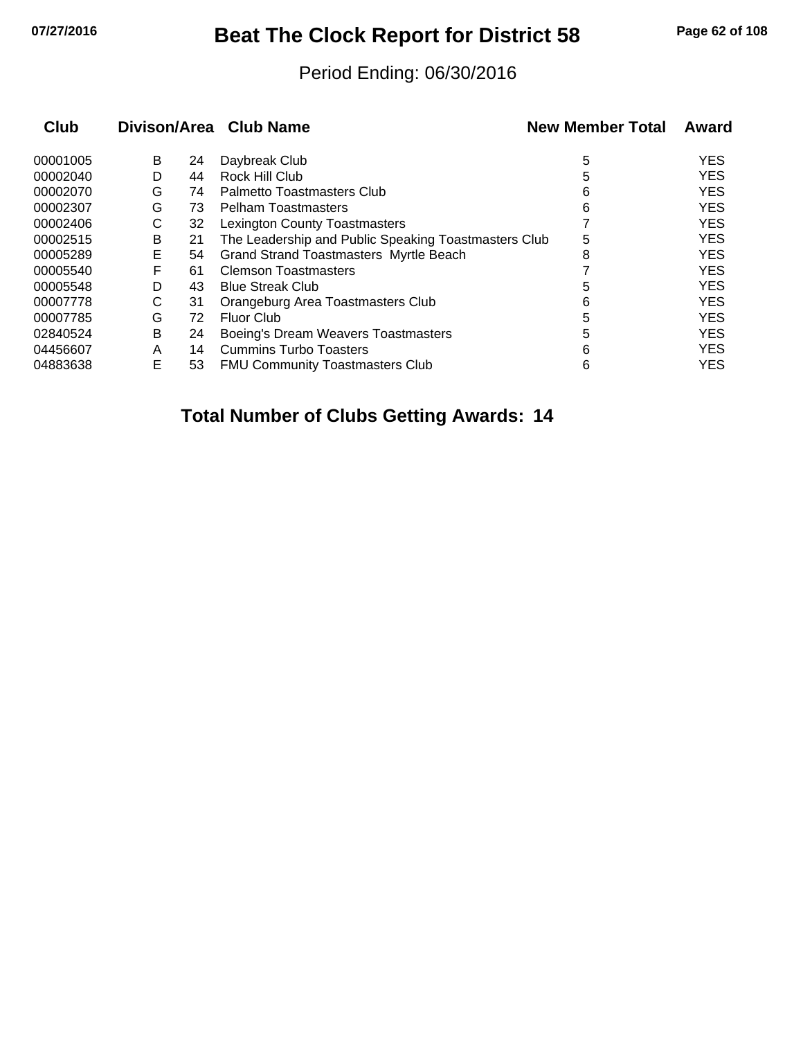## **07/27/2016 Beat The Clock Report for District 58 Page 62 of 108**

#### Period Ending: 06/30/2016

| Club     |   |    | Divison/Area Club Name                               | <b>New Member Total</b> | Award      |
|----------|---|----|------------------------------------------------------|-------------------------|------------|
| 00001005 | B | 24 | Daybreak Club                                        | 5                       | <b>YES</b> |
| 00002040 | D | 44 | Rock Hill Club                                       | 5                       | <b>YES</b> |
| 00002070 | G | 74 | <b>Palmetto Toastmasters Club</b>                    | 6                       | <b>YES</b> |
| 00002307 | G | 73 | <b>Pelham Toastmasters</b>                           | 6                       | <b>YES</b> |
| 00002406 | С | 32 | <b>Lexington County Toastmasters</b>                 |                         | <b>YES</b> |
| 00002515 | B | 21 | The Leadership and Public Speaking Toastmasters Club | 5                       | <b>YES</b> |
| 00005289 | Е | 54 | <b>Grand Strand Toastmasters Myrtle Beach</b>        | 8                       | <b>YES</b> |
| 00005540 | F | 61 | <b>Clemson Toastmasters</b>                          |                         | <b>YES</b> |
| 00005548 | D | 43 | <b>Blue Streak Club</b>                              | 5                       | <b>YES</b> |
| 00007778 | С | 31 | Orangeburg Area Toastmasters Club                    | 6                       | <b>YES</b> |
| 00007785 | G | 72 | <b>Fluor Club</b>                                    | 5                       | <b>YES</b> |
| 02840524 | B | 24 | Boeing's Dream Weavers Toastmasters                  | 5                       | <b>YES</b> |
| 04456607 | A | 14 | <b>Cummins Turbo Toasters</b>                        | 6                       | <b>YES</b> |
| 04883638 | Е | 53 | <b>FMU Community Toastmasters Club</b>               | 6                       | <b>YES</b> |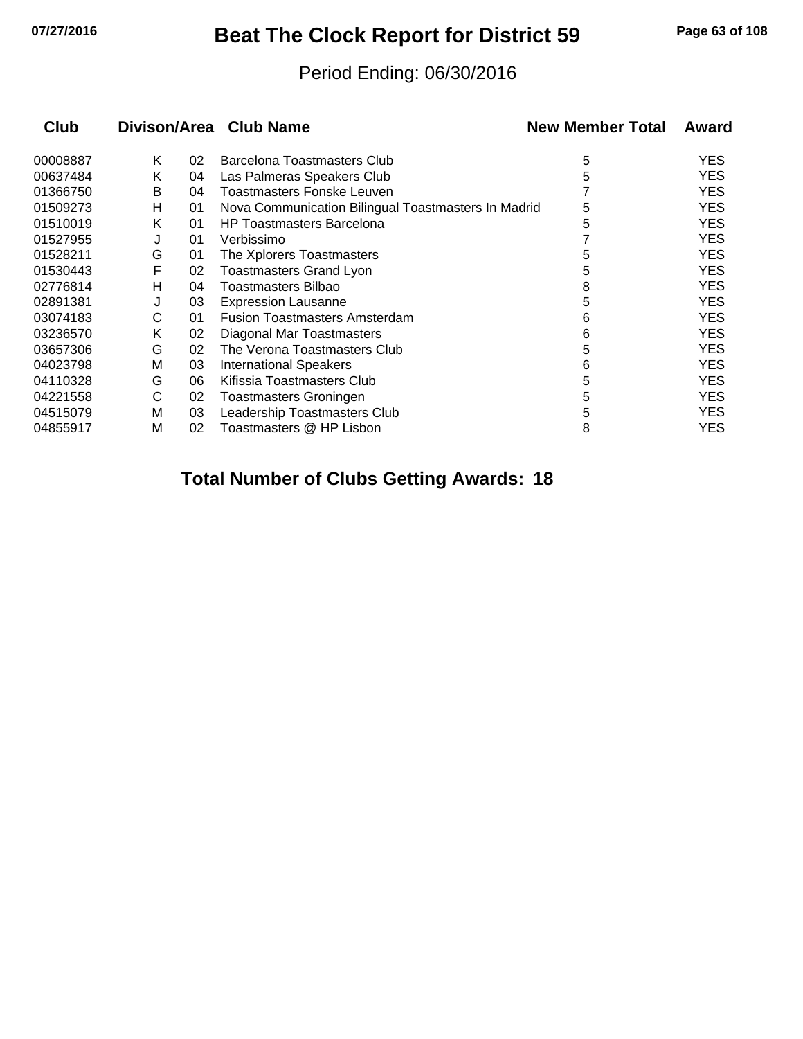## **07/27/2016 Beat The Clock Report for District 59 Page 63 of 108**

#### Period Ending: 06/30/2016

| <b>Club</b> |   |    | Divison/Area Club Name                              | <b>New Member Total</b> | Award      |
|-------------|---|----|-----------------------------------------------------|-------------------------|------------|
| 00008887    | Κ | 02 | Barcelona Toastmasters Club                         | 5                       | <b>YES</b> |
| 00637484    | Κ | 04 | Las Palmeras Speakers Club                          | 5                       | <b>YES</b> |
| 01366750    | B | 04 | <b>Toastmasters Fonske Leuven</b>                   |                         | <b>YES</b> |
| 01509273    | н | 01 | Nova Communication Bilingual Toastmasters In Madrid | 5                       | <b>YES</b> |
| 01510019    | Κ | 01 | <b>HP Toastmasters Barcelona</b>                    | 5                       | <b>YES</b> |
| 01527955    | J | 01 | Verbissimo                                          |                         | <b>YES</b> |
| 01528211    | G | 01 | The Xplorers Toastmasters                           | 5                       | <b>YES</b> |
| 01530443    | F | 02 | <b>Toastmasters Grand Lyon</b>                      | 5                       | <b>YES</b> |
| 02776814    | н | 04 | Toastmasters Bilbao                                 | 8                       | <b>YES</b> |
| 02891381    | J | 03 | <b>Expression Lausanne</b>                          | 5                       | <b>YES</b> |
| 03074183    | С | 01 | <b>Fusion Toastmasters Amsterdam</b>                | 6                       | <b>YES</b> |
| 03236570    | Κ | 02 | Diagonal Mar Toastmasters                           | 6                       | <b>YES</b> |
| 03657306    | G | 02 | The Verona Toastmasters Club                        | 5                       | <b>YES</b> |
| 04023798    | м | 03 | <b>International Speakers</b>                       | 6                       | <b>YES</b> |
| 04110328    | G | 06 | Kifissia Toastmasters Club                          | 5                       | <b>YES</b> |
| 04221558    | С | 02 | <b>Toastmasters Groningen</b>                       | 5                       | <b>YES</b> |
| 04515079    | М | 03 | Leadership Toastmasters Club                        | 5                       | <b>YES</b> |
| 04855917    | M | 02 | Toastmasters @ HP Lisbon                            | 8                       | YES        |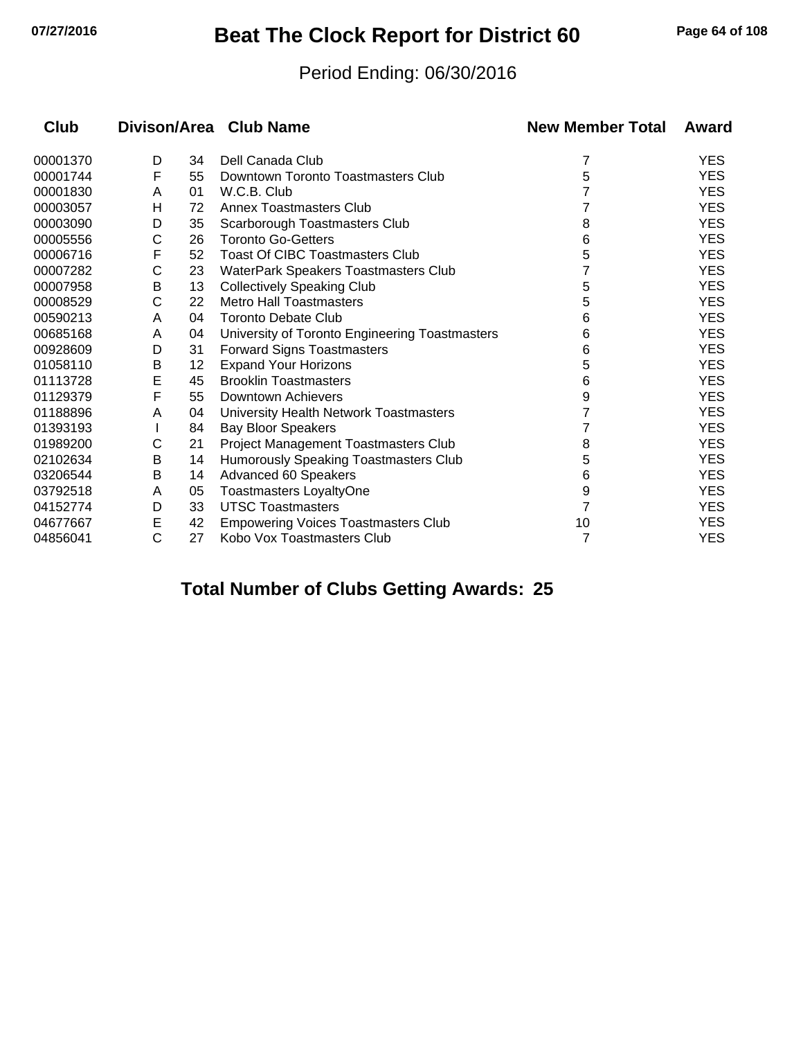## **07/27/2016 Beat The Clock Report for District 60 Page 64 of 108**

#### Period Ending: 06/30/2016

| Club     | Divison/Area Club Name |    |                                                | <b>New Member Total</b> | Award      |  |
|----------|------------------------|----|------------------------------------------------|-------------------------|------------|--|
| 00001370 | D                      | 34 | Dell Canada Club                               | 7                       | <b>YES</b> |  |
| 00001744 | F                      | 55 | Downtown Toronto Toastmasters Club             | 5                       | <b>YES</b> |  |
| 00001830 | A                      | 01 | W.C.B. Club                                    |                         | <b>YES</b> |  |
| 00003057 | Н                      | 72 | Annex Toastmasters Club                        |                         | <b>YES</b> |  |
| 00003090 | D                      | 35 | Scarborough Toastmasters Club                  | 8                       | <b>YES</b> |  |
| 00005556 | С                      | 26 | <b>Toronto Go-Getters</b>                      | 6                       | <b>YES</b> |  |
| 00006716 | F                      | 52 | <b>Toast Of CIBC Toastmasters Club</b>         | 5                       | <b>YES</b> |  |
| 00007282 | C                      | 23 | WaterPark Speakers Toastmasters Club           |                         | <b>YES</b> |  |
| 00007958 | B                      | 13 | <b>Collectively Speaking Club</b>              | 5                       | <b>YES</b> |  |
| 00008529 | C                      | 22 | Metro Hall Toastmasters                        | 5                       | <b>YES</b> |  |
| 00590213 | A                      | 04 | <b>Toronto Debate Club</b>                     | 6                       | <b>YES</b> |  |
| 00685168 | A                      | 04 | University of Toronto Engineering Toastmasters | 6                       | <b>YES</b> |  |
| 00928609 | D                      | 31 | <b>Forward Signs Toastmasters</b>              | 6                       | <b>YES</b> |  |
| 01058110 | В                      | 12 | <b>Expand Your Horizons</b>                    | 5                       | <b>YES</b> |  |
| 01113728 | E                      | 45 | <b>Brooklin Toastmasters</b>                   | 6                       | <b>YES</b> |  |
| 01129379 | F                      | 55 | Downtown Achievers                             | 9                       | <b>YES</b> |  |
| 01188896 | A                      | 04 | University Health Network Toastmasters         | 7                       | <b>YES</b> |  |
| 01393193 |                        | 84 | <b>Bay Bloor Speakers</b>                      |                         | <b>YES</b> |  |
| 01989200 | С                      | 21 | Project Management Toastmasters Club           | 8                       | <b>YES</b> |  |
| 02102634 | Β                      | 14 | Humorously Speaking Toastmasters Club          | 5                       | <b>YES</b> |  |
| 03206544 | Β                      | 14 | Advanced 60 Speakers                           | 6                       | <b>YES</b> |  |
| 03792518 | A                      | 05 | <b>Toastmasters LoyaltyOne</b>                 | 9                       | <b>YES</b> |  |
| 04152774 | D                      | 33 | <b>UTSC Toastmasters</b>                       |                         | <b>YES</b> |  |
| 04677667 | E                      | 42 | <b>Empowering Voices Toastmasters Club</b>     | 10                      | <b>YES</b> |  |
| 04856041 | C                      | 27 | Kobo Vox Toastmasters Club                     | 7                       | <b>YES</b> |  |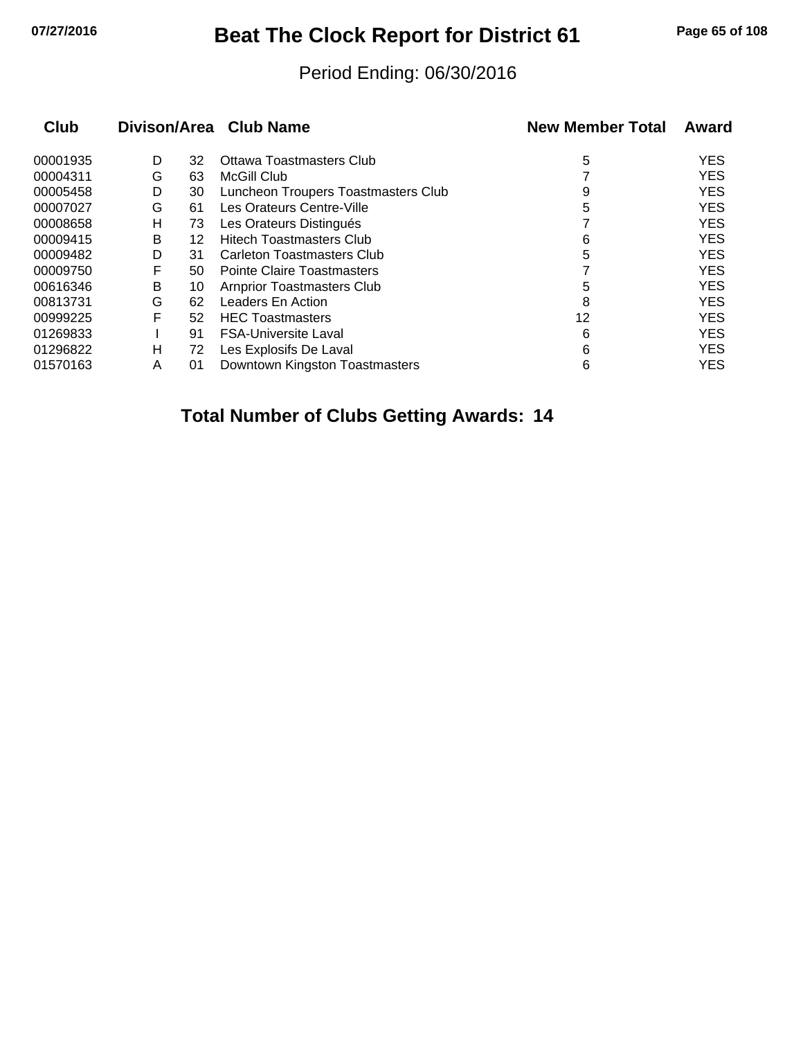# **07/27/2016 Beat The Clock Report for District 61 Page 65 of 108**

#### Period Ending: 06/30/2016

| Club |    |                                     | <b>New Member Total</b> | Award      |  |
|------|----|-------------------------------------|-------------------------|------------|--|
| D    | 32 | Ottawa Toastmasters Club            | 5                       | <b>YES</b> |  |
| G    | 63 | McGill Club                         |                         | <b>YES</b> |  |
| D    | 30 | Luncheon Troupers Toastmasters Club | 9                       | <b>YES</b> |  |
| G    | 61 | Les Orateurs Centre-Ville           | 5                       | <b>YES</b> |  |
| н    | 73 | Les Orateurs Distingués             |                         | <b>YES</b> |  |
| B    | 12 | <b>Hitech Toastmasters Club</b>     | 6                       | <b>YES</b> |  |
| D    | 31 | <b>Carleton Toastmasters Club</b>   | 5                       | <b>YES</b> |  |
| F    | 50 | <b>Pointe Claire Toastmasters</b>   |                         | <b>YES</b> |  |
| B    | 10 | <b>Arnprior Toastmasters Club</b>   | 5                       | <b>YES</b> |  |
| G    | 62 | Leaders En Action                   | 8                       | <b>YES</b> |  |
| F    | 52 | <b>HEC Toastmasters</b>             | 12                      | <b>YES</b> |  |
|      | 91 | <b>FSA-Universite Laval</b>         | 6                       | <b>YES</b> |  |
| н    | 72 | Les Explosifs De Laval              | 6                       | <b>YES</b> |  |
| A    | 01 | Downtown Kingston Toastmasters      | 6                       | <b>YES</b> |  |
|      |    |                                     | Divison/Area Club Name  |            |  |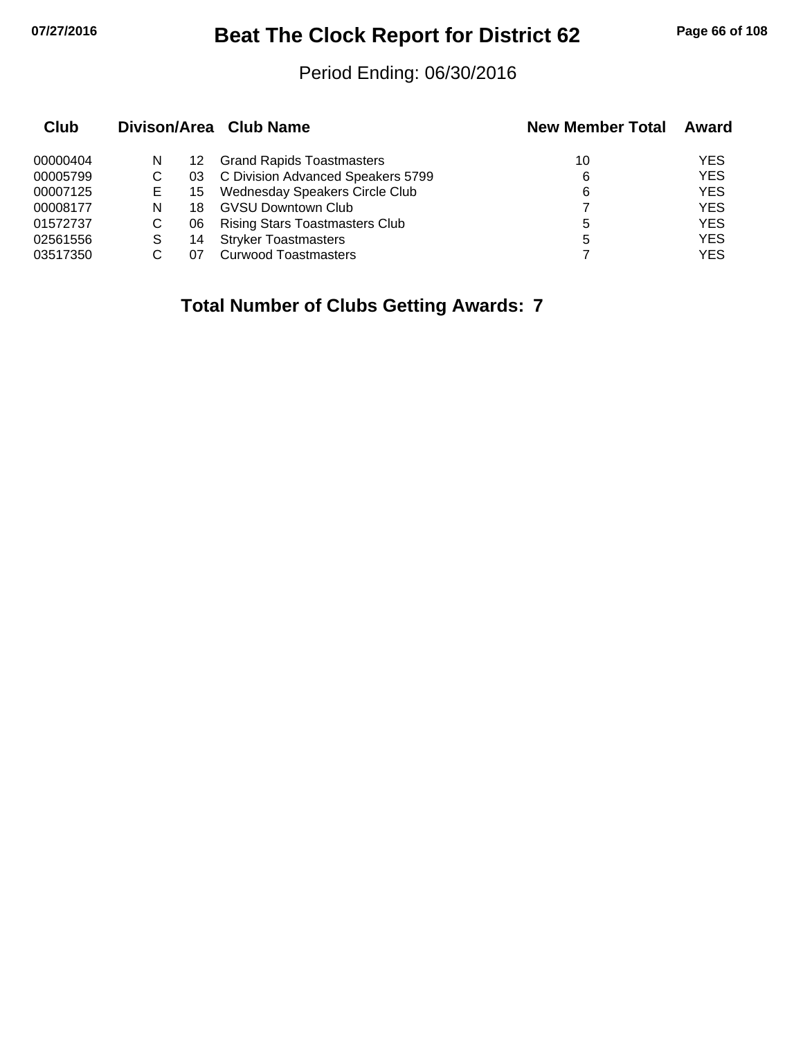# **07/27/2016 Beat The Clock Report for District 62 Page 66 of 108**

#### Period Ending: 06/30/2016

| Club     |    |     | Divison/Area Club Name                | <b>New Member Total</b> | Award      |  |
|----------|----|-----|---------------------------------------|-------------------------|------------|--|
| 00000404 | N  | 12. | <b>Grand Rapids Toastmasters</b>      | 10                      | YES        |  |
| 00005799 | С  | 03  | C Division Advanced Speakers 5799     | 6                       | <b>YES</b> |  |
| 00007125 | E. | 15. | <b>Wednesday Speakers Circle Club</b> | 6                       | <b>YES</b> |  |
| 00008177 | N  | 18  | <b>GVSU Downtown Club</b>             |                         | <b>YES</b> |  |
| 01572737 | C  | 06  | <b>Rising Stars Toastmasters Club</b> | 5                       | <b>YES</b> |  |
| 02561556 | S  | 14  | <b>Stryker Toastmasters</b>           | 5                       | <b>YES</b> |  |
| 03517350 |    | 07  | <b>Curwood Toastmasters</b>           |                         | <b>YES</b> |  |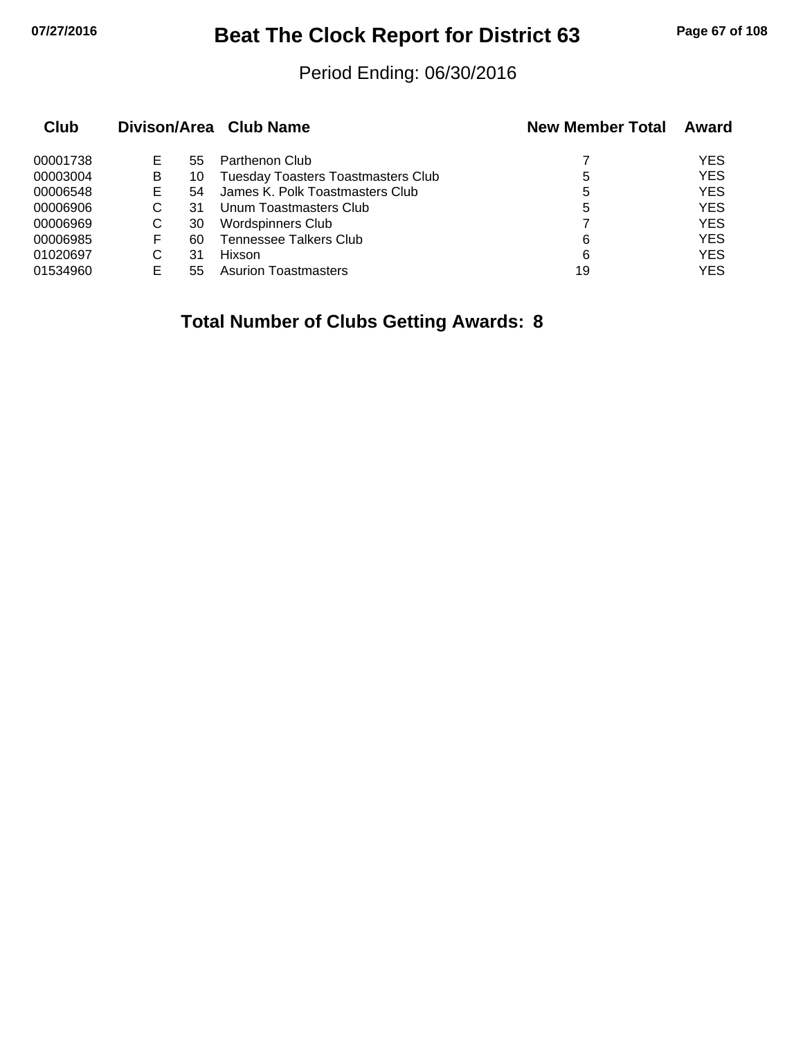# **07/27/2016 Beat The Clock Report for District 63 Page 67 of 108**

#### Period Ending: 06/30/2016

| Club     |   |    | Divison/Area Club Name                    | <b>New Member Total</b> | Award      |
|----------|---|----|-------------------------------------------|-------------------------|------------|
| 00001738 | Е | 55 | Parthenon Club                            |                         | <b>YES</b> |
| 00003004 | B | 10 | <b>Tuesday Toasters Toastmasters Club</b> | 5                       | <b>YES</b> |
| 00006548 | Е | 54 | James K. Polk Toastmasters Club           | 5                       | <b>YES</b> |
| 00006906 | С | 31 | Unum Toastmasters Club                    | 5                       | <b>YES</b> |
| 00006969 | C | 30 | Wordspinners Club                         |                         | <b>YES</b> |
| 00006985 | F | 60 | Tennessee Talkers Club                    | 6                       | <b>YES</b> |
| 01020697 | С | 31 | <b>Hixson</b>                             | 6                       | <b>YES</b> |
| 01534960 | E | 55 | <b>Asurion Toastmasters</b>               | 19                      | <b>YES</b> |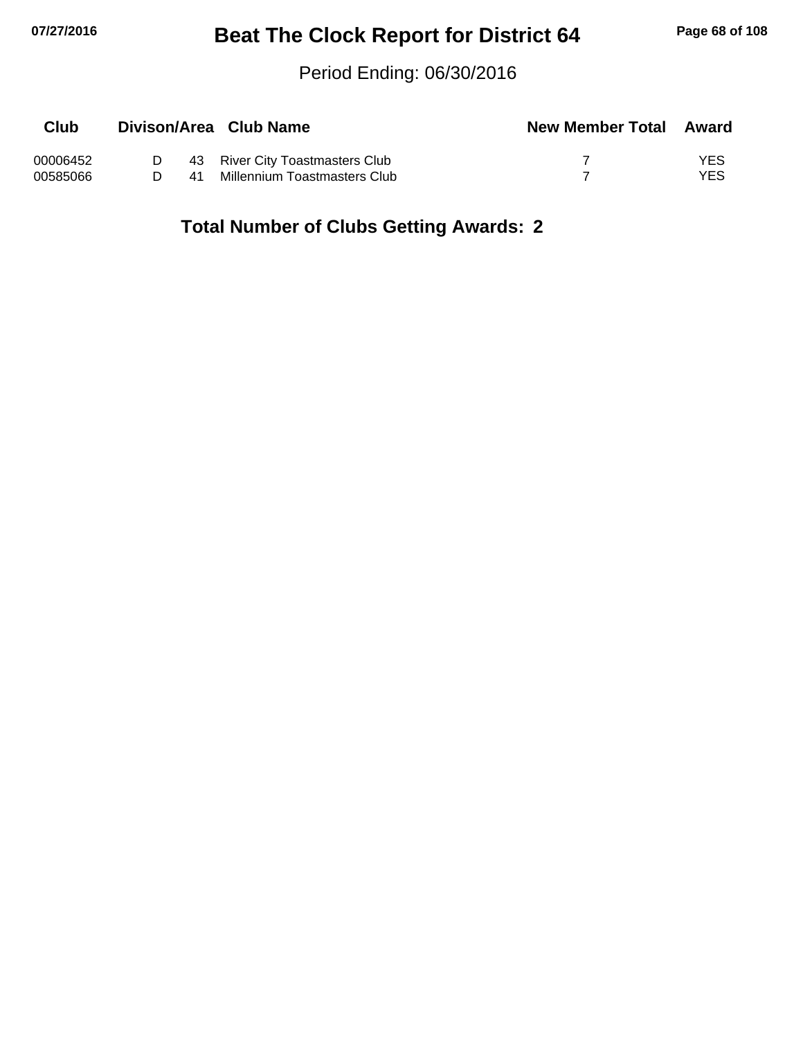## **07/27/2016 Beat The Clock Report for District 64 Page 68 of 108**

#### Period Ending: 06/30/2016

| Club     |   |    | Divison/Area Club Name          | <b>New Member Total Award</b> |     |
|----------|---|----|---------------------------------|-------------------------------|-----|
| 00006452 |   |    | 43 River City Toastmasters Club |                               | YES |
| 00585066 | D | 41 | Millennium Toastmasters Club    |                               | YES |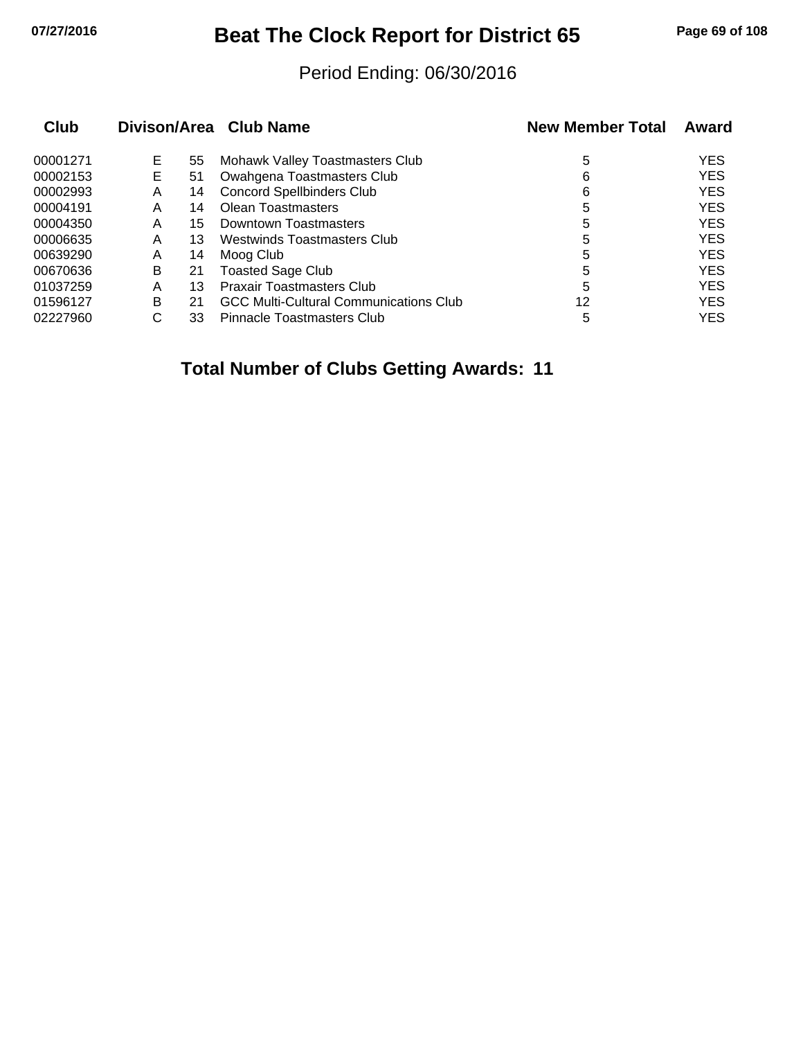## **07/27/2016 Beat The Clock Report for District 65 Page 69 of 108**

#### Period Ending: 06/30/2016

| Club     |    |    | Divison/Area Club Name                        | <b>New Member Total</b> | Award      |
|----------|----|----|-----------------------------------------------|-------------------------|------------|
| 00001271 | Е  | 55 | Mohawk Valley Toastmasters Club               | 5                       | <b>YES</b> |
| 00002153 | E. | 51 | Owahgena Toastmasters Club                    | 6                       | <b>YES</b> |
| 00002993 | A  | 14 | <b>Concord Spellbinders Club</b>              | 6                       | <b>YES</b> |
| 00004191 | Α  | 14 | Olean Toastmasters                            | 5                       | <b>YES</b> |
| 00004350 | Α  | 15 | Downtown Toastmasters                         | 5                       | <b>YES</b> |
| 00006635 | Α  | 13 | Westwinds Toastmasters Club                   | 5                       | <b>YES</b> |
| 00639290 | A  | 14 | Moog Club                                     | 5                       | <b>YES</b> |
| 00670636 | в  | 21 | <b>Toasted Sage Club</b>                      | 5                       | <b>YES</b> |
| 01037259 | Α  | 13 | <b>Praxair Toastmasters Club</b>              | 5                       | <b>YES</b> |
| 01596127 | B  | 21 | <b>GCC Multi-Cultural Communications Club</b> | 12                      | <b>YES</b> |
| 02227960 | С  | 33 | Pinnacle Toastmasters Club                    | 5                       | <b>YES</b> |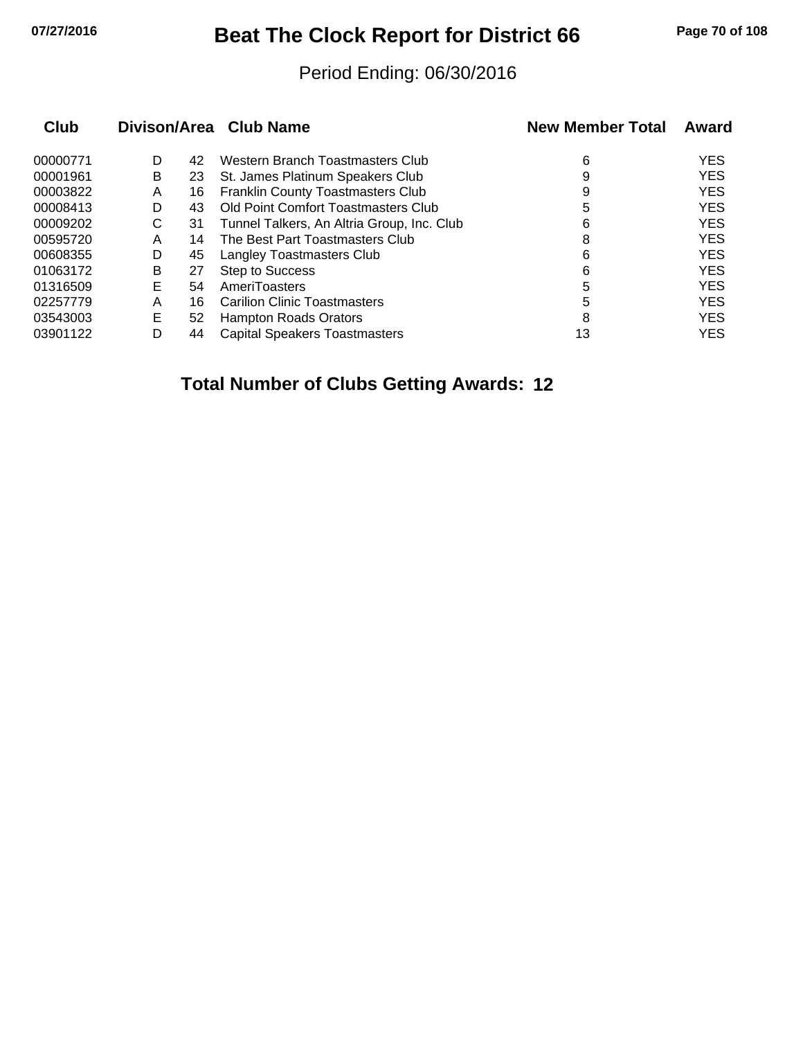# **07/27/2016 Beat The Clock Report for District 66 Page 70 of 108**

#### Period Ending: 06/30/2016

|   |    |                                            | <b>New Member Total</b> | Award      |
|---|----|--------------------------------------------|-------------------------|------------|
| D | 42 | Western Branch Toastmasters Club           | 6                       | <b>YES</b> |
| B | 23 | St. James Platinum Speakers Club           | 9                       | <b>YES</b> |
| Α | 16 | <b>Franklin County Toastmasters Club</b>   | 9                       | <b>YES</b> |
| D | 43 | Old Point Comfort Toastmasters Club        | 5                       | <b>YES</b> |
| С | 31 | Tunnel Talkers, An Altria Group, Inc. Club | 6                       | <b>YES</b> |
| Α | 14 | The Best Part Toastmasters Club            | 8                       | <b>YES</b> |
| D | 45 | Langley Toastmasters Club                  | 6                       | <b>YES</b> |
| B | 27 | <b>Step to Success</b>                     | 6                       | <b>YES</b> |
| Е | 54 | AmeriToasters                              | 5                       | <b>YES</b> |
| Α | 16 | <b>Carilion Clinic Toastmasters</b>        | 5                       | <b>YES</b> |
| E | 52 | <b>Hampton Roads Orators</b>               | 8                       | <b>YES</b> |
| D | 44 | <b>Capital Speakers Toastmasters</b>       | 13                      | <b>YES</b> |
|   |    |                                            | Divison/Area Club Name  |            |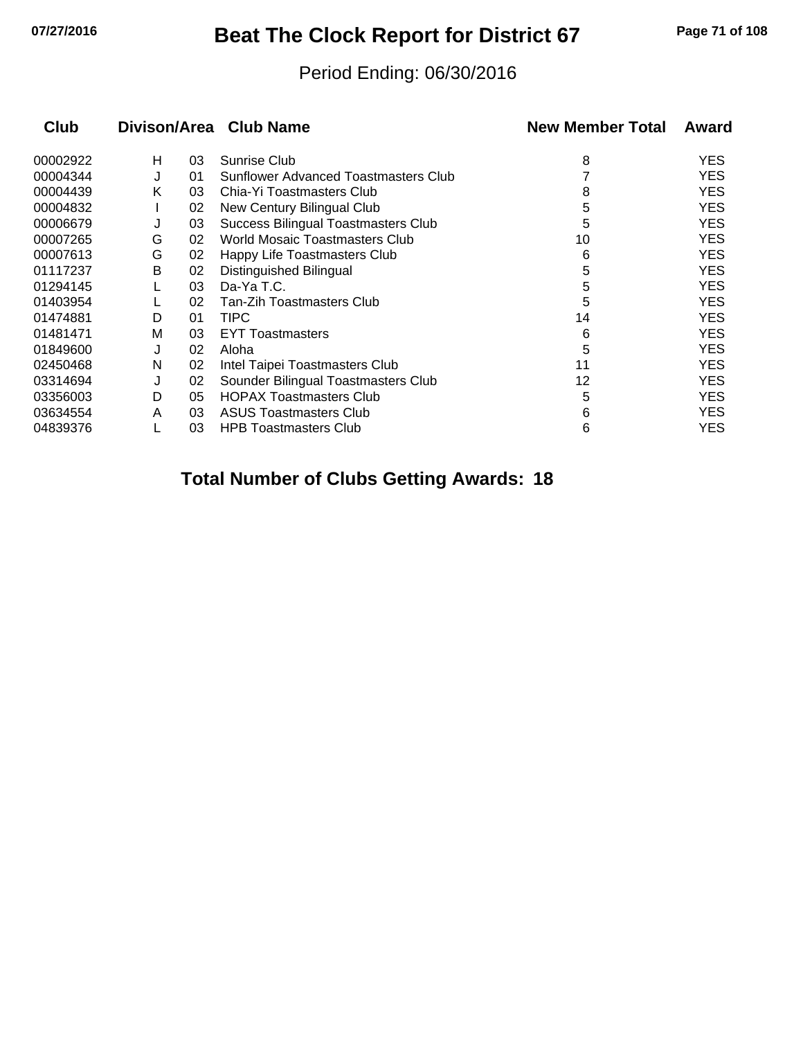## **07/27/2016 Beat The Clock Report for District 67 Page 71 of 108**

#### Period Ending: 06/30/2016

| Club<br>Divison/Area Club Name |   |    |                                      | <b>New Member Total</b> | Award      |  |
|--------------------------------|---|----|--------------------------------------|-------------------------|------------|--|
| 00002922                       | н | 03 | Sunrise Club                         | 8                       | <b>YES</b> |  |
| 00004344                       | J | 01 | Sunflower Advanced Toastmasters Club |                         | <b>YES</b> |  |
| 00004439                       | K | 03 | Chia-Yi Toastmasters Club            | 8                       | <b>YES</b> |  |
| 00004832                       |   | 02 | New Century Bilingual Club           | 5                       | <b>YES</b> |  |
| 00006679                       | J | 03 | Success Bilingual Toastmasters Club  | 5                       | <b>YES</b> |  |
| 00007265                       | G | 02 | World Mosaic Toastmasters Club       | 10                      | <b>YES</b> |  |
| 00007613                       | G | 02 | Happy Life Toastmasters Club         | 6                       | <b>YES</b> |  |
| 01117237                       | В | 02 | Distinguished Bilingual              | 5                       | <b>YES</b> |  |
| 01294145                       |   | 03 | Da-Ya T.C.                           | 5                       | <b>YES</b> |  |
| 01403954                       |   | 02 | Tan-Zih Toastmasters Club            | 5                       | <b>YES</b> |  |
| 01474881                       | D | 01 | TIPC                                 | 14                      | <b>YES</b> |  |
| 01481471                       | M | 03 | <b>EYT Toastmasters</b>              | 6                       | <b>YES</b> |  |
| 01849600                       | J | 02 | Aloha                                | 5                       | <b>YES</b> |  |
| 02450468                       | N | 02 | Intel Taipei Toastmasters Club       | 11                      | <b>YES</b> |  |
| 03314694                       | J | 02 | Sounder Bilingual Toastmasters Club  | 12                      | <b>YES</b> |  |
| 03356003                       | D | 05 | <b>HOPAX Toastmasters Club</b>       | 5                       | <b>YES</b> |  |
| 03634554                       | A | 03 | <b>ASUS Toastmasters Club</b>        | 6                       | <b>YES</b> |  |
| 04839376                       |   | 03 | <b>HPB Toastmasters Club</b>         | 6                       | YES        |  |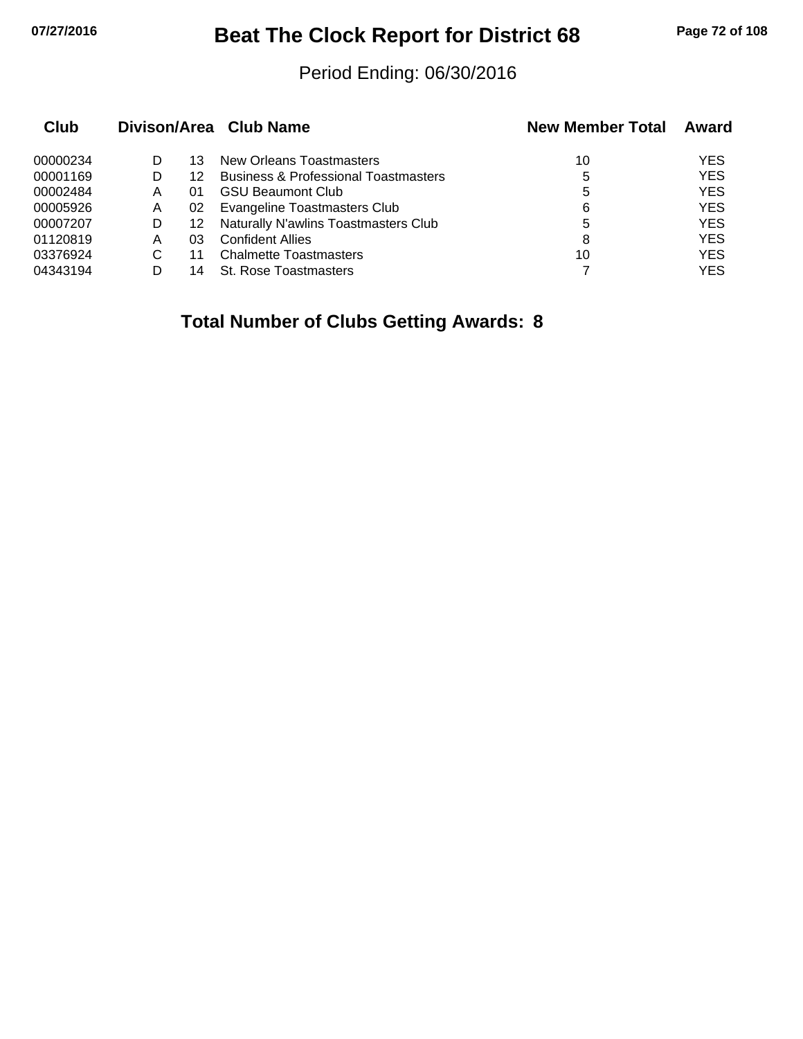## **07/27/2016 Beat The Clock Report for District 68 Page 72 of 108**

#### Period Ending: 06/30/2016

|   |    |                                                 | <b>New Member Total</b> | Award      |
|---|----|-------------------------------------------------|-------------------------|------------|
|   | 13 | New Orleans Toastmasters                        | 10                      | <b>YES</b> |
|   | 12 | <b>Business &amp; Professional Toastmasters</b> | 5                       | <b>YES</b> |
| Α | 01 | <b>GSU Beaumont Club</b>                        | 5                       | <b>YES</b> |
| A | 02 | <b>Evangeline Toastmasters Club</b>             | 6                       | <b>YES</b> |
| D | 12 | Naturally N'awlins Toastmasters Club            | 5                       | <b>YES</b> |
| Α | 03 | <b>Confident Allies</b>                         | 8                       | <b>YES</b> |
| C | 11 | <b>Chalmette Toastmasters</b>                   | 10                      | <b>YES</b> |
|   | 14 | <b>St. Rose Toastmasters</b>                    |                         | YES        |
|   |    |                                                 | Divison/Area Club Name  |            |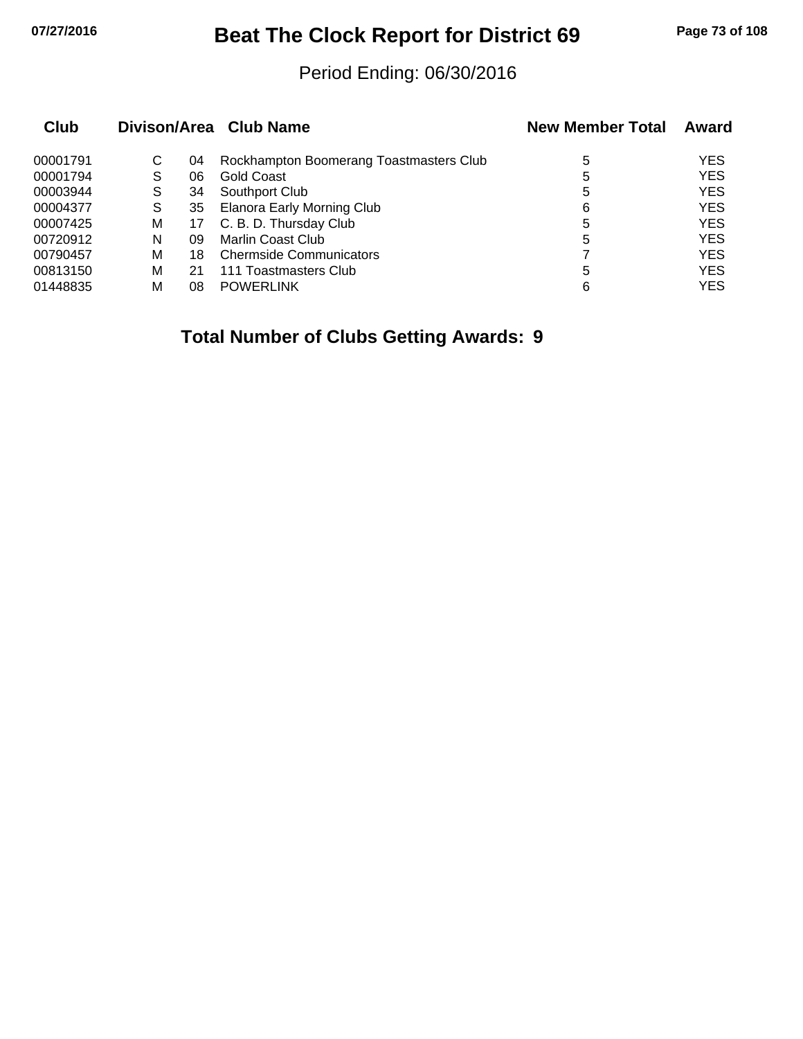## **07/27/2016 Beat The Clock Report for District 69 Page 73 of 108**

#### Period Ending: 06/30/2016

| <b>Club</b> |   |    | Divison/Area Club Name                  | <b>New Member Total</b> | Award      |
|-------------|---|----|-----------------------------------------|-------------------------|------------|
| 00001791    | С | 04 | Rockhampton Boomerang Toastmasters Club | 5                       | <b>YES</b> |
| 00001794    | S | 06 | Gold Coast                              | 5                       | <b>YES</b> |
| 00003944    | S | 34 | Southport Club                          | 5                       | <b>YES</b> |
| 00004377    | S | 35 | <b>Elanora Early Morning Club</b>       | 6                       | <b>YES</b> |
| 00007425    | М | 17 | C. B. D. Thursday Club                  | 5                       | <b>YES</b> |
| 00720912    | N | 09 | <b>Marlin Coast Club</b>                | 5                       | <b>YES</b> |
| 00790457    | М | 18 | <b>Chermside Communicators</b>          |                         | <b>YES</b> |
| 00813150    | м | 21 | 111 Toastmasters Club                   | 5                       | <b>YES</b> |
| 01448835    | м | 08 | <b>POWERLINK</b>                        | 6                       | <b>YES</b> |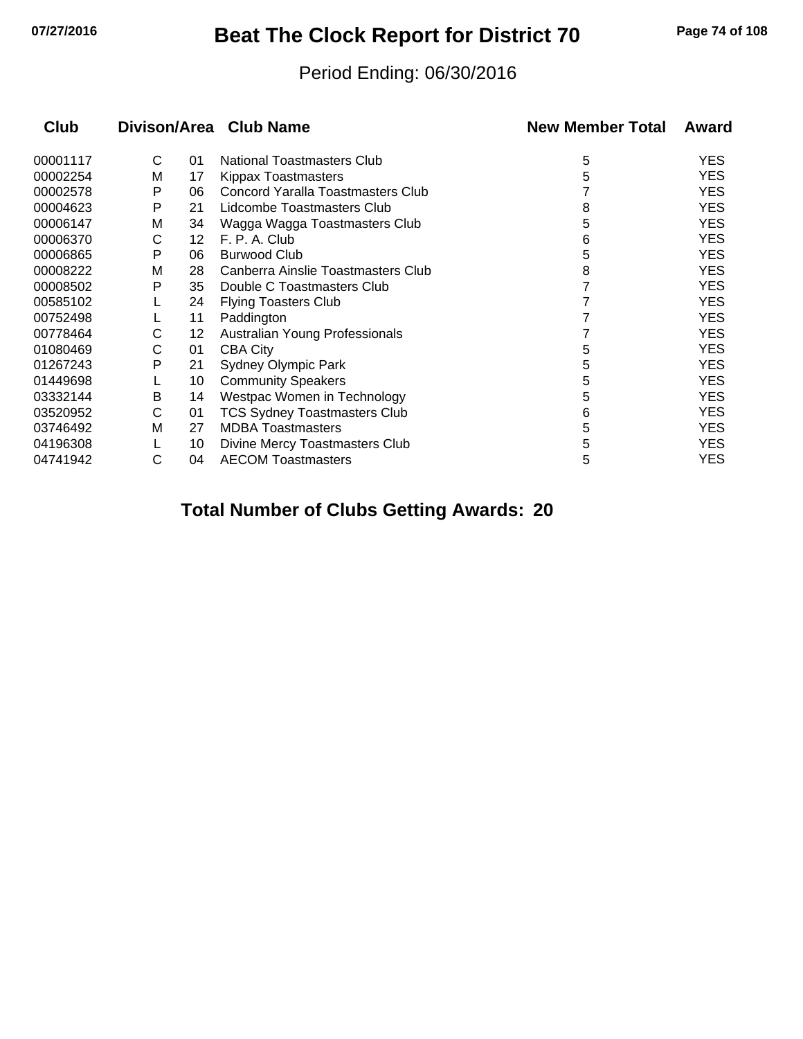## **07/27/2016 Beat The Clock Report for District 70 Page 74 of 108**

#### Period Ending: 06/30/2016

| Club     |   |    | Divison/Area Club Name              | <b>New Member Total</b> | Award      |
|----------|---|----|-------------------------------------|-------------------------|------------|
| 00001117 | C | 01 | <b>National Toastmasters Club</b>   | 5                       | <b>YES</b> |
| 00002254 | м | 17 | <b>Kippax Toastmasters</b>          | 5                       | <b>YES</b> |
| 00002578 | P | 06 | Concord Yaralla Toastmasters Club   |                         | <b>YES</b> |
| 00004623 | P | 21 | Lidcombe Toastmasters Club          | 8                       | <b>YES</b> |
| 00006147 | M | 34 | Wagga Wagga Toastmasters Club       | 5                       | <b>YES</b> |
| 00006370 | С | 12 | F. P. A. Club                       | 6                       | <b>YES</b> |
| 00006865 | P | 06 | <b>Burwood Club</b>                 | 5                       | <b>YES</b> |
| 00008222 | м | 28 | Canberra Ainslie Toastmasters Club  | 8                       | <b>YES</b> |
| 00008502 | P | 35 | Double C Toastmasters Club          |                         | <b>YES</b> |
| 00585102 |   | 24 | <b>Flying Toasters Club</b>         |                         | <b>YES</b> |
| 00752498 |   | 11 | Paddington                          |                         | <b>YES</b> |
| 00778464 | С | 12 | Australian Young Professionals      |                         | <b>YES</b> |
| 01080469 | С | 01 | <b>CBA City</b>                     | 5                       | <b>YES</b> |
| 01267243 | P | 21 | <b>Sydney Olympic Park</b>          | 5                       | <b>YES</b> |
| 01449698 |   | 10 | <b>Community Speakers</b>           | 5                       | <b>YES</b> |
| 03332144 | B | 14 | Westpac Women in Technology         | 5                       | <b>YES</b> |
| 03520952 | С | 01 | <b>TCS Sydney Toastmasters Club</b> | 6                       | <b>YES</b> |
| 03746492 | М | 27 | <b>MDBA Toastmasters</b>            | 5                       | <b>YES</b> |
| 04196308 |   | 10 | Divine Mercy Toastmasters Club      | 5                       | <b>YES</b> |
| 04741942 | С | 04 | <b>AECOM Toastmasters</b>           | 5                       | <b>YES</b> |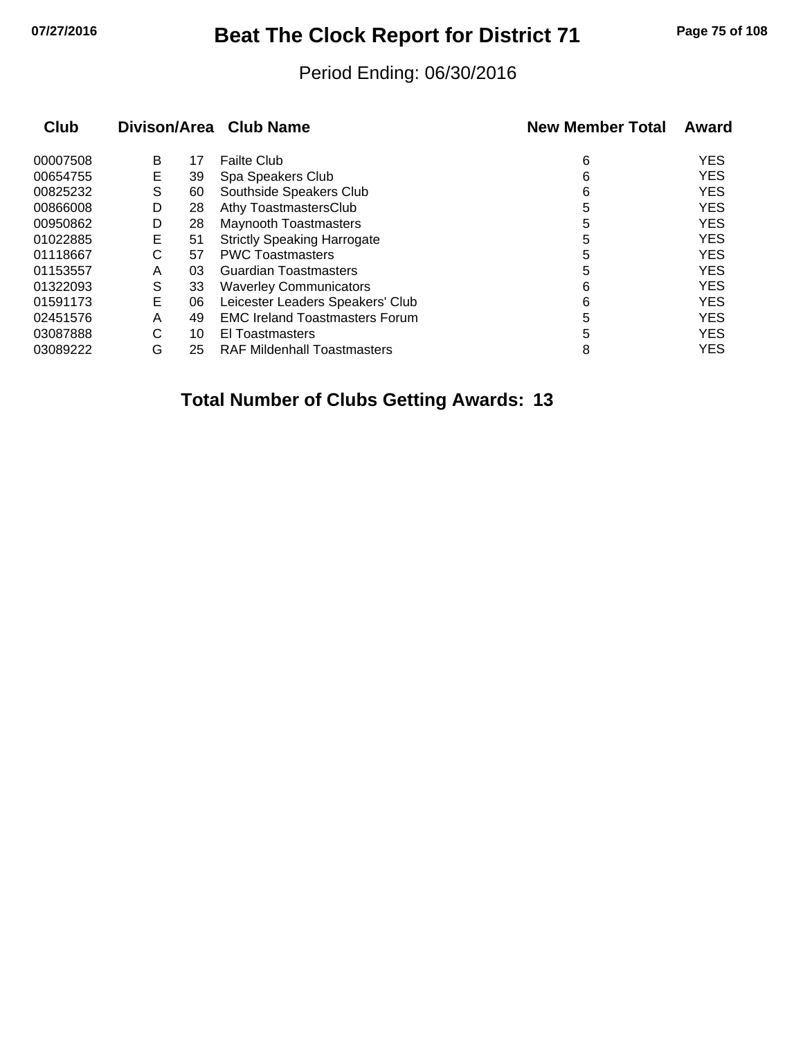## **07/27/2016 Beat The Clock Report for District 71 Page 75 of 108**

#### Period Ending: 06/30/2016

| <b>Club</b> |   |    | Divison/Area Club Name                | <b>New Member Total</b> | Award      |
|-------------|---|----|---------------------------------------|-------------------------|------------|
| 00007508    | B | 17 | <b>Failte Club</b>                    | 6                       | <b>YES</b> |
| 00654755    | Е | 39 | Spa Speakers Club                     | 6                       | <b>YES</b> |
| 00825232    | S | 60 | Southside Speakers Club               | 6                       | <b>YES</b> |
| 00866008    | D | 28 | Athy ToastmastersClub                 | 5                       | <b>YES</b> |
| 00950862    | D | 28 | <b>Maynooth Toastmasters</b>          | 5                       | <b>YES</b> |
| 01022885    | Е | 51 | <b>Strictly Speaking Harrogate</b>    | 5                       | <b>YES</b> |
| 01118667    | С | 57 | <b>PWC Toastmasters</b>               | 5                       | <b>YES</b> |
| 01153557    | A | 03 | <b>Guardian Toastmasters</b>          | 5                       | <b>YES</b> |
| 01322093    | S | 33 | <b>Waverley Communicators</b>         | 6                       | <b>YES</b> |
| 01591173    | E | 06 | Leicester Leaders Speakers' Club      | 6                       | <b>YES</b> |
| 02451576    | A | 49 | <b>EMC Ireland Toastmasters Forum</b> | 5                       | <b>YES</b> |
| 03087888    | С | 10 | El Toastmasters                       | 5                       | <b>YES</b> |
| 03089222    | G | 25 | <b>RAF Mildenhall Toastmasters</b>    | 8                       | <b>YES</b> |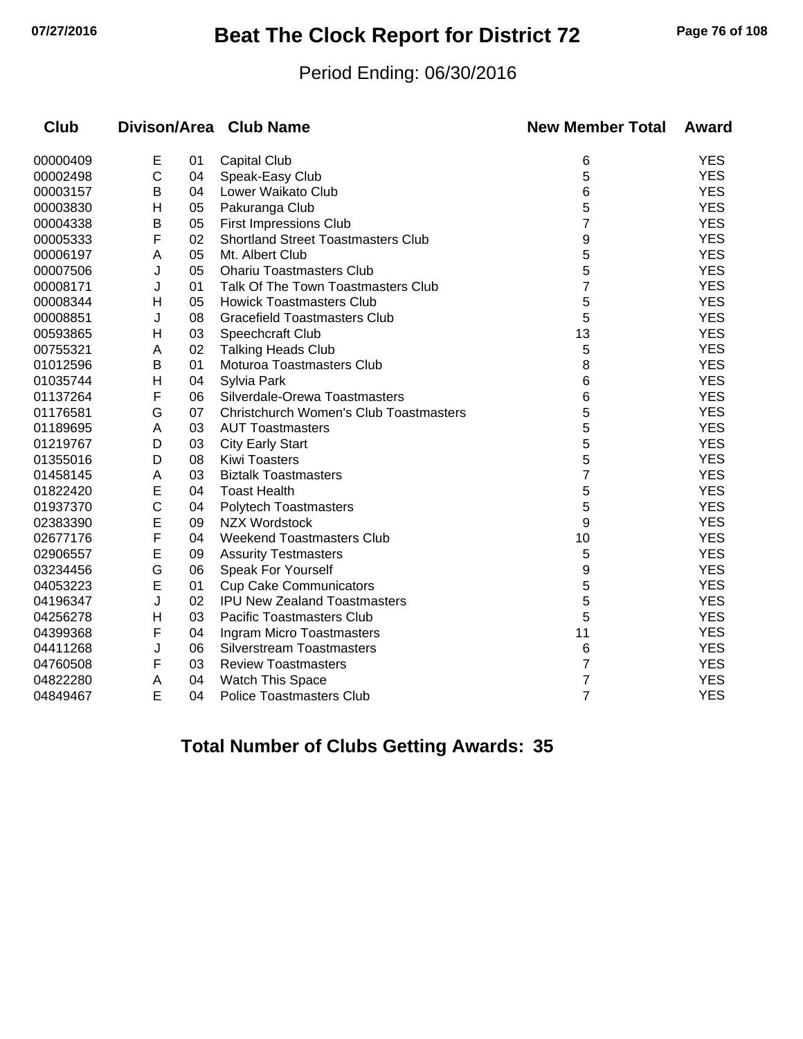# **07/27/2016 Beat The Clock Report for District 72 Page 76 of 108**

#### Period Ending: 06/30/2016

| <b>Club</b> |   |    | Divison/Area Club Name                        | <b>New Member Total</b> | Award      |
|-------------|---|----|-----------------------------------------------|-------------------------|------------|
| 00000409    | Е | 01 | <b>Capital Club</b>                           | 6                       | <b>YES</b> |
| 00002498    | C | 04 | Speak-Easy Club                               | 5                       | <b>YES</b> |
| 00003157    | В | 04 | Lower Waikato Club                            | 6                       | <b>YES</b> |
| 00003830    | н | 05 | Pakuranga Club                                | 5                       | <b>YES</b> |
| 00004338    | В | 05 | <b>First Impressions Club</b>                 | $\overline{7}$          | <b>YES</b> |
| 00005333    | F | 02 | <b>Shortland Street Toastmasters Club</b>     | 9                       | <b>YES</b> |
| 00006197    | A | 05 | Mt. Albert Club                               | 5                       | <b>YES</b> |
| 00007506    | J | 05 | <b>Ohariu Toastmasters Club</b>               | 5                       | <b>YES</b> |
| 00008171    | J | 01 | Talk Of The Town Toastmasters Club            | 7                       | <b>YES</b> |
| 00008344    | Н | 05 | <b>Howick Toastmasters Club</b>               | 5                       | <b>YES</b> |
| 00008851    | J | 08 | <b>Gracefield Toastmasters Club</b>           | 5                       | <b>YES</b> |
| 00593865    | Н | 03 | Speechcraft Club                              | 13                      | <b>YES</b> |
| 00755321    | A | 02 | <b>Talking Heads Club</b>                     | 5                       | <b>YES</b> |
| 01012596    | В | 01 | Moturoa Toastmasters Club                     | 8                       | <b>YES</b> |
| 01035744    | н | 04 | Sylvia Park                                   | 6                       | <b>YES</b> |
| 01137264    | F | 06 | Silverdale-Orewa Toastmasters                 | 6                       | <b>YES</b> |
| 01176581    | G | 07 | <b>Christchurch Women's Club Toastmasters</b> | 5                       | <b>YES</b> |
| 01189695    | A | 03 | <b>AUT Toastmasters</b>                       | 5                       | <b>YES</b> |
| 01219767    | D | 03 | <b>City Early Start</b>                       | 5                       | <b>YES</b> |
| 01355016    | D | 08 | <b>Kiwi Toasters</b>                          | 5                       | <b>YES</b> |
| 01458145    | A | 03 | <b>Biztalk Toastmasters</b>                   | 7                       | <b>YES</b> |
| 01822420    | E | 04 | <b>Toast Health</b>                           | 5                       | <b>YES</b> |
| 01937370    | С | 04 | <b>Polytech Toastmasters</b>                  | 5                       | <b>YES</b> |
| 02383390    | E | 09 | <b>NZX Wordstock</b>                          | 9                       | <b>YES</b> |
| 02677176    | F | 04 | <b>Weekend Toastmasters Club</b>              | 10                      | <b>YES</b> |
| 02906557    | E | 09 | <b>Assurity Testmasters</b>                   | 5                       | <b>YES</b> |
| 03234456    | G | 06 | Speak For Yourself                            | 9                       | <b>YES</b> |
| 04053223    | E | 01 | <b>Cup Cake Communicators</b>                 | 5                       | <b>YES</b> |
| 04196347    | J | 02 | <b>IPU New Zealand Toastmasters</b>           | 5                       | <b>YES</b> |
| 04256278    | Н | 03 | <b>Pacific Toastmasters Club</b>              | 5                       | <b>YES</b> |
| 04399368    | F | 04 | Ingram Micro Toastmasters                     | 11                      | <b>YES</b> |
| 04411268    | J | 06 | <b>Silverstream Toastmasters</b>              | 6                       | <b>YES</b> |
| 04760508    | F | 03 | <b>Review Toastmasters</b>                    | 7                       | <b>YES</b> |
| 04822280    | A | 04 | Watch This Space                              | 7                       | <b>YES</b> |
| 04849467    | E | 04 | <b>Police Toastmasters Club</b>               | 7                       | <b>YES</b> |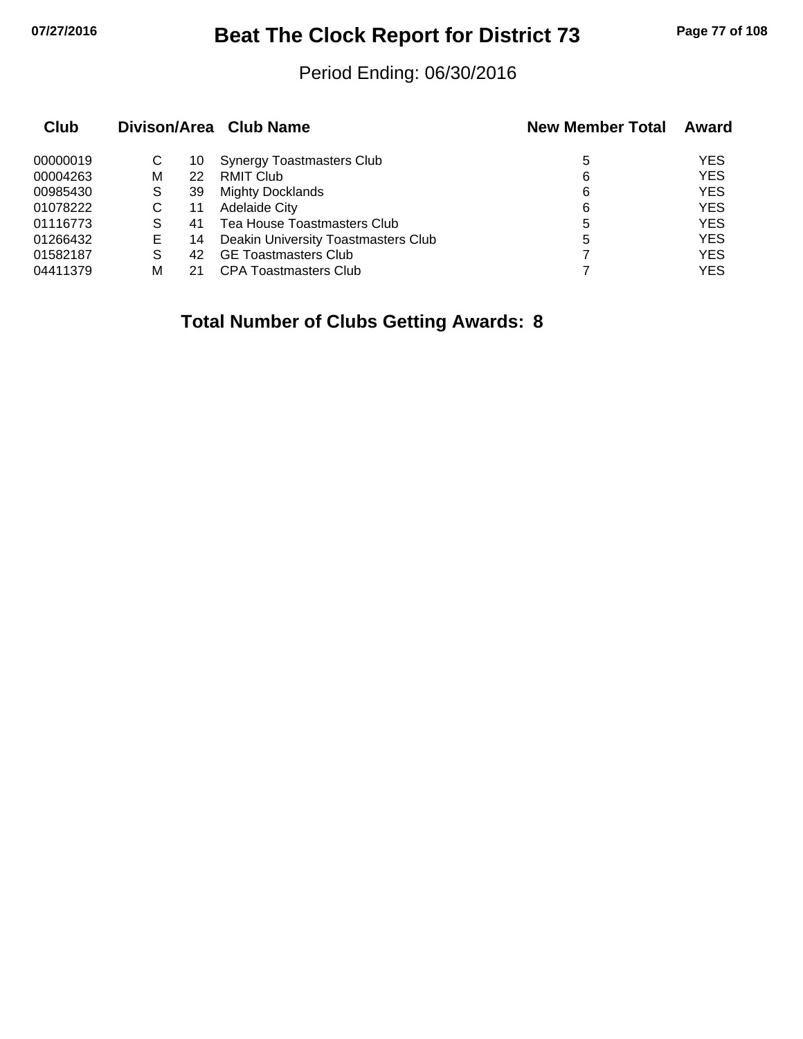# **07/27/2016 Beat The Clock Report for District 73 Page 77 of 108**

#### Period Ending: 06/30/2016

| Club     |   |    | Divison/Area Club Name              | <b>New Member Total</b> | Award      |
|----------|---|----|-------------------------------------|-------------------------|------------|
| 00000019 | С | 10 | <b>Synergy Toastmasters Club</b>    | 5                       | <b>YES</b> |
| 00004263 | м | 22 | <b>RMIT Club</b>                    | 6                       | <b>YES</b> |
| 00985430 | S | 39 | <b>Mighty Docklands</b>             | 6                       | <b>YES</b> |
| 01078222 | С | 11 | <b>Adelaide City</b>                | 6                       | <b>YES</b> |
| 01116773 |   | 41 | Tea House Toastmasters Club         | 5                       | <b>YES</b> |
| 01266432 | Е | 14 | Deakin University Toastmasters Club | 5                       | <b>YES</b> |
| 01582187 | S | 42 | <b>GE Toastmasters Club</b>         |                         | <b>YES</b> |
| 04411379 | м | 21 | <b>CPA Toastmasters Club</b>        |                         | <b>YES</b> |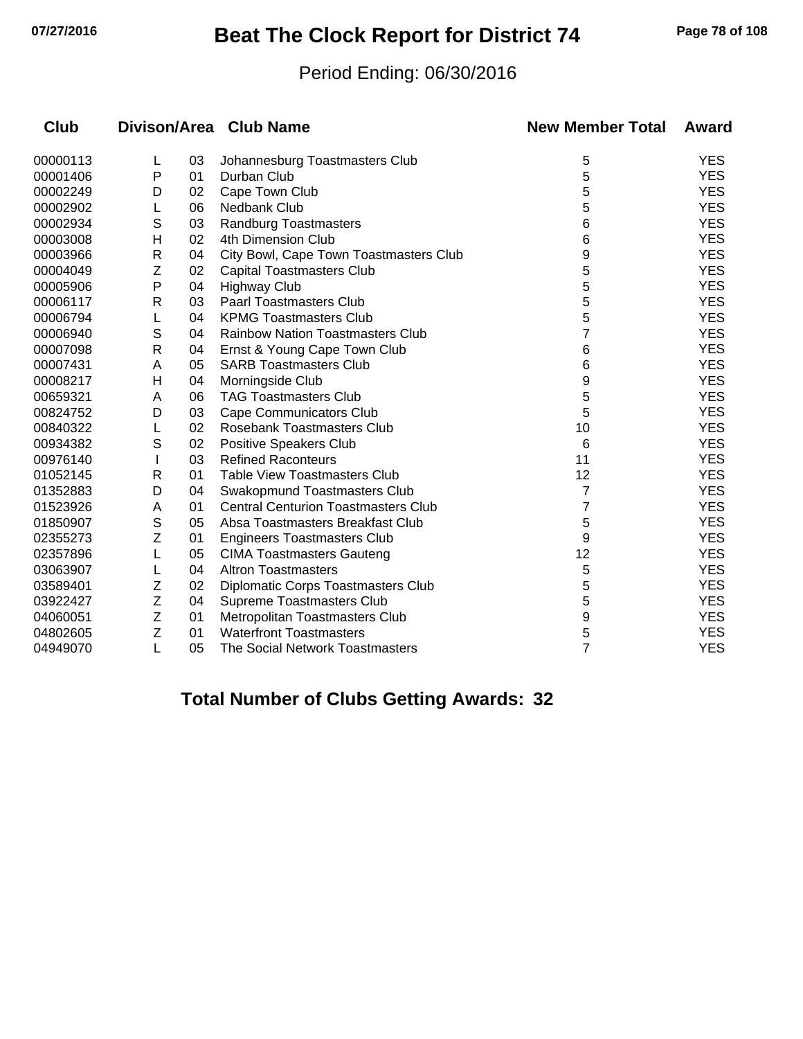## **07/27/2016 Beat The Clock Report for District 74 Page 78 of 108**

#### Period Ending: 06/30/2016

| <b>Club</b> |              |    | Divison/Area Club Name                     | <b>New Member Total</b> | Award      |
|-------------|--------------|----|--------------------------------------------|-------------------------|------------|
| 00000113    | L            | 03 | Johannesburg Toastmasters Club             | 5                       | <b>YES</b> |
| 00001406    | P            | 01 | Durban Club                                | 5                       | <b>YES</b> |
| 00002249    | D            | 02 | Cape Town Club                             | 5                       | <b>YES</b> |
| 00002902    |              | 06 | <b>Nedbank Club</b>                        | 5                       | <b>YES</b> |
| 00002934    | S            | 03 | <b>Randburg Toastmasters</b>               | 6                       | <b>YES</b> |
| 00003008    | н            | 02 | 4th Dimension Club                         | 6                       | <b>YES</b> |
| 00003966    | R            | 04 | City Bowl, Cape Town Toastmasters Club     | 9                       | <b>YES</b> |
| 00004049    | Z            | 02 | Capital Toastmasters Club                  | 5                       | <b>YES</b> |
| 00005906    | P            | 04 | <b>Highway Club</b>                        | 5                       | <b>YES</b> |
| 00006117    | R            | 03 | <b>Paarl Toastmasters Club</b>             | 5                       | <b>YES</b> |
| 00006794    | L            | 04 | <b>KPMG Toastmasters Club</b>              | 5                       | <b>YES</b> |
| 00006940    | S            | 04 | <b>Rainbow Nation Toastmasters Club</b>    | 7                       | <b>YES</b> |
| 00007098    | $\mathsf{R}$ | 04 | Ernst & Young Cape Town Club               | 6                       | <b>YES</b> |
| 00007431    | A            | 05 | <b>SARB Toastmasters Club</b>              | 6                       | <b>YES</b> |
| 00008217    | н            | 04 | Morningside Club                           | 9                       | <b>YES</b> |
| 00659321    | A            | 06 | <b>TAG Toastmasters Club</b>               | 5                       | <b>YES</b> |
| 00824752    | D            | 03 | Cape Communicators Club                    | 5                       | <b>YES</b> |
| 00840322    | L            | 02 | Rosebank Toastmasters Club                 | 10                      | <b>YES</b> |
| 00934382    | S            | 02 | Positive Speakers Club                     | 6                       | <b>YES</b> |
| 00976140    |              | 03 | <b>Refined Raconteurs</b>                  | 11                      | <b>YES</b> |
| 01052145    | R            | 01 | <b>Table View Toastmasters Club</b>        | 12                      | <b>YES</b> |
| 01352883    | D            | 04 | Swakopmund Toastmasters Club               | 7                       | <b>YES</b> |
| 01523926    | A            | 01 | <b>Central Centurion Toastmasters Club</b> | 7                       | <b>YES</b> |
| 01850907    | S            | 05 | Absa Toastmasters Breakfast Club           | 5                       | <b>YES</b> |
| 02355273    | Z            | 01 | <b>Engineers Toastmasters Club</b>         | 9                       | <b>YES</b> |
| 02357896    |              | 05 | <b>CIMA Toastmasters Gauteng</b>           | 12                      | <b>YES</b> |
| 03063907    |              | 04 | <b>Altron Toastmasters</b>                 | 5                       | <b>YES</b> |
| 03589401    | Z            | 02 | Diplomatic Corps Toastmasters Club         | 5                       | <b>YES</b> |
| 03922427    | Z            | 04 | Supreme Toastmasters Club                  | 5                       | <b>YES</b> |
| 04060051    | Z            | 01 | Metropolitan Toastmasters Club             | 9                       | <b>YES</b> |
| 04802605    | Z            | 01 | <b>Waterfront Toastmasters</b>             | 5                       | <b>YES</b> |
| 04949070    | L            | 05 | The Social Network Toastmasters            | $\overline{7}$          | <b>YES</b> |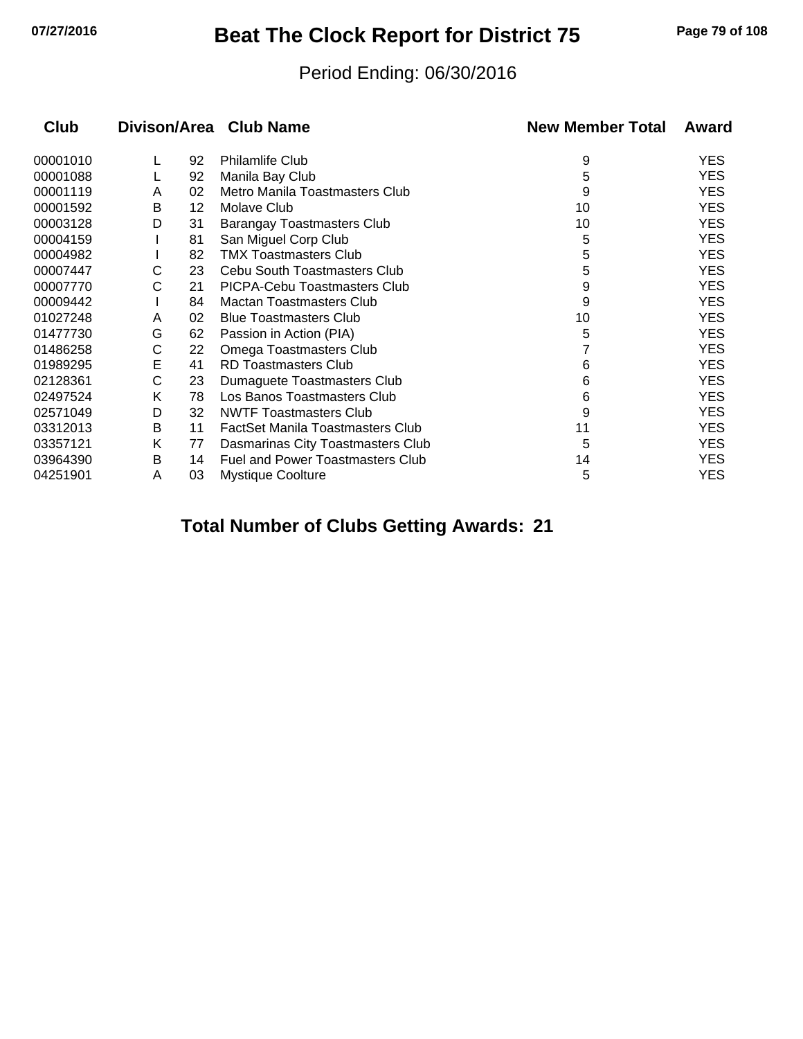## **07/27/2016 Beat The Clock Report for District 75 Page 79 of 108**

#### Period Ending: 06/30/2016

| Club     |   |    | Divison/Area Club Name                  | <b>New Member Total</b> | Award      |
|----------|---|----|-----------------------------------------|-------------------------|------------|
| 00001010 |   | 92 | <b>Philamlife Club</b>                  | 9                       | YES        |
| 00001088 |   | 92 | Manila Bay Club                         | 5                       | <b>YES</b> |
| 00001119 | A | 02 | Metro Manila Toastmasters Club          | 9                       | <b>YES</b> |
| 00001592 | B | 12 | Molave Club                             | 10                      | YES        |
| 00003128 | D | 31 | Barangay Toastmasters Club              | 10                      | YES        |
| 00004159 |   | 81 | San Miguel Corp Club                    | 5                       | <b>YES</b> |
| 00004982 |   | 82 | <b>TMX Toastmasters Club</b>            | 5                       | YES        |
| 00007447 | С | 23 | Cebu South Toastmasters Club            | 5                       | YES        |
| 00007770 | С | 21 | PICPA-Cebu Toastmasters Club            | 9                       | <b>YES</b> |
| 00009442 |   | 84 | <b>Mactan Toastmasters Club</b>         | 9                       | YES        |
| 01027248 | A | 02 | <b>Blue Toastmasters Club</b>           | 10                      | <b>YES</b> |
| 01477730 | G | 62 | Passion in Action (PIA)                 | 5                       | <b>YES</b> |
| 01486258 | С | 22 | Omega Toastmasters Club                 | 7                       | <b>YES</b> |
| 01989295 | Е | 41 | RD Toastmasters Club                    | 6                       | <b>YES</b> |
| 02128361 | С | 23 | Dumaguete Toastmasters Club             | 6                       | <b>YES</b> |
| 02497524 | Κ | 78 | Los Banos Toastmasters Club             | 6                       | <b>YES</b> |
| 02571049 | D | 32 | <b>NWTF Toastmasters Club</b>           | 9                       | YES        |
| 03312013 | В | 11 | <b>FactSet Manila Toastmasters Club</b> | 11                      | <b>YES</b> |
| 03357121 | Κ | 77 | Dasmarinas City Toastmasters Club       | 5                       | YES        |
| 03964390 | B | 14 | <b>Fuel and Power Toastmasters Club</b> | 14                      | YES        |
| 04251901 | A | 03 | <b>Mystique Coolture</b>                | 5                       | <b>YES</b> |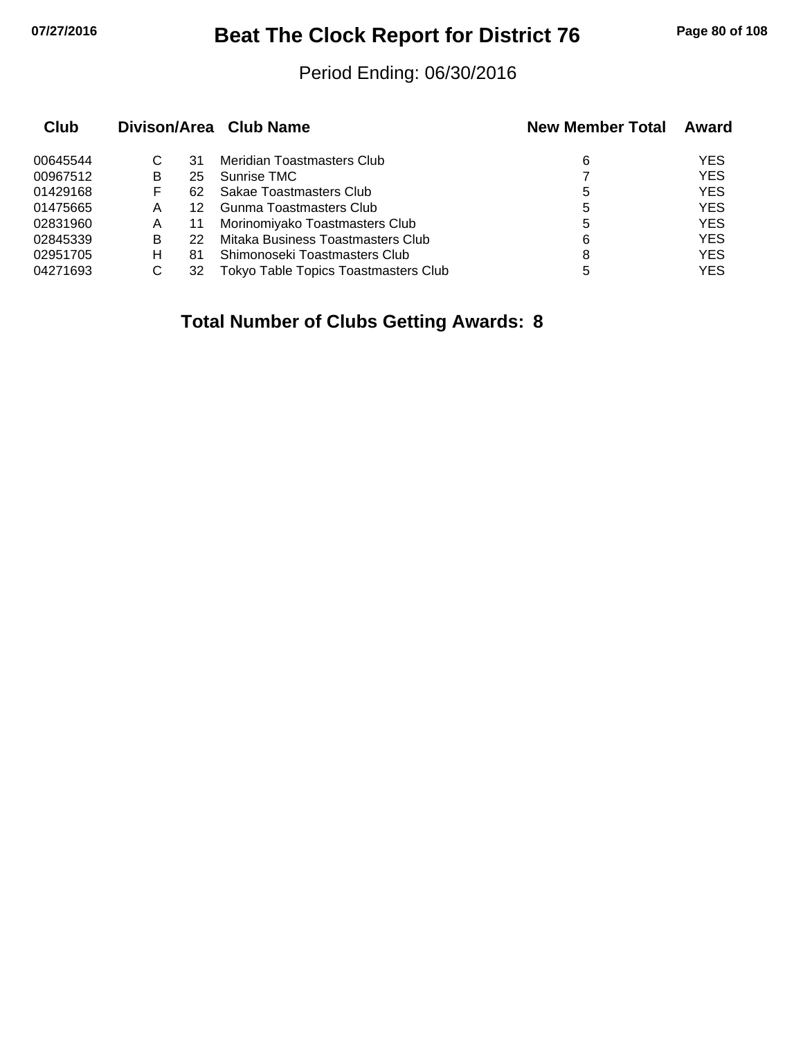## **07/27/2016 Beat The Clock Report for District 76 Page 80 of 108**

#### Period Ending: 06/30/2016

| Club     |   |    | Divison/Area Club Name               | <b>New Member Total</b> | Award      |
|----------|---|----|--------------------------------------|-------------------------|------------|
| 00645544 | C | 31 | Meridian Toastmasters Club           | 6                       | <b>YES</b> |
| 00967512 | B | 25 | Sunrise TMC                          |                         | <b>YES</b> |
| 01429168 | F | 62 | Sakae Toastmasters Club              | 5                       | <b>YES</b> |
| 01475665 | Α |    | Gunma Toastmasters Club              | 5                       | <b>YES</b> |
| 02831960 | Α | 11 | Morinomiyako Toastmasters Club       | 5                       | <b>YES</b> |
| 02845339 | B | 22 | Mitaka Business Toastmasters Club    | 6                       | <b>YES</b> |
| 02951705 | н | 81 | Shimonoseki Toastmasters Club        | 8                       | <b>YES</b> |
| 04271693 | C | 32 | Tokyo Table Topics Toastmasters Club | 5                       | <b>YES</b> |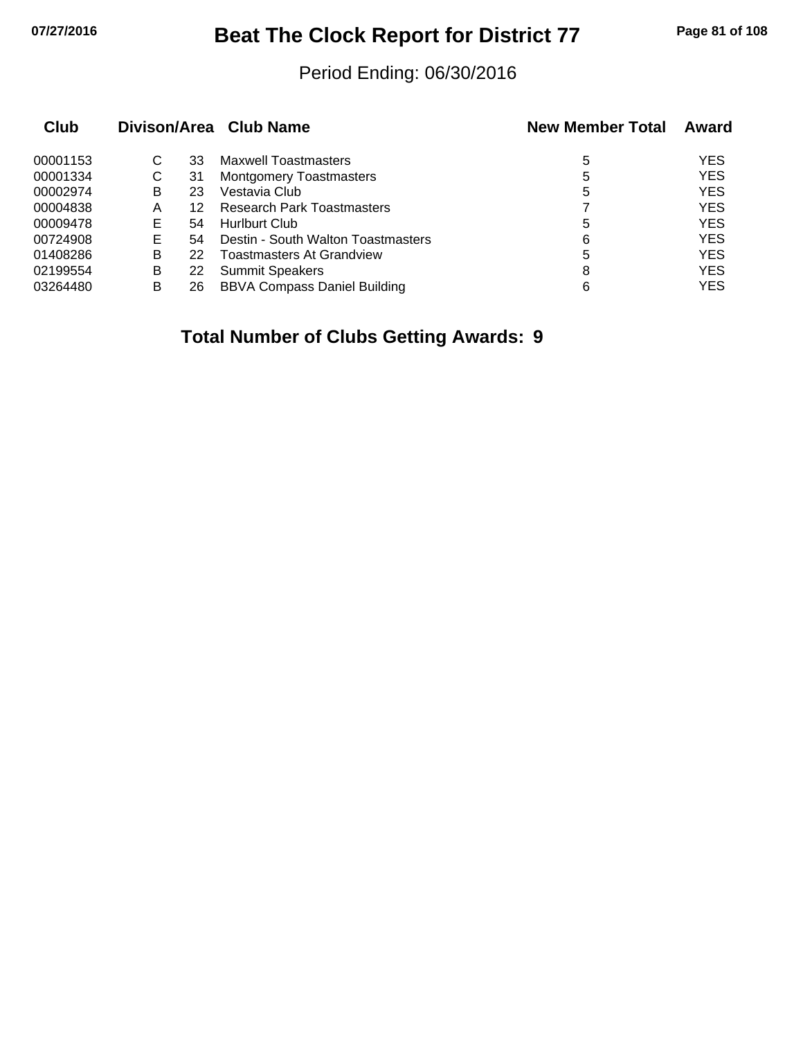## **07/27/2016 Beat The Clock Report for District 77 Page 81 of 108**

#### Period Ending: 06/30/2016

| Club     |    |    | Divison/Area Club Name              | <b>New Member Total</b> | Award      |
|----------|----|----|-------------------------------------|-------------------------|------------|
| 00001153 | С  | 33 | <b>Maxwell Toastmasters</b>         | 5                       | <b>YES</b> |
| 00001334 | С  | 31 | <b>Montgomery Toastmasters</b>      | 5                       | <b>YES</b> |
| 00002974 | B  | 23 | Vestavia Club                       | 5                       | <b>YES</b> |
| 00004838 | A  | 12 | <b>Research Park Toastmasters</b>   |                         | <b>YES</b> |
| 00009478 | Е  | 54 | <b>Hurlburt Club</b>                | 5                       | <b>YES</b> |
| 00724908 | E. | 54 | Destin - South Walton Toastmasters  | 6                       | <b>YES</b> |
| 01408286 | B  | 22 | <b>Toastmasters At Grandview</b>    | 5                       | <b>YES</b> |
| 02199554 | B  | 22 | <b>Summit Speakers</b>              | 8                       | <b>YES</b> |
| 03264480 | В  | 26 | <b>BBVA Compass Daniel Building</b> | 6                       | YES        |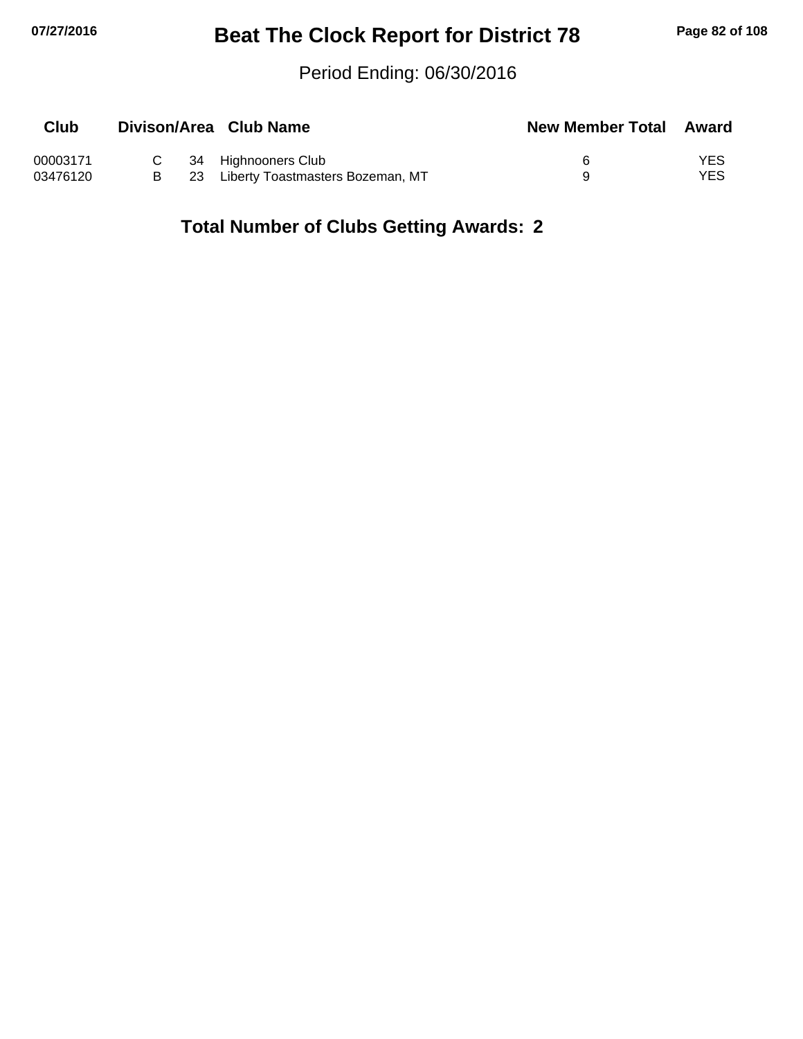## **07/27/2016 Beat The Clock Report for District 78 Page 82 of 108**

#### Period Ending: 06/30/2016

| <b>Club</b> |    | Divison/Area Club Name           | <b>New Member Total Award</b> |     |
|-------------|----|----------------------------------|-------------------------------|-----|
| 00003171    |    | C 34 Highnooners Club            |                               | YES |
| 03476120    | 23 | Liberty Toastmasters Bozeman, MT |                               | YES |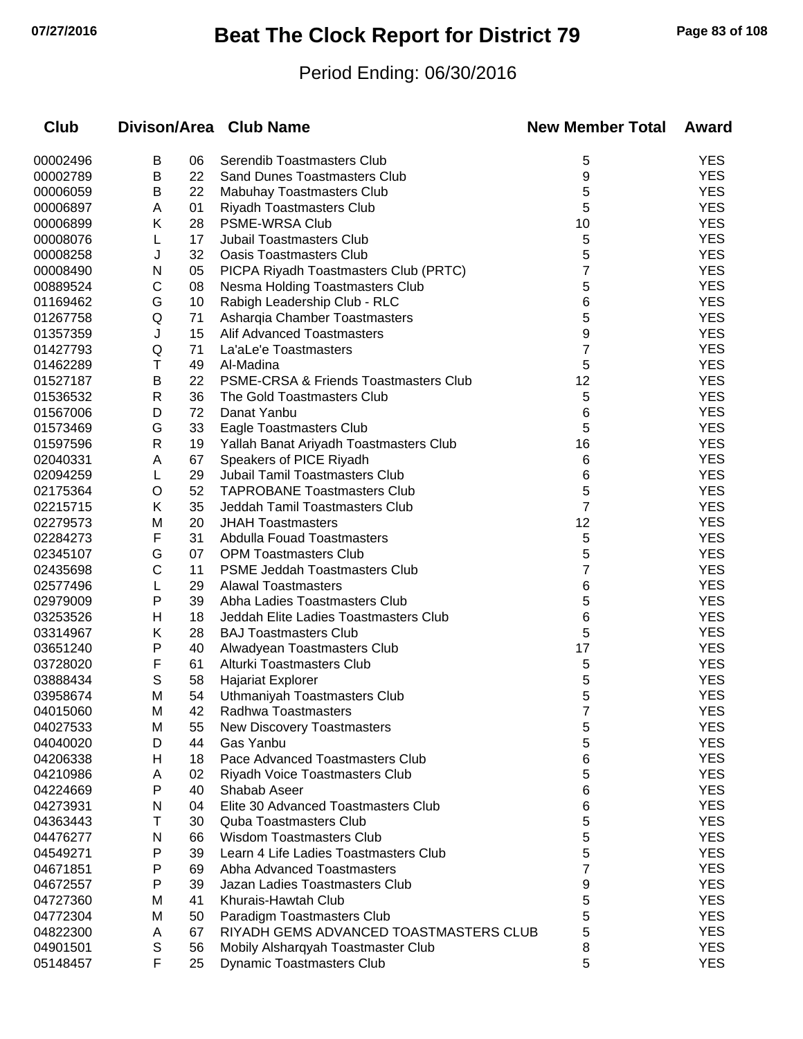# **07/27/2016 Beat The Clock Report for District 79 Page 83 of 108**

### Period Ending: 06/30/2016

| Club     |              |    | Divison/Area Club Name                 | <b>New Member Total</b> | Award      |
|----------|--------------|----|----------------------------------------|-------------------------|------------|
| 00002496 | В            | 06 | Serendib Toastmasters Club             | 5                       | <b>YES</b> |
| 00002789 | В            | 22 | <b>Sand Dunes Toastmasters Club</b>    | 9                       | <b>YES</b> |
| 00006059 | В            | 22 | Mabuhay Toastmasters Club              | 5                       | <b>YES</b> |
| 00006897 | A            | 01 | <b>Riyadh Toastmasters Club</b>        | 5                       | <b>YES</b> |
| 00006899 | Κ            | 28 | PSME-WRSA Club                         | 10                      | <b>YES</b> |
| 00008076 | L            | 17 | <b>Jubail Toastmasters Club</b>        | 5                       | <b>YES</b> |
| 00008258 | J            | 32 | <b>Oasis Toastmasters Club</b>         | 5                       | <b>YES</b> |
| 00008490 | N            | 05 | PICPA Riyadh Toastmasters Club (PRTC)  | 7                       | <b>YES</b> |
| 00889524 | С            | 08 | Nesma Holding Toastmasters Club        | 5                       | <b>YES</b> |
| 01169462 | G            | 10 | Rabigh Leadership Club - RLC           | 6                       | <b>YES</b> |
| 01267758 | Q            | 71 | Asharqia Chamber Toastmasters          | 5                       | <b>YES</b> |
| 01357359 | J            | 15 | <b>Alif Advanced Toastmasters</b>      | 9                       | <b>YES</b> |
| 01427793 | Q            | 71 | La'aLe'e Toastmasters                  | 7                       | <b>YES</b> |
| 01462289 | Τ            | 49 | Al-Madina                              | 5                       | <b>YES</b> |
| 01527187 | B            | 22 | PSME-CRSA & Friends Toastmasters Club  | 12                      | <b>YES</b> |
| 01536532 | $\mathsf{R}$ | 36 | The Gold Toastmasters Club             | 5                       | <b>YES</b> |
| 01567006 | D            | 72 | Danat Yanbu                            | 6                       | <b>YES</b> |
| 01573469 | G            | 33 | Eagle Toastmasters Club                | 5                       | <b>YES</b> |
| 01597596 | R            | 19 | Yallah Banat Ariyadh Toastmasters Club | 16                      | <b>YES</b> |
| 02040331 | A            | 67 | Speakers of PICE Riyadh                | 6                       | <b>YES</b> |
| 02094259 | L            | 29 | <b>Jubail Tamil Toastmasters Club</b>  | 6                       | <b>YES</b> |
| 02175364 | O            | 52 | <b>TAPROBANE Toastmasters Club</b>     | 5                       | <b>YES</b> |
| 02215715 | Κ            | 35 | Jeddah Tamil Toastmasters Club         | 7                       | <b>YES</b> |
| 02279573 | M            | 20 | <b>JHAH Toastmasters</b>               | 12                      | <b>YES</b> |
| 02284273 | F            | 31 | <b>Abdulla Fouad Toastmasters</b>      | 5                       | <b>YES</b> |
| 02345107 | G            | 07 | <b>OPM Toastmasters Club</b>           | 5                       | <b>YES</b> |
| 02435698 | С            | 11 | <b>PSME Jeddah Toastmasters Club</b>   | 7                       | <b>YES</b> |
| 02577496 | L            | 29 | <b>Alawal Toastmasters</b>             | 6                       | <b>YES</b> |
| 02979009 | P            | 39 | Abha Ladies Toastmasters Club          | 5                       | <b>YES</b> |
| 03253526 | н            | 18 | Jeddah Elite Ladies Toastmasters Club  | 6                       | <b>YES</b> |
| 03314967 | Κ            | 28 | <b>BAJ Toastmasters Club</b>           | 5                       | <b>YES</b> |
| 03651240 | Ρ            | 40 | Alwadyean Toastmasters Club            | 17                      | <b>YES</b> |
| 03728020 | F            | 61 | Alturki Toastmasters Club              | 5                       | <b>YES</b> |
| 03888434 | S            | 58 | <b>Hajariat Explorer</b>               | 5                       | <b>YES</b> |
| 03958674 | M            | 54 | Uthmaniyah Toastmasters Club           | 5                       | <b>YES</b> |
| 04015060 | M            | 42 | Radhwa Toastmasters                    | 7                       | YES        |
| 04027533 | м            | 55 | <b>New Discovery Toastmasters</b>      | 5                       | <b>YES</b> |
| 04040020 | D            | 44 | Gas Yanbu                              | 5                       | <b>YES</b> |
| 04206338 | H            | 18 | Pace Advanced Toastmasters Club        | 6                       | <b>YES</b> |
| 04210986 | A            | 02 | Riyadh Voice Toastmasters Club         | 5                       | <b>YES</b> |
| 04224669 | P            | 40 | Shabab Aseer                           | 6                       | <b>YES</b> |
| 04273931 | N            | 04 | Elite 30 Advanced Toastmasters Club    | 6                       | <b>YES</b> |
| 04363443 | т            | 30 | <b>Quba Toastmasters Club</b>          | 5                       | <b>YES</b> |
| 04476277 | N            | 66 | <b>Wisdom Toastmasters Club</b>        | 5                       | <b>YES</b> |
| 04549271 | P            | 39 | Learn 4 Life Ladies Toastmasters Club  | 5                       | <b>YES</b> |
| 04671851 | Р            | 69 | Abha Advanced Toastmasters             | 7                       | <b>YES</b> |
| 04672557 | P            | 39 | Jazan Ladies Toastmasters Club         | 9                       | <b>YES</b> |
| 04727360 | M            | 41 | Khurais-Hawtah Club                    | 5                       | <b>YES</b> |
| 04772304 | м            | 50 | Paradigm Toastmasters Club             | 5                       | <b>YES</b> |
| 04822300 | A            | 67 | RIYADH GEMS ADVANCED TOASTMASTERS CLUB | 5                       | <b>YES</b> |
| 04901501 | S            | 56 | Mobily Alsharqyah Toastmaster Club     | 8                       | <b>YES</b> |
| 05148457 | F            | 25 | <b>Dynamic Toastmasters Club</b>       | 5                       | <b>YES</b> |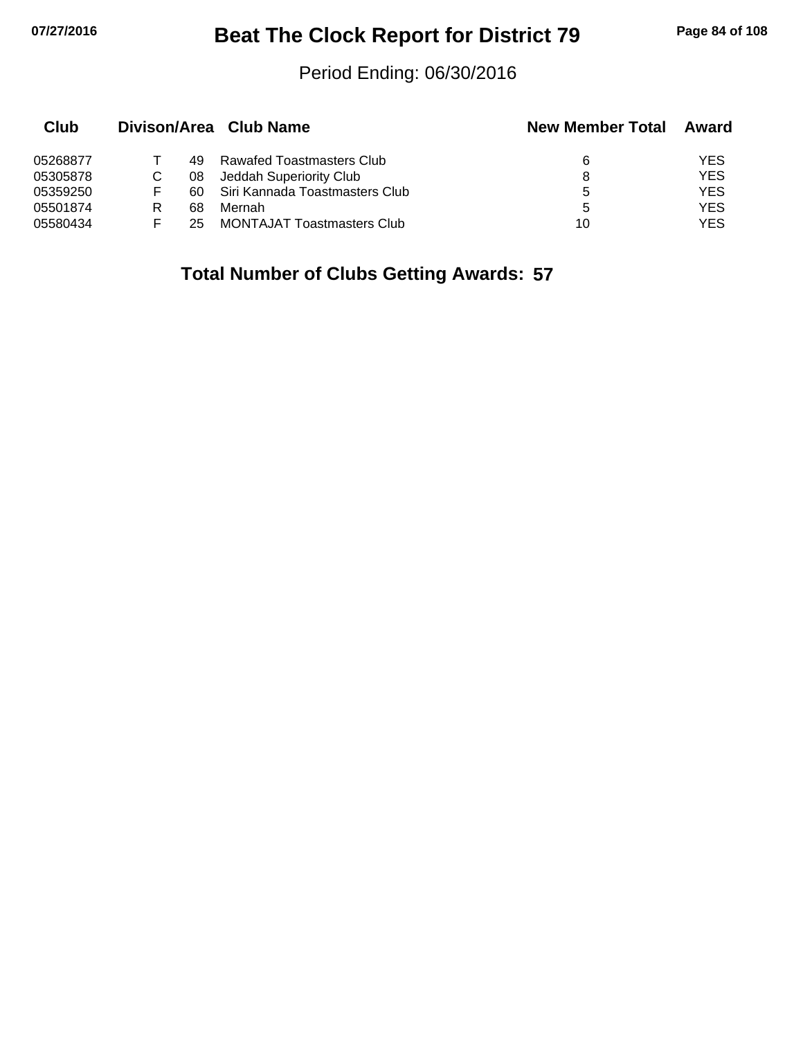## **07/27/2016 Beat The Clock Report for District 79 Page 84 of 108**

#### Period Ending: 06/30/2016

| Club     |    |     | Divison/Area Club Name            | <b>New Member Total</b> | Award      |
|----------|----|-----|-----------------------------------|-------------------------|------------|
| 05268877 |    | 49. | Rawafed Toastmasters Club         | 6                       | YES        |
| 05305878 |    | 08  | Jeddah Superiority Club           | 8                       | <b>YES</b> |
| 05359250 | F. | 60. | Siri Kannada Toastmasters Club    | 5                       | <b>YES</b> |
| 05501874 |    | 68  | Mernah                            | 5                       | <b>YES</b> |
| 05580434 |    | 25  | <b>MONTAJAT Toastmasters Club</b> | 10                      | YES        |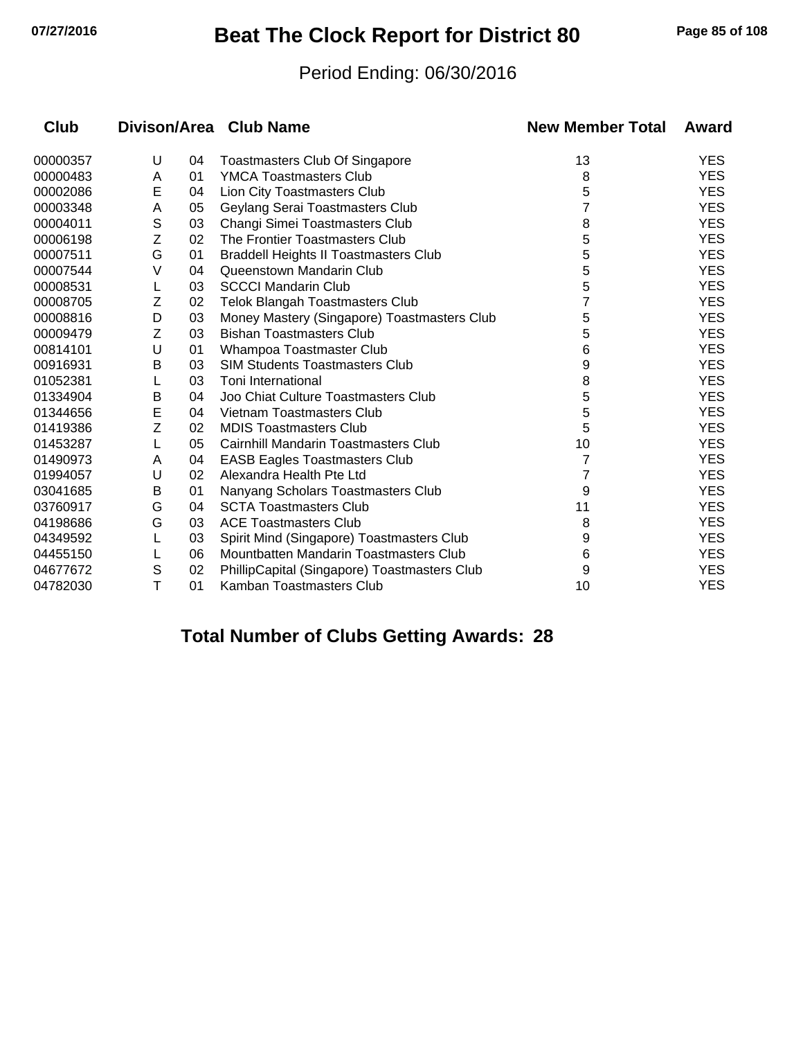# **07/27/2016 Beat The Clock Report for District 80 Page 85 of 108**

#### Period Ending: 06/30/2016

| Club     |   |    | Divison/Area Club Name                       | <b>New Member Total</b> | Award      |
|----------|---|----|----------------------------------------------|-------------------------|------------|
| 00000357 | U | 04 | <b>Toastmasters Club Of Singapore</b>        | 13                      | <b>YES</b> |
| 00000483 | Α | 01 | <b>YMCA Toastmasters Club</b>                | 8                       | <b>YES</b> |
| 00002086 | E | 04 | Lion City Toastmasters Club                  | 5                       | <b>YES</b> |
| 00003348 | Α | 05 | Geylang Serai Toastmasters Club              | 7                       | <b>YES</b> |
| 00004011 | S | 03 | Changi Simei Toastmasters Club               | 8                       | <b>YES</b> |
| 00006198 | Z | 02 | The Frontier Toastmasters Club               | 5                       | <b>YES</b> |
| 00007511 | G | 01 | <b>Braddell Heights II Toastmasters Club</b> | 5                       | <b>YES</b> |
| 00007544 | V | 04 | Queenstown Mandarin Club                     | 5                       | <b>YES</b> |
| 00008531 |   | 03 | <b>SCCCI Mandarin Club</b>                   | 5                       | <b>YES</b> |
| 00008705 | Z | 02 | <b>Telok Blangah Toastmasters Club</b>       |                         | <b>YES</b> |
| 00008816 | D | 03 | Money Mastery (Singapore) Toastmasters Club  | 5                       | <b>YES</b> |
| 00009479 | Z | 03 | <b>Bishan Toastmasters Club</b>              | 5                       | <b>YES</b> |
| 00814101 | U | 01 | Whampoa Toastmaster Club                     | 6                       | <b>YES</b> |
| 00916931 | B | 03 | <b>SIM Students Toastmasters Club</b>        | 9                       | <b>YES</b> |
| 01052381 |   | 03 | Toni International                           | 8                       | <b>YES</b> |
| 01334904 | Β | 04 | Joo Chiat Culture Toastmasters Club          | 5                       | <b>YES</b> |
| 01344656 | E | 04 | Vietnam Toastmasters Club                    | 5                       | <b>YES</b> |
| 01419386 | Z | 02 | <b>MDIS Toastmasters Club</b>                | 5                       | <b>YES</b> |
| 01453287 | L | 05 | Cairnhill Mandarin Toastmasters Club         | 10                      | <b>YES</b> |
| 01490973 | Α | 04 | <b>EASB Eagles Toastmasters Club</b>         | 7                       | <b>YES</b> |
| 01994057 | U | 02 | Alexandra Health Pte Ltd                     |                         | <b>YES</b> |
| 03041685 | Β | 01 | Nanyang Scholars Toastmasters Club           | 9                       | <b>YES</b> |
| 03760917 | G | 04 | <b>SCTA Toastmasters Club</b>                | 11                      | <b>YES</b> |
| 04198686 | G | 03 | <b>ACE Toastmasters Club</b>                 | 8                       | <b>YES</b> |
| 04349592 |   | 03 | Spirit Mind (Singapore) Toastmasters Club    | 9                       | <b>YES</b> |
| 04455150 |   | 06 | Mountbatten Mandarin Toastmasters Club       | 6                       | <b>YES</b> |
| 04677672 | S | 02 | PhillipCapital (Singapore) Toastmasters Club | 9                       | <b>YES</b> |
| 04782030 | T | 01 | Kamban Toastmasters Club                     | 10                      | <b>YES</b> |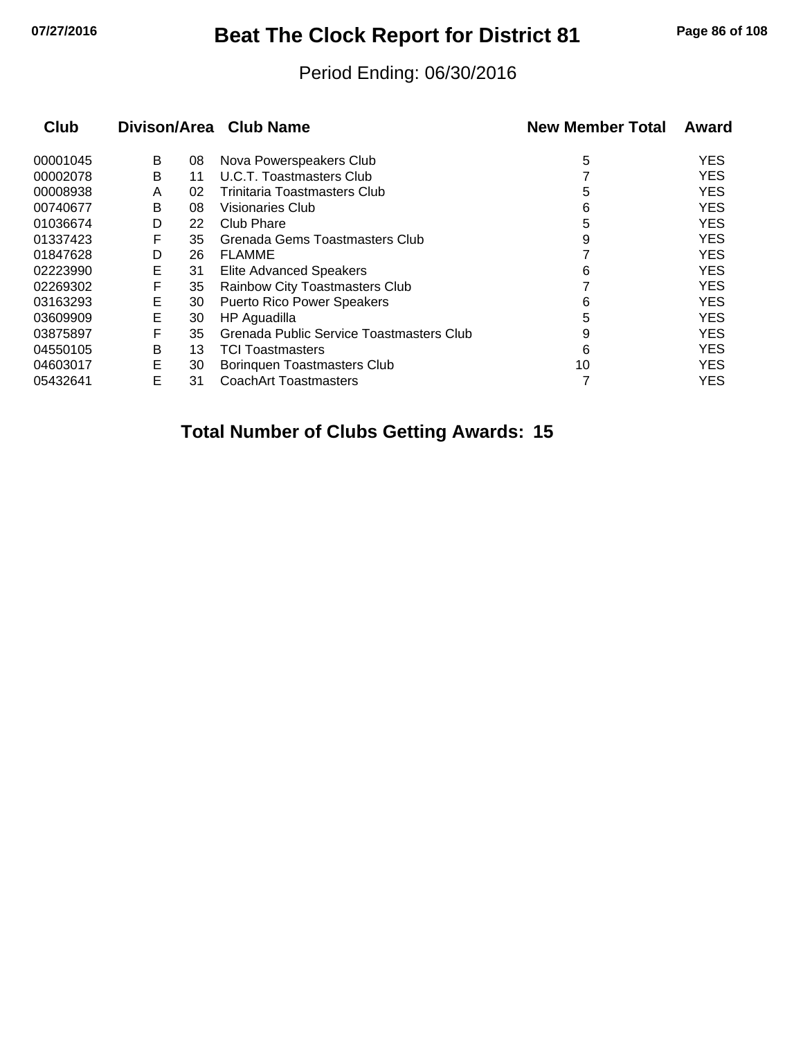# **07/27/2016 Beat The Clock Report for District 81 Page 86 of 108**

#### Period Ending: 06/30/2016

| <b>Club</b> |   |    | Divison/Area Club Name                   | <b>New Member Total</b> | Award      |
|-------------|---|----|------------------------------------------|-------------------------|------------|
| 00001045    | B | 08 | Nova Powerspeakers Club                  | 5                       | <b>YES</b> |
| 00002078    | B | 11 | <b>U.C.T. Toastmasters Club</b>          |                         | <b>YES</b> |
| 00008938    | A | 02 | Trinitaria Toastmasters Club             | 5                       | <b>YES</b> |
| 00740677    | B | 08 | <b>Visionaries Club</b>                  | 6                       | <b>YES</b> |
| 01036674    | D | 22 | Club Phare                               | 5                       | <b>YES</b> |
| 01337423    | F | 35 | Grenada Gems Toastmasters Club           | 9                       | <b>YES</b> |
| 01847628    | D | 26 | <b>FLAMME</b>                            |                         | <b>YES</b> |
| 02223990    | Е | 31 | <b>Elite Advanced Speakers</b>           | 6                       | <b>YES</b> |
| 02269302    | F | 35 | Rainbow City Toastmasters Club           |                         | <b>YES</b> |
| 03163293    | Е | 30 | <b>Puerto Rico Power Speakers</b>        | 6                       | <b>YES</b> |
| 03609909    | E | 30 | HP Aguadilla                             | 5                       | <b>YES</b> |
| 03875897    | F | 35 | Grenada Public Service Toastmasters Club | 9                       | <b>YES</b> |
| 04550105    | В | 13 | <b>TCI Toastmasters</b>                  | 6                       | <b>YES</b> |
| 04603017    | E | 30 | <b>Boringuen Toastmasters Club</b>       | 10                      | <b>YES</b> |
| 05432641    | E | 31 | <b>CoachArt Toastmasters</b>             |                         | <b>YES</b> |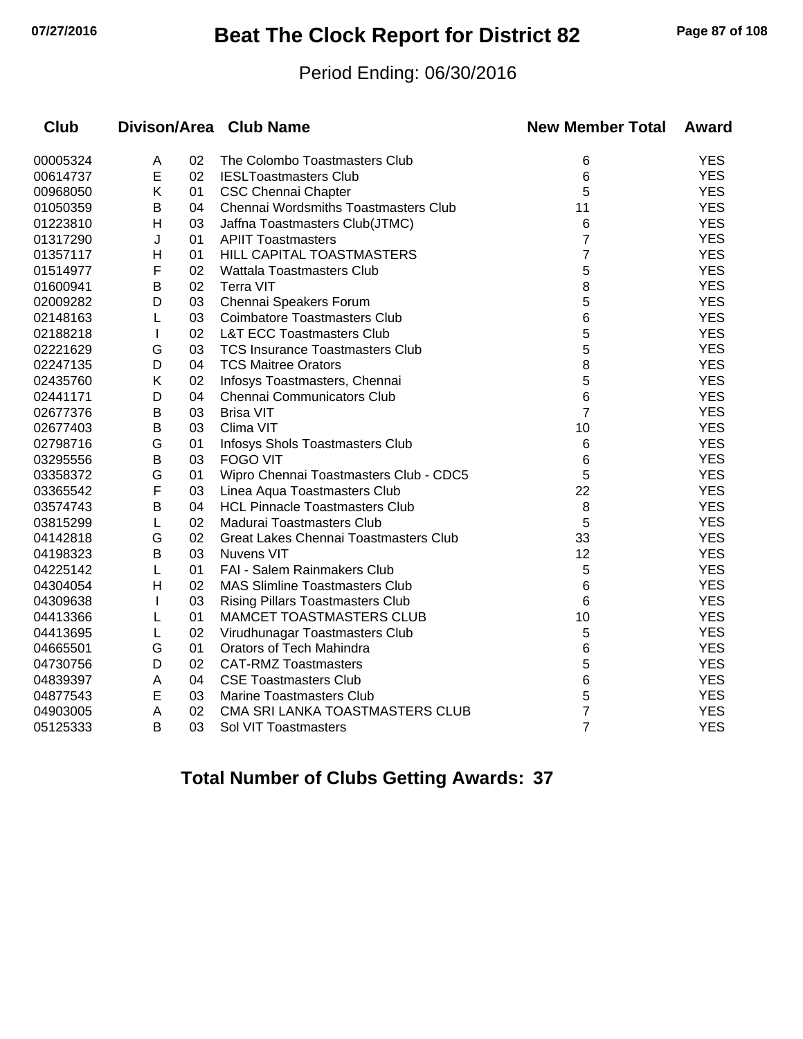# **07/27/2016 Beat The Clock Report for District 82 Page 87 of 108**

#### Period Ending: 06/30/2016

| <b>Club</b> |              |    | Divison/Area Club Name                  | <b>New Member Total</b> | Award      |
|-------------|--------------|----|-----------------------------------------|-------------------------|------------|
| 00005324    | A            | 02 | The Colombo Toastmasters Club           | 6                       | <b>YES</b> |
| 00614737    | E            | 02 | <b>IESLToastmasters Club</b>            | 6                       | <b>YES</b> |
| 00968050    | K            | 01 | <b>CSC Chennai Chapter</b>              | 5                       | <b>YES</b> |
| 01050359    | В            | 04 | Chennai Wordsmiths Toastmasters Club    | 11                      | <b>YES</b> |
| 01223810    | H            | 03 | Jaffna Toastmasters Club(JTMC)          | 6                       | <b>YES</b> |
| 01317290    | J            | 01 | <b>APIIT Toastmasters</b>               | $\overline{7}$          | <b>YES</b> |
| 01357117    | Н            | 01 | HILL CAPITAL TOASTMASTERS               | 7                       | <b>YES</b> |
| 01514977    | F            | 02 | <b>Wattala Toastmasters Club</b>        | 5                       | <b>YES</b> |
| 01600941    | B            | 02 | <b>Terra VIT</b>                        | 8                       | <b>YES</b> |
| 02009282    | D            | 03 | Chennai Speakers Forum                  | 5                       | <b>YES</b> |
| 02148163    | L            | 03 | <b>Coimbatore Toastmasters Club</b>     | 6                       | <b>YES</b> |
| 02188218    | $\mathbf{I}$ | 02 | <b>L&amp;T ECC Toastmasters Club</b>    | 5                       | <b>YES</b> |
| 02221629    | G            | 03 | <b>TCS Insurance Toastmasters Club</b>  | 5                       | <b>YES</b> |
| 02247135    | D            | 04 | <b>TCS Maitree Orators</b>              | 8                       | <b>YES</b> |
| 02435760    | Κ            | 02 | Infosys Toastmasters, Chennai           | 5                       | <b>YES</b> |
| 02441171    | D            | 04 | Chennai Communicators Club              | 6                       | <b>YES</b> |
| 02677376    | Β            | 03 | <b>Brisa VIT</b>                        | $\overline{7}$          | <b>YES</b> |
| 02677403    | В            | 03 | Clima VIT                               | 10                      | <b>YES</b> |
| 02798716    | G            | 01 | Infosys Shols Toastmasters Club         | 6                       | <b>YES</b> |
| 03295556    | В            | 03 | <b>FOGO VIT</b>                         | 6                       | <b>YES</b> |
| 03358372    | G            | 01 | Wipro Chennai Toastmasters Club - CDC5  | 5                       | <b>YES</b> |
| 03365542    | F            | 03 | Linea Aqua Toastmasters Club            | 22                      | <b>YES</b> |
| 03574743    | B            | 04 | <b>HCL Pinnacle Toastmasters Club</b>   | 8                       | <b>YES</b> |
| 03815299    | L            | 02 | Madurai Toastmasters Club               | 5                       | <b>YES</b> |
| 04142818    | G            | 02 | Great Lakes Chennai Toastmasters Club   | 33                      | <b>YES</b> |
| 04198323    | B            | 03 | <b>Nuvens VIT</b>                       | 12                      | <b>YES</b> |
| 04225142    | L            | 01 | FAI - Salem Rainmakers Club             | 5                       | <b>YES</b> |
| 04304054    | H            | 02 | <b>MAS Slimline Toastmasters Club</b>   | 6                       | <b>YES</b> |
| 04309638    |              | 03 | <b>Rising Pillars Toastmasters Club</b> | 6                       | <b>YES</b> |
| 04413366    | L            | 01 | <b>MAMCET TOASTMASTERS CLUB</b>         | 10                      | <b>YES</b> |
| 04413695    | L            | 02 | Virudhunagar Toastmasters Club          | 5                       | <b>YES</b> |
| 04665501    | G            | 01 | Orators of Tech Mahindra                | 6                       | <b>YES</b> |
| 04730756    | D            | 02 | <b>CAT-RMZ Toastmasters</b>             | 5                       | <b>YES</b> |
| 04839397    | Α            | 04 | <b>CSE Toastmasters Club</b>            | 6                       | <b>YES</b> |
| 04877543    | E            | 03 | <b>Marine Toastmasters Club</b>         | 5                       | <b>YES</b> |
| 04903005    | A            | 02 | CMA SRI LANKA TOASTMASTERS CLUB         | $\overline{7}$          | <b>YES</b> |
| 05125333    | B            | 03 | Sol VIT Toastmasters                    | $\overline{7}$          | <b>YES</b> |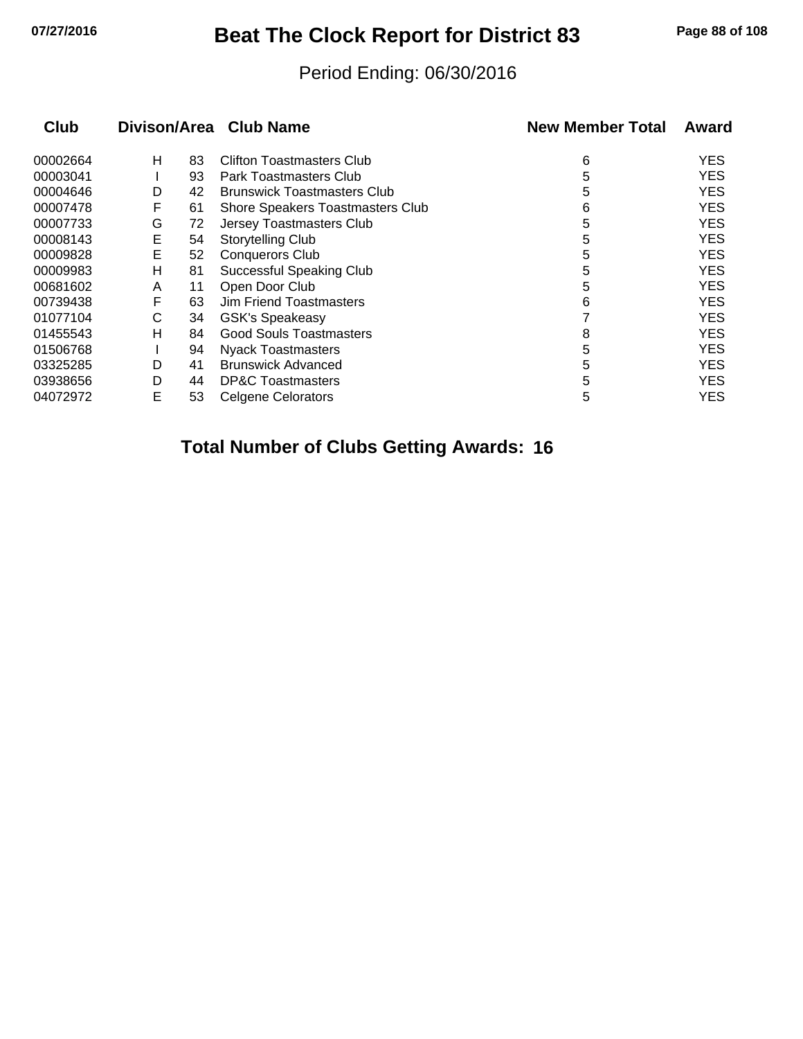## **07/27/2016 Beat The Clock Report for District 83 Page 88 of 108**

#### Period Ending: 06/30/2016

| <b>Club</b> |   |    | Divison/Area Club Name             | <b>New Member Total</b> | Award      |
|-------------|---|----|------------------------------------|-------------------------|------------|
| 00002664    | н | 83 | Clifton Toastmasters Club          | 6                       | <b>YES</b> |
| 00003041    |   | 93 | <b>Park Toastmasters Club</b>      | 5                       | <b>YES</b> |
| 00004646    | D | 42 | <b>Brunswick Toastmasters Club</b> | 5                       | <b>YES</b> |
| 00007478    | F | 61 | Shore Speakers Toastmasters Club   | 6                       | <b>YES</b> |
| 00007733    | G | 72 | Jersey Toastmasters Club           | 5                       | <b>YES</b> |
| 00008143    | Е | 54 | Storytelling Club                  | 5                       | <b>YES</b> |
| 00009828    | Е | 52 | <b>Conquerors Club</b>             | 5                       | <b>YES</b> |
| 00009983    | н | 81 | <b>Successful Speaking Club</b>    | 5                       | <b>YES</b> |
| 00681602    | A | 11 | Open Door Club                     | 5                       | <b>YES</b> |
| 00739438    | F | 63 | Jim Friend Toastmasters            | 6                       | <b>YES</b> |
| 01077104    | С | 34 | <b>GSK's Speakeasy</b>             |                         | <b>YES</b> |
| 01455543    | н | 84 | <b>Good Souls Toastmasters</b>     | 8                       | <b>YES</b> |
| 01506768    |   | 94 | <b>Nyack Toastmasters</b>          | 5                       | <b>YES</b> |
| 03325285    | D | 41 | <b>Brunswick Advanced</b>          | 5                       | <b>YES</b> |
| 03938656    | D | 44 | <b>DP&amp;C Toastmasters</b>       | 5                       | <b>YES</b> |
| 04072972    | E | 53 | <b>Celgene Celorators</b>          | 5                       | YES        |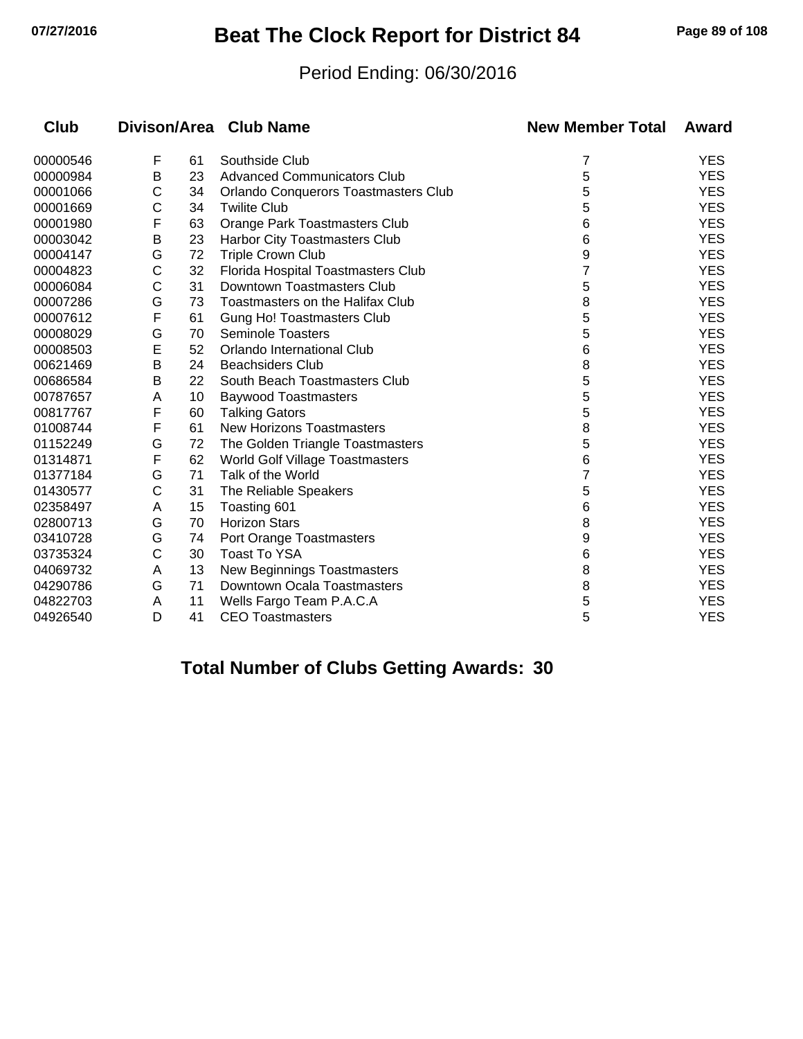## **07/27/2016 Beat The Clock Report for District 84 Page 89 of 108**

#### Period Ending: 06/30/2016

| Club     |   |    | Divison/Area Club Name                      | <b>New Member Total</b> | Award      |
|----------|---|----|---------------------------------------------|-------------------------|------------|
| 00000546 | F | 61 | Southside Club                              | 7                       | <b>YES</b> |
| 00000984 | B | 23 | <b>Advanced Communicators Club</b>          | 5                       | <b>YES</b> |
| 00001066 | С | 34 | <b>Orlando Conquerors Toastmasters Club</b> | 5                       | <b>YES</b> |
| 00001669 | C | 34 | <b>Twilite Club</b>                         | 5                       | <b>YES</b> |
| 00001980 | F | 63 | Orange Park Toastmasters Club               | 6                       | <b>YES</b> |
| 00003042 | B | 23 | Harbor City Toastmasters Club               | 6                       | <b>YES</b> |
| 00004147 | G | 72 | <b>Triple Crown Club</b>                    | 9                       | <b>YES</b> |
| 00004823 | C | 32 | Florida Hospital Toastmasters Club          |                         | <b>YES</b> |
| 00006084 | C | 31 | Downtown Toastmasters Club                  | 5                       | <b>YES</b> |
| 00007286 | G | 73 | Toastmasters on the Halifax Club            | 8                       | <b>YES</b> |
| 00007612 | F | 61 | <b>Gung Ho! Toastmasters Club</b>           | 5                       | <b>YES</b> |
| 00008029 | G | 70 | <b>Seminole Toasters</b>                    | 5                       | <b>YES</b> |
| 00008503 | E | 52 | Orlando International Club                  | 6                       | <b>YES</b> |
| 00621469 | B | 24 | <b>Beachsiders Club</b>                     | 8                       | <b>YES</b> |
| 00686584 | B | 22 | South Beach Toastmasters Club               | 5                       | <b>YES</b> |
| 00787657 | A | 10 | <b>Baywood Toastmasters</b>                 | 5                       | <b>YES</b> |
| 00817767 | F | 60 | <b>Talking Gators</b>                       | 5                       | <b>YES</b> |
| 01008744 | F | 61 | <b>New Horizons Toastmasters</b>            | 8                       | <b>YES</b> |
| 01152249 | G | 72 | The Golden Triangle Toastmasters            | 5                       | <b>YES</b> |
| 01314871 | F | 62 | World Golf Village Toastmasters             | 6                       | <b>YES</b> |
| 01377184 | G | 71 | Talk of the World                           |                         | <b>YES</b> |
| 01430577 | C | 31 | The Reliable Speakers                       | 5                       | <b>YES</b> |
| 02358497 | A | 15 | Toasting 601                                | 6                       | <b>YES</b> |
| 02800713 | G | 70 | <b>Horizon Stars</b>                        | 8                       | <b>YES</b> |
| 03410728 | G | 74 | Port Orange Toastmasters                    | 9                       | <b>YES</b> |
| 03735324 | C | 30 | <b>Toast To YSA</b>                         | 6                       | <b>YES</b> |
| 04069732 | A | 13 | New Beginnings Toastmasters                 | 8                       | <b>YES</b> |
| 04290786 | G | 71 | Downtown Ocala Toastmasters                 | 8                       | <b>YES</b> |
| 04822703 | A | 11 | Wells Fargo Team P.A.C.A                    | 5                       | <b>YES</b> |
| 04926540 | D | 41 | <b>CEO Toastmasters</b>                     | 5                       | <b>YES</b> |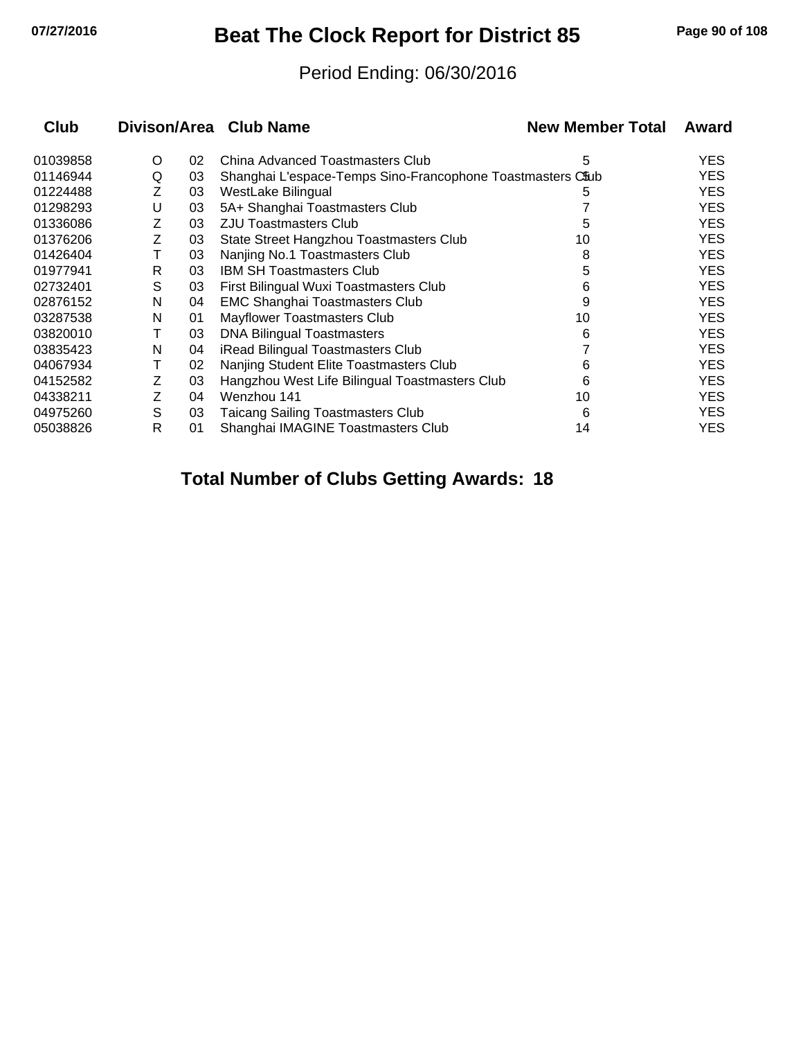## **07/27/2016 Beat The Clock Report for District 85 Page 90 of 108**

#### Period Ending: 06/30/2016

| <b>Club</b> |   |    | Divison/Area Club Name                                     | <b>New Member Total</b> | Award      |
|-------------|---|----|------------------------------------------------------------|-------------------------|------------|
| 01039858    | O | 02 | China Advanced Toastmasters Club                           | 5                       | YES.       |
| 01146944    | Q | 03 | Shanghai L'espace-Temps Sino-Francophone Toastmasters C&ub |                         | <b>YES</b> |
| 01224488    | Ζ | 03 | WestLake Bilingual                                         | 5                       | <b>YES</b> |
| 01298293    | U | 03 | 5A+ Shanghai Toastmasters Club                             |                         | <b>YES</b> |
| 01336086    | Z | 03 | <b>ZJU Toastmasters Club</b>                               | 5                       | <b>YES</b> |
| 01376206    | Z | 03 | State Street Hangzhou Toastmasters Club                    | 10                      | <b>YES</b> |
| 01426404    | Т | 03 | Nanjing No.1 Toastmasters Club                             | 8                       | <b>YES</b> |
| 01977941    | R | 03 | <b>IBM SH Toastmasters Club</b>                            | 5                       | <b>YES</b> |
| 02732401    | S | 03 | First Bilingual Wuxi Toastmasters Club                     | 6                       | <b>YES</b> |
| 02876152    | N | 04 | <b>EMC Shanghai Toastmasters Club</b>                      | 9                       | <b>YES</b> |
| 03287538    | N | 01 | Mayflower Toastmasters Club                                | 10                      | <b>YES</b> |
| 03820010    | т | 03 | DNA Bilingual Toastmasters                                 | 6                       | <b>YES</b> |
| 03835423    | N | 04 | iRead Bilingual Toastmasters Club                          |                         | <b>YES</b> |
| 04067934    | Т | 02 | Nanjing Student Elite Toastmasters Club                    | 6                       | <b>YES</b> |
| 04152582    | Ζ | 03 | Hangzhou West Life Bilingual Toastmasters Club             | 6                       | <b>YES</b> |
| 04338211    | Ζ | 04 | Wenzhou 141                                                | 10                      | <b>YES</b> |
| 04975260    | S | 03 | Taicang Sailing Toastmasters Club                          | 6                       | <b>YES</b> |
| 05038826    | R | 01 | Shanghai IMAGINE Toastmasters Club                         | 14                      | <b>YES</b> |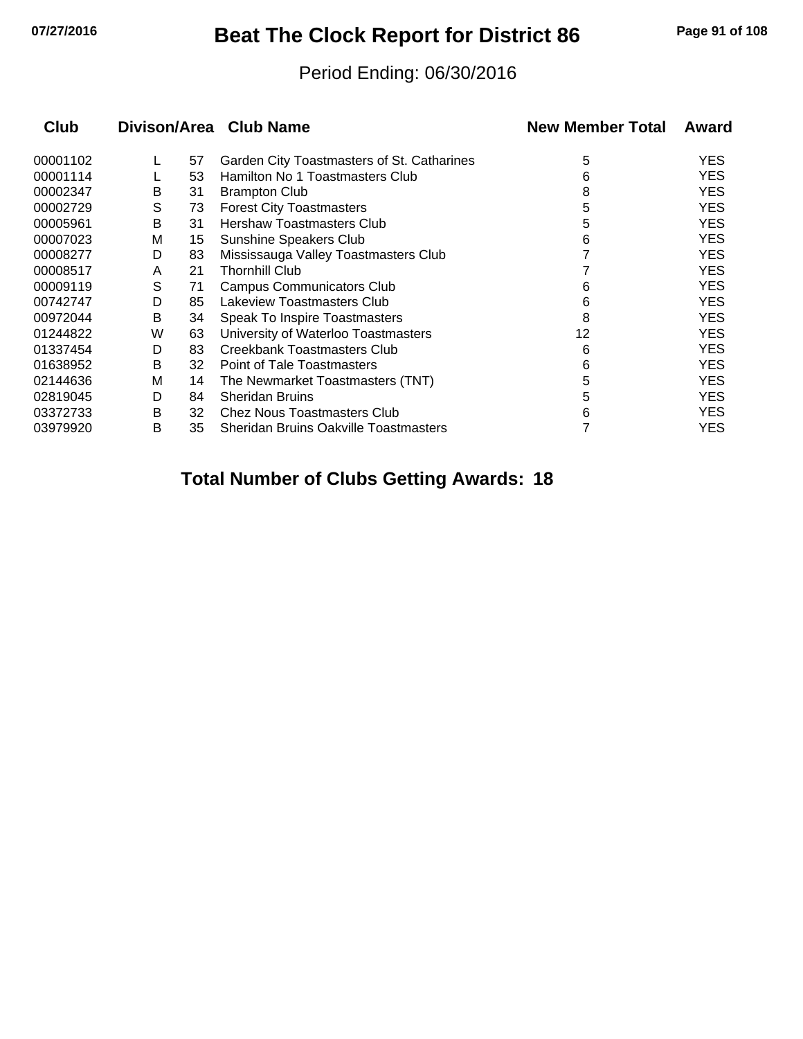## **07/27/2016 Beat The Clock Report for District 86 Page 91 of 108**

#### Period Ending: 06/30/2016

| <b>Club</b> |   |    | Divison/Area Club Name                       | <b>New Member Total</b> | Award      |
|-------------|---|----|----------------------------------------------|-------------------------|------------|
| 00001102    |   | 57 | Garden City Toastmasters of St. Catharines   | 5                       | <b>YES</b> |
| 00001114    |   | 53 | Hamilton No 1 Toastmasters Club              | 6                       | <b>YES</b> |
| 00002347    | B | 31 | <b>Brampton Club</b>                         | 8                       | <b>YES</b> |
| 00002729    | S | 73 | <b>Forest City Toastmasters</b>              | 5                       | <b>YES</b> |
| 00005961    | В | 31 | Hershaw Toastmasters Club                    | 5                       | <b>YES</b> |
| 00007023    | М | 15 | Sunshine Speakers Club                       | 6                       | <b>YES</b> |
| 00008277    | D | 83 | Mississauga Valley Toastmasters Club         |                         | <b>YES</b> |
| 00008517    | A | 21 | <b>Thornhill Club</b>                        |                         | <b>YES</b> |
| 00009119    | S | 71 | <b>Campus Communicators Club</b>             | 6                       | <b>YES</b> |
| 00742747    | D | 85 | Lakeview Toastmasters Club                   | 6                       | <b>YES</b> |
| 00972044    | В | 34 | Speak To Inspire Toastmasters                | 8                       | <b>YES</b> |
| 01244822    | W | 63 | University of Waterloo Toastmasters          | 12                      | <b>YES</b> |
| 01337454    | D | 83 | Creekbank Toastmasters Club                  | 6                       | <b>YES</b> |
| 01638952    | В | 32 | Point of Tale Toastmasters                   | 6                       | <b>YES</b> |
| 02144636    | м | 14 | The Newmarket Toastmasters (TNT)             | 5                       | <b>YES</b> |
| 02819045    | D | 84 | <b>Sheridan Bruins</b>                       | 5                       | <b>YES</b> |
| 03372733    | B | 32 | <b>Chez Nous Toastmasters Club</b>           | 6                       | <b>YES</b> |
| 03979920    | B | 35 | <b>Sheridan Bruins Oakville Toastmasters</b> |                         | <b>YES</b> |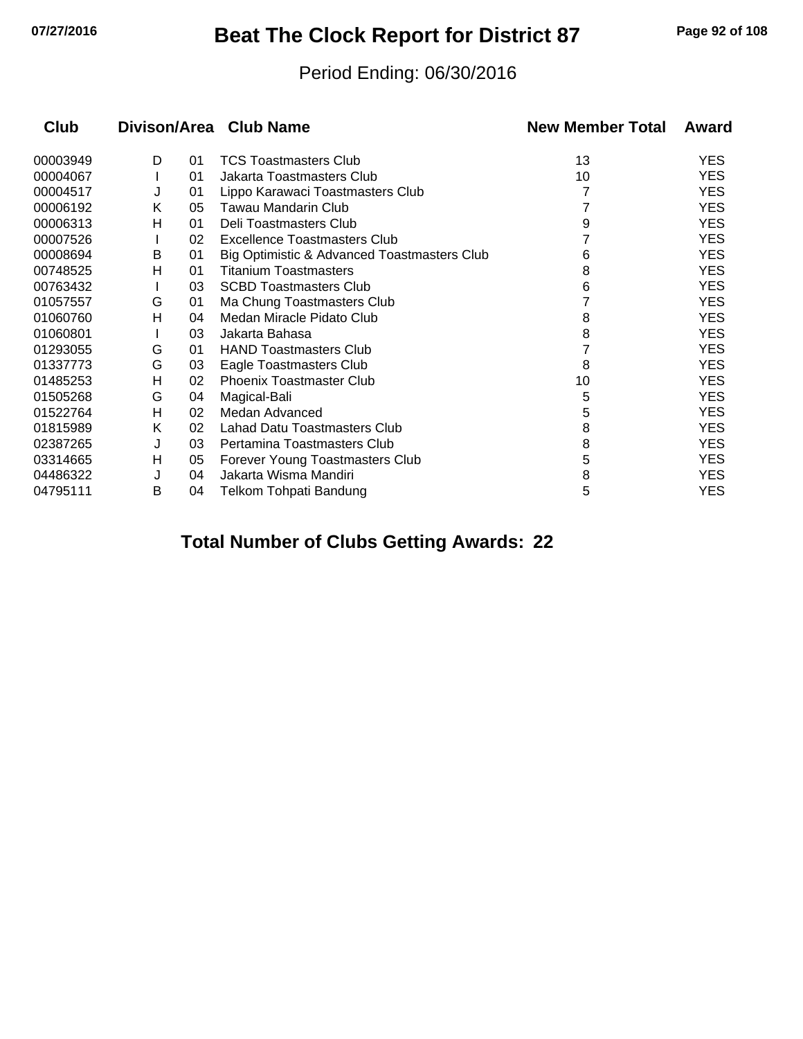## **07/27/2016 Beat The Clock Report for District 87 Page 92 of 108**

#### Period Ending: 06/30/2016

| <b>Club</b> |   |    | Divison/Area Club Name                      | <b>New Member Total</b> | Award      |
|-------------|---|----|---------------------------------------------|-------------------------|------------|
| 00003949    | D | 01 | <b>TCS Toastmasters Club</b>                | 13                      | <b>YES</b> |
| 00004067    |   | 01 | Jakarta Toastmasters Club                   | 10                      | <b>YES</b> |
| 00004517    | J | 01 | Lippo Karawaci Toastmasters Club            |                         | <b>YES</b> |
| 00006192    | Κ | 05 | Tawau Mandarin Club                         |                         | <b>YES</b> |
| 00006313    | н | 01 | Deli Toastmasters Club                      | 9                       | <b>YES</b> |
| 00007526    |   | 02 | Excellence Toastmasters Club                |                         | <b>YES</b> |
| 00008694    | B | 01 | Big Optimistic & Advanced Toastmasters Club | 6                       | <b>YES</b> |
| 00748525    | н | 01 | <b>Titanium Toastmasters</b>                | 8                       | <b>YES</b> |
| 00763432    |   | 03 | <b>SCBD Toastmasters Club</b>               | 6                       | <b>YES</b> |
| 01057557    | G | 01 | Ma Chung Toastmasters Club                  |                         | <b>YES</b> |
| 01060760    | н | 04 | Medan Miracle Pidato Club                   | 8                       | <b>YES</b> |
| 01060801    |   | 03 | Jakarta Bahasa                              | 8                       | <b>YES</b> |
| 01293055    | G | 01 | <b>HAND Toastmasters Club</b>               | 7                       | <b>YES</b> |
| 01337773    | G | 03 | Eagle Toastmasters Club                     | 8                       | <b>YES</b> |
| 01485253    | н | 02 | <b>Phoenix Toastmaster Club</b>             | 10                      | <b>YES</b> |
| 01505268    | G | 04 | Magical-Bali                                | 5                       | <b>YES</b> |
| 01522764    | н | 02 | Medan Advanced                              | 5                       | <b>YES</b> |
| 01815989    | Κ | 02 | Lahad Datu Toastmasters Club                | 8                       | <b>YES</b> |
| 02387265    | J | 03 | Pertamina Toastmasters Club                 | 8                       | <b>YES</b> |
| 03314665    | н | 05 | Forever Young Toastmasters Club             | 5                       | <b>YES</b> |
| 04486322    | J | 04 | Jakarta Wisma Mandiri                       | 8                       | <b>YES</b> |
| 04795111    | B | 04 | Telkom Tohpati Bandung                      | 5                       | <b>YES</b> |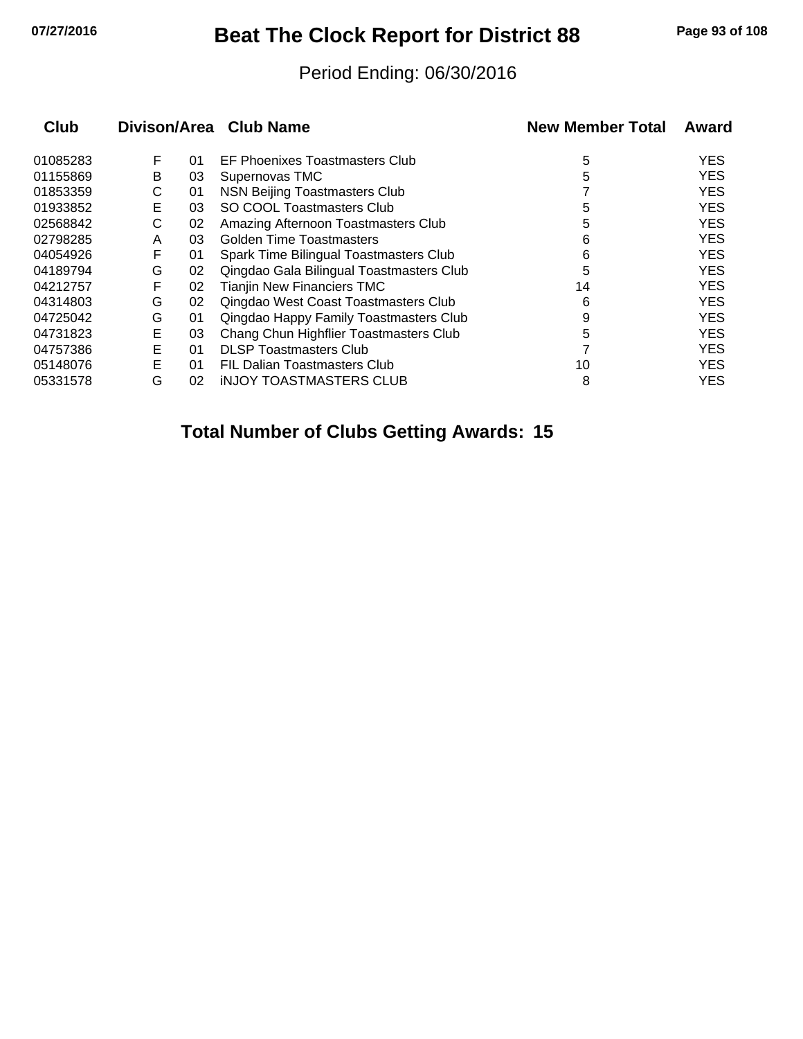## **07/27/2016 Beat The Clock Report for District 88 Page 93 of 108**

#### Period Ending: 06/30/2016

| Club     |   |    | Divison/Area Club Name                   | <b>New Member Total</b> | Award      |
|----------|---|----|------------------------------------------|-------------------------|------------|
| 01085283 | F | 01 | EF Phoenixes Toastmasters Club           | 5                       | YES.       |
| 01155869 | B | 03 | Supernovas TMC                           | 5                       | <b>YES</b> |
| 01853359 | С | 01 | NSN Beijing Toastmasters Club            |                         | <b>YES</b> |
| 01933852 | Е | 03 | SO COOL Toastmasters Club                | 5                       | <b>YES</b> |
| 02568842 | С | 02 | Amazing Afternoon Toastmasters Club      | 5                       | <b>YES</b> |
| 02798285 | A | 03 | Golden Time Toastmasters                 | 6                       | <b>YES</b> |
| 04054926 | F | 01 | Spark Time Bilingual Toastmasters Club   | 6                       | <b>YES</b> |
| 04189794 | G | 02 | Qingdao Gala Bilingual Toastmasters Club | 5                       | <b>YES</b> |
| 04212757 | F | 02 | <b>Tianjin New Financiers TMC</b>        | 14                      | <b>YES</b> |
| 04314803 | G | 02 | Qingdao West Coast Toastmasters Club     | 6                       | <b>YES</b> |
| 04725042 | G | 01 | Qingdao Happy Family Toastmasters Club   | 9                       | <b>YES</b> |
| 04731823 | Е | 03 | Chang Chun Highflier Toastmasters Club   | 5                       | <b>YES</b> |
| 04757386 | E | 01 | <b>DLSP Toastmasters Club</b>            |                         | <b>YES</b> |
| 05148076 | Е | 01 | FIL Dalian Toastmasters Club             | 10                      | <b>YES</b> |
| 05331578 | G | 02 | <b>INJOY TOASTMASTERS CLUB</b>           | 8                       | <b>YES</b> |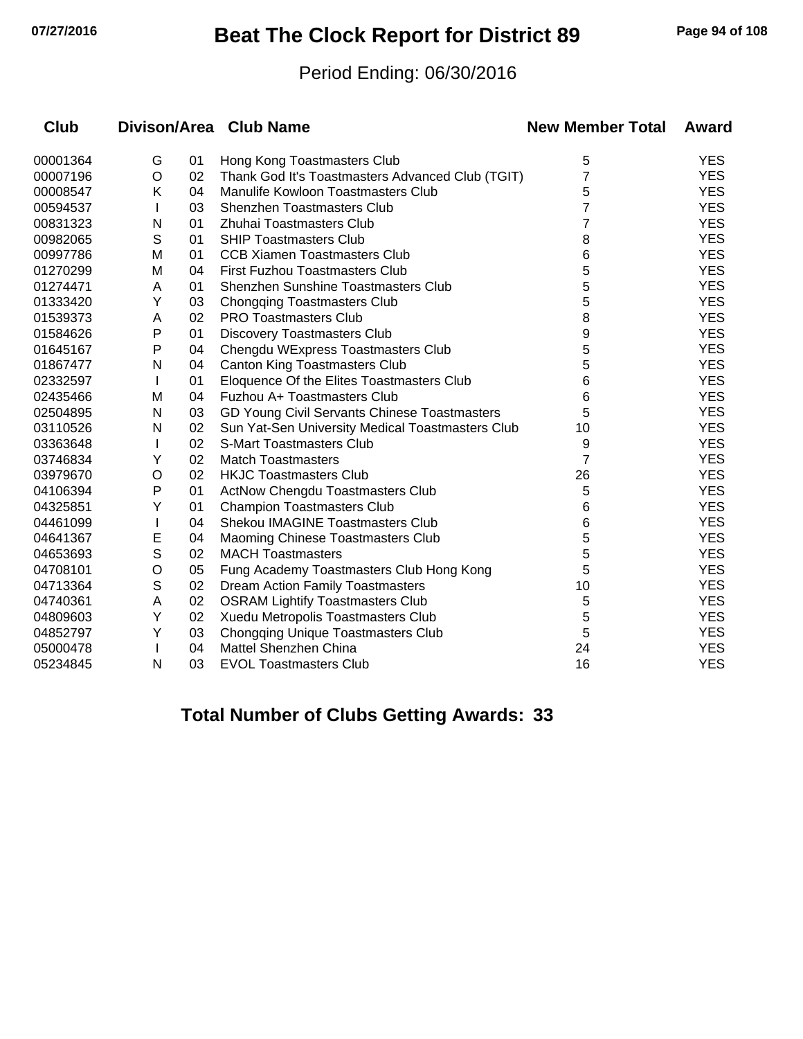## **07/27/2016 Beat The Clock Report for District 89 Page 94 of 108**

#### Period Ending: 06/30/2016

| <b>Club</b> |   |    | Divison/Area Club Name                           | <b>New Member Total</b> | Award      |
|-------------|---|----|--------------------------------------------------|-------------------------|------------|
| 00001364    | G | 01 | Hong Kong Toastmasters Club                      | 5                       | <b>YES</b> |
| 00007196    | O | 02 | Thank God It's Toastmasters Advanced Club (TGIT) | 7                       | <b>YES</b> |
| 00008547    | Κ | 04 | Manulife Kowloon Toastmasters Club               | 5                       | <b>YES</b> |
| 00594537    |   | 03 | Shenzhen Toastmasters Club                       | 7                       | <b>YES</b> |
| 00831323    | N | 01 | Zhuhai Toastmasters Club                         | 7                       | <b>YES</b> |
| 00982065    | S | 01 | <b>SHIP Toastmasters Club</b>                    | 8                       | <b>YES</b> |
| 00997786    | M | 01 | <b>CCB Xiamen Toastmasters Club</b>              | 6                       | <b>YES</b> |
| 01270299    | M | 04 | <b>First Fuzhou Toastmasters Club</b>            | 5                       | <b>YES</b> |
| 01274471    | Α | 01 | <b>Shenzhen Sunshine Toastmasters Club</b>       | 5                       | <b>YES</b> |
| 01333420    | Y | 03 | <b>Chongqing Toastmasters Club</b>               | 5                       | <b>YES</b> |
| 01539373    | A | 02 | <b>PRO Toastmasters Club</b>                     | 8                       | <b>YES</b> |
| 01584626    | Ρ | 01 | <b>Discovery Toastmasters Club</b>               | 9                       | <b>YES</b> |
| 01645167    | P | 04 | Chengdu WExpress Toastmasters Club               | 5                       | <b>YES</b> |
| 01867477    | N | 04 | <b>Canton King Toastmasters Club</b>             | 5                       | <b>YES</b> |
| 02332597    |   | 01 | Eloquence Of the Elites Toastmasters Club        | 6                       | <b>YES</b> |
| 02435466    | M | 04 | Fuzhou A+ Toastmasters Club                      | 6                       | <b>YES</b> |
| 02504895    | N | 03 | GD Young Civil Servants Chinese Toastmasters     | 5                       | <b>YES</b> |
| 03110526    | N | 02 | Sun Yat-Sen University Medical Toastmasters Club | 10                      | <b>YES</b> |
| 03363648    | L | 02 | <b>S-Mart Toastmasters Club</b>                  | 9                       | <b>YES</b> |
| 03746834    | Y | 02 | <b>Match Toastmasters</b>                        | 7                       | <b>YES</b> |
| 03979670    | O | 02 | <b>HKJC Toastmasters Club</b>                    | 26                      | <b>YES</b> |
| 04106394    | P | 01 | ActNow Chengdu Toastmasters Club                 | 5                       | <b>YES</b> |
| 04325851    | Υ | 01 | <b>Champion Toastmasters Club</b>                | 6                       | <b>YES</b> |
| 04461099    |   | 04 | Shekou IMAGINE Toastmasters Club                 | 6                       | <b>YES</b> |
| 04641367    | Е | 04 | Maoming Chinese Toastmasters Club                | 5                       | <b>YES</b> |
| 04653693    | S | 02 | <b>MACH Toastmasters</b>                         | 5                       | <b>YES</b> |
| 04708101    | O | 05 | Fung Academy Toastmasters Club Hong Kong         | 5                       | <b>YES</b> |
| 04713364    | S | 02 | Dream Action Family Toastmasters                 | 10                      | <b>YES</b> |
| 04740361    | A | 02 | <b>OSRAM Lightify Toastmasters Club</b>          | 5                       | <b>YES</b> |
| 04809603    | Y | 02 | Xuedu Metropolis Toastmasters Club               | 5                       | <b>YES</b> |
| 04852797    | Υ | 03 | <b>Chongqing Unique Toastmasters Club</b>        | 5                       | <b>YES</b> |
| 05000478    |   | 04 | Mattel Shenzhen China                            | 24                      | <b>YES</b> |
| 05234845    | N | 03 | <b>EVOL Toastmasters Club</b>                    | 16                      | <b>YES</b> |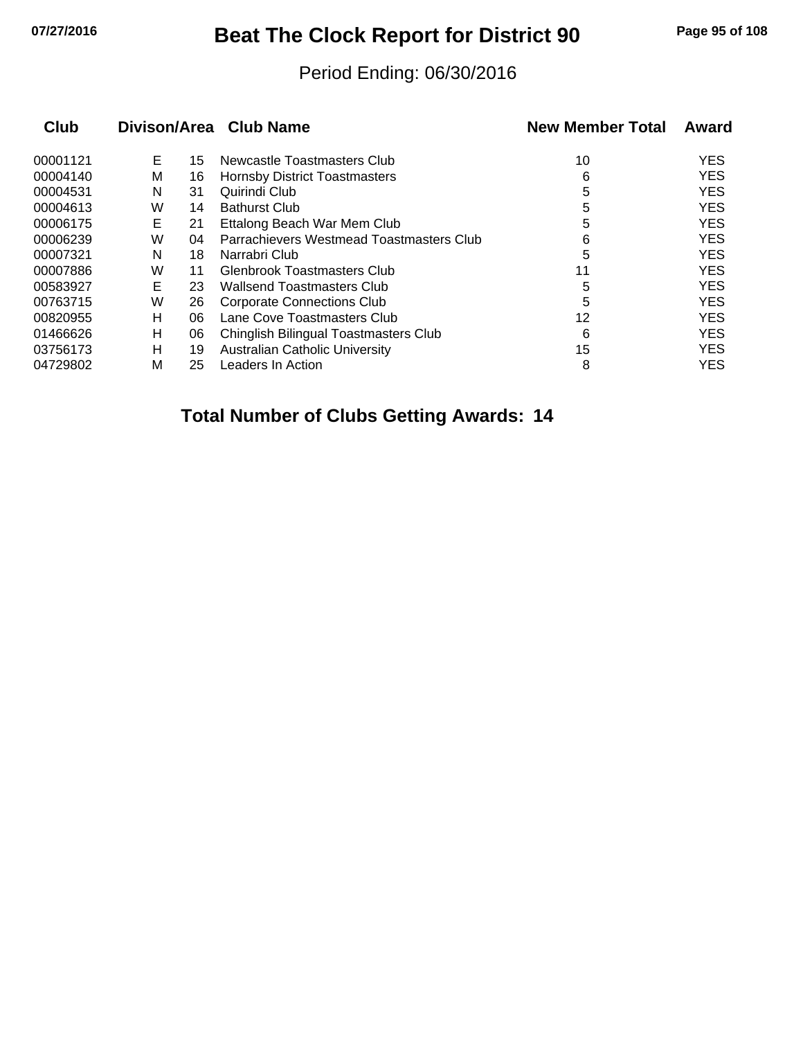# **07/27/2016 Beat The Clock Report for District 90 Page 95 of 108**

#### Period Ending: 06/30/2016

| <b>Club</b> |   |    | Divison/Area Club Name                   | <b>New Member Total</b> | Award      |
|-------------|---|----|------------------------------------------|-------------------------|------------|
| 00001121    | Е | 15 | Newcastle Toastmasters Club              | 10                      | <b>YES</b> |
| 00004140    | м | 16 | <b>Hornsby District Toastmasters</b>     | 6                       | <b>YES</b> |
| 00004531    | N | 31 | Quirindi Club                            | 5                       | <b>YES</b> |
| 00004613    | W | 14 | <b>Bathurst Club</b>                     | 5                       | <b>YES</b> |
| 00006175    | Е | 21 | Ettalong Beach War Mem Club              | 5                       | <b>YES</b> |
| 00006239    | W | 04 | Parrachievers Westmead Toastmasters Club | 6                       | <b>YES</b> |
| 00007321    | N | 18 | Narrabri Club                            | 5                       | <b>YES</b> |
| 00007886    | W | 11 | Glenbrook Toastmasters Club              | 11                      | <b>YES</b> |
| 00583927    | Е | 23 | Wallsend Toastmasters Club               | 5                       | <b>YES</b> |
| 00763715    | W | 26 | <b>Corporate Connections Club</b>        | 5                       | <b>YES</b> |
| 00820955    | н | 06 | Lane Cove Toastmasters Club              | 12                      | <b>YES</b> |
| 01466626    | н | 06 | Chinglish Bilingual Toastmasters Club    | 6                       | <b>YES</b> |
| 03756173    | н | 19 | <b>Australian Catholic University</b>    | 15                      | <b>YES</b> |
| 04729802    | M | 25 | Leaders In Action                        | 8                       | <b>YES</b> |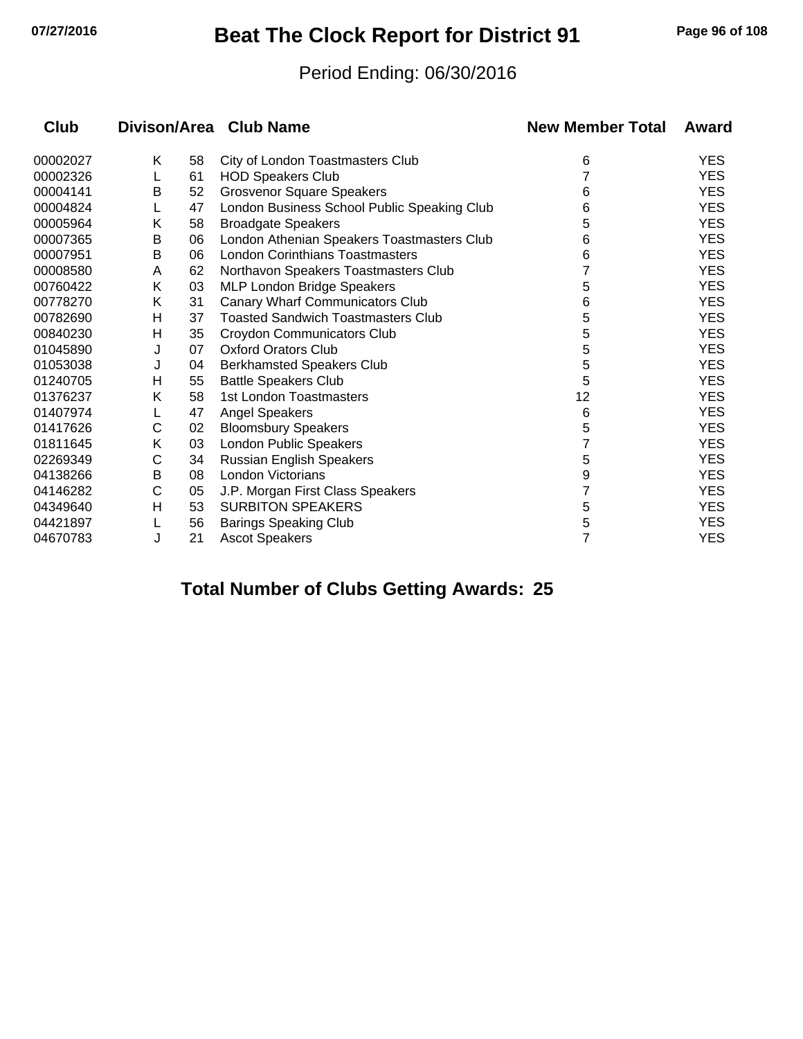## **07/27/2016 Beat The Clock Report for District 91 Page 96 of 108**

#### Period Ending: 06/30/2016

| Club     |   |    | Divison/Area Club Name                      | <b>New Member Total</b> | Award      |
|----------|---|----|---------------------------------------------|-------------------------|------------|
| 00002027 | Κ | 58 | City of London Toastmasters Club            | 6                       | <b>YES</b> |
| 00002326 | L | 61 | <b>HOD Speakers Club</b>                    | 7                       | <b>YES</b> |
| 00004141 | В | 52 | <b>Grosvenor Square Speakers</b>            | 6                       | <b>YES</b> |
| 00004824 |   | 47 | London Business School Public Speaking Club | 6                       | <b>YES</b> |
| 00005964 | Κ | 58 | <b>Broadgate Speakers</b>                   | 5                       | <b>YES</b> |
| 00007365 | В | 06 | London Athenian Speakers Toastmasters Club  | 6                       | <b>YES</b> |
| 00007951 | В | 06 | <b>London Corinthians Toastmasters</b>      | 6                       | <b>YES</b> |
| 00008580 | A | 62 | Northavon Speakers Toastmasters Club        |                         | <b>YES</b> |
| 00760422 | Κ | 03 | <b>MLP London Bridge Speakers</b>           | 5                       | <b>YES</b> |
| 00778270 | Κ | 31 | <b>Canary Wharf Communicators Club</b>      | 6                       | <b>YES</b> |
| 00782690 | н | 37 | <b>Toasted Sandwich Toastmasters Club</b>   | 5                       | <b>YES</b> |
| 00840230 | н | 35 | Croydon Communicators Club                  | 5                       | <b>YES</b> |
| 01045890 | J | 07 | <b>Oxford Orators Club</b>                  | 5                       | <b>YES</b> |
| 01053038 | J | 04 | <b>Berkhamsted Speakers Club</b>            | 5                       | <b>YES</b> |
| 01240705 | н | 55 | <b>Battle Speakers Club</b>                 | 5                       | <b>YES</b> |
| 01376237 | Κ | 58 | 1st London Toastmasters                     | 12                      | <b>YES</b> |
| 01407974 |   | 47 | <b>Angel Speakers</b>                       | 6                       | <b>YES</b> |
| 01417626 | C | 02 | <b>Bloomsbury Speakers</b>                  | 5                       | <b>YES</b> |
| 01811645 | Κ | 03 | London Public Speakers                      |                         | <b>YES</b> |
| 02269349 | C | 34 | <b>Russian English Speakers</b>             | 5                       | <b>YES</b> |
| 04138266 | В | 08 | London Victorians                           | 9                       | <b>YES</b> |
| 04146282 | C | 05 | J.P. Morgan First Class Speakers            | 7                       | <b>YES</b> |
| 04349640 | Η | 53 | <b>SURBITON SPEAKERS</b>                    | 5                       | <b>YES</b> |
| 04421897 |   | 56 | <b>Barings Speaking Club</b>                | 5                       | <b>YES</b> |
| 04670783 | J | 21 | <b>Ascot Speakers</b>                       | 7                       | <b>YES</b> |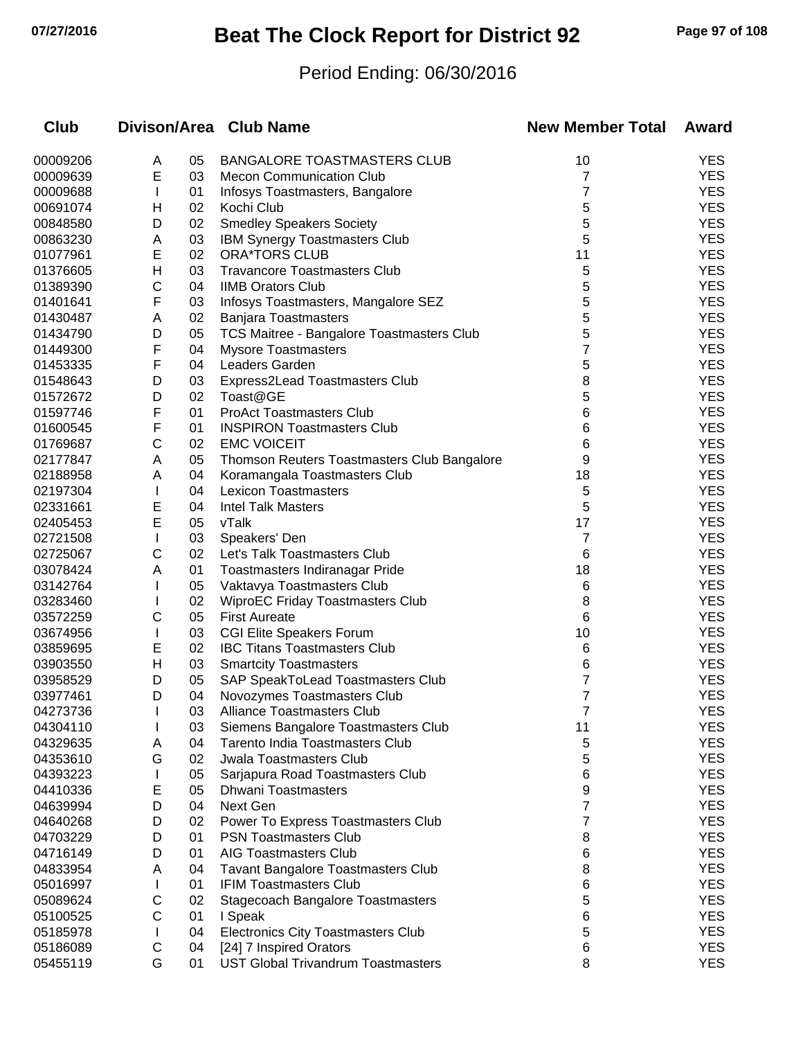# **07/27/2016 Beat The Clock Report for District 92 Page 97 of 108**

### Period Ending: 06/30/2016

| <b>Club</b>          |              |          | Divison/Area Club Name                                         | <b>New Member Total</b> | Award                    |
|----------------------|--------------|----------|----------------------------------------------------------------|-------------------------|--------------------------|
| 00009206             | A            | 05       | <b>BANGALORE TOASTMASTERS CLUB</b>                             | 10                      | <b>YES</b>               |
| 00009639             | Ε            | 03       | <b>Mecon Communication Club</b>                                | 7                       | <b>YES</b>               |
| 00009688             |              | 01       | Infosys Toastmasters, Bangalore                                | 7                       | <b>YES</b>               |
| 00691074             | н            | 02       | Kochi Club                                                     | 5                       | <b>YES</b>               |
| 00848580             | D            | 02       | <b>Smedley Speakers Society</b>                                | 5                       | <b>YES</b>               |
| 00863230             | A            | 03       | IBM Synergy Toastmasters Club                                  | 5                       | <b>YES</b>               |
| 01077961             | E            | 02       | <b>ORA*TORS CLUB</b>                                           | 11                      | <b>YES</b>               |
| 01376605             | Н            | 03       | <b>Travancore Toastmasters Club</b>                            | 5                       | <b>YES</b>               |
| 01389390             | С            | 04       | <b>IIMB Orators Club</b>                                       | 5                       | <b>YES</b>               |
| 01401641             | F            | 03       | Infosys Toastmasters, Mangalore SEZ                            | 5                       | <b>YES</b>               |
| 01430487             | A            | 02       | <b>Banjara Toastmasters</b>                                    | 5                       | <b>YES</b>               |
| 01434790             | D            | 05       | TCS Maitree - Bangalore Toastmasters Club                      | 5                       | <b>YES</b>               |
| 01449300             | F            | 04       | <b>Mysore Toastmasters</b>                                     | 7                       | <b>YES</b>               |
| 01453335             | F            | 04       | Leaders Garden                                                 | 5                       | <b>YES</b>               |
| 01548643             | D            | 03       | Express2Lead Toastmasters Club                                 | 8                       | <b>YES</b>               |
| 01572672             | D            | 02       | Toast@GE                                                       | 5                       | <b>YES</b>               |
| 01597746             | F            | 01       | <b>ProAct Toastmasters Club</b>                                | 6                       | <b>YES</b>               |
| 01600545             | F            | 01       | <b>INSPIRON Toastmasters Club</b>                              | 6                       | <b>YES</b>               |
| 01769687             | С            | 02       | <b>EMC VOICEIT</b>                                             | 6                       | <b>YES</b>               |
| 02177847             | Α            | 05       | Thomson Reuters Toastmasters Club Bangalore                    | 9                       | <b>YES</b>               |
| 02188958             | Α            | 04       | Koramangala Toastmasters Club                                  | 18                      | <b>YES</b>               |
| 02197304             |              | 04       | <b>Lexicon Toastmasters</b>                                    | 5                       | <b>YES</b>               |
| 02331661             | E            | 04       | <b>Intel Talk Masters</b>                                      | 5                       | <b>YES</b>               |
| 02405453             | E            | 05       | vTalk                                                          | 17                      | <b>YES</b>               |
| 02721508             |              | 03       | Speakers' Den                                                  | 7                       | <b>YES</b>               |
| 02725067             | С            | 02       | Let's Talk Toastmasters Club                                   | 6                       | <b>YES</b>               |
| 03078424             | Α            | 01       | Toastmasters Indiranagar Pride                                 | 18                      | <b>YES</b>               |
| 03142764             |              | 05       | Vaktavya Toastmasters Club                                     | 6                       | <b>YES</b>               |
| 03283460             |              | 02       | <b>WiproEC Friday Toastmasters Club</b>                        | 8                       | <b>YES</b>               |
| 03572259             | С            | 05       | <b>First Aureate</b>                                           | 6                       | <b>YES</b>               |
| 03674956             | $\mathbf{I}$ | 03       | <b>CGI Elite Speakers Forum</b>                                | 10                      | <b>YES</b>               |
| 03859695             | E            | 02       | <b>IBC Titans Toastmasters Club</b>                            | 6                       | <b>YES</b>               |
| 03903550             | н            | 03       | <b>Smartcity Toastmasters</b>                                  | 6                       | <b>YES</b>               |
| 03958529             | D            | 05       | SAP SpeakToLead Toastmasters Club                              | 7                       | <b>YES</b>               |
| 03977461             | D            | 04       | Novozymes Toastmasters Club                                    | 7                       | <b>YES</b>               |
| 04273736             |              | 03       | <b>Alliance Toastmasters Club</b>                              | 7                       | YES                      |
| 04304110             |              | 03       | Siemens Bangalore Toastmasters Club                            | 11                      | <b>YES</b>               |
| 04329635             | Α            | 04       | Tarento India Toastmasters Club                                | 5                       | <b>YES</b><br><b>YES</b> |
| 04353610             | G            | 02       | <b>Jwala Toastmasters Club</b>                                 | 5                       | <b>YES</b>               |
| 04393223<br>04410336 |              | 05<br>05 | Sarjapura Road Toastmasters Club<br><b>Dhwani Toastmasters</b> | 6                       | <b>YES</b>               |
| 04639994             | E<br>D       | 04       | Next Gen                                                       | 9<br>7                  | <b>YES</b>               |
| 04640268             | D            | 02       | Power To Express Toastmasters Club                             | 7                       | <b>YES</b>               |
| 04703229             | D            | 01       | <b>PSN Toastmasters Club</b>                                   |                         | <b>YES</b>               |
| 04716149             | D            | 01       | <b>AIG Toastmasters Club</b>                                   | 8<br>6                  | <b>YES</b>               |
| 04833954             | A            | 04       | <b>Tavant Bangalore Toastmasters Club</b>                      | 8                       | <b>YES</b>               |
| 05016997             |              | 01       | <b>IFIM Toastmasters Club</b>                                  |                         | <b>YES</b>               |
| 05089624             | С            | 02       | <b>Stagecoach Bangalore Toastmasters</b>                       | 6<br>5                  | <b>YES</b>               |
| 05100525             | С            | 01       | I Speak                                                        | 6                       | <b>YES</b>               |
| 05185978             |              | 04       | <b>Electronics City Toastmasters Club</b>                      | 5                       | <b>YES</b>               |
| 05186089             | С            | 04       | [24] 7 Inspired Orators                                        | 6                       | <b>YES</b>               |
| 05455119             | G            | 01       | <b>UST Global Trivandrum Toastmasters</b>                      | 8                       | <b>YES</b>               |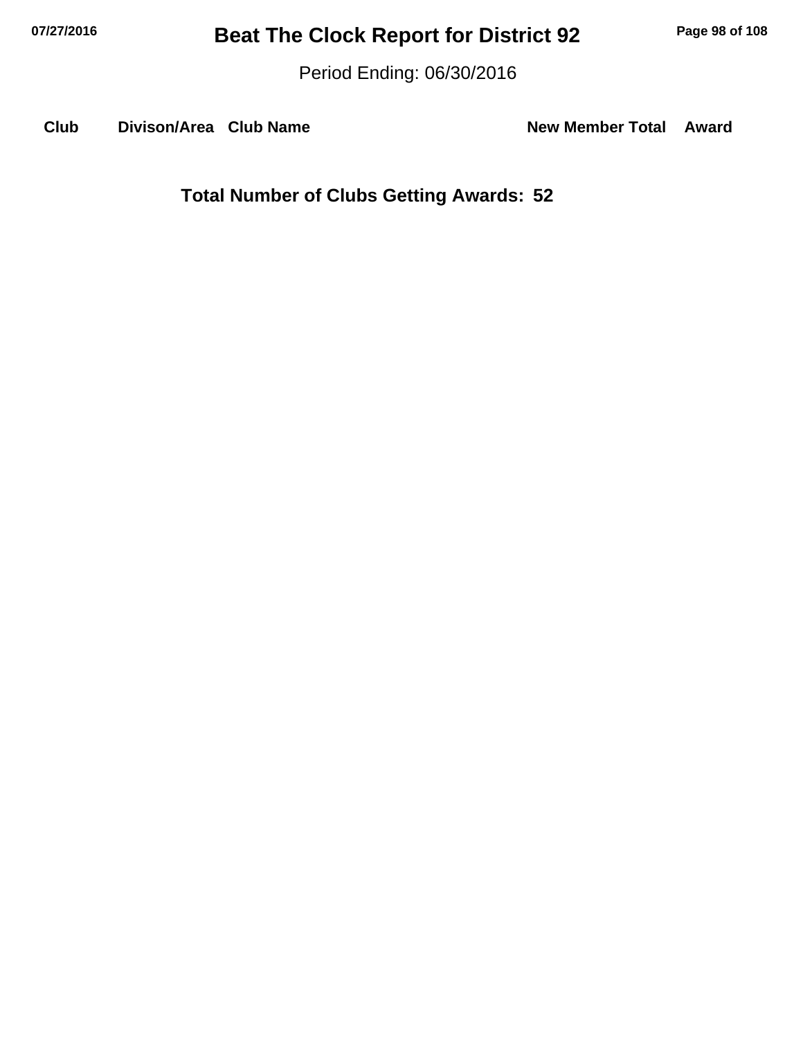Period Ending: 06/30/2016

**Club Divison/Area Club Name New Member Total Award**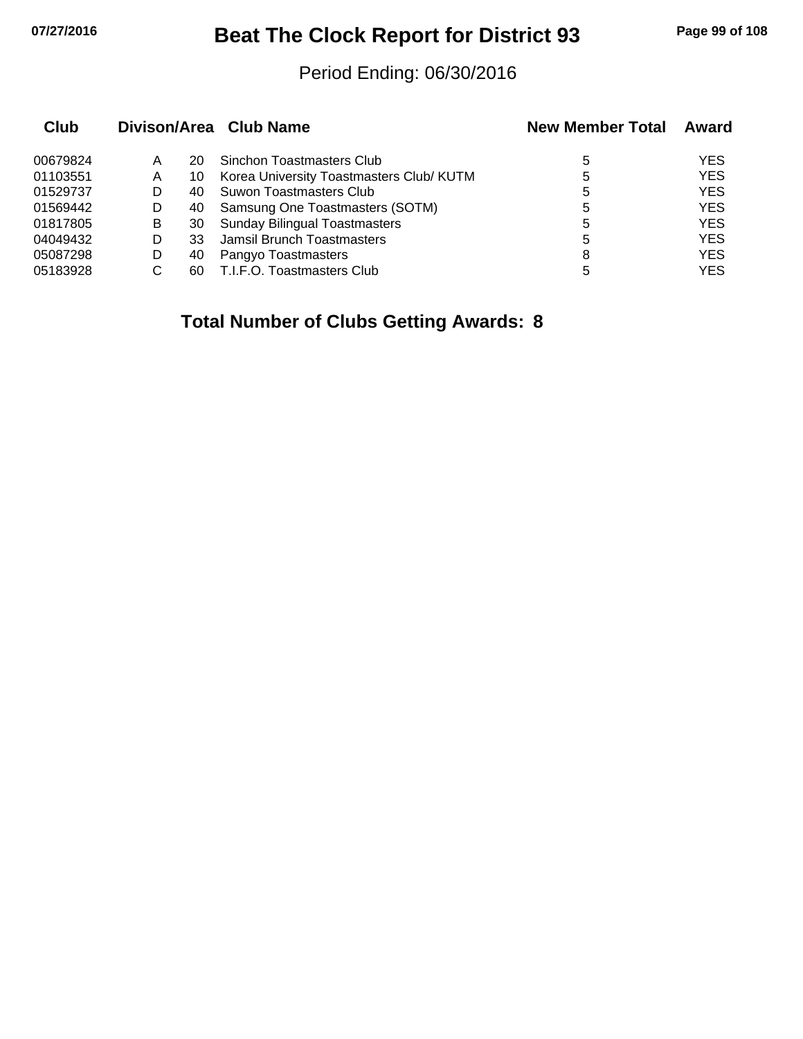## **07/27/2016 Beat The Clock Report for District 93 Page 99 of 108**

#### Period Ending: 06/30/2016

| Club     |   |     | Divison/Area Club Name                   | <b>New Member Total</b> | Award      |
|----------|---|-----|------------------------------------------|-------------------------|------------|
| 00679824 | A | 20  | Sinchon Toastmasters Club                | 5                       | <b>YES</b> |
| 01103551 | A | 10  | Korea University Toastmasters Club/ KUTM | 5                       | <b>YES</b> |
| 01529737 |   | 40. | Suwon Toastmasters Club                  | 5                       | <b>YES</b> |
| 01569442 | D | 40  | Samsung One Toastmasters (SOTM)          | 5                       | <b>YES</b> |
| 01817805 | B | 30  | <b>Sunday Bilingual Toastmasters</b>     | 5                       | <b>YES</b> |
| 04049432 | D | 33  | Jamsil Brunch Toastmasters               | 5                       | <b>YES</b> |
| 05087298 | D | 40  | Pangyo Toastmasters                      | 8                       | <b>YES</b> |
| 05183928 |   | 60  | T.I.F.O. Toastmasters Club               | 5                       | <b>YES</b> |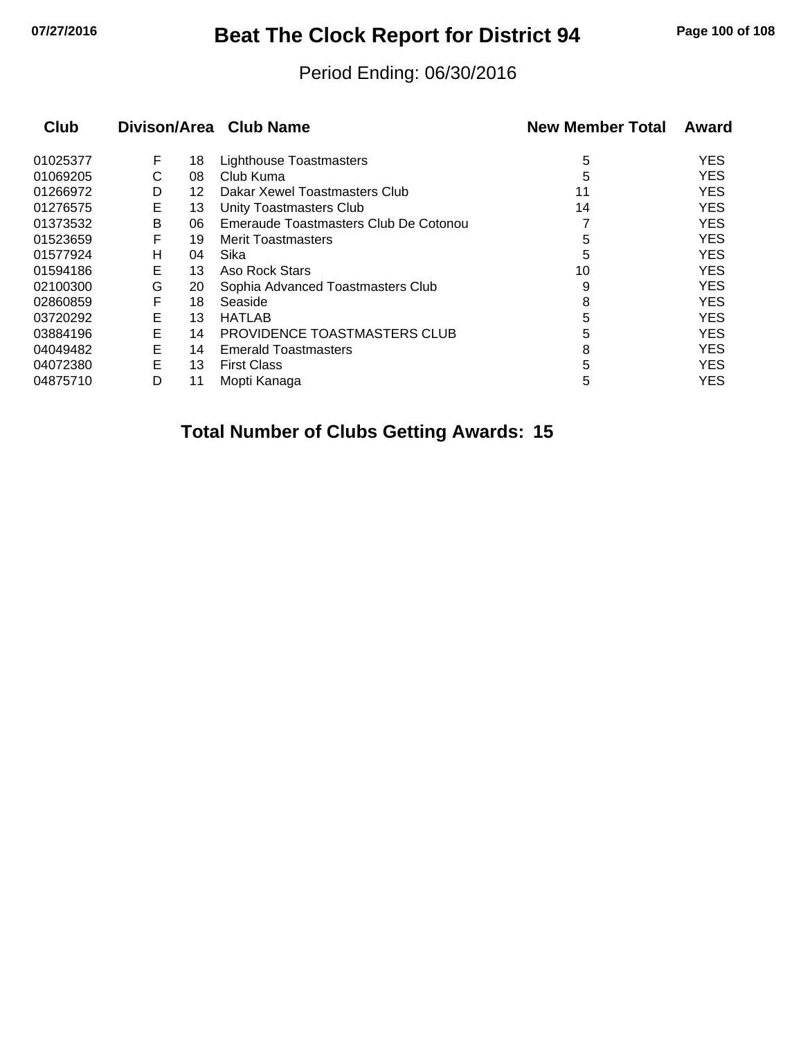## **07/27/2016 Beat The Clock Report for District 94 Page 100 of 108**

#### Period Ending: 06/30/2016

| Club     |   |    | Divison/Area Club Name                | <b>New Member Total</b> | Award      |
|----------|---|----|---------------------------------------|-------------------------|------------|
| 01025377 | F | 18 | Lighthouse Toastmasters               | 5                       | <b>YES</b> |
| 01069205 | С | 08 | Club Kuma                             | 5                       | <b>YES</b> |
| 01266972 | D | 12 | Dakar Xewel Toastmasters Club         | 11                      | <b>YES</b> |
| 01276575 | E | 13 | Unity Toastmasters Club               | 14                      | <b>YES</b> |
| 01373532 | B | 06 | Emeraude Toastmasters Club De Cotonou |                         | <b>YES</b> |
| 01523659 | F | 19 | <b>Merit Toastmasters</b>             | 5                       | <b>YES</b> |
| 01577924 | н | 04 | Sika                                  | 5                       | <b>YES</b> |
| 01594186 | Е | 13 | Aso Rock Stars                        | 10                      | <b>YES</b> |
| 02100300 | G | 20 | Sophia Advanced Toastmasters Club     | 9                       | <b>YES</b> |
| 02860859 | F | 18 | Seaside                               | 8                       | <b>YES</b> |
| 03720292 | E | 13 | <b>HATLAB</b>                         | 5                       | <b>YES</b> |
| 03884196 | Е | 14 | <b>PROVIDENCE TOASTMASTERS CLUB</b>   | 5                       | <b>YES</b> |
| 04049482 | E | 14 | <b>Emerald Toastmasters</b>           | 8                       | <b>YES</b> |
| 04072380 | E | 13 | <b>First Class</b>                    | 5                       | <b>YES</b> |
| 04875710 | D | 11 | Mopti Kanaga                          | 5                       | <b>YES</b> |
|          |   |    |                                       |                         |            |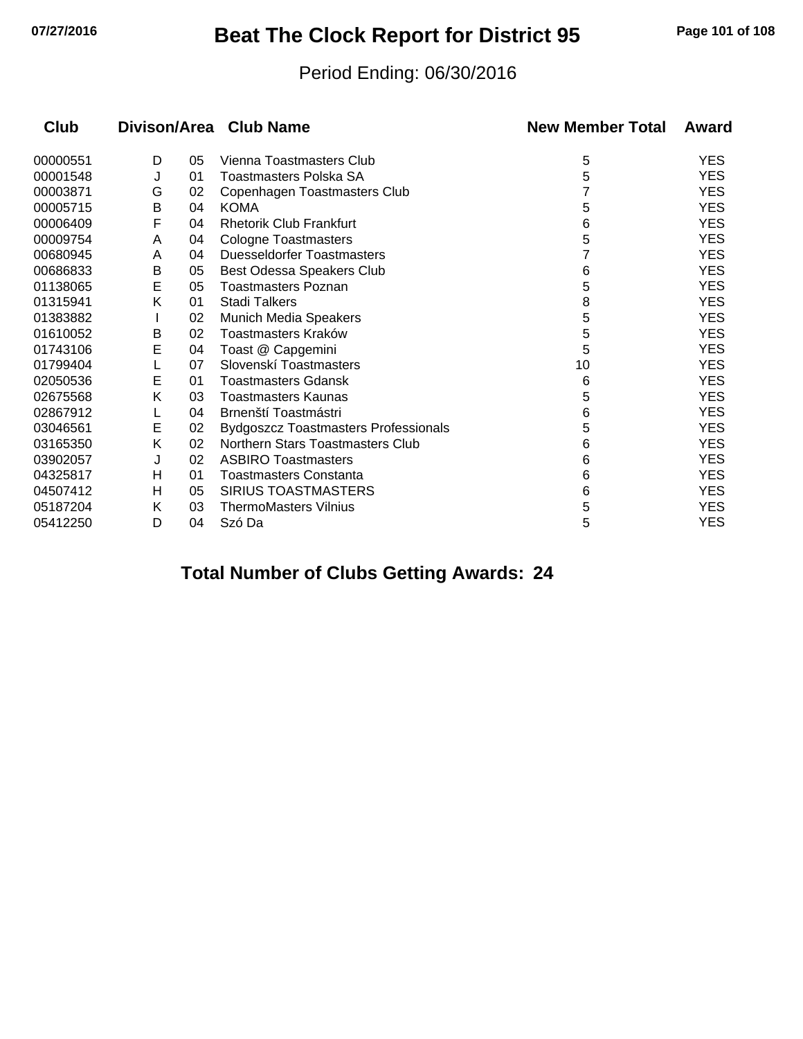## **07/27/2016 Beat The Clock Report for District 95 Page 101 of 108**

#### Period Ending: 06/30/2016

| Club     | Divison/Area |    | <b>Club Name</b>                            | <b>New Member Total</b> | Award      |
|----------|--------------|----|---------------------------------------------|-------------------------|------------|
| 00000551 | D            | 05 | Vienna Toastmasters Club                    | 5                       | <b>YES</b> |
| 00001548 | J            | 01 | Toastmasters Polska SA                      | 5                       | <b>YES</b> |
| 00003871 | G            | 02 | Copenhagen Toastmasters Club                |                         | <b>YES</b> |
| 00005715 | Β            | 04 | <b>KOMA</b>                                 | 5                       | <b>YES</b> |
| 00006409 | F            | 04 | <b>Rhetorik Club Frankfurt</b>              | 6                       | <b>YES</b> |
| 00009754 | A            | 04 | <b>Cologne Toastmasters</b>                 | 5                       | <b>YES</b> |
| 00680945 | A            | 04 | <b>Duesseldorfer Toastmasters</b>           |                         | <b>YES</b> |
| 00686833 | Β            | 05 | Best Odessa Speakers Club                   | 6                       | <b>YES</b> |
| 01138065 | E            | 05 | Toastmasters Poznan                         | 5                       | <b>YES</b> |
| 01315941 | Κ            | 01 | <b>Stadi Talkers</b>                        | 8                       | <b>YES</b> |
| 01383882 |              | 02 | <b>Munich Media Speakers</b>                | 5                       | <b>YES</b> |
| 01610052 | B            | 02 | Toastmasters Kraków                         | 5                       | <b>YES</b> |
| 01743106 | E            | 04 | Toast @ Capgemini                           | 5                       | <b>YES</b> |
| 01799404 |              | 07 | Slovenskí Toastmasters                      | 10                      | <b>YES</b> |
| 02050536 | E            | 01 | <b>Toastmasters Gdansk</b>                  | 6                       | <b>YES</b> |
| 02675568 | Κ            | 03 | <b>Toastmasters Kaunas</b>                  | 5                       | <b>YES</b> |
| 02867912 |              | 04 | Brnenští Toastmástri                        | 6                       | <b>YES</b> |
| 03046561 | Е            | 02 | <b>Bydgoszcz Toastmasters Professionals</b> | 5                       | <b>YES</b> |
| 03165350 | Κ            | 02 | Northern Stars Toastmasters Club            | 6                       | <b>YES</b> |
| 03902057 | J            | 02 | <b>ASBIRO Toastmasters</b>                  | 6                       | <b>YES</b> |
| 04325817 | Η            | 01 | <b>Toastmasters Constanta</b>               | 6                       | <b>YES</b> |
| 04507412 | н            | 05 | <b>SIRIUS TOASTMASTERS</b>                  | 6                       | <b>YES</b> |
| 05187204 | Κ            | 03 | <b>ThermoMasters Vilnius</b>                | 5                       | <b>YES</b> |
| 05412250 | D            | 04 | Szó Da                                      | 5                       | <b>YES</b> |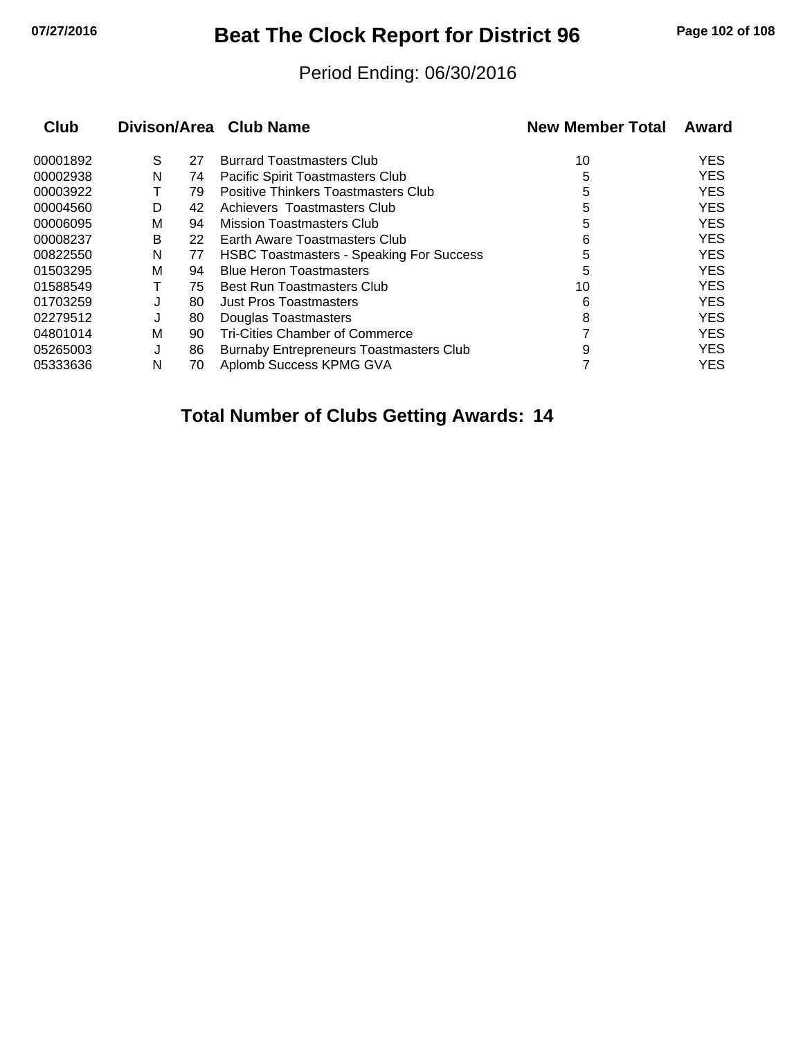## **07/27/2016 Beat The Clock Report for District 96 Page 102 of 108**

#### Period Ending: 06/30/2016

|   |    |                                                 | <b>New Member Total</b> | Award      |
|---|----|-------------------------------------------------|-------------------------|------------|
| S | 27 | <b>Burrard Toastmasters Club</b>                | 10                      | <b>YES</b> |
| N | 74 | Pacific Spirit Toastmasters Club                | 5                       | <b>YES</b> |
|   | 79 | Positive Thinkers Toastmasters Club             | 5                       | <b>YES</b> |
| D | 42 | Achievers Toastmasters Club                     | 5                       | <b>YES</b> |
| М | 94 | Mission Toastmasters Club                       | 5                       | <b>YES</b> |
| B | 22 | Earth Aware Toastmasters Club                   | 6                       | <b>YES</b> |
| N | 77 | <b>HSBC Toastmasters - Speaking For Success</b> | 5                       | <b>YES</b> |
| М | 94 | <b>Blue Heron Toastmasters</b>                  | 5                       | <b>YES</b> |
|   | 75 | <b>Best Run Toastmasters Club</b>               | 10                      | <b>YES</b> |
|   | 80 | <b>Just Pros Toastmasters</b>                   | 6                       | <b>YES</b> |
| J | 80 | Douglas Toastmasters                            | 8                       | <b>YES</b> |
| М | 90 | <b>Tri-Cities Chamber of Commerce</b>           |                         | <b>YES</b> |
| J | 86 | <b>Burnaby Entrepreneurs Toastmasters Club</b>  | 9                       | <b>YES</b> |
| N | 70 | Aplomb Success KPMG GVA                         |                         | <b>YES</b> |
|   |    |                                                 | Divison/Area Club Name  |            |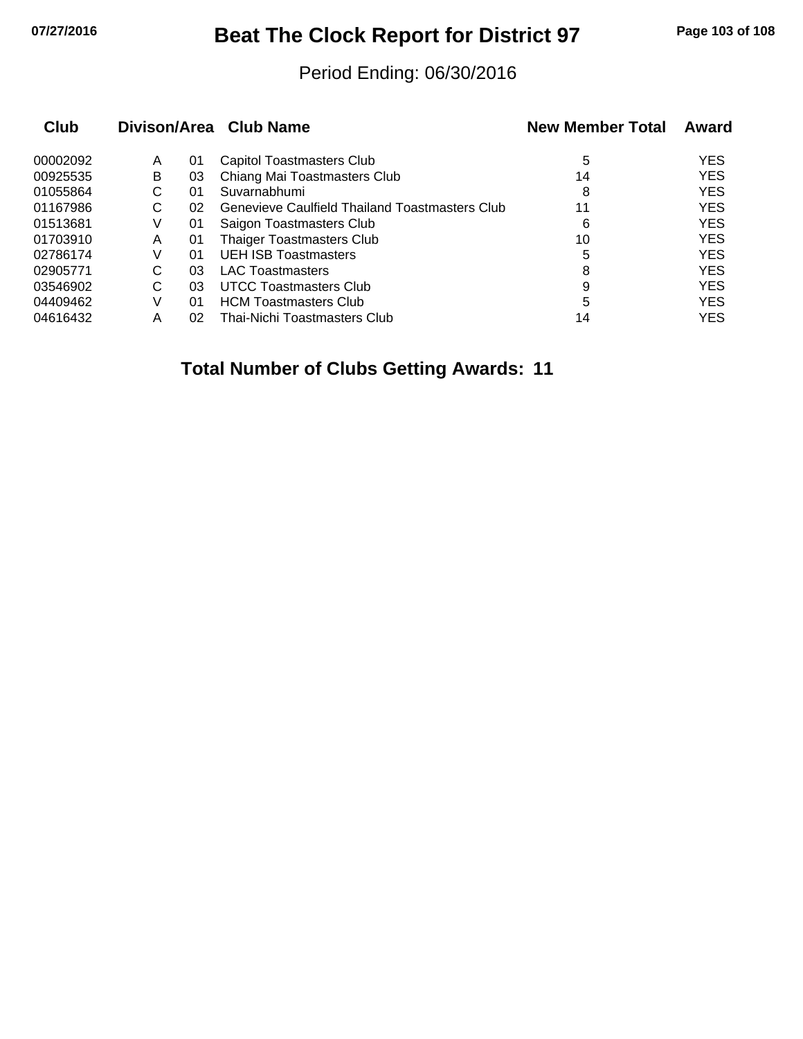## **07/27/2016 Beat The Clock Report for District 97 Page 103 of 108**

#### Period Ending: 06/30/2016

| <b>Club</b> |   |    | Divison/Area Club Name                                | <b>New Member Total</b> | Award      |
|-------------|---|----|-------------------------------------------------------|-------------------------|------------|
| 00002092    | A | 01 | Capitol Toastmasters Club                             | 5                       | <b>YES</b> |
| 00925535    | B | 03 | Chiang Mai Toastmasters Club                          | 14                      | <b>YES</b> |
| 01055864    | С | 01 | Suvarnabhumi                                          | 8                       | <b>YES</b> |
| 01167986    | С | 02 | <b>Genevieve Caulfield Thailand Toastmasters Club</b> | 11                      | <b>YES</b> |
| 01513681    | V | 01 | Saigon Toastmasters Club                              | 6                       | <b>YES</b> |
| 01703910    | A | 01 | <b>Thaiger Toastmasters Club</b>                      | 10                      | <b>YES</b> |
| 02786174    | V | 01 | <b>UEH ISB Toastmasters</b>                           | 5                       | <b>YES</b> |
| 02905771    | С | 03 | <b>LAC Toastmasters</b>                               | 8                       | <b>YES</b> |
| 03546902    | С | 03 | UTCC Toastmasters Club                                | 9                       | <b>YES</b> |
| 04409462    | V | 01 | <b>HCM Toastmasters Club</b>                          | 5                       | <b>YES</b> |
| 04616432    | Α | 02 | Thai-Nichi Toastmasters Club                          | 14                      | <b>YES</b> |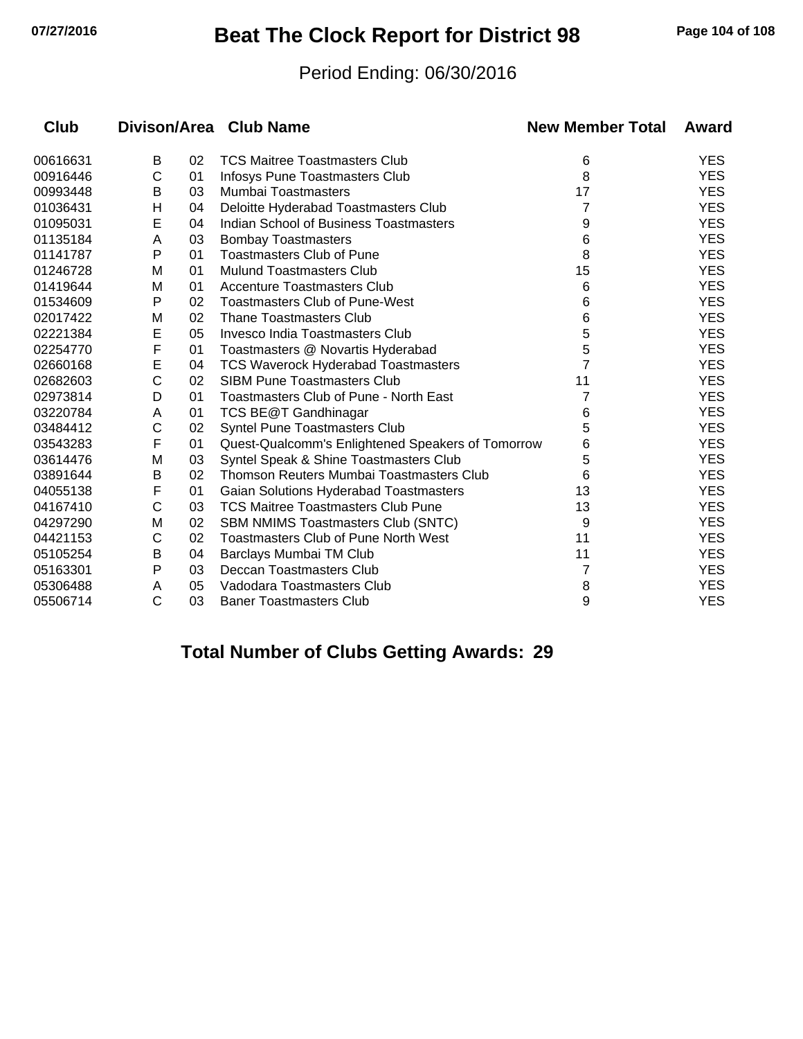## **07/27/2016 Beat The Clock Report for District 98 Page 104 of 108**

#### Period Ending: 06/30/2016

| Club     |              |    | Divison/Area Club Name                            | <b>New Member Total</b> | Award      |
|----------|--------------|----|---------------------------------------------------|-------------------------|------------|
| 00616631 | B            | 02 | <b>TCS Maitree Toastmasters Club</b>              | 6                       | <b>YES</b> |
| 00916446 | C            | 01 | Infosys Pune Toastmasters Club                    | 8                       | <b>YES</b> |
| 00993448 | в            | 03 | Mumbai Toastmasters                               | 17                      | <b>YES</b> |
| 01036431 | Η            | 04 | Deloitte Hyderabad Toastmasters Club              | 7                       | <b>YES</b> |
| 01095031 | E            | 04 | Indian School of Business Toastmasters            | 9                       | <b>YES</b> |
| 01135184 | A            | 03 | <b>Bombay Toastmasters</b>                        | 6                       | <b>YES</b> |
| 01141787 | Р            | 01 | <b>Toastmasters Club of Pune</b>                  | 8                       | <b>YES</b> |
| 01246728 | М            | 01 | Mulund Toastmasters Club                          | 15                      | <b>YES</b> |
| 01419644 | M            | 01 | <b>Accenture Toastmasters Club</b>                | 6                       | <b>YES</b> |
| 01534609 | P            | 02 | <b>Toastmasters Club of Pune-West</b>             | 6                       | <b>YES</b> |
| 02017422 | M            | 02 | <b>Thane Toastmasters Club</b>                    | 6                       | <b>YES</b> |
| 02221384 | E            | 05 | Invesco India Toastmasters Club                   | 5                       | <b>YES</b> |
| 02254770 | F            | 01 | Toastmasters @ Novartis Hyderabad                 | 5                       | <b>YES</b> |
| 02660168 | E            | 04 | TCS Waverock Hyderabad Toastmasters               |                         | <b>YES</b> |
| 02682603 | $\mathsf{C}$ | 02 | <b>SIBM Pune Toastmasters Club</b>                | 11                      | <b>YES</b> |
| 02973814 | D            | 01 | Toastmasters Club of Pune - North East            | 7                       | <b>YES</b> |
| 03220784 | A            | 01 | TCS BE@T Gandhinagar                              | 6                       | <b>YES</b> |
| 03484412 | C            | 02 | <b>Syntel Pune Toastmasters Club</b>              | 5                       | <b>YES</b> |
| 03543283 | F            | 01 | Quest-Qualcomm's Enlightened Speakers of Tomorrow | 6                       | <b>YES</b> |
| 03614476 | M            | 03 | Syntel Speak & Shine Toastmasters Club            | 5                       | <b>YES</b> |
| 03891644 | B            | 02 | Thomson Reuters Mumbai Toastmasters Club          | 6                       | <b>YES</b> |
| 04055138 | F            | 01 | Gaian Solutions Hyderabad Toastmasters            | 13                      | <b>YES</b> |
| 04167410 | $\mathsf{C}$ | 03 | <b>TCS Maitree Toastmasters Club Pune</b>         | 13                      | <b>YES</b> |
| 04297290 | M            | 02 | <b>SBM NMIMS Toastmasters Club (SNTC)</b>         | 9                       | <b>YES</b> |
| 04421153 | С            | 02 | <b>Toastmasters Club of Pune North West</b>       | 11                      | <b>YES</b> |
| 05105254 | B            | 04 | Barclays Mumbai TM Club                           | 11                      | <b>YES</b> |
| 05163301 | Ρ            | 03 | Deccan Toastmasters Club                          | 7                       | <b>YES</b> |
| 05306488 | A            | 05 | Vadodara Toastmasters Club                        | 8                       | <b>YES</b> |
| 05506714 | C            | 03 | <b>Baner Toastmasters Club</b>                    | 9                       | <b>YES</b> |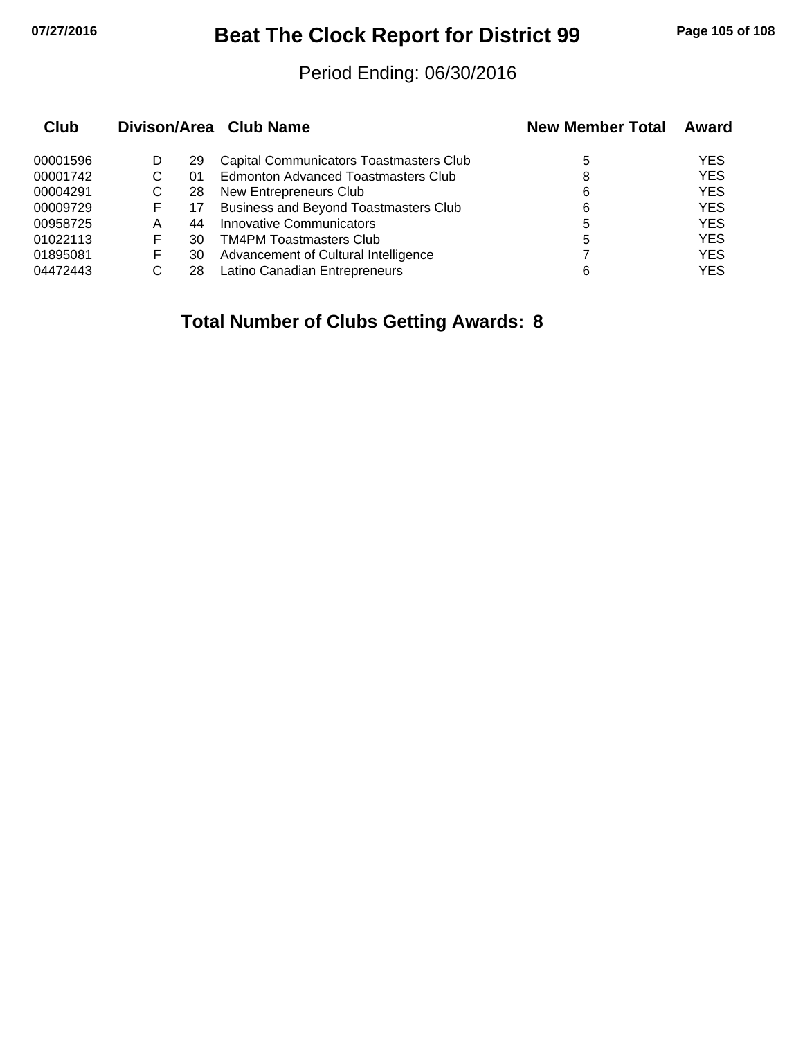## **07/27/2016 Beat The Clock Report for District 99 Page 105 of 108**

#### Period Ending: 06/30/2016

| Club     |   |    | Divison/Area Club Name                       | <b>New Member Total</b> | Award      |
|----------|---|----|----------------------------------------------|-------------------------|------------|
| 00001596 |   | 29 | Capital Communicators Toastmasters Club      | 5                       | YES        |
| 00001742 | С | 01 | Edmonton Advanced Toastmasters Club          | 8                       | <b>YES</b> |
| 00004291 | С | 28 | New Entrepreneurs Club                       | 6                       | <b>YES</b> |
| 00009729 | F | 17 | <b>Business and Beyond Toastmasters Club</b> | 6                       | <b>YES</b> |
| 00958725 | А | 44 | Innovative Communicators                     | 5                       | <b>YES</b> |
| 01022113 | F | 30 | <b>TM4PM Toastmasters Club</b>               | 5                       | <b>YES</b> |
| 01895081 | F | 30 | Advancement of Cultural Intelligence         |                         | <b>YES</b> |
| 04472443 |   | 28 | Latino Canadian Entrepreneurs                | 6                       | <b>YES</b> |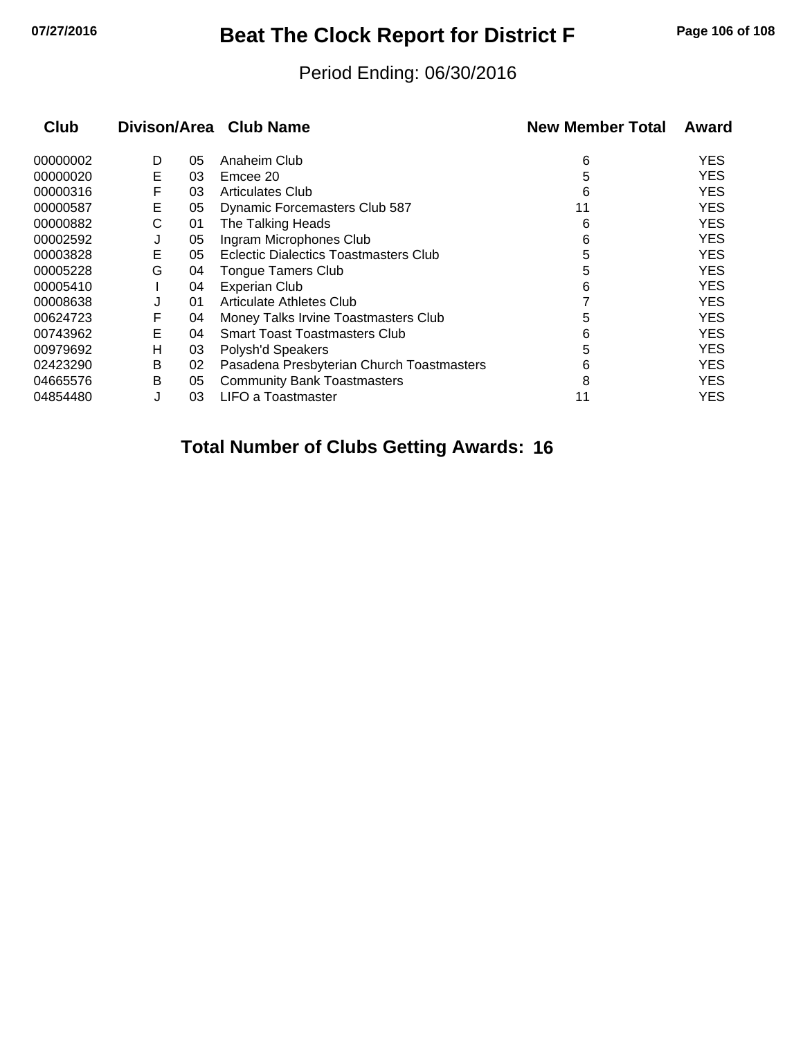## **07/27/2016 Beat The Clock Report for District F Page 106 of 108**

#### Period Ending: 06/30/2016

| Club     |   |    | Divison/Area Club Name                    | <b>New Member Total</b> | Award      |
|----------|---|----|-------------------------------------------|-------------------------|------------|
| 00000002 | D | 05 | Anaheim Club                              | 6                       | YES        |
| 00000020 | Е | 03 | Emcee 20                                  | 5                       | YES        |
| 00000316 | F | 03 | <b>Articulates Club</b>                   | 6                       | YES        |
| 00000587 | E | 05 | Dynamic Forcemasters Club 587             | 11                      | YES        |
| 00000882 | С | 01 | The Talking Heads                         | 6                       | <b>YES</b> |
| 00002592 | J | 05 | Ingram Microphones Club                   | 6                       | <b>YES</b> |
| 00003828 | Е | 05 | Eclectic Dialectics Toastmasters Club     | 5                       | YES        |
| 00005228 | G | 04 | <b>Tongue Tamers Club</b>                 | 5                       | YES        |
| 00005410 |   | 04 | <b>Experian Club</b>                      | 6                       | YES        |
| 00008638 | J | 01 | Articulate Athletes Club                  |                         | YES        |
| 00624723 | F | 04 | Money Talks Irvine Toastmasters Club      | 5                       | YES        |
| 00743962 | E | 04 | <b>Smart Toast Toastmasters Club</b>      | 6                       | YES        |
| 00979692 | н | 03 | Polysh'd Speakers                         | 5                       | YES        |
| 02423290 | B | 02 | Pasadena Presbyterian Church Toastmasters | 6                       | YES        |
| 04665576 | В | 05 | <b>Community Bank Toastmasters</b>        | 8                       | <b>YES</b> |
| 04854480 | J | 03 | <b>LIFO a Toastmaster</b>                 | 11                      | YES        |